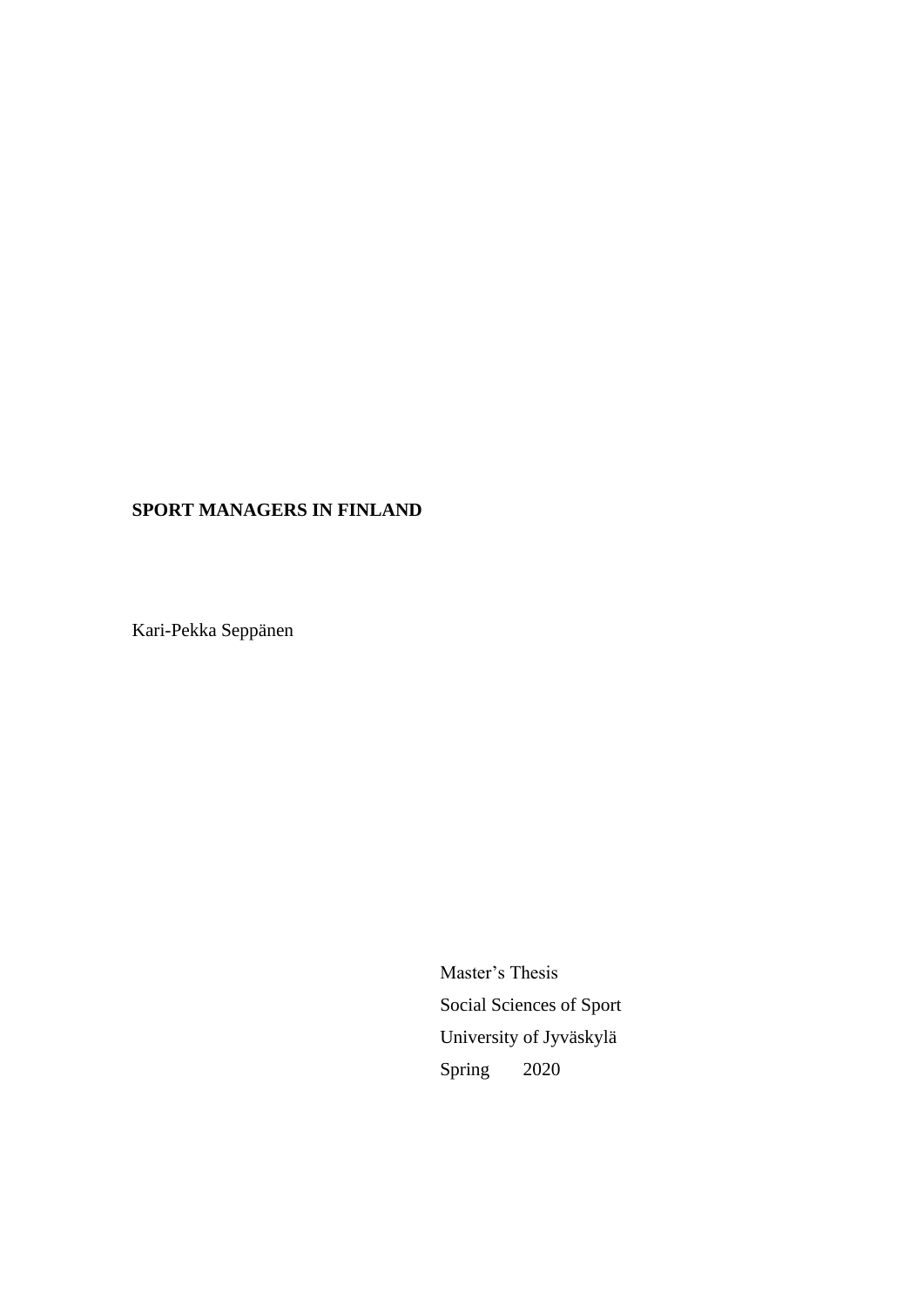## **SPORT MANAGERS IN FINLAND**

Kari-Pekka Seppänen

Master's Thesis Social Sciences of Sport University of Jyväskylä Spring 2020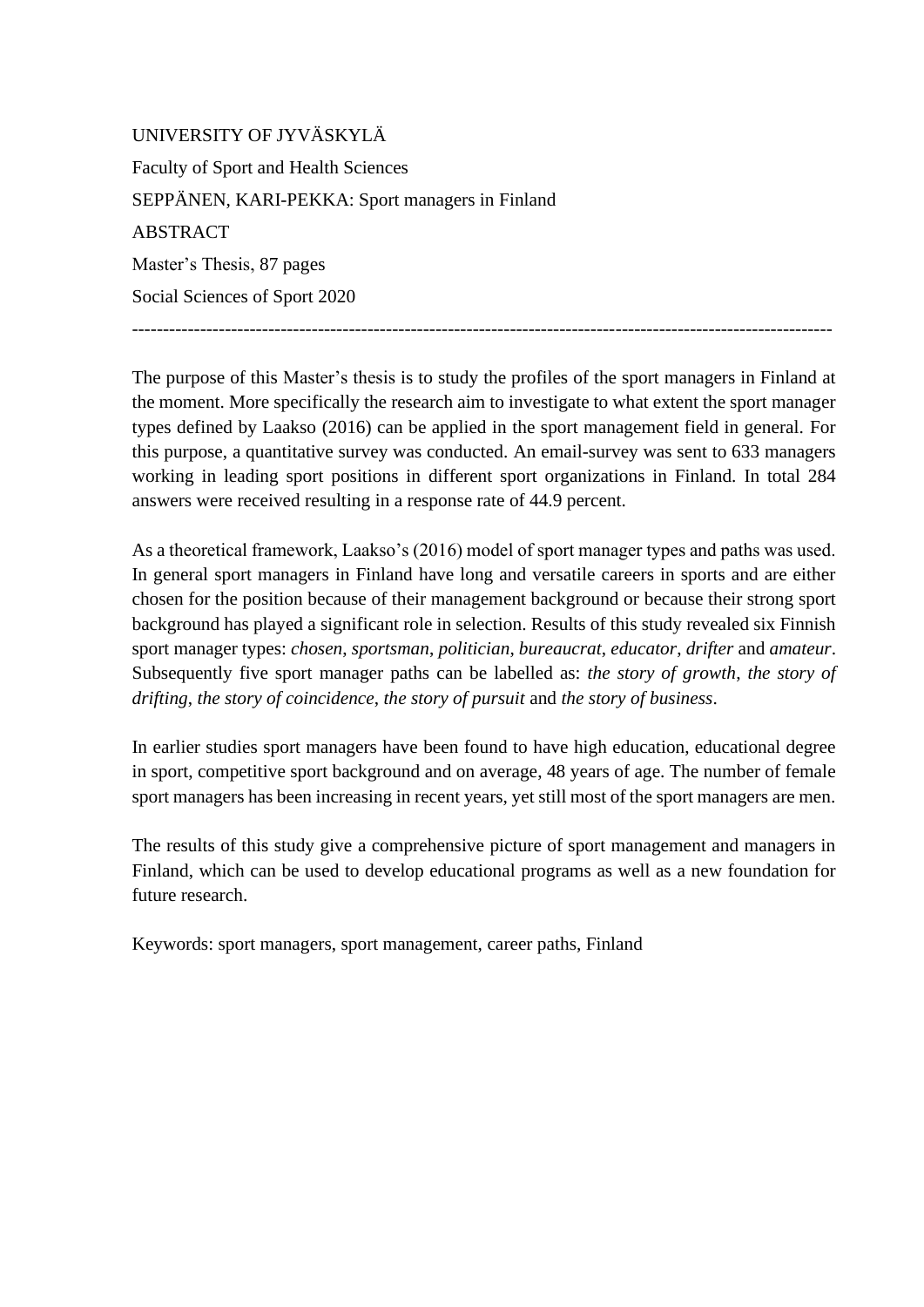UNIVERSITY OF JYVÄSKYLÄ Faculty of Sport and Health Sciences SEPPÄNEN, KARI-PEKKA: Sport managers in Finland ABSTRACT Master's Thesis, 87 pages Social Sciences of Sport 2020

The purpose of this Master's thesis is to study the profiles of the sport managers in Finland at the moment. More specifically the research aim to investigate to what extent the sport manager types defined by Laakso (2016) can be applied in the sport management field in general. For this purpose, a quantitative survey was conducted. An email-survey was sent to 633 managers working in leading sport positions in different sport organizations in Finland. In total 284 answers were received resulting in a response rate of 44.9 percent.

-----------------------------------------------------------------------------------------------------------------

As a theoretical framework, Laakso's (2016) model of sport manager types and paths was used. In general sport managers in Finland have long and versatile careers in sports and are either chosen for the position because of their management background or because their strong sport background has played a significant role in selection. Results of this study revealed six Finnish sport manager types: *chosen*, *sportsman*, *politician*, *bureaucrat*, *educator*, *drifter* and *amateur*. Subsequently five sport manager paths can be labelled as: *the story of growth*, *the story of drifting*, *the story of coincidence*, *the story of pursuit* and *the story of business*.

In earlier studies sport managers have been found to have high education, educational degree in sport, competitive sport background and on average, 48 years of age. The number of female sport managers has been increasing in recent years, yet still most of the sport managers are men.

The results of this study give a comprehensive picture of sport management and managers in Finland, which can be used to develop educational programs as well as a new foundation for future research.

Keywords: sport managers, sport management, career paths, Finland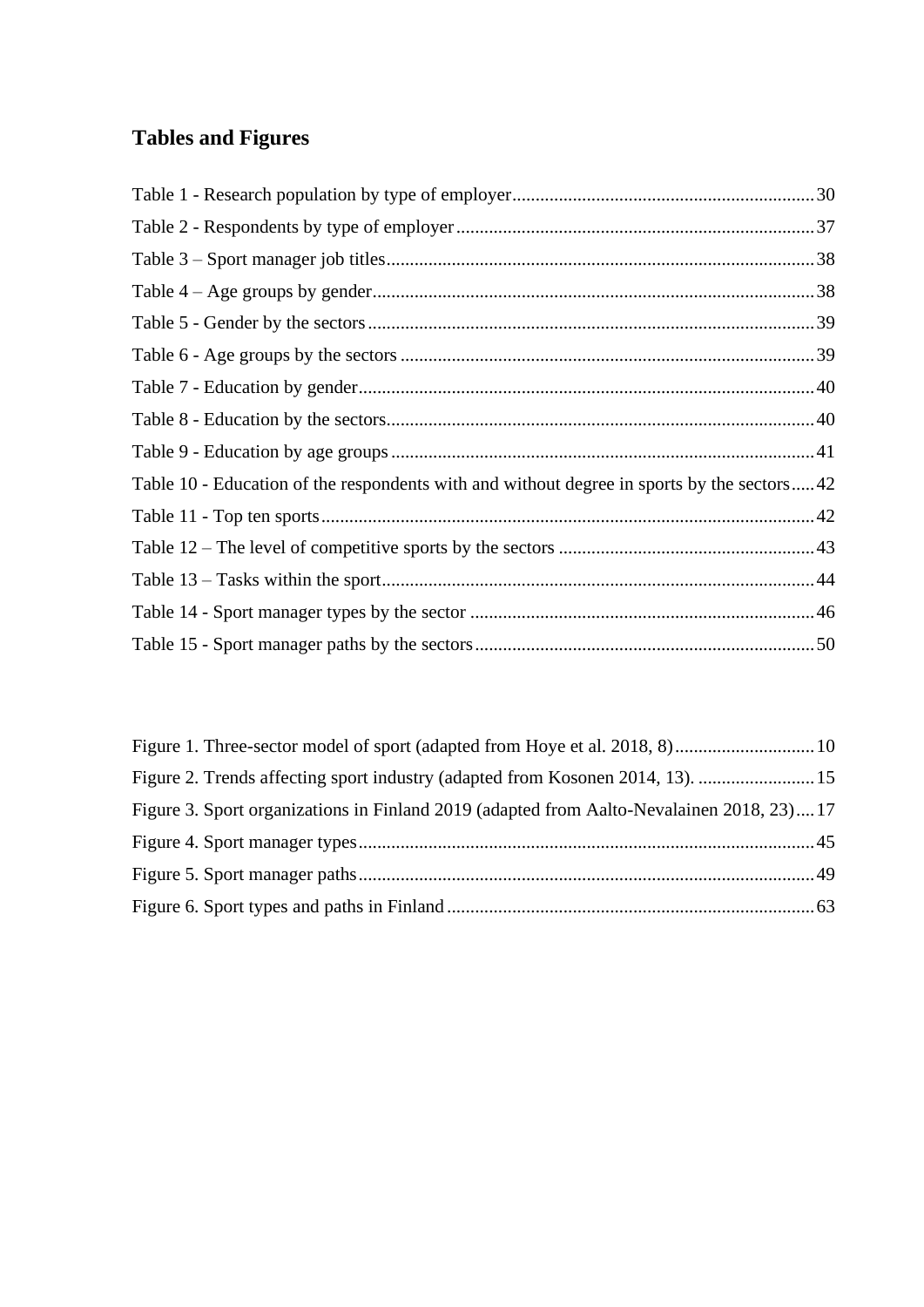# **Tables and Figures**

| Table 10 - Education of the respondents with and without degree in sports by the sectors42 |  |
|--------------------------------------------------------------------------------------------|--|
|                                                                                            |  |
|                                                                                            |  |
|                                                                                            |  |
|                                                                                            |  |
|                                                                                            |  |

| Figure 2. Trends affecting sport industry (adapted from Kosonen 2014, 13).  15           |  |
|------------------------------------------------------------------------------------------|--|
| Figure 3. Sport organizations in Finland 2019 (adapted from Aalto-Nevalainen 2018, 23)17 |  |
|                                                                                          |  |
|                                                                                          |  |
|                                                                                          |  |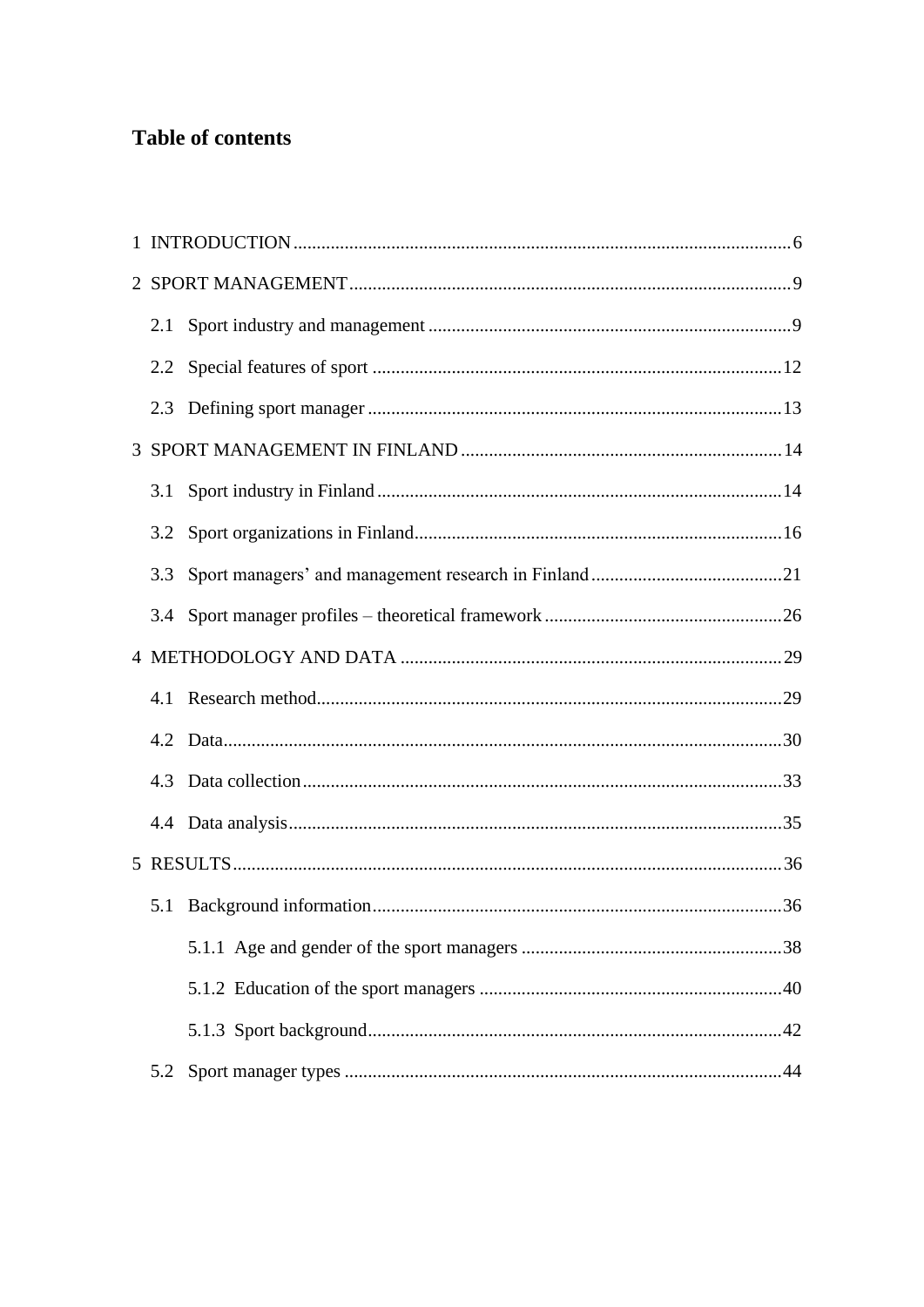## **Table of contents**

| 2.1 |  |
|-----|--|
|     |  |
|     |  |
|     |  |
| 3.1 |  |
| 3.2 |  |
| 3.3 |  |
| 3.4 |  |
|     |  |
|     |  |
| 4.2 |  |
|     |  |
|     |  |
|     |  |
|     |  |
|     |  |
|     |  |
|     |  |
| 5.2 |  |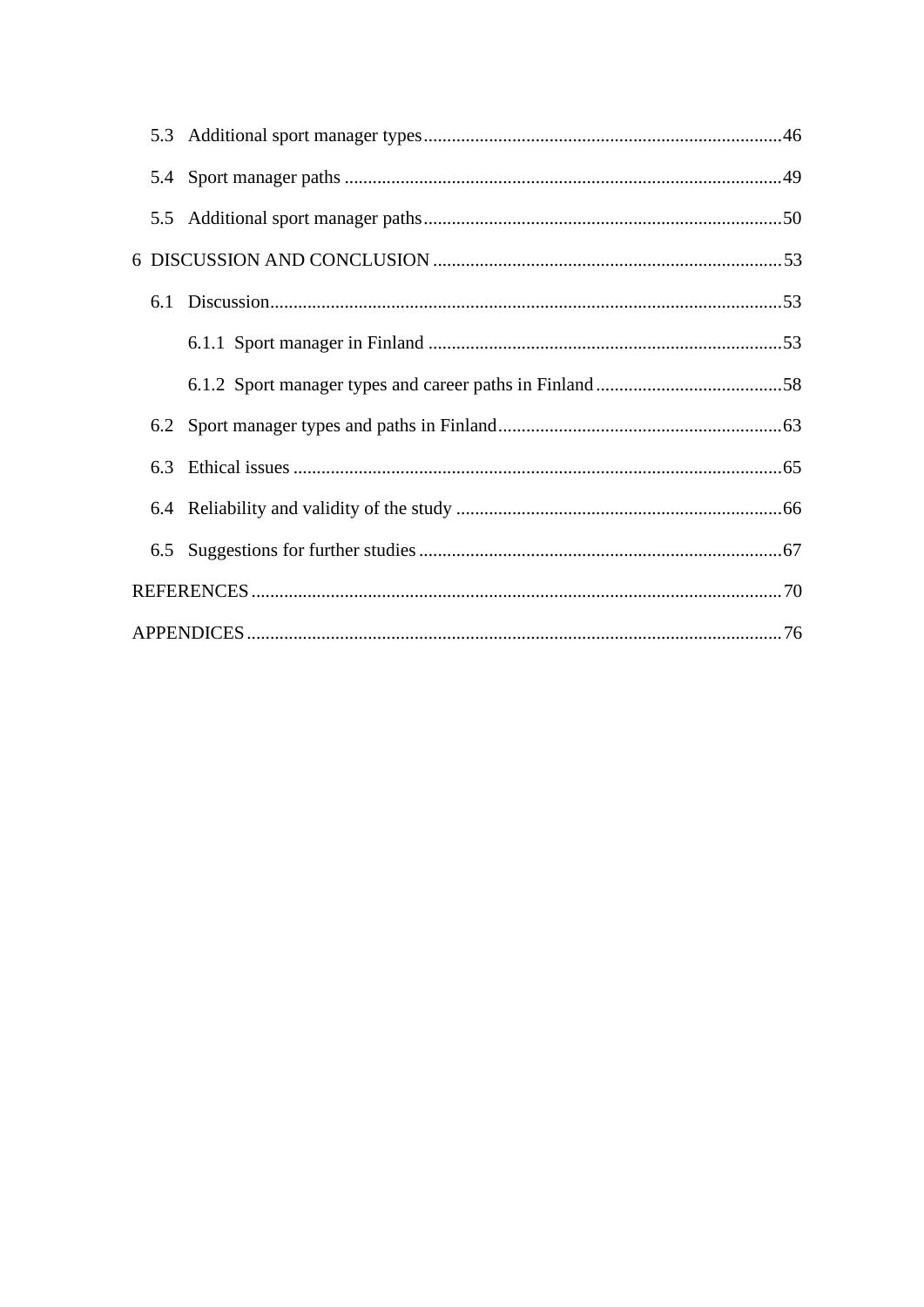| 6.3 |  |  |  |  |
|-----|--|--|--|--|
|     |  |  |  |  |
|     |  |  |  |  |
|     |  |  |  |  |
|     |  |  |  |  |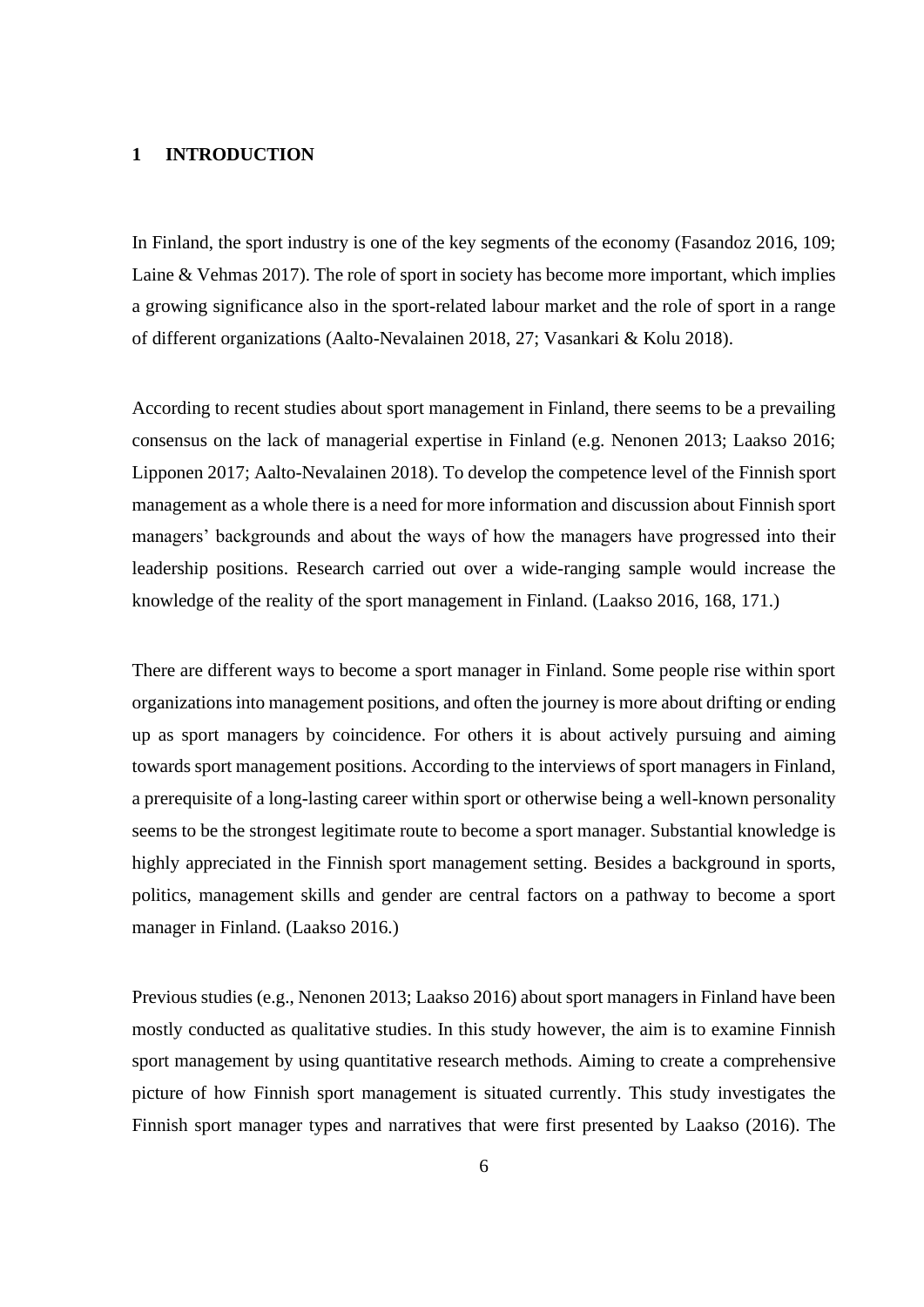## <span id="page-5-0"></span>**1 INTRODUCTION**

In Finland, the sport industry is one of the key segments of the economy (Fasandoz 2016, 109; Laine & Vehmas 2017). The role of sport in society has become more important, which implies a growing significance also in the sport-related labour market and the role of sport in a range of different organizations (Aalto-Nevalainen 2018, 27; Vasankari & Kolu 2018).

According to recent studies about sport management in Finland, there seems to be a prevailing consensus on the lack of managerial expertise in Finland (e.g. Nenonen 2013; Laakso 2016; Lipponen 2017; Aalto-Nevalainen 2018). To develop the competence level of the Finnish sport management as a whole there is a need for more information and discussion about Finnish sport managers' backgrounds and about the ways of how the managers have progressed into their leadership positions. Research carried out over a wide-ranging sample would increase the knowledge of the reality of the sport management in Finland. (Laakso 2016, 168, 171.)

There are different ways to become a sport manager in Finland. Some people rise within sport organizations into management positions, and often the journey is more about drifting or ending up as sport managers by coincidence. For others it is about actively pursuing and aiming towards sport management positions. According to the interviews of sport managers in Finland, a prerequisite of a long-lasting career within sport or otherwise being a well-known personality seems to be the strongest legitimate route to become a sport manager. Substantial knowledge is highly appreciated in the Finnish sport management setting. Besides a background in sports, politics, management skills and gender are central factors on a pathway to become a sport manager in Finland. (Laakso 2016.)

Previous studies (e.g., Nenonen 2013; Laakso 2016) about sport managers in Finland have been mostly conducted as qualitative studies. In this study however, the aim is to examine Finnish sport management by using quantitative research methods. Aiming to create a comprehensive picture of how Finnish sport management is situated currently. This study investigates the Finnish sport manager types and narratives that were first presented by Laakso (2016). The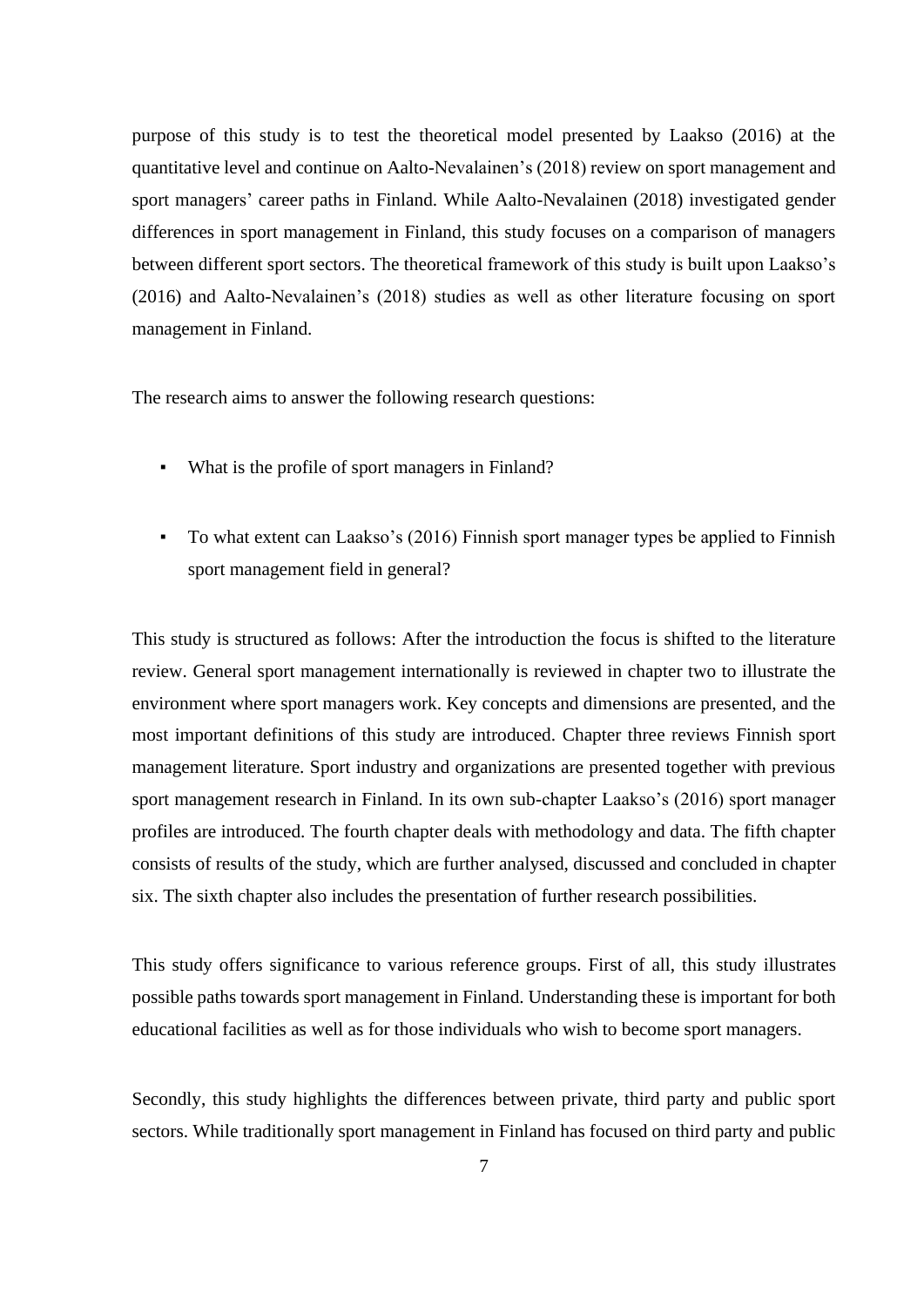purpose of this study is to test the theoretical model presented by Laakso (2016) at the quantitative level and continue on Aalto-Nevalainen's (2018) review on sport management and sport managers' career paths in Finland. While Aalto-Nevalainen (2018) investigated gender differences in sport management in Finland, this study focuses on a comparison of managers between different sport sectors. The theoretical framework of this study is built upon Laakso's (2016) and Aalto-Nevalainen's (2018) studies as well as other literature focusing on sport management in Finland.

The research aims to answer the following research questions:

- What is the profile of sport managers in Finland?
- To what extent can Laakso's (2016) Finnish sport manager types be applied to Finnish sport management field in general?

This study is structured as follows: After the introduction the focus is shifted to the literature review. General sport management internationally is reviewed in chapter two to illustrate the environment where sport managers work. Key concepts and dimensions are presented, and the most important definitions of this study are introduced. Chapter three reviews Finnish sport management literature. Sport industry and organizations are presented together with previous sport management research in Finland. In its own sub-chapter Laakso's (2016) sport manager profiles are introduced. The fourth chapter deals with methodology and data. The fifth chapter consists of results of the study, which are further analysed, discussed and concluded in chapter six. The sixth chapter also includes the presentation of further research possibilities.

This study offers significance to various reference groups. First of all, this study illustrates possible paths towards sport management in Finland. Understanding these is important for both educational facilities as well as for those individuals who wish to become sport managers.

Secondly, this study highlights the differences between private, third party and public sport sectors. While traditionally sport management in Finland has focused on third party and public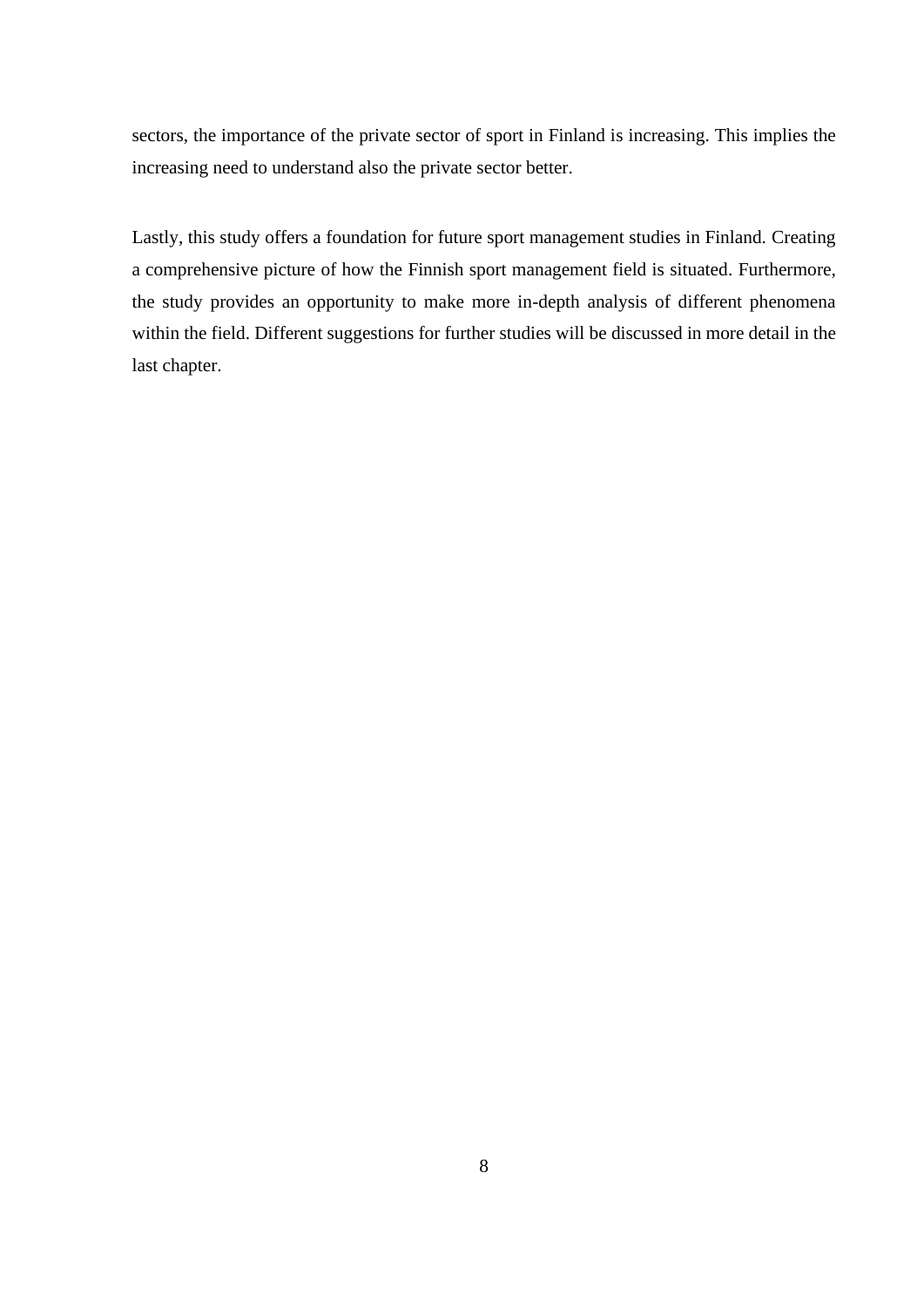sectors, the importance of the private sector of sport in Finland is increasing. This implies the increasing need to understand also the private sector better.

Lastly, this study offers a foundation for future sport management studies in Finland. Creating a comprehensive picture of how the Finnish sport management field is situated. Furthermore, the study provides an opportunity to make more in-depth analysis of different phenomena within the field. Different suggestions for further studies will be discussed in more detail in the last chapter.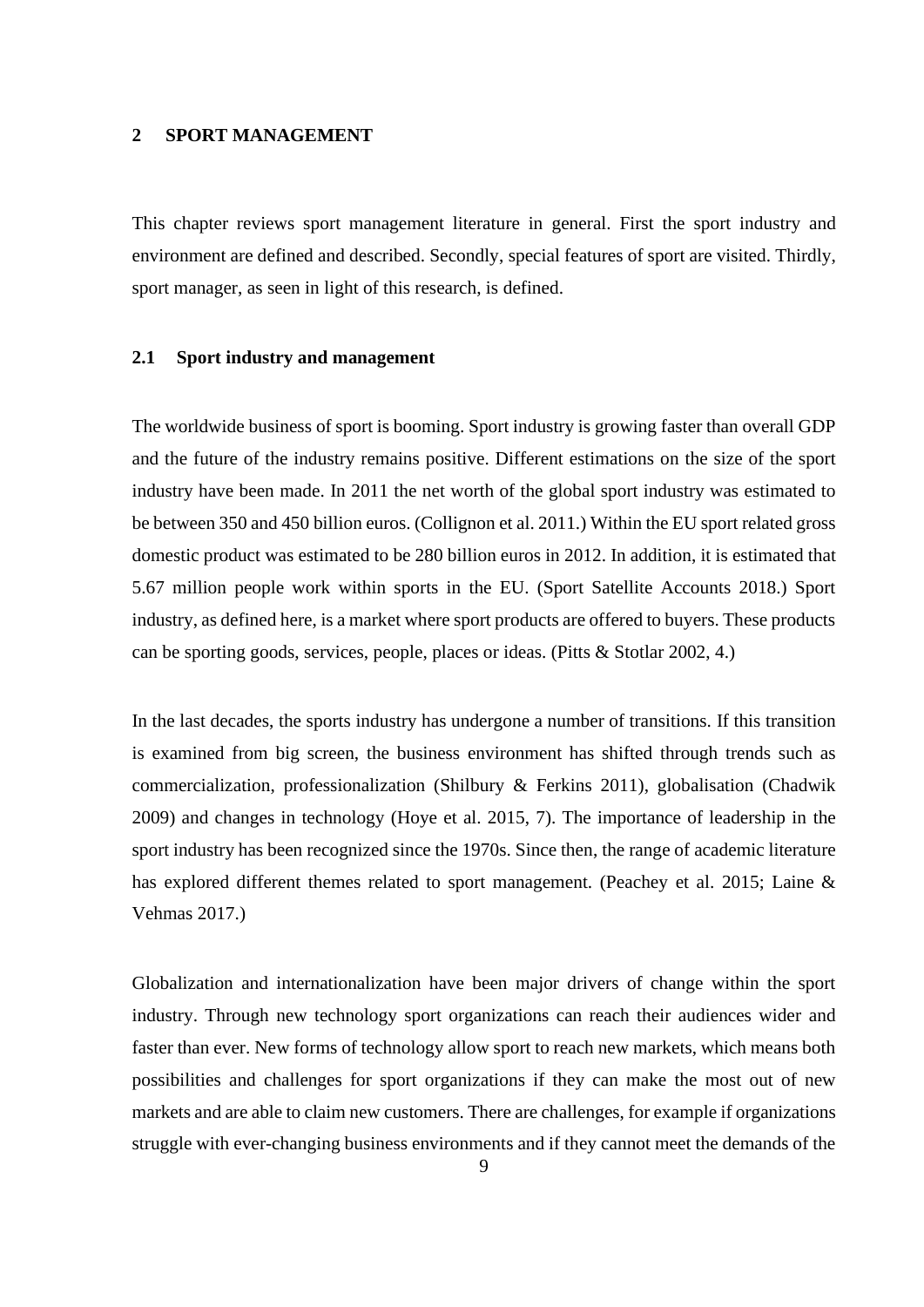#### <span id="page-8-0"></span>**2 SPORT MANAGEMENT**

This chapter reviews sport management literature in general. First the sport industry and environment are defined and described. Secondly, special features of sport are visited. Thirdly, sport manager, as seen in light of this research, is defined.

## <span id="page-8-1"></span>**2.1 Sport industry and management**

The worldwide business of sport is booming. Sport industry is growing faster than overall GDP and the future of the industry remains positive. Different estimations on the size of the sport industry have been made. In 2011 the net worth of the global sport industry was estimated to be between 350 and 450 billion euros. (Collignon et al. 2011.) Within the EU sport related gross domestic product was estimated to be 280 billion euros in 2012. In addition, it is estimated that 5.67 million people work within sports in the EU. (Sport Satellite Accounts 2018.) Sport industry, as defined here, is a market where sport products are offered to buyers. These products can be sporting goods, services, people, places or ideas. (Pitts & Stotlar 2002, 4.)

In the last decades, the sports industry has undergone a number of transitions. If this transition is examined from big screen, the business environment has shifted through trends such as commercialization, professionalization (Shilbury & Ferkins 2011), globalisation (Chadwik 2009) and changes in technology (Hoye et al. 2015, 7). The importance of leadership in the sport industry has been recognized since the 1970s. Since then, the range of academic literature has explored different themes related to sport management. (Peachey et al. 2015; Laine & Vehmas 2017.)

Globalization and internationalization have been major drivers of change within the sport industry. Through new technology sport organizations can reach their audiences wider and faster than ever. New forms of technology allow sport to reach new markets, which means both possibilities and challenges for sport organizations if they can make the most out of new markets and are able to claim new customers. There are challenges, for example if organizations struggle with ever-changing business environments and if they cannot meet the demands of the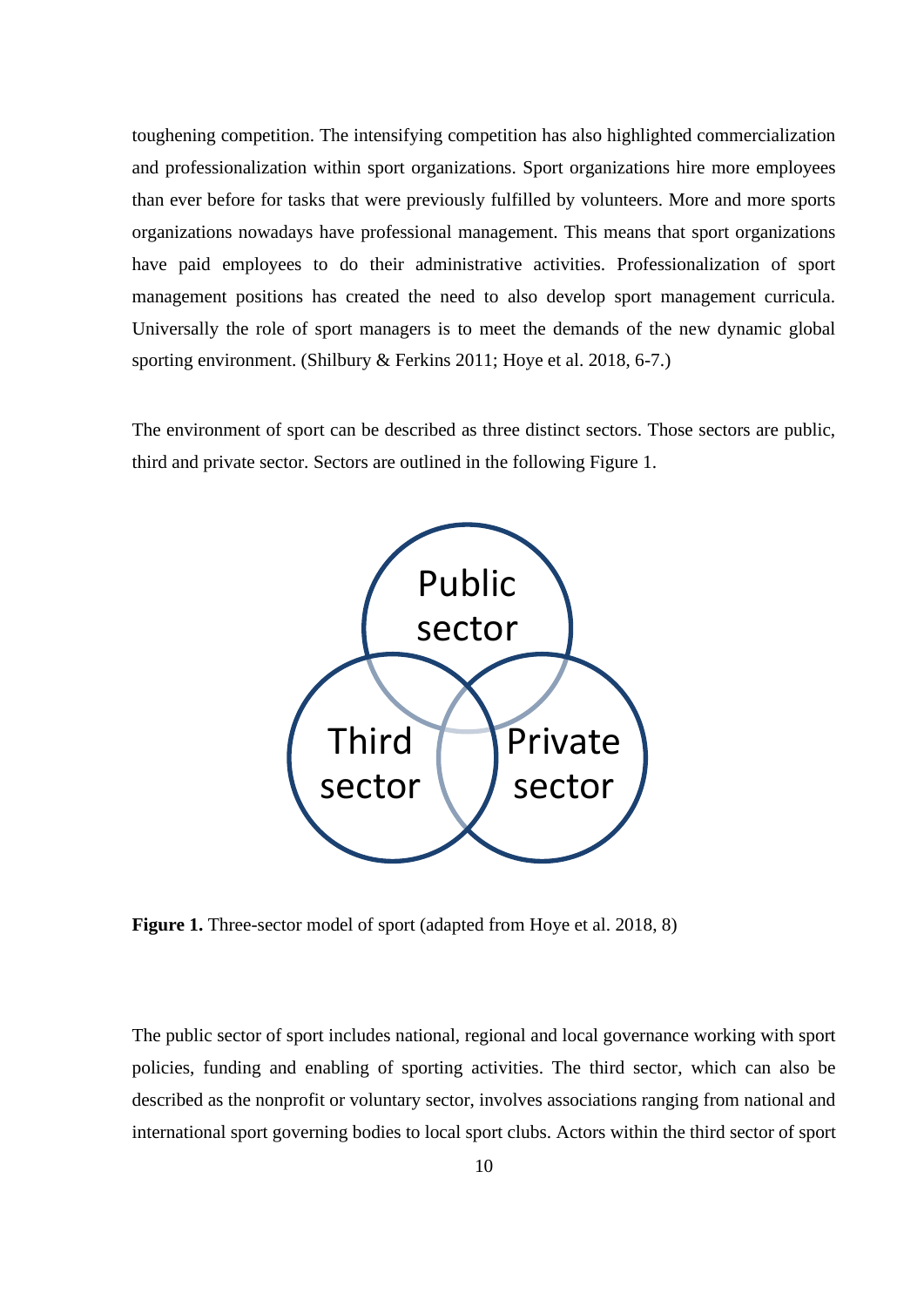toughening competition. The intensifying competition has also highlighted commercialization and professionalization within sport organizations. Sport organizations hire more employees than ever before for tasks that were previously fulfilled by volunteers. More and more sports organizations nowadays have professional management. This means that sport organizations have paid employees to do their administrative activities. Professionalization of sport management positions has created the need to also develop sport management curricula. Universally the role of sport managers is to meet the demands of the new dynamic global sporting environment. (Shilbury & Ferkins 2011; Hoye et al. 2018, 6-7.)

The environment of sport can be described as three distinct sectors. Those sectors are public, third and private sector. Sectors are outlined in the following Figure 1.



<span id="page-9-0"></span>**Figure 1.** Three-sector model of sport (adapted from Hoye et al. 2018, 8)

The public sector of sport includes national, regional and local governance working with sport policies, funding and enabling of sporting activities. The third sector, which can also be described as the nonprofit or voluntary sector, involves associations ranging from national and international sport governing bodies to local sport clubs. Actors within the third sector of sport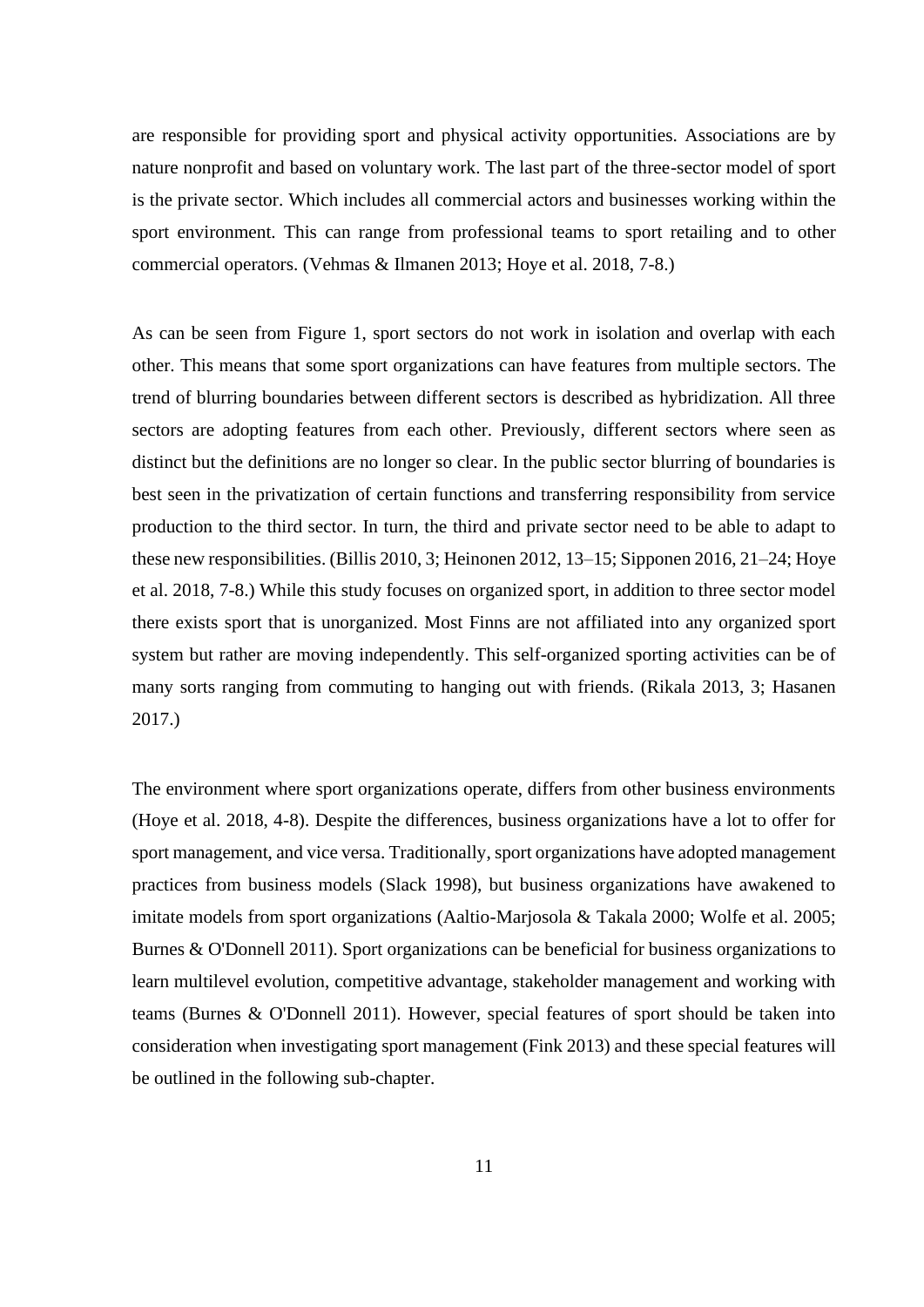are responsible for providing sport and physical activity opportunities. Associations are by nature nonprofit and based on voluntary work. The last part of the three-sector model of sport is the private sector. Which includes all commercial actors and businesses working within the sport environment. This can range from professional teams to sport retailing and to other commercial operators. (Vehmas & Ilmanen 2013; Hoye et al. 2018, 7-8.)

As can be seen from Figure 1, sport sectors do not work in isolation and overlap with each other. This means that some sport organizations can have features from multiple sectors. The trend of blurring boundaries between different sectors is described as hybridization. All three sectors are adopting features from each other. Previously, different sectors where seen as distinct but the definitions are no longer so clear. In the public sector blurring of boundaries is best seen in the privatization of certain functions and transferring responsibility from service production to the third sector. In turn, the third and private sector need to be able to adapt to these new responsibilities. (Billis 2010, 3; Heinonen 2012, 13–15; Sipponen 2016, 21–24; Hoye et al. 2018, 7-8.) While this study focuses on organized sport, in addition to three sector model there exists sport that is unorganized. Most Finns are not affiliated into any organized sport system but rather are moving independently. This self-organized sporting activities can be of many sorts ranging from commuting to hanging out with friends. (Rikala 2013, 3; Hasanen 2017.)

The environment where sport organizations operate, differs from other business environments (Hoye et al. 2018, 4-8). Despite the differences, business organizations have a lot to offer for sport management, and vice versa. Traditionally, sport organizations have adopted management practices from business models (Slack 1998), but business organizations have awakened to imitate models from sport organizations (Aaltio-Marjosola & Takala 2000; Wolfe et al. 2005; Burnes & O'Donnell 2011). Sport organizations can be beneficial for business organizations to learn multilevel evolution, competitive advantage, stakeholder management and working with teams (Burnes & O'Donnell 2011). However, special features of sport should be taken into consideration when investigating sport management (Fink 2013) and these special features will be outlined in the following sub-chapter.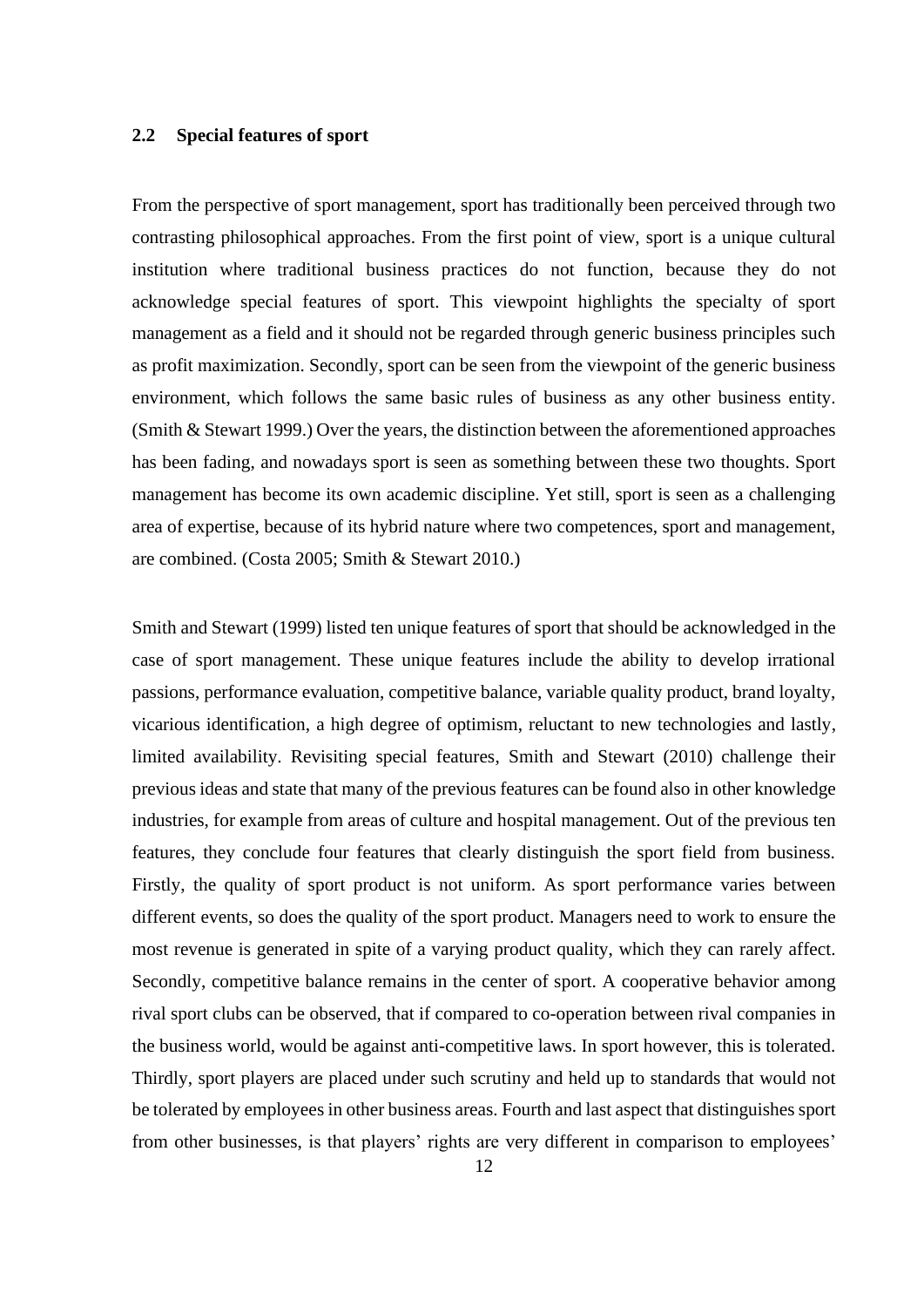## <span id="page-11-0"></span>**2.2 Special features of sport**

From the perspective of sport management, sport has traditionally been perceived through two contrasting philosophical approaches. From the first point of view, sport is a unique cultural institution where traditional business practices do not function, because they do not acknowledge special features of sport. This viewpoint highlights the specialty of sport management as a field and it should not be regarded through generic business principles such as profit maximization. Secondly, sport can be seen from the viewpoint of the generic business environment, which follows the same basic rules of business as any other business entity. (Smith & Stewart 1999.) Over the years, the distinction between the aforementioned approaches has been fading, and nowadays sport is seen as something between these two thoughts. Sport management has become its own academic discipline. Yet still, sport is seen as a challenging area of expertise, because of its hybrid nature where two competences, sport and management, are combined. (Costa 2005; Smith & Stewart 2010.)

Smith and Stewart (1999) listed ten unique features of sport that should be acknowledged in the case of sport management. These unique features include the ability to develop irrational passions, performance evaluation, competitive balance, variable quality product, brand loyalty, vicarious identification, a high degree of optimism, reluctant to new technologies and lastly, limited availability. Revisiting special features, Smith and Stewart (2010) challenge their previous ideas and state that many of the previous features can be found also in other knowledge industries, for example from areas of culture and hospital management. Out of the previous ten features, they conclude four features that clearly distinguish the sport field from business. Firstly, the quality of sport product is not uniform. As sport performance varies between different events, so does the quality of the sport product. Managers need to work to ensure the most revenue is generated in spite of a varying product quality, which they can rarely affect. Secondly, competitive balance remains in the center of sport. A cooperative behavior among rival sport clubs can be observed, that if compared to co-operation between rival companies in the business world, would be against anti-competitive laws. In sport however, this is tolerated. Thirdly, sport players are placed under such scrutiny and held up to standards that would not be tolerated by employees in other business areas. Fourth and last aspect that distinguishes sport from other businesses, is that players' rights are very different in comparison to employees'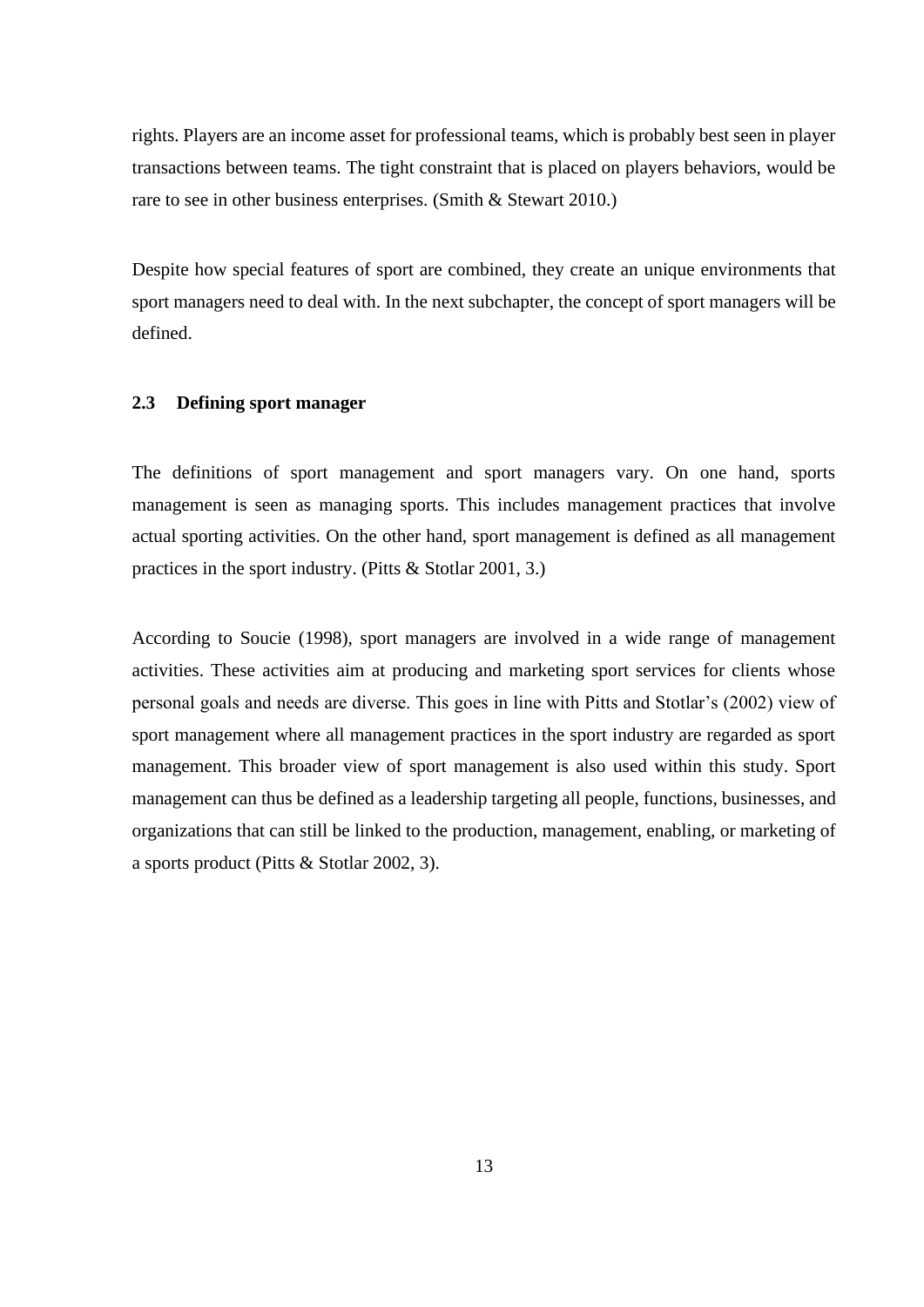rights. Players are an income asset for professional teams, which is probably best seen in player transactions between teams. The tight constraint that is placed on players behaviors, would be rare to see in other business enterprises. (Smith & Stewart 2010.)

Despite how special features of sport are combined, they create an unique environments that sport managers need to deal with. In the next subchapter, the concept of sport managers will be defined.

## <span id="page-12-0"></span>**2.3 Defining sport manager**

The definitions of sport management and sport managers vary. On one hand, sports management is seen as managing sports. This includes management practices that involve actual sporting activities. On the other hand, sport management is defined as all management practices in the sport industry. (Pitts & Stotlar 2001, 3.)

According to Soucie (1998), sport managers are involved in a wide range of management activities. These activities aim at producing and marketing sport services for clients whose personal goals and needs are diverse. This goes in line with Pitts and Stotlar's (2002) view of sport management where all management practices in the sport industry are regarded as sport management. This broader view of sport management is also used within this study. Sport management can thus be defined as a leadership targeting all people, functions, businesses, and organizations that can still be linked to the production, management, enabling, or marketing of a sports product (Pitts & Stotlar 2002, 3).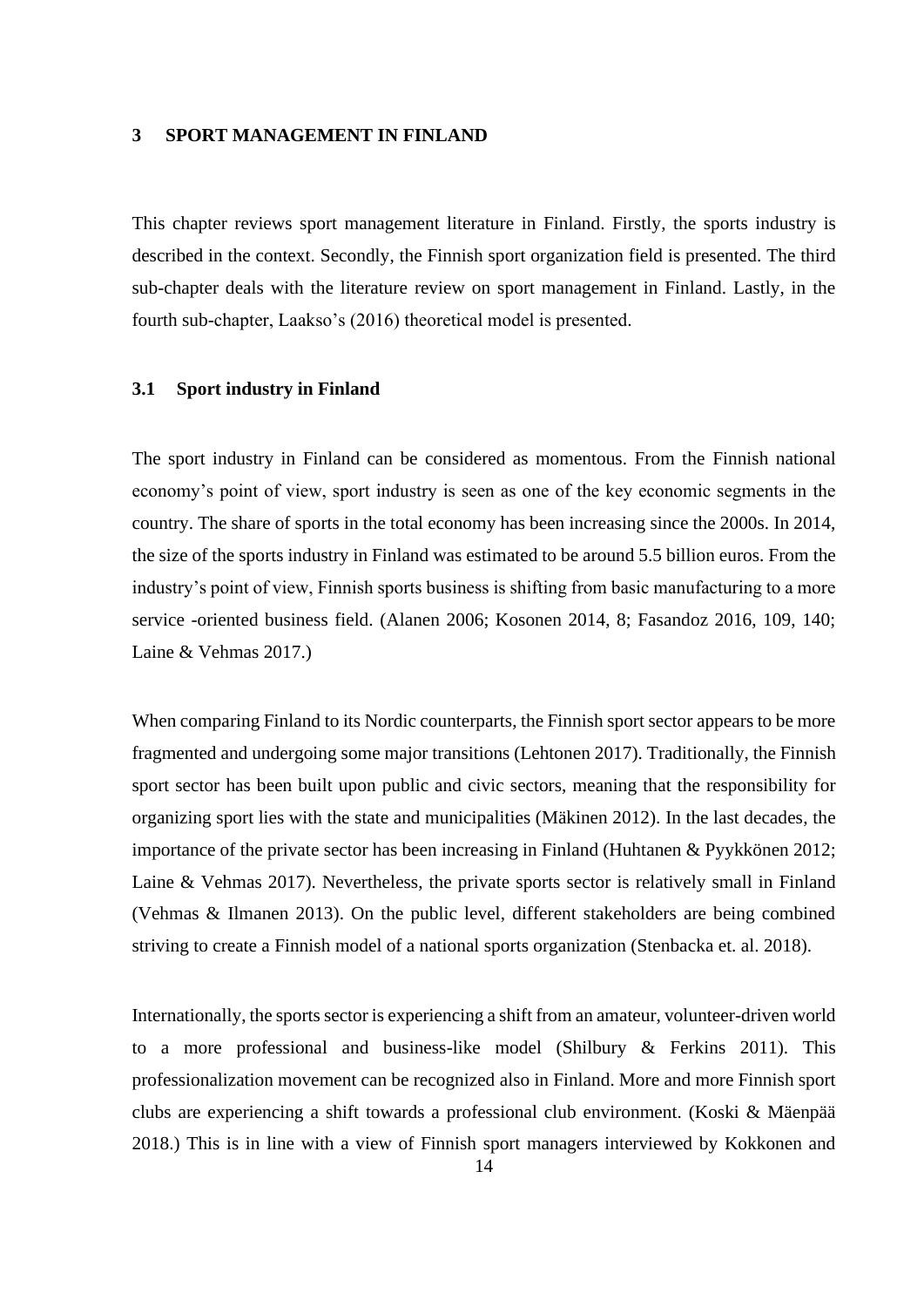## <span id="page-13-0"></span>**3 SPORT MANAGEMENT IN FINLAND**

This chapter reviews sport management literature in Finland. Firstly, the sports industry is described in the context. Secondly, the Finnish sport organization field is presented. The third sub-chapter deals with the literature review on sport management in Finland. Lastly, in the fourth sub-chapter, Laakso's (2016) theoretical model is presented.

## <span id="page-13-1"></span>**3.1 Sport industry in Finland**

The sport industry in Finland can be considered as momentous. From the Finnish national economy's point of view, sport industry is seen as one of the key economic segments in the country. The share of sports in the total economy has been increasing since the 2000s. In 2014, the size of the sports industry in Finland was estimated to be around 5.5 billion euros. From the industry's point of view, Finnish sports business is shifting from basic manufacturing to a more service -oriented business field. (Alanen 2006; Kosonen 2014, 8; Fasandoz 2016, 109, 140; Laine & Vehmas 2017.)

When comparing Finland to its Nordic counterparts, the Finnish sport sector appears to be more fragmented and undergoing some major transitions (Lehtonen 2017). Traditionally, the Finnish sport sector has been built upon public and civic sectors, meaning that the responsibility for organizing sport lies with the state and municipalities (Mäkinen 2012). In the last decades, the importance of the private sector has been increasing in Finland (Huhtanen & Pyykkönen 2012; Laine & Vehmas 2017). Nevertheless, the private sports sector is relatively small in Finland (Vehmas & Ilmanen 2013). On the public level, different stakeholders are being combined striving to create a Finnish model of a national sports organization (Stenbacka et. al. 2018).

Internationally, the sports sector is experiencing a shift from an amateur, volunteer-driven world to a more professional and business-like model (Shilbury & Ferkins 2011). This professionalization movement can be recognized also in Finland. More and more Finnish sport clubs are experiencing a shift towards a professional club environment. (Koski & Mäenpää 2018.) This is in line with a view of Finnish sport managers interviewed by Kokkonen and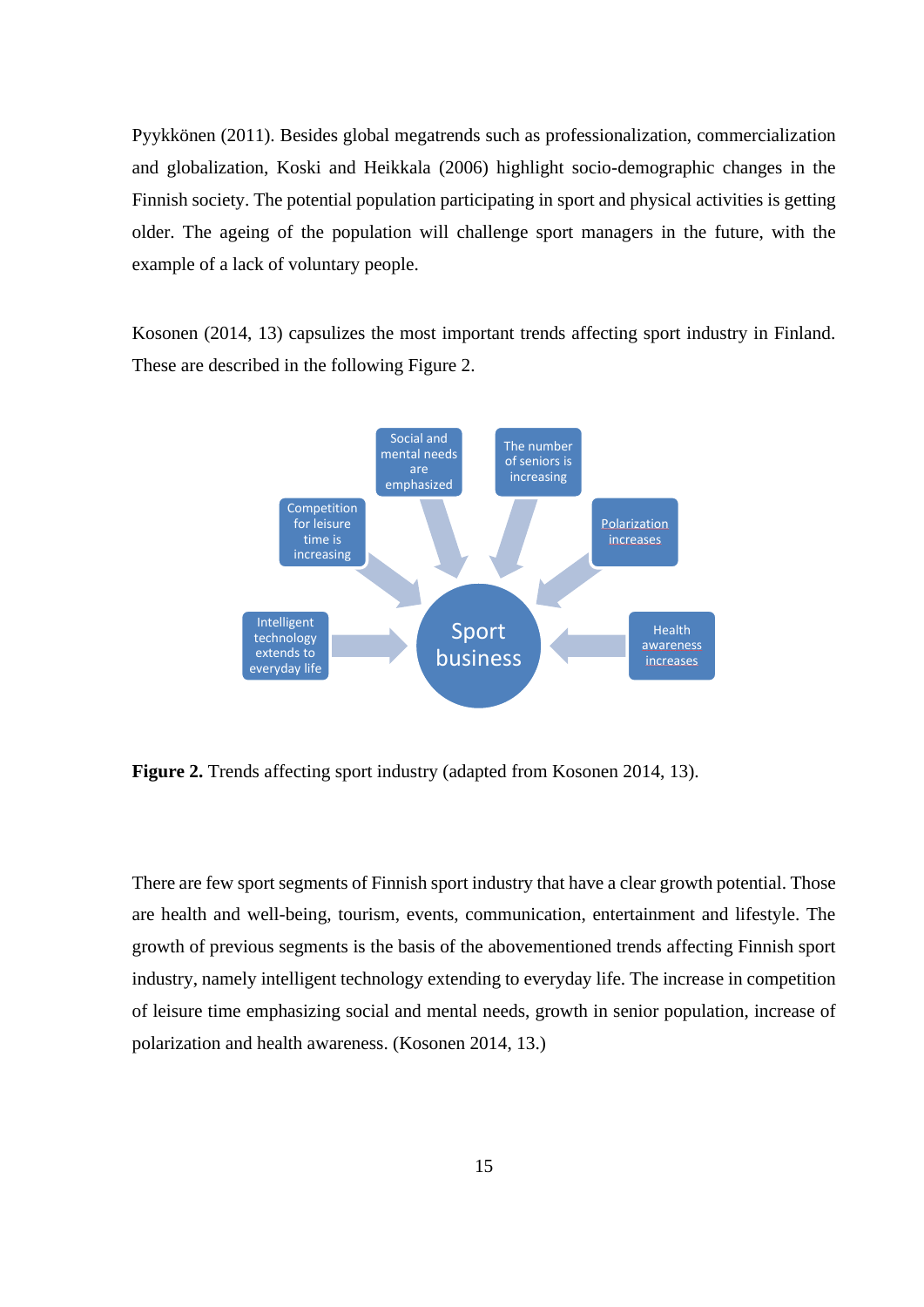Pyykkönen (2011). Besides global megatrends such as professionalization, commercialization and globalization, Koski and Heikkala (2006) highlight socio-demographic changes in the Finnish society. The potential population participating in sport and physical activities is getting older. The ageing of the population will challenge sport managers in the future, with the example of a lack of voluntary people.

Kosonen (2014, 13) capsulizes the most important trends affecting sport industry in Finland. These are described in the following Figure 2.



<span id="page-14-0"></span>**Figure 2.** Trends affecting sport industry (adapted from Kosonen 2014, 13).

There are few sport segments of Finnish sport industry that have a clear growth potential. Those are health and well-being, tourism, events, communication, entertainment and lifestyle. The growth of previous segments is the basis of the abovementioned trends affecting Finnish sport industry, namely intelligent technology extending to everyday life. The increase in competition of leisure time emphasizing social and mental needs, growth in senior population, increase of polarization and health awareness. (Kosonen 2014, 13.)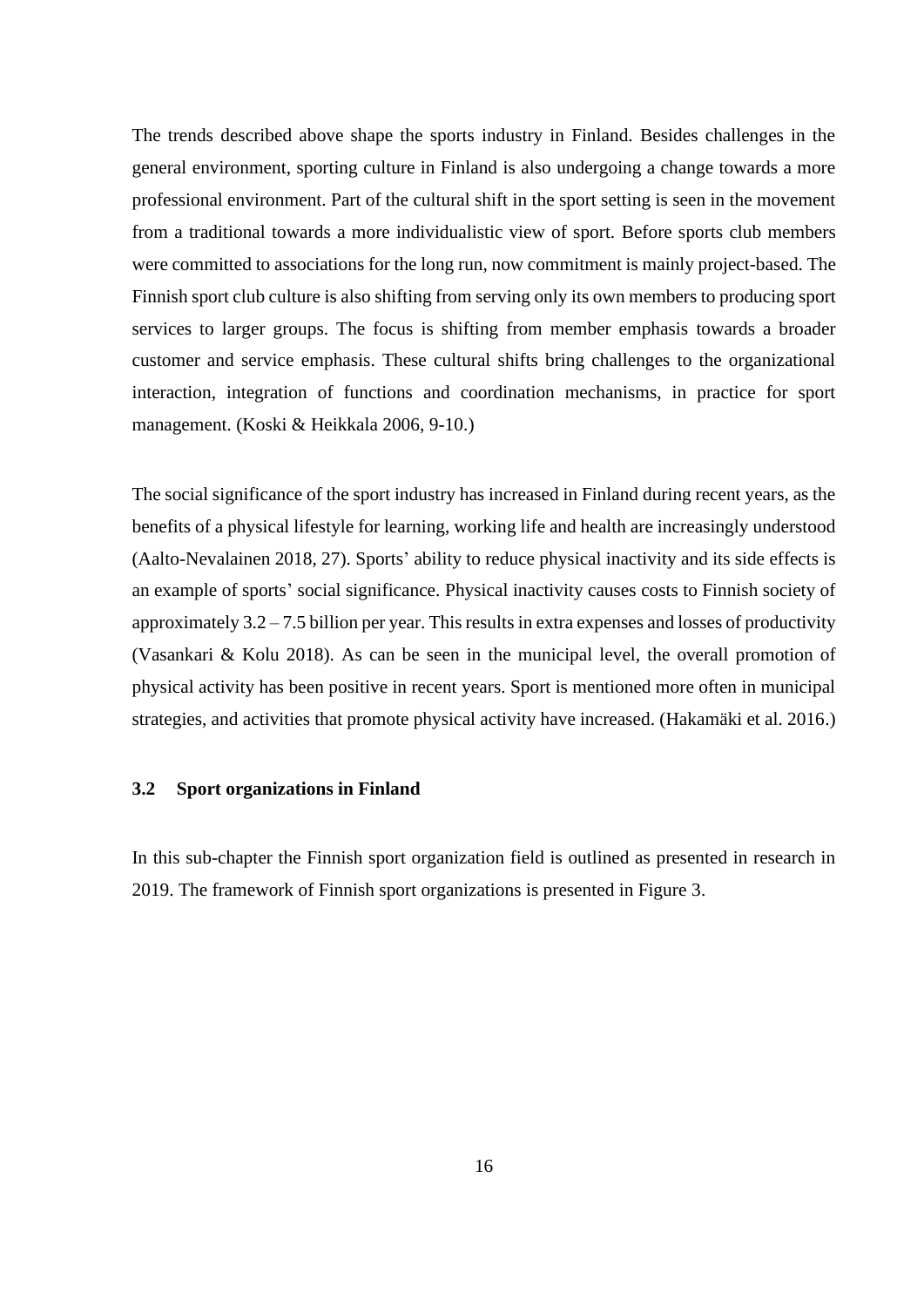The trends described above shape the sports industry in Finland. Besides challenges in the general environment, sporting culture in Finland is also undergoing a change towards a more professional environment. Part of the cultural shift in the sport setting is seen in the movement from a traditional towards a more individualistic view of sport. Before sports club members were committed to associations for the long run, now commitment is mainly project-based. The Finnish sport club culture is also shifting from serving only its own members to producing sport services to larger groups. The focus is shifting from member emphasis towards a broader customer and service emphasis. These cultural shifts bring challenges to the organizational interaction, integration of functions and coordination mechanisms, in practice for sport management. (Koski & Heikkala 2006, 9-10.)

The social significance of the sport industry has increased in Finland during recent years, as the benefits of a physical lifestyle for learning, working life and health are increasingly understood (Aalto-Nevalainen 2018, 27). Sports' ability to reduce physical inactivity and its side effects is an example of sports' social significance. Physical inactivity causes costs to Finnish society of approximately 3.2 – 7.5 billion per year. This results in extra expenses and losses of productivity (Vasankari & Kolu 2018). As can be seen in the municipal level, the overall promotion of physical activity has been positive in recent years. Sport is mentioned more often in municipal strategies, and activities that promote physical activity have increased. (Hakamäki et al. 2016.)

## <span id="page-15-0"></span>**3.2 Sport organizations in Finland**

In this sub-chapter the Finnish sport organization field is outlined as presented in research in 2019. The framework of Finnish sport organizations is presented in Figure 3.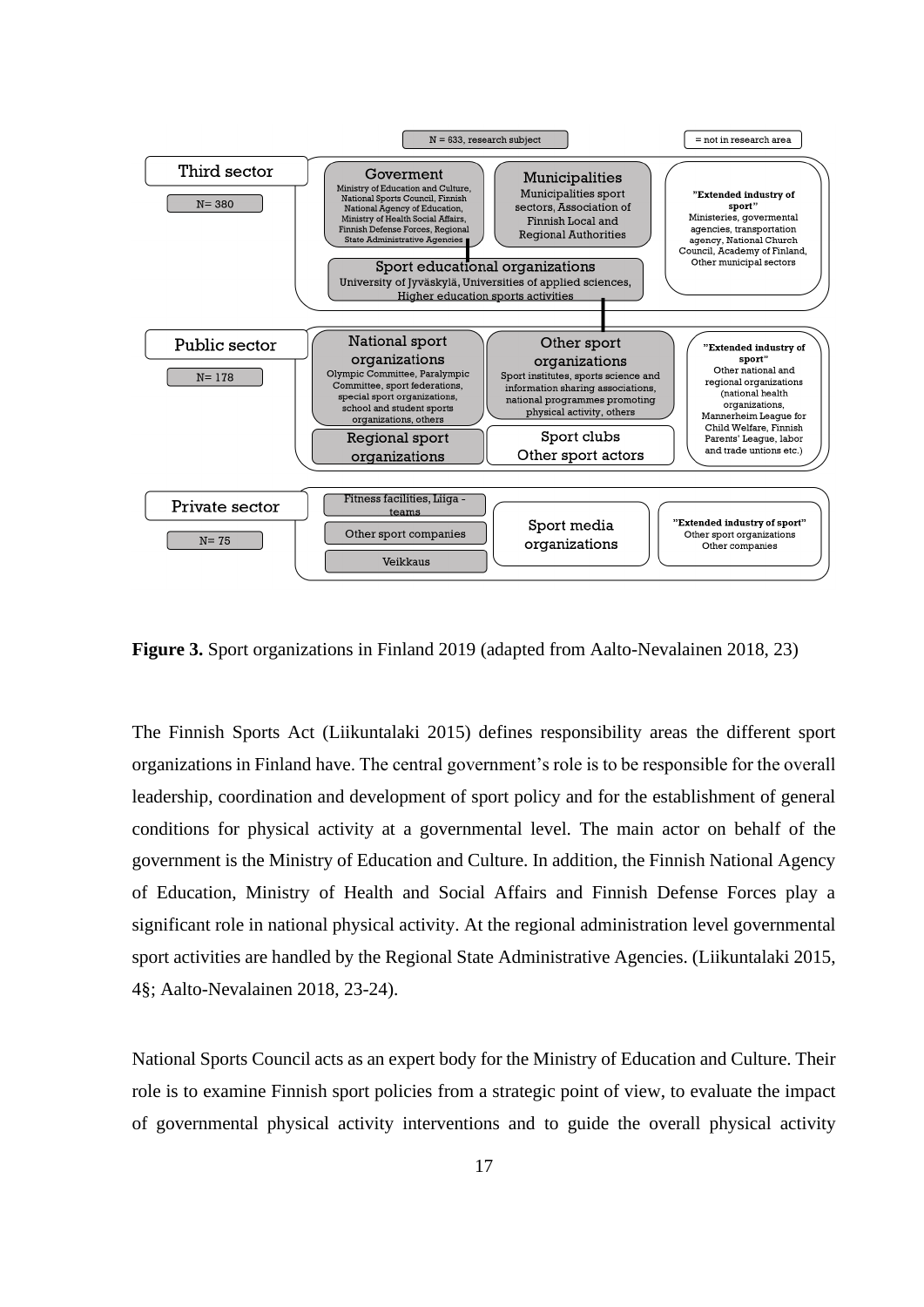

**Figure 3.** Sport organizations in Finland 2019 (adapted from Aalto-Nevalainen 2018, 23)

The Finnish Sports Act (Liikuntalaki 2015) defines responsibility areas the different sport organizations in Finland have. The central government's role is to be responsible for the overall leadership, coordination and development of sport policy and for the establishment of general conditions for physical activity at a governmental level. The main actor on behalf of the government is the Ministry of Education and Culture. In addition, the Finnish National Agency of Education, Ministry of Health and Social Affairs and Finnish Defense Forces play a significant role in national physical activity. At the regional administration level governmental sport activities are handled by the Regional State Administrative Agencies. (Liikuntalaki 2015, 4§; Aalto-Nevalainen 2018, 23-24).

National Sports Council acts as an expert body for the Ministry of Education and Culture. Their role is to examine Finnish sport policies from a strategic point of view, to evaluate the impact of governmental physical activity interventions and to guide the overall physical activity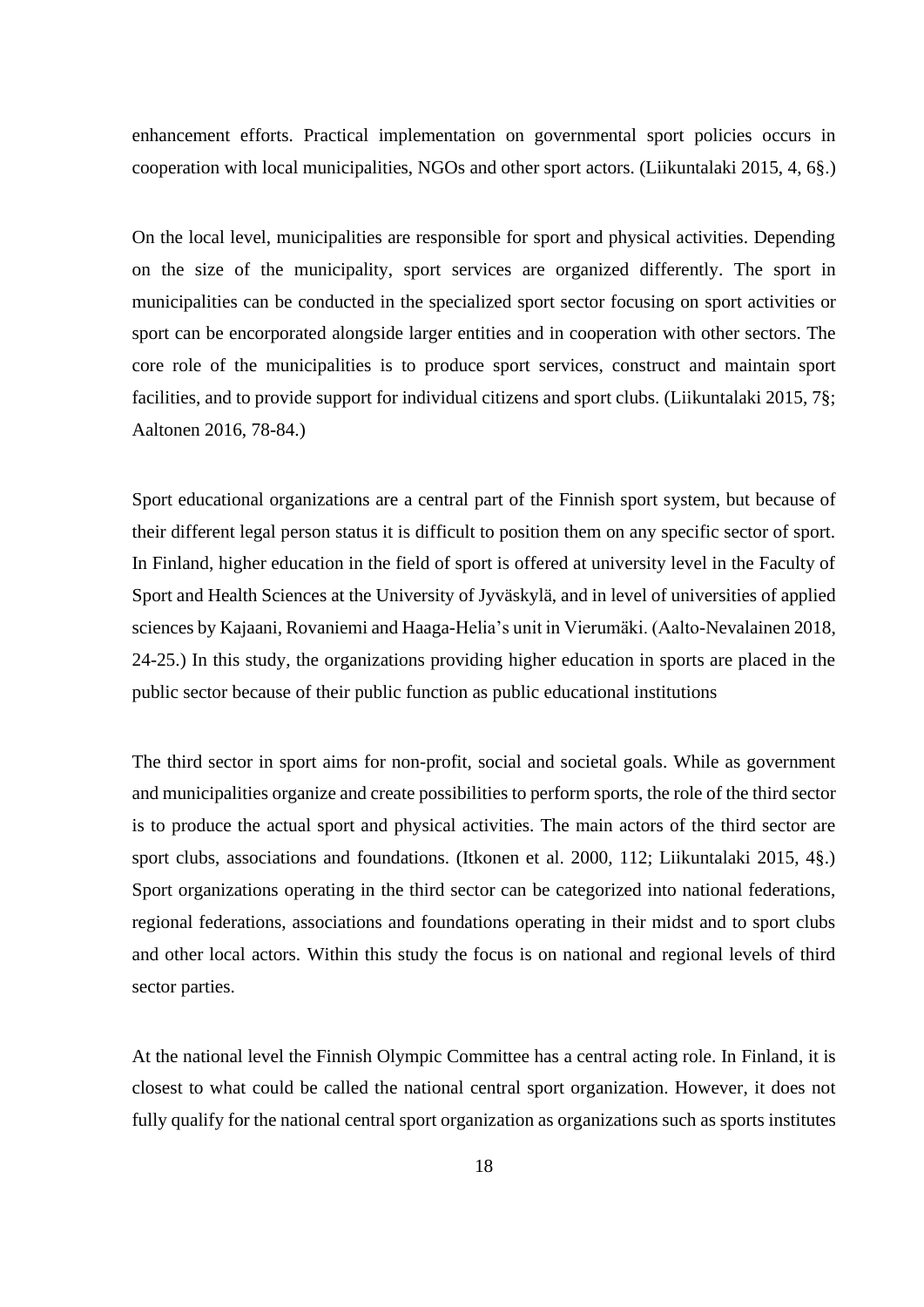enhancement efforts. Practical implementation on governmental sport policies occurs in cooperation with local municipalities, NGOs and other sport actors. (Liikuntalaki 2015, 4, 6§.)

On the local level, municipalities are responsible for sport and physical activities. Depending on the size of the municipality, sport services are organized differently. The sport in municipalities can be conducted in the specialized sport sector focusing on sport activities or sport can be encorporated alongside larger entities and in cooperation with other sectors. The core role of the municipalities is to produce sport services, construct and maintain sport facilities, and to provide support for individual citizens and sport clubs. (Liikuntalaki 2015, 7§; Aaltonen 2016, 78-84.)

Sport educational organizations are a central part of the Finnish sport system, but because of their different legal person status it is difficult to position them on any specific sector of sport. In Finland, higher education in the field of sport is offered at university level in the Faculty of Sport and Health Sciences at the University of Jyväskylä, and in level of universities of applied sciences by Kajaani, Rovaniemi and Haaga-Helia's unit in Vierumäki. (Aalto-Nevalainen 2018, 24-25.) In this study, the organizations providing higher education in sports are placed in the public sector because of their public function as public educational institutions

The third sector in sport aims for non-profit, social and societal goals. While as government and municipalities organize and create possibilities to perform sports, the role of the third sector is to produce the actual sport and physical activities. The main actors of the third sector are sport clubs, associations and foundations. (Itkonen et al. 2000, 112; Liikuntalaki 2015, 4§.) Sport organizations operating in the third sector can be categorized into national federations, regional federations, associations and foundations operating in their midst and to sport clubs and other local actors. Within this study the focus is on national and regional levels of third sector parties.

At the national level the Finnish Olympic Committee has a central acting role. In Finland, it is closest to what could be called the national central sport organization. However, it does not fully qualify for the national central sport organization as organizations such as sports institutes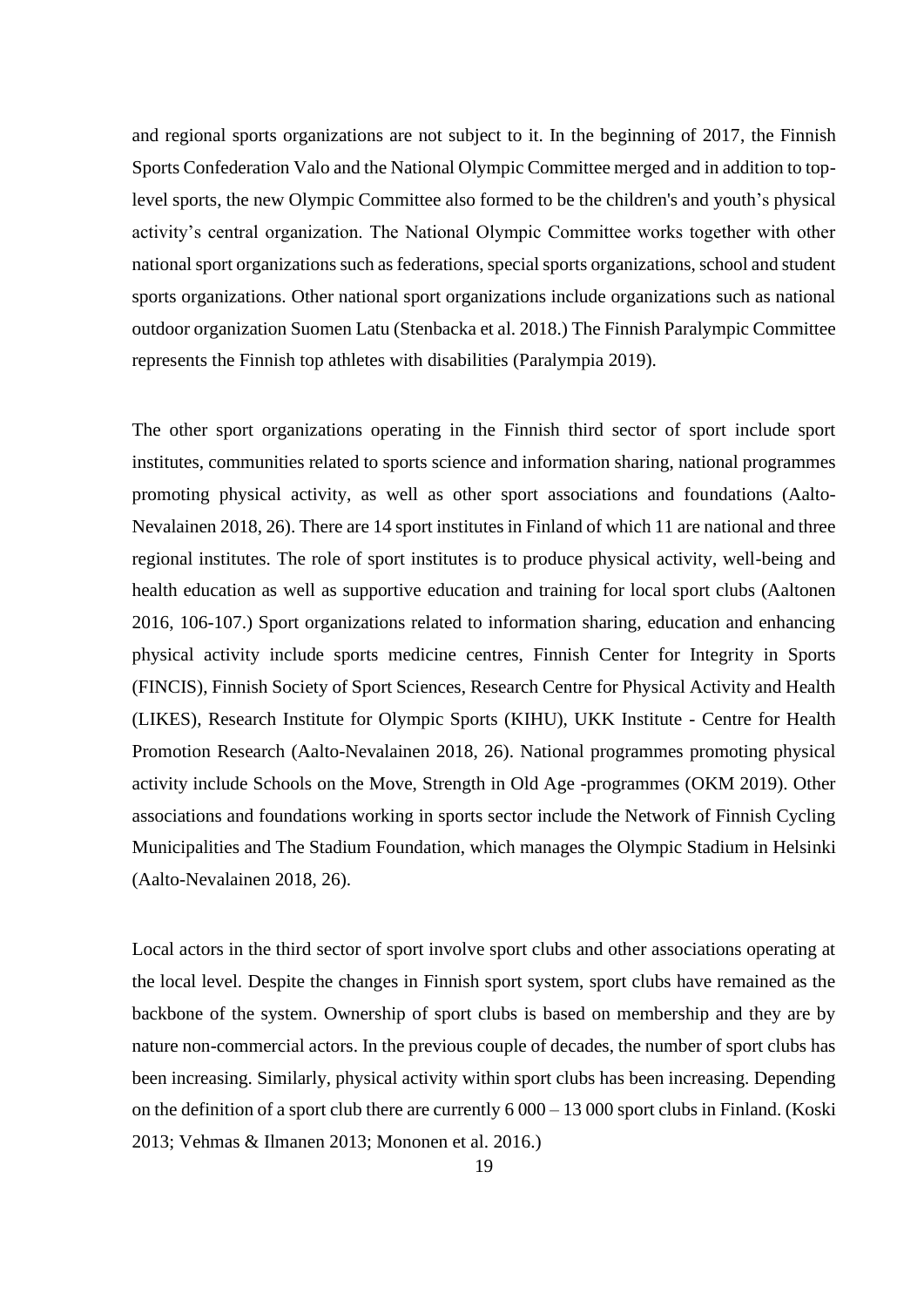and regional sports organizations are not subject to it. In the beginning of 2017, the Finnish Sports Confederation Valo and the National Olympic Committee merged and in addition to toplevel sports, the new Olympic Committee also formed to be the children's and youth's physical activity's central organization. The National Olympic Committee works together with other national sport organizations such as federations, special sports organizations, school and student sports organizations. Other national sport organizations include organizations such as national outdoor organization Suomen Latu (Stenbacka et al. 2018.) The Finnish Paralympic Committee represents the Finnish top athletes with disabilities (Paralympia 2019).

The other sport organizations operating in the Finnish third sector of sport include sport institutes, communities related to sports science and information sharing, national programmes promoting physical activity, as well as other sport associations and foundations (Aalto-Nevalainen 2018, 26). There are 14 sport institutes in Finland of which 11 are national and three regional institutes. The role of sport institutes is to produce physical activity, well-being and health education as well as supportive education and training for local sport clubs (Aaltonen 2016, 106-107.) Sport organizations related to information sharing, education and enhancing physical activity include sports medicine centres, Finnish Center for Integrity in Sports (FINCIS), Finnish Society of Sport Sciences, Research Centre for Physical Activity and Health (LIKES), Research Institute for Olympic Sports (KIHU), UKK Institute - Centre for Health Promotion Research (Aalto-Nevalainen 2018, 26). National programmes promoting physical activity include Schools on the Move, Strength in Old Age -programmes (OKM 2019). Other associations and foundations working in sports sector include the Network of Finnish Cycling Municipalities and The Stadium Foundation, which manages the Olympic Stadium in Helsinki (Aalto-Nevalainen 2018, 26).

Local actors in the third sector of sport involve sport clubs and other associations operating at the local level. Despite the changes in Finnish sport system, sport clubs have remained as the backbone of the system. Ownership of sport clubs is based on membership and they are by nature non-commercial actors. In the previous couple of decades, the number of sport clubs has been increasing. Similarly, physical activity within sport clubs has been increasing. Depending on the definition of a sport club there are currently 6 000 – 13 000 sport clubs in Finland. (Koski 2013; Vehmas & Ilmanen 2013; Mononen et al. 2016.)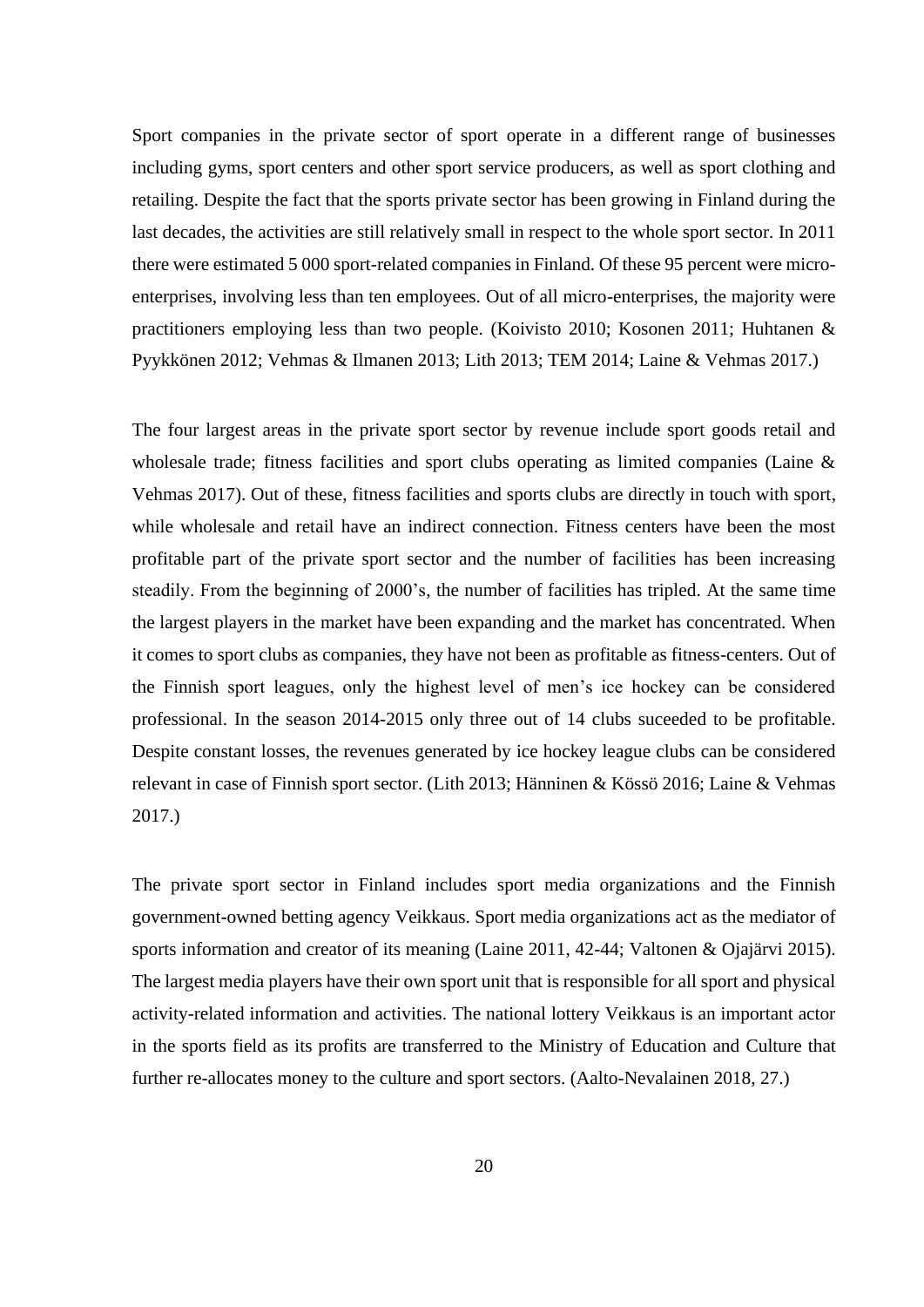Sport companies in the private sector of sport operate in a different range of businesses including gyms, sport centers and other sport service producers, as well as sport clothing and retailing. Despite the fact that the sports private sector has been growing in Finland during the last decades, the activities are still relatively small in respect to the whole sport sector. In 2011 there were estimated 5 000 sport-related companies in Finland. Of these 95 percent were microenterprises, involving less than ten employees. Out of all micro-enterprises, the majority were practitioners employing less than two people. (Koivisto 2010; Kosonen 2011; Huhtanen & Pyykkönen 2012; Vehmas & Ilmanen 2013; Lith 2013; TEM 2014; Laine & Vehmas 2017.)

The four largest areas in the private sport sector by revenue include sport goods retail and wholesale trade; fitness facilities and sport clubs operating as limited companies (Laine & Vehmas 2017). Out of these, fitness facilities and sports clubs are directly in touch with sport, while wholesale and retail have an indirect connection. Fitness centers have been the most profitable part of the private sport sector and the number of facilities has been increasing steadily. From the beginning of 2000's, the number of facilities has tripled. At the same time the largest players in the market have been expanding and the market has concentrated. When it comes to sport clubs as companies, they have not been as profitable as fitness-centers. Out of the Finnish sport leagues, only the highest level of men's ice hockey can be considered professional. In the season 2014-2015 only three out of 14 clubs suceeded to be profitable. Despite constant losses, the revenues generated by ice hockey league clubs can be considered relevant in case of Finnish sport sector. (Lith 2013; Hänninen & Kössö 2016; Laine & Vehmas 2017.)

The private sport sector in Finland includes sport media organizations and the Finnish government-owned betting agency Veikkaus. Sport media organizations act as the mediator of sports information and creator of its meaning (Laine 2011, 42-44; Valtonen & Ojajärvi 2015). The largest media players have their own sport unit that is responsible for all sport and physical activity-related information and activities. The national lottery Veikkaus is an important actor in the sports field as its profits are transferred to the Ministry of Education and Culture that further re-allocates money to the culture and sport sectors. (Aalto-Nevalainen 2018, 27.)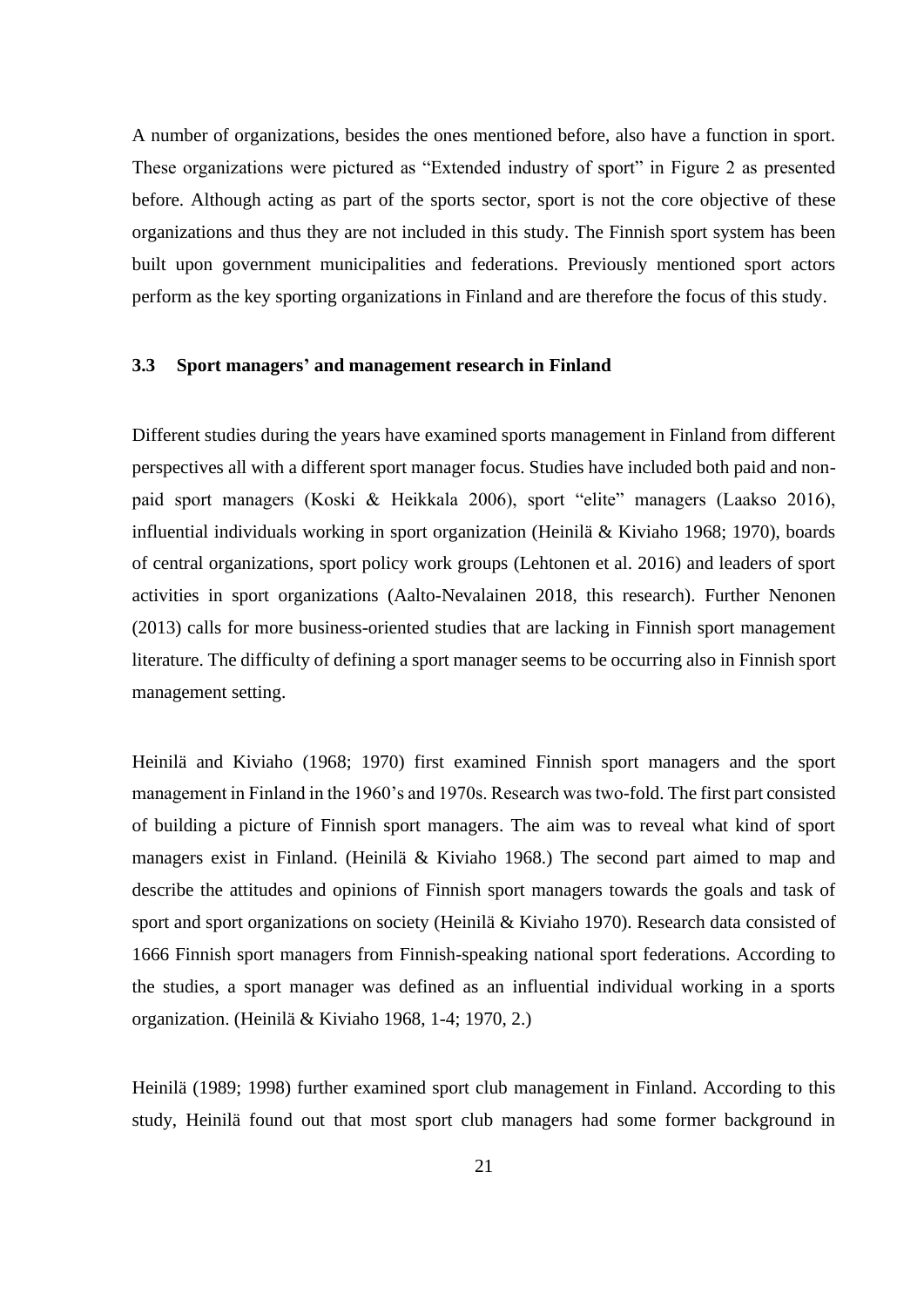A number of organizations, besides the ones mentioned before, also have a function in sport. These organizations were pictured as "Extended industry of sport" in Figure 2 as presented before. Although acting as part of the sports sector, sport is not the core objective of these organizations and thus they are not included in this study. The Finnish sport system has been built upon government municipalities and federations. Previously mentioned sport actors perform as the key sporting organizations in Finland and are therefore the focus of this study.

## <span id="page-20-0"></span>**3.3 Sport managers' and management research in Finland**

Different studies during the years have examined sports management in Finland from different perspectives all with a different sport manager focus. Studies have included both paid and nonpaid sport managers (Koski & Heikkala 2006), sport "elite" managers (Laakso 2016), influential individuals working in sport organization (Heinilä & Kiviaho 1968; 1970), boards of central organizations, sport policy work groups (Lehtonen et al. 2016) and leaders of sport activities in sport organizations (Aalto-Nevalainen 2018, this research). Further Nenonen (2013) calls for more business-oriented studies that are lacking in Finnish sport management literature. The difficulty of defining a sport manager seems to be occurring also in Finnish sport management setting.

Heinilä and Kiviaho (1968; 1970) first examined Finnish sport managers and the sport management in Finland in the 1960's and 1970s. Research was two-fold. The first part consisted of building a picture of Finnish sport managers. The aim was to reveal what kind of sport managers exist in Finland. (Heinilä & Kiviaho 1968.) The second part aimed to map and describe the attitudes and opinions of Finnish sport managers towards the goals and task of sport and sport organizations on society (Heinilä & Kiviaho 1970). Research data consisted of 1666 Finnish sport managers from Finnish-speaking national sport federations. According to the studies, a sport manager was defined as an influential individual working in a sports organization. (Heinilä & Kiviaho 1968, 1-4; 1970, 2.)

Heinilä (1989; 1998) further examined sport club management in Finland. According to this study, Heinilä found out that most sport club managers had some former background in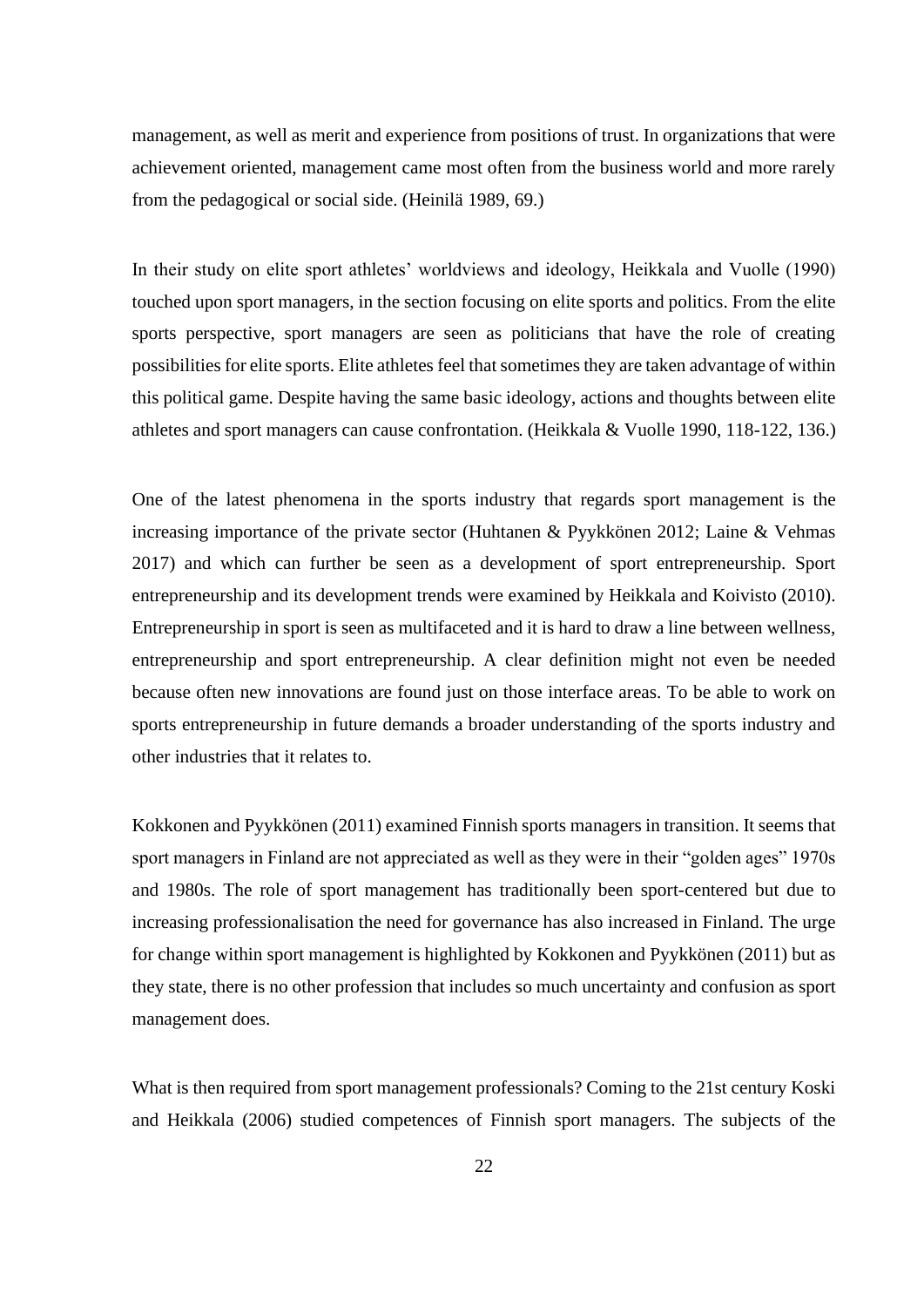management, as well as merit and experience from positions of trust. In organizations that were achievement oriented, management came most often from the business world and more rarely from the pedagogical or social side. (Heinilä 1989, 69.)

In their study on elite sport athletes' worldviews and ideology, Heikkala and Vuolle (1990) touched upon sport managers, in the section focusing on elite sports and politics. From the elite sports perspective, sport managers are seen as politicians that have the role of creating possibilities for elite sports. Elite athletes feel that sometimes they are taken advantage of within this political game. Despite having the same basic ideology, actions and thoughts between elite athletes and sport managers can cause confrontation. (Heikkala & Vuolle 1990, 118-122, 136.)

One of the latest phenomena in the sports industry that regards sport management is the increasing importance of the private sector (Huhtanen & Pyykkönen 2012; Laine & Vehmas 2017) and which can further be seen as a development of sport entrepreneurship. Sport entrepreneurship and its development trends were examined by Heikkala and Koivisto (2010). Entrepreneurship in sport is seen as multifaceted and it is hard to draw a line between wellness, entrepreneurship and sport entrepreneurship. A clear definition might not even be needed because often new innovations are found just on those interface areas. To be able to work on sports entrepreneurship in future demands a broader understanding of the sports industry and other industries that it relates to.

Kokkonen and Pyykkönen (2011) examined Finnish sports managers in transition. It seems that sport managers in Finland are not appreciated as well as they were in their "golden ages" 1970s and 1980s. The role of sport management has traditionally been sport-centered but due to increasing professionalisation the need for governance has also increased in Finland. The urge for change within sport management is highlighted by Kokkonen and Pyykkönen (2011) but as they state, there is no other profession that includes so much uncertainty and confusion as sport management does.

What is then required from sport management professionals? Coming to the 21st century Koski and Heikkala (2006) studied competences of Finnish sport managers. The subjects of the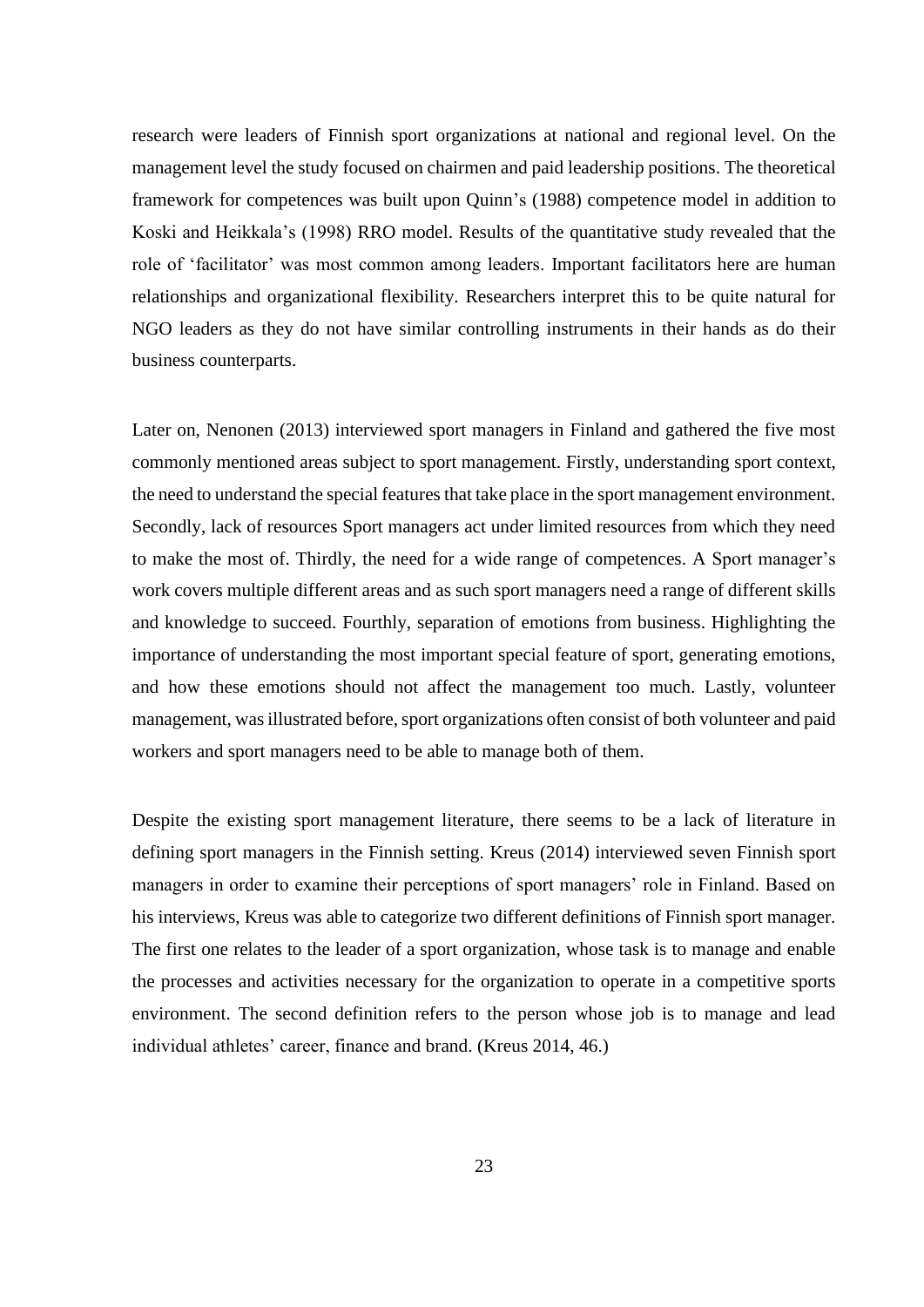research were leaders of Finnish sport organizations at national and regional level. On the management level the study focused on chairmen and paid leadership positions. The theoretical framework for competences was built upon Quinn's (1988) competence model in addition to Koski and Heikkala's (1998) RRO model. Results of the quantitative study revealed that the role of 'facilitator' was most common among leaders. Important facilitators here are human relationships and organizational flexibility. Researchers interpret this to be quite natural for NGO leaders as they do not have similar controlling instruments in their hands as do their business counterparts.

Later on, Nenonen (2013) interviewed sport managers in Finland and gathered the five most commonly mentioned areas subject to sport management. Firstly, understanding sport context, the need to understand the special features that take place in the sport management environment. Secondly, lack of resources Sport managers act under limited resources from which they need to make the most of. Thirdly, the need for a wide range of competences. A Sport manager's work covers multiple different areas and as such sport managers need a range of different skills and knowledge to succeed. Fourthly, separation of emotions from business. Highlighting the importance of understanding the most important special feature of sport, generating emotions, and how these emotions should not affect the management too much. Lastly, volunteer management, was illustrated before, sport organizations often consist of both volunteer and paid workers and sport managers need to be able to manage both of them.

Despite the existing sport management literature, there seems to be a lack of literature in defining sport managers in the Finnish setting. Kreus (2014) interviewed seven Finnish sport managers in order to examine their perceptions of sport managers' role in Finland. Based on his interviews, Kreus was able to categorize two different definitions of Finnish sport manager. The first one relates to the leader of a sport organization, whose task is to manage and enable the processes and activities necessary for the organization to operate in a competitive sports environment. The second definition refers to the person whose job is to manage and lead individual athletes' career, finance and brand. (Kreus 2014, 46.)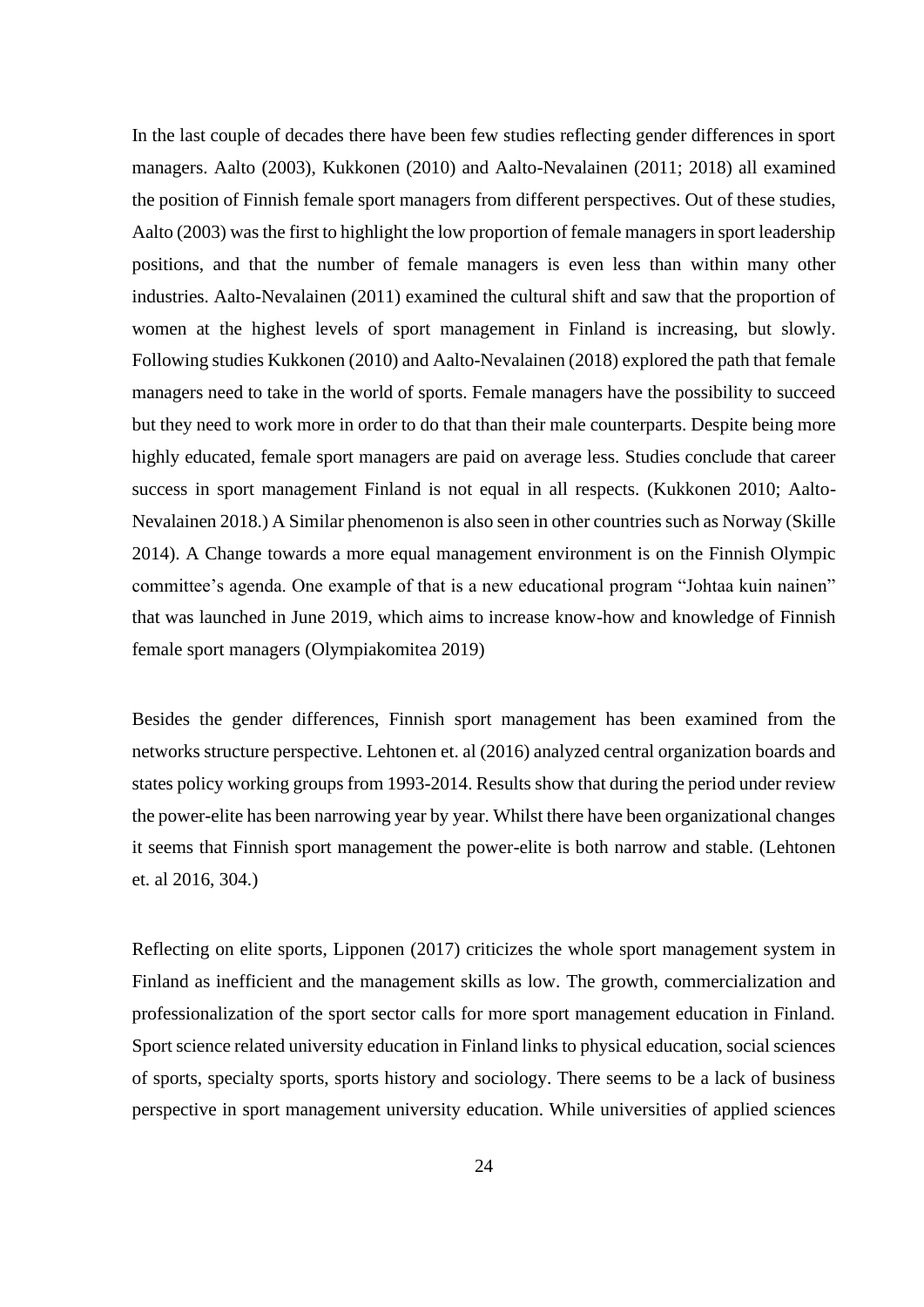In the last couple of decades there have been few studies reflecting gender differences in sport managers. Aalto (2003), Kukkonen (2010) and Aalto-Nevalainen (2011; 2018) all examined the position of Finnish female sport managers from different perspectives. Out of these studies, Aalto (2003) was the first to highlight the low proportion of female managers in sport leadership positions, and that the number of female managers is even less than within many other industries. Aalto-Nevalainen (2011) examined the cultural shift and saw that the proportion of women at the highest levels of sport management in Finland is increasing, but slowly. Following studies Kukkonen (2010) and Aalto-Nevalainen (2018) explored the path that female managers need to take in the world of sports. Female managers have the possibility to succeed but they need to work more in order to do that than their male counterparts. Despite being more highly educated, female sport managers are paid on average less. Studies conclude that career success in sport management Finland is not equal in all respects. (Kukkonen 2010; Aalto-Nevalainen 2018.) A Similar phenomenon is also seen in other countries such as Norway (Skille 2014). A Change towards a more equal management environment is on the Finnish Olympic committee's agenda. One example of that is a new educational program "Johtaa kuin nainen" that was launched in June 2019, which aims to increase know-how and knowledge of Finnish female sport managers (Olympiakomitea 2019)

Besides the gender differences, Finnish sport management has been examined from the networks structure perspective. Lehtonen et. al (2016) analyzed central organization boards and states policy working groups from 1993-2014. Results show that during the period under review the power-elite has been narrowing year by year. Whilst there have been organizational changes it seems that Finnish sport management the power-elite is both narrow and stable. (Lehtonen et. al 2016, 304.)

Reflecting on elite sports, Lipponen (2017) criticizes the whole sport management system in Finland as inefficient and the management skills as low. The growth, commercialization and professionalization of the sport sector calls for more sport management education in Finland. Sport science related university education in Finland links to physical education, social sciences of sports, specialty sports, sports history and sociology. There seems to be a lack of business perspective in sport management university education. While universities of applied sciences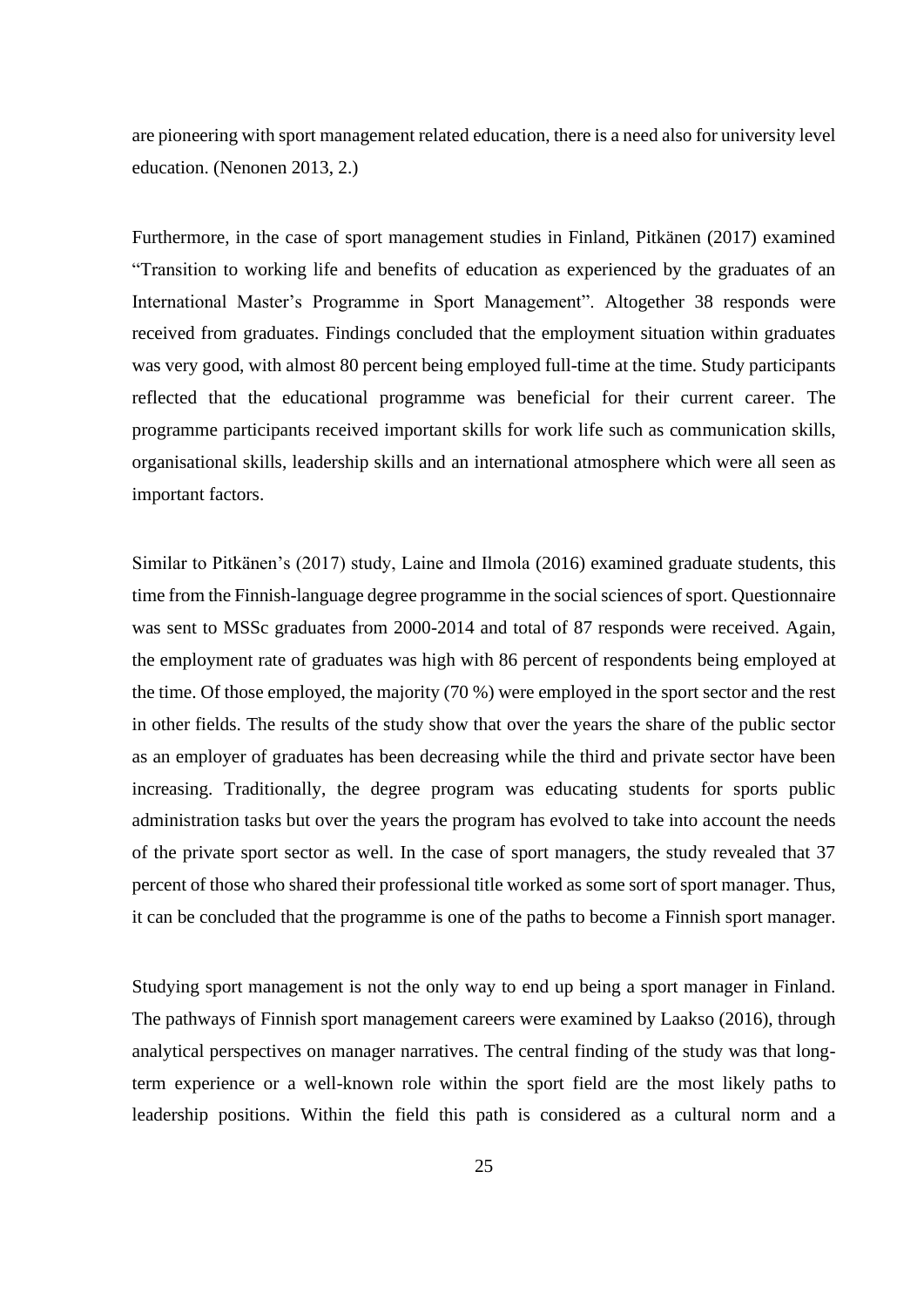are pioneering with sport management related education, there is a need also for university level education. (Nenonen 2013, 2.)

Furthermore, in the case of sport management studies in Finland, Pitkänen (2017) examined "Transition to working life and benefits of education as experienced by the graduates of an International Master's Programme in Sport Management". Altogether 38 responds were received from graduates. Findings concluded that the employment situation within graduates was very good, with almost 80 percent being employed full-time at the time. Study participants reflected that the educational programme was beneficial for their current career. The programme participants received important skills for work life such as communication skills, organisational skills, leadership skills and an international atmosphere which were all seen as important factors.

Similar to Pitkänen's (2017) study, Laine and Ilmola (2016) examined graduate students, this time from the Finnish-language degree programme in the social sciences of sport. Questionnaire was sent to MSSc graduates from 2000-2014 and total of 87 responds were received. Again, the employment rate of graduates was high with 86 percent of respondents being employed at the time. Of those employed, the majority (70 %) were employed in the sport sector and the rest in other fields. The results of the study show that over the years the share of the public sector as an employer of graduates has been decreasing while the third and private sector have been increasing. Traditionally, the degree program was educating students for sports public administration tasks but over the years the program has evolved to take into account the needs of the private sport sector as well. In the case of sport managers, the study revealed that 37 percent of those who shared their professional title worked as some sort of sport manager. Thus, it can be concluded that the programme is one of the paths to become a Finnish sport manager.

Studying sport management is not the only way to end up being a sport manager in Finland. The pathways of Finnish sport management careers were examined by Laakso (2016), through analytical perspectives on manager narratives. The central finding of the study was that longterm experience or a well-known role within the sport field are the most likely paths to leadership positions. Within the field this path is considered as a cultural norm and a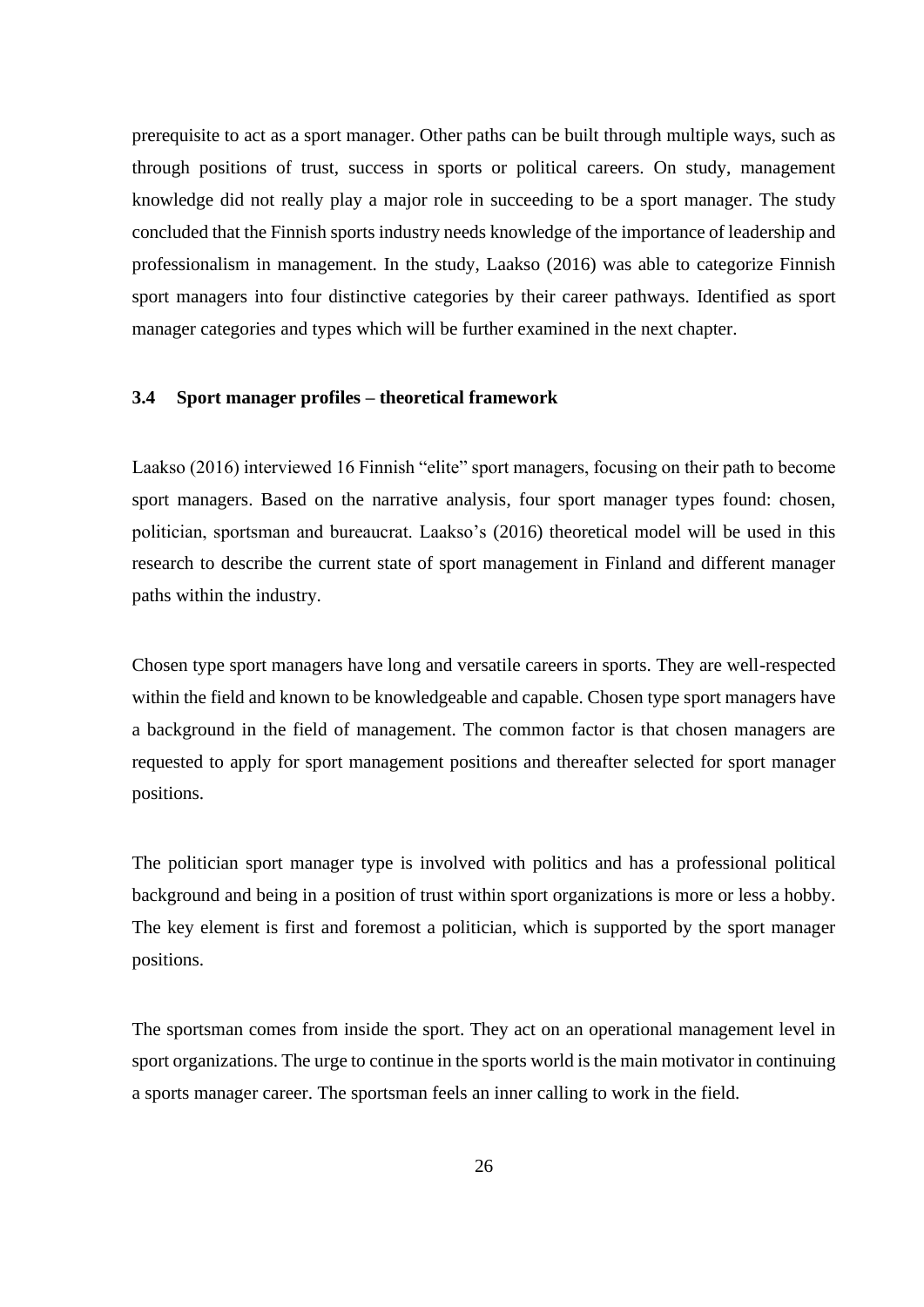prerequisite to act as a sport manager. Other paths can be built through multiple ways, such as through positions of trust, success in sports or political careers. On study, management knowledge did not really play a major role in succeeding to be a sport manager. The study concluded that the Finnish sports industry needs knowledge of the importance of leadership and professionalism in management. In the study, Laakso (2016) was able to categorize Finnish sport managers into four distinctive categories by their career pathways. Identified as sport manager categories and types which will be further examined in the next chapter.

## <span id="page-25-0"></span>**3.4 Sport manager profiles – theoretical framework**

Laakso (2016) interviewed 16 Finnish "elite" sport managers, focusing on their path to become sport managers. Based on the narrative analysis, four sport manager types found: chosen, politician, sportsman and bureaucrat. Laakso's (2016) theoretical model will be used in this research to describe the current state of sport management in Finland and different manager paths within the industry.

Chosen type sport managers have long and versatile careers in sports. They are well-respected within the field and known to be knowledgeable and capable. Chosen type sport managers have a background in the field of management. The common factor is that chosen managers are requested to apply for sport management positions and thereafter selected for sport manager positions.

The politician sport manager type is involved with politics and has a professional political background and being in a position of trust within sport organizations is more or less a hobby. The key element is first and foremost a politician, which is supported by the sport manager positions.

The sportsman comes from inside the sport. They act on an operational management level in sport organizations. The urge to continue in the sports world is the main motivator in continuing a sports manager career. The sportsman feels an inner calling to work in the field.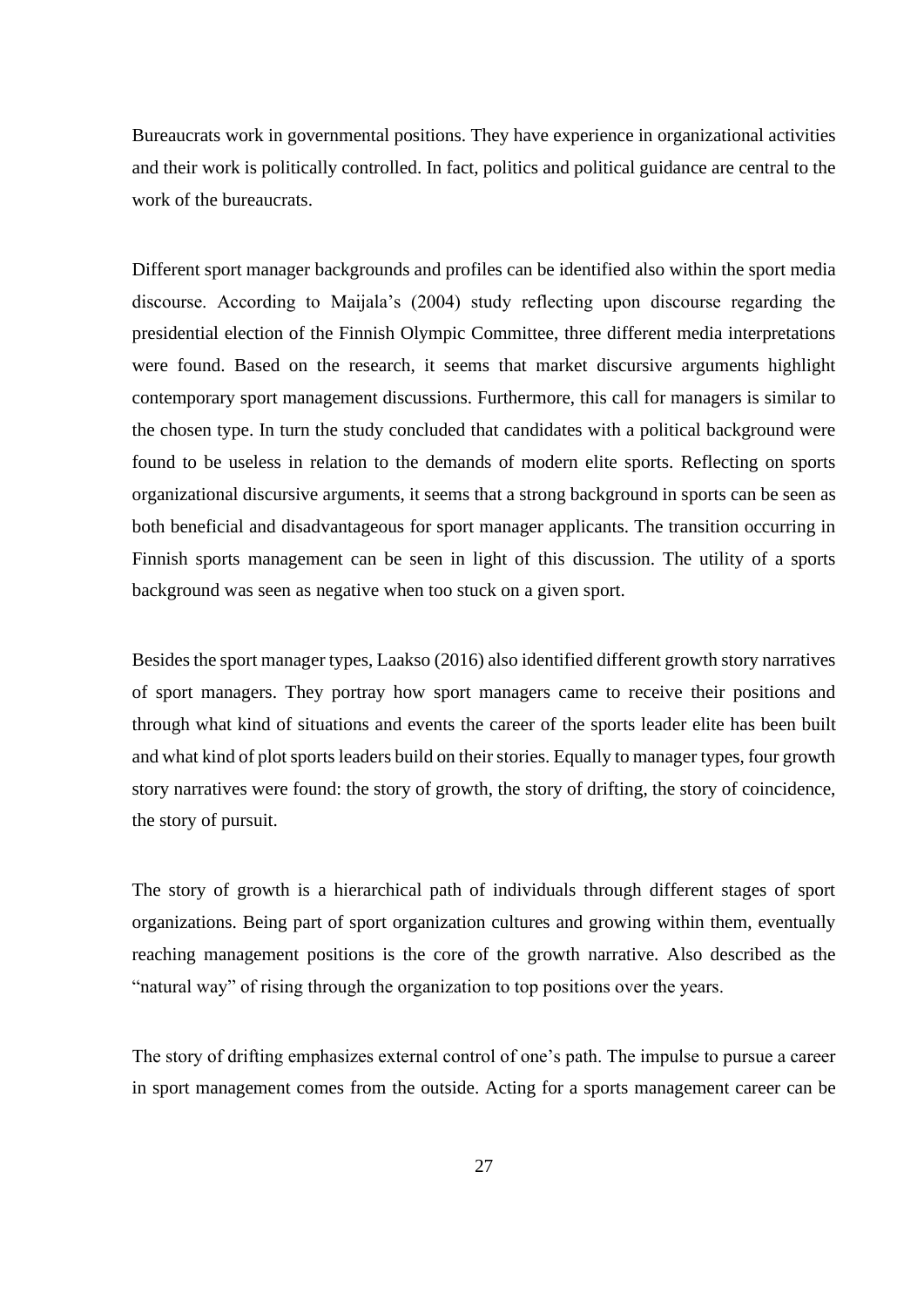Bureaucrats work in governmental positions. They have experience in organizational activities and their work is politically controlled. In fact, politics and political guidance are central to the work of the bureaucrats.

Different sport manager backgrounds and profiles can be identified also within the sport media discourse. According to Maijala's (2004) study reflecting upon discourse regarding the presidential election of the Finnish Olympic Committee, three different media interpretations were found. Based on the research, it seems that market discursive arguments highlight contemporary sport management discussions. Furthermore, this call for managers is similar to the chosen type. In turn the study concluded that candidates with a political background were found to be useless in relation to the demands of modern elite sports. Reflecting on sports organizational discursive arguments, it seems that a strong background in sports can be seen as both beneficial and disadvantageous for sport manager applicants. The transition occurring in Finnish sports management can be seen in light of this discussion. The utility of a sports background was seen as negative when too stuck on a given sport.

Besides the sport manager types, Laakso (2016) also identified different growth story narratives of sport managers. They portray how sport managers came to receive their positions and through what kind of situations and events the career of the sports leader elite has been built and what kind of plot sports leaders build on their stories. Equally to manager types, four growth story narratives were found: the story of growth, the story of drifting, the story of coincidence, the story of pursuit.

The story of growth is a hierarchical path of individuals through different stages of sport organizations. Being part of sport organization cultures and growing within them, eventually reaching management positions is the core of the growth narrative. Also described as the "natural way" of rising through the organization to top positions over the years.

The story of drifting emphasizes external control of one's path. The impulse to pursue a career in sport management comes from the outside. Acting for a sports management career can be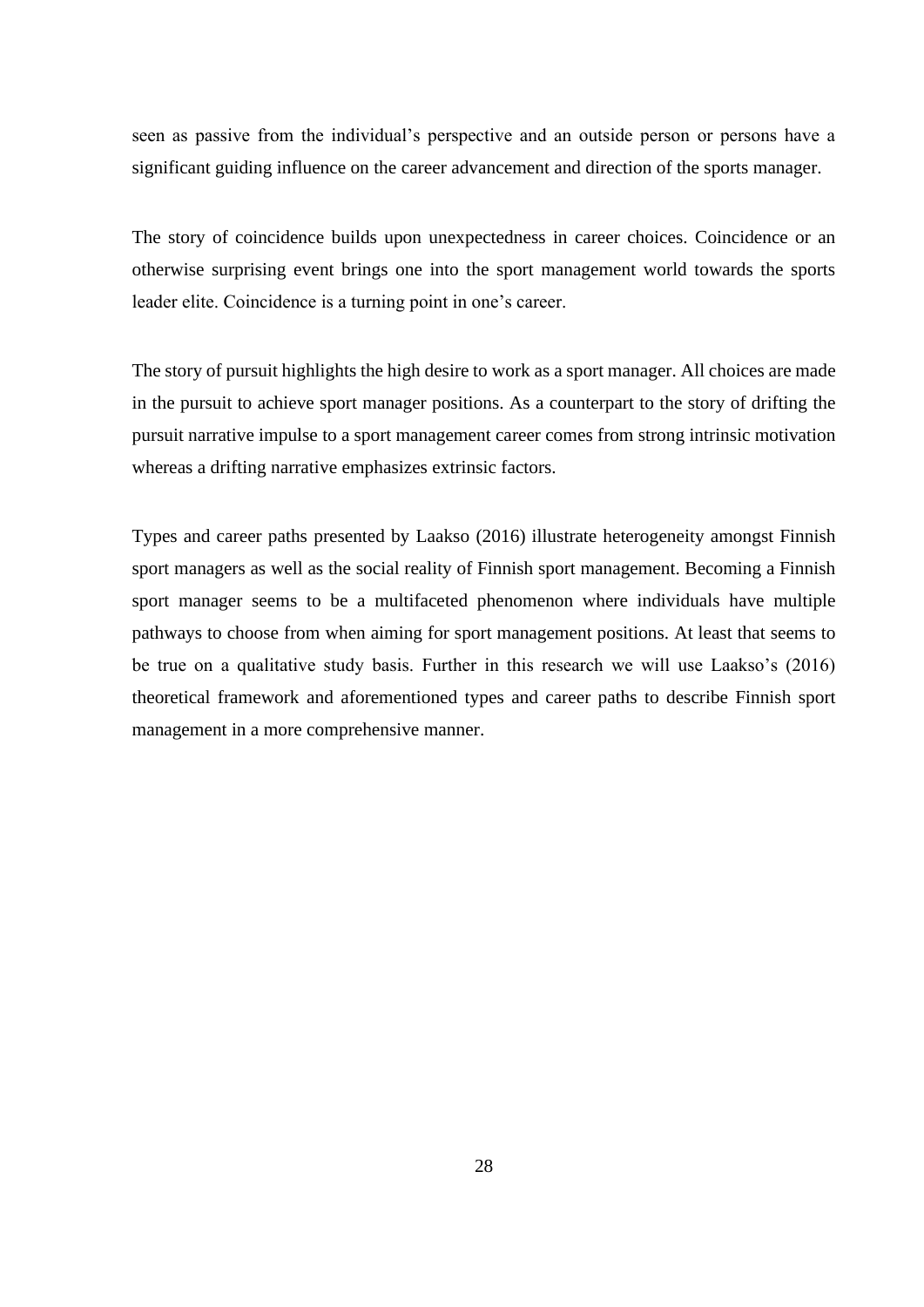seen as passive from the individual's perspective and an outside person or persons have a significant guiding influence on the career advancement and direction of the sports manager.

The story of coincidence builds upon unexpectedness in career choices. Coincidence or an otherwise surprising event brings one into the sport management world towards the sports leader elite. Coincidence is a turning point in one's career.

The story of pursuit highlights the high desire to work as a sport manager. All choices are made in the pursuit to achieve sport manager positions. As a counterpart to the story of drifting the pursuit narrative impulse to a sport management career comes from strong intrinsic motivation whereas a drifting narrative emphasizes extrinsic factors.

Types and career paths presented by Laakso (2016) illustrate heterogeneity amongst Finnish sport managers as well as the social reality of Finnish sport management. Becoming a Finnish sport manager seems to be a multifaceted phenomenon where individuals have multiple pathways to choose from when aiming for sport management positions. At least that seems to be true on a qualitative study basis. Further in this research we will use Laakso's (2016) theoretical framework and aforementioned types and career paths to describe Finnish sport management in a more comprehensive manner.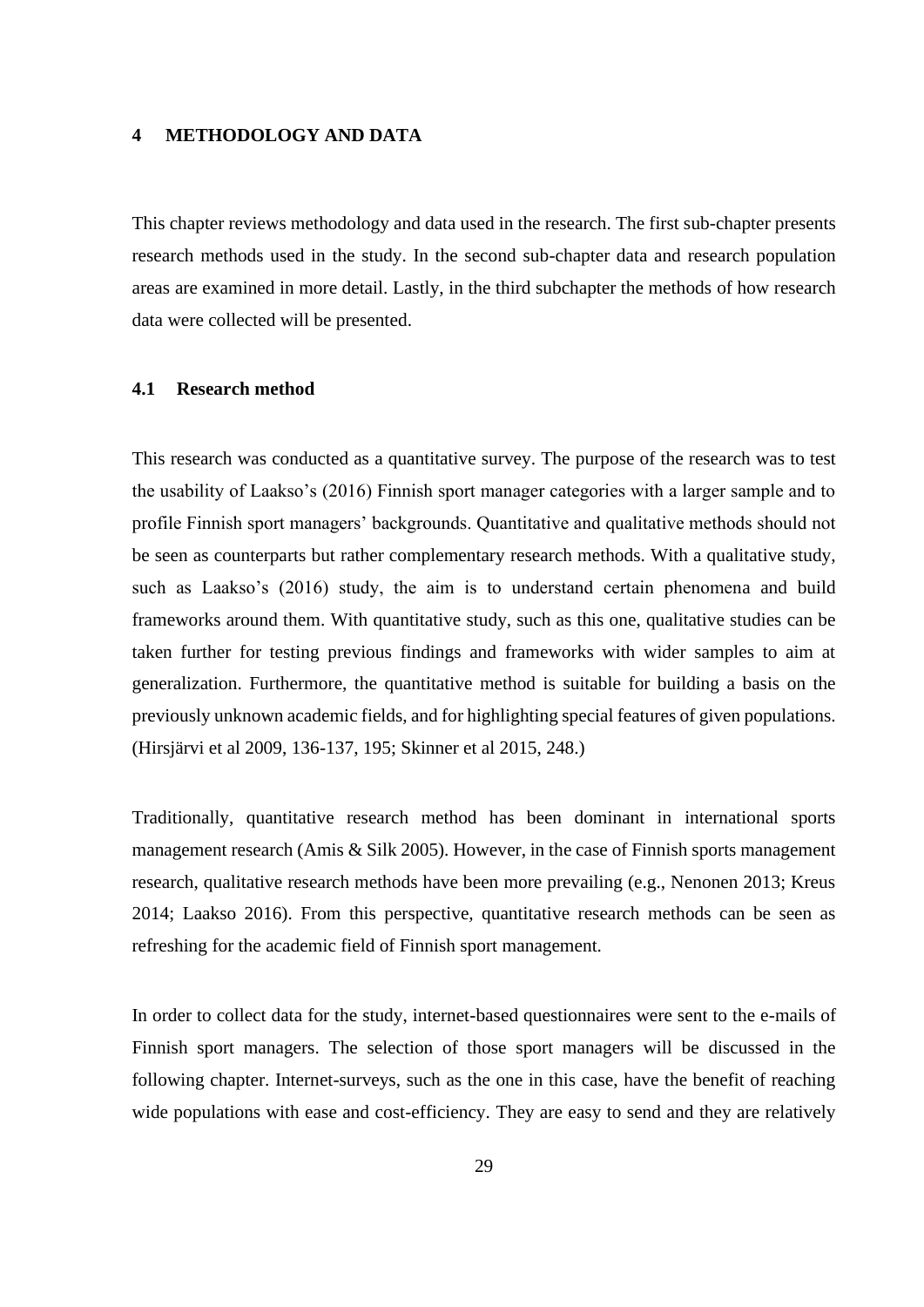#### <span id="page-28-0"></span>**4 METHODOLOGY AND DATA**

This chapter reviews methodology and data used in the research. The first sub-chapter presents research methods used in the study. In the second sub-chapter data and research population areas are examined in more detail. Lastly, in the third subchapter the methods of how research data were collected will be presented.

## <span id="page-28-1"></span>**4.1 Research method**

This research was conducted as a quantitative survey. The purpose of the research was to test the usability of Laakso's (2016) Finnish sport manager categories with a larger sample and to profile Finnish sport managers' backgrounds. Quantitative and qualitative methods should not be seen as counterparts but rather complementary research methods. With a qualitative study, such as Laakso's (2016) study, the aim is to understand certain phenomena and build frameworks around them. With quantitative study, such as this one, qualitative studies can be taken further for testing previous findings and frameworks with wider samples to aim at generalization. Furthermore, the quantitative method is suitable for building a basis on the previously unknown academic fields, and for highlighting special features of given populations. (Hirsjärvi et al 2009, 136-137, 195; Skinner et al 2015, 248.)

Traditionally, quantitative research method has been dominant in international sports management research (Amis & Silk 2005). However, in the case of Finnish sports management research, qualitative research methods have been more prevailing (e.g., Nenonen 2013; Kreus 2014; Laakso 2016). From this perspective, quantitative research methods can be seen as refreshing for the academic field of Finnish sport management.

In order to collect data for the study, internet-based questionnaires were sent to the e-mails of Finnish sport managers. The selection of those sport managers will be discussed in the following chapter. Internet-surveys, such as the one in this case, have the benefit of reaching wide populations with ease and cost-efficiency. They are easy to send and they are relatively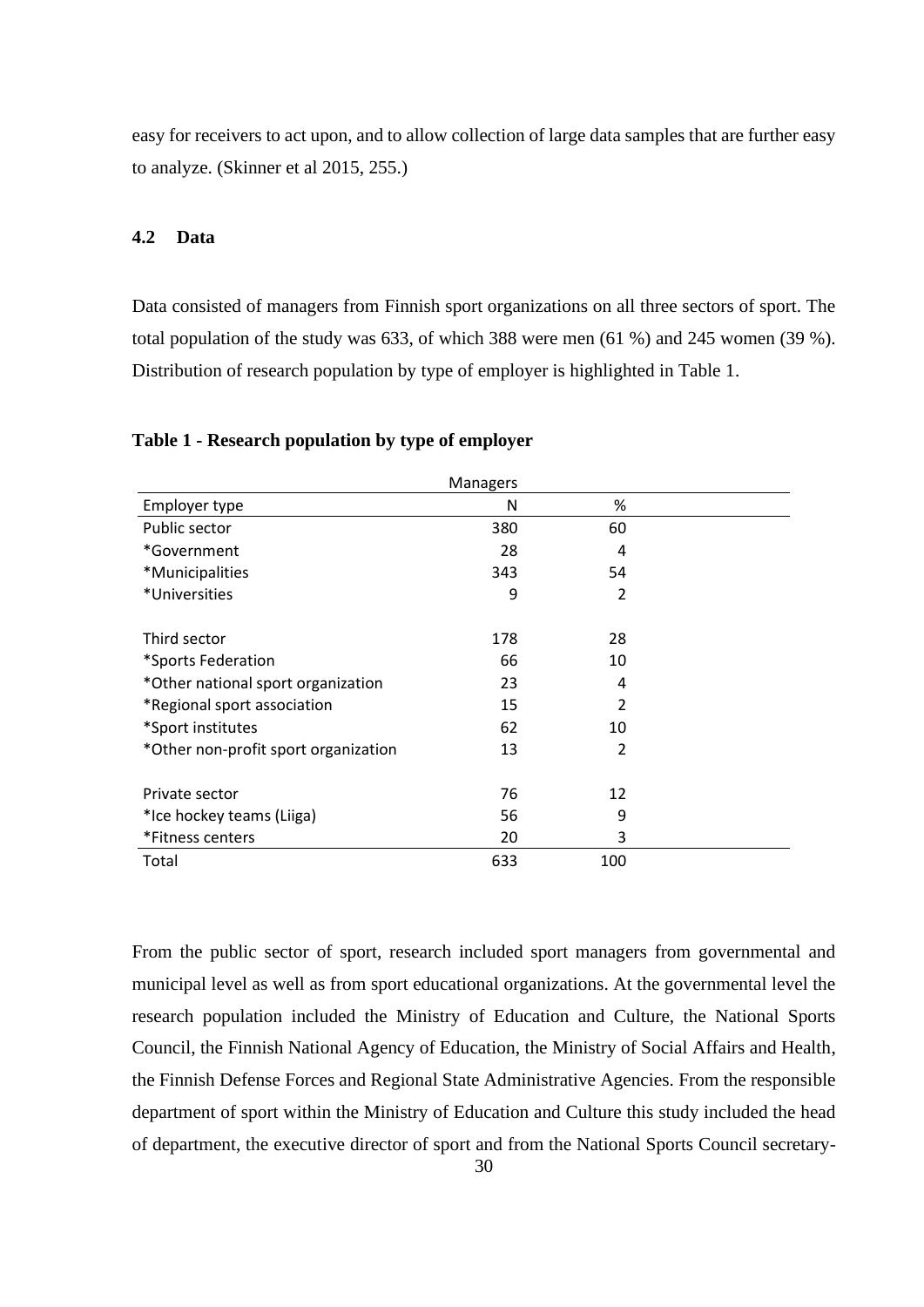easy for receivers to act upon, and to allow collection of large data samples that are further easy to analyze. (Skinner et al 2015, 255.)

## <span id="page-29-1"></span>**4.2 Data**

Data consisted of managers from Finnish sport organizations on all three sectors of sport. The total population of the study was 633, of which 388 were men (61 %) and 245 women (39 %). Distribution of research population by type of employer is highlighted in Table 1.

|                                      | <b>Managers</b> |                          |  |
|--------------------------------------|-----------------|--------------------------|--|
| Employer type                        | N               | %                        |  |
| Public sector                        | 380             | 60                       |  |
| *Government                          | 28              | 4                        |  |
| *Municipalities                      | 343             | 54                       |  |
| *Universities                        | 9               | $\overline{2}$           |  |
| Third sector                         | 178             | 28                       |  |
| *Sports Federation                   | 66              | 10                       |  |
| *Other national sport organization   | 23              | 4                        |  |
| *Regional sport association          | 15              | $\overline{\mathcal{L}}$ |  |
| *Sport institutes                    | 62              | 10                       |  |
| *Other non-profit sport organization | 13              | 2                        |  |
| Private sector                       | 76              | 12                       |  |
| *Ice hockey teams (Liiga)            | 56              | 9                        |  |
| *Fitness centers                     | 20              | 3                        |  |
| Total                                | 633             | 100                      |  |

## <span id="page-29-0"></span>**Table 1 - Research population by type of employer**

From the public sector of sport, research included sport managers from governmental and municipal level as well as from sport educational organizations. At the governmental level the research population included the Ministry of Education and Culture, the National Sports Council, the Finnish National Agency of Education, the Ministry of Social Affairs and Health, the Finnish Defense Forces and Regional State Administrative Agencies. From the responsible department of sport within the Ministry of Education and Culture this study included the head of department, the executive director of sport and from the National Sports Council secretary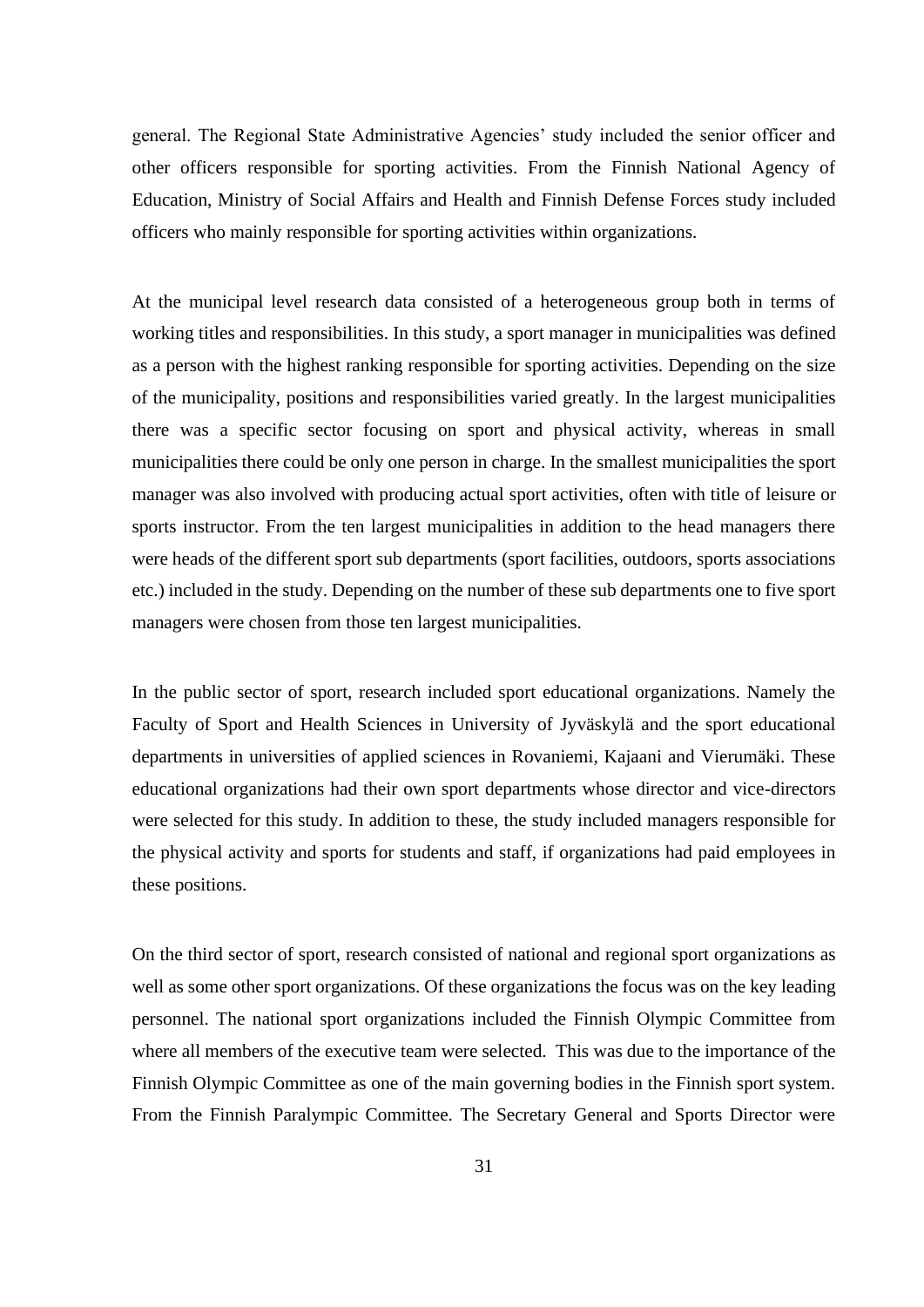general. The Regional State Administrative Agencies' study included the senior officer and other officers responsible for sporting activities. From the Finnish National Agency of Education, Ministry of Social Affairs and Health and Finnish Defense Forces study included officers who mainly responsible for sporting activities within organizations.

At the municipal level research data consisted of a heterogeneous group both in terms of working titles and responsibilities. In this study, a sport manager in municipalities was defined as a person with the highest ranking responsible for sporting activities. Depending on the size of the municipality, positions and responsibilities varied greatly. In the largest municipalities there was a specific sector focusing on sport and physical activity, whereas in small municipalities there could be only one person in charge. In the smallest municipalities the sport manager was also involved with producing actual sport activities, often with title of leisure or sports instructor. From the ten largest municipalities in addition to the head managers there were heads of the different sport sub departments (sport facilities, outdoors, sports associations etc.) included in the study. Depending on the number of these sub departments one to five sport managers were chosen from those ten largest municipalities.

In the public sector of sport, research included sport educational organizations. Namely the Faculty of Sport and Health Sciences in University of Jyväskylä and the sport educational departments in universities of applied sciences in Rovaniemi, Kajaani and Vierumäki. These educational organizations had their own sport departments whose director and vice-directors were selected for this study. In addition to these, the study included managers responsible for the physical activity and sports for students and staff, if organizations had paid employees in these positions.

On the third sector of sport, research consisted of national and regional sport organizations as well as some other sport organizations. Of these organizations the focus was on the key leading personnel. The national sport organizations included the Finnish Olympic Committee from where all members of the executive team were selected. This was due to the importance of the Finnish Olympic Committee as one of the main governing bodies in the Finnish sport system. From the Finnish Paralympic Committee. The Secretary General and Sports Director were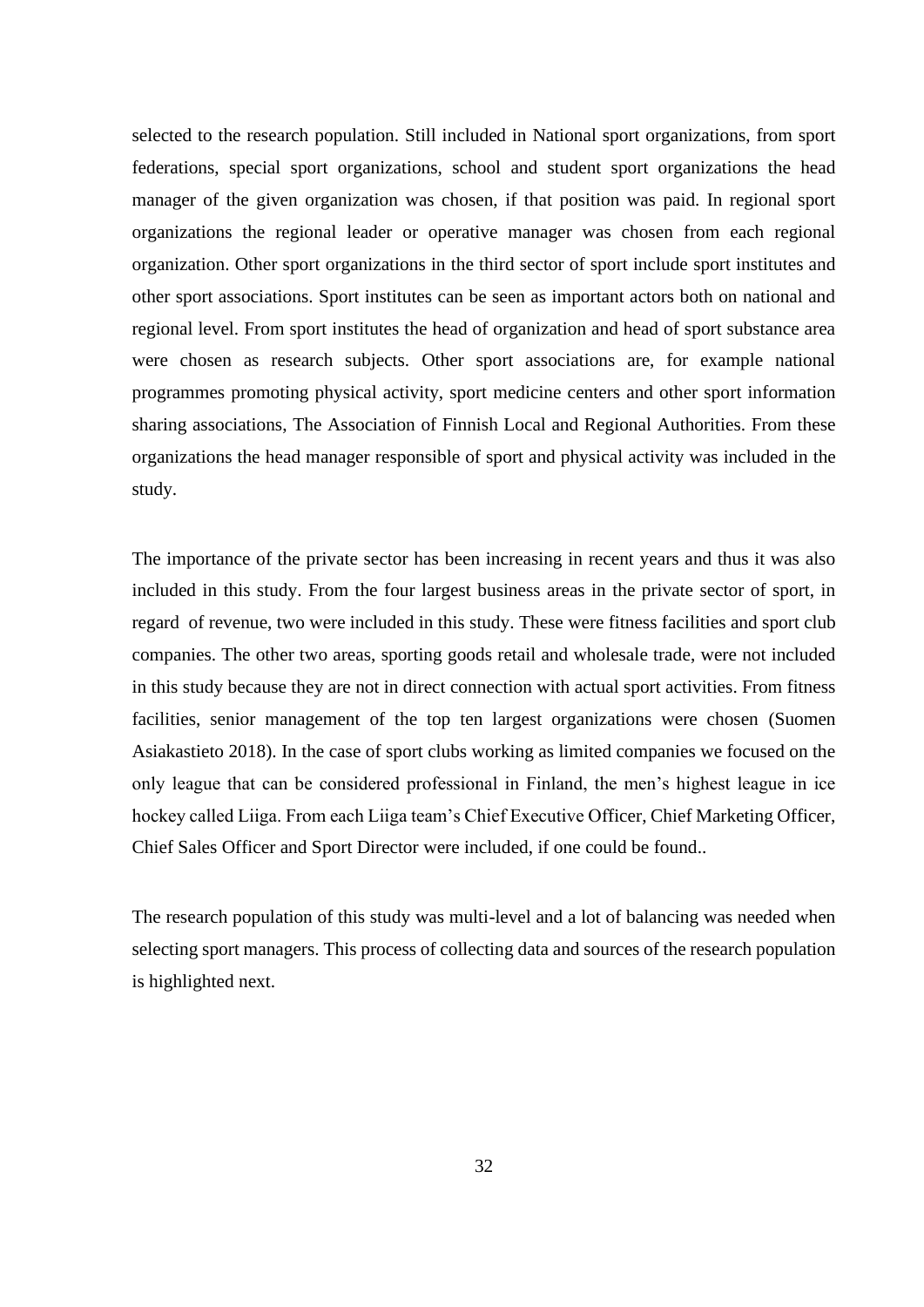selected to the research population. Still included in National sport organizations, from sport federations, special sport organizations, school and student sport organizations the head manager of the given organization was chosen, if that position was paid. In regional sport organizations the regional leader or operative manager was chosen from each regional organization. Other sport organizations in the third sector of sport include sport institutes and other sport associations. Sport institutes can be seen as important actors both on national and regional level. From sport institutes the head of organization and head of sport substance area were chosen as research subjects. Other sport associations are, for example national programmes promoting physical activity, sport medicine centers and other sport information sharing associations, The Association of Finnish Local and Regional Authorities. From these organizations the head manager responsible of sport and physical activity was included in the study.

The importance of the private sector has been increasing in recent years and thus it was also included in this study. From the four largest business areas in the private sector of sport, in regard of revenue, two were included in this study. These were fitness facilities and sport club companies. The other two areas, sporting goods retail and wholesale trade, were not included in this study because they are not in direct connection with actual sport activities. From fitness facilities, senior management of the top ten largest organizations were chosen (Suomen Asiakastieto 2018). In the case of sport clubs working as limited companies we focused on the only league that can be considered professional in Finland, the men's highest league in ice hockey called Liiga. From each Liiga team's Chief Executive Officer, Chief Marketing Officer, Chief Sales Officer and Sport Director were included, if one could be found..

The research population of this study was multi-level and a lot of balancing was needed when selecting sport managers. This process of collecting data and sources of the research population is highlighted next.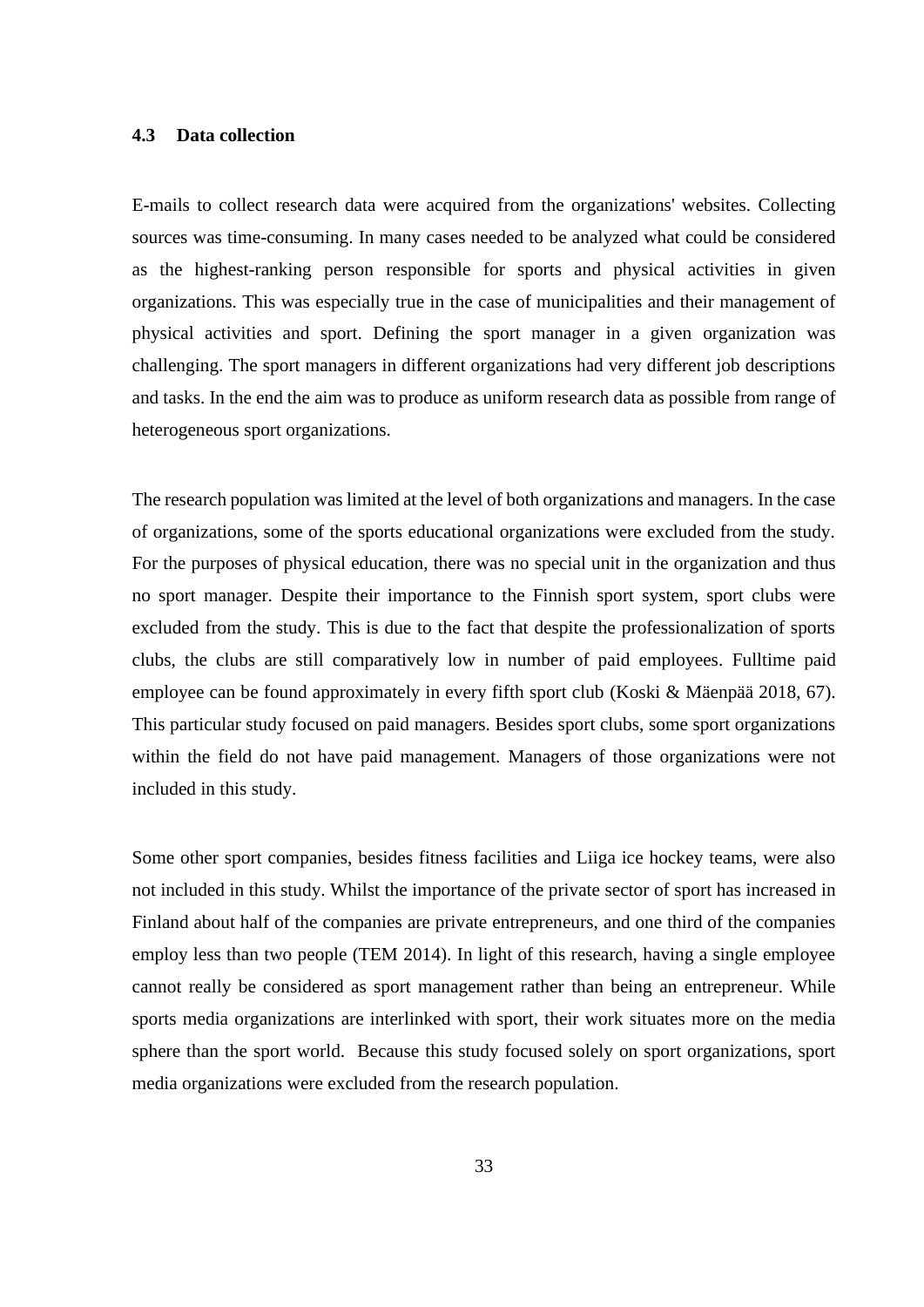## <span id="page-32-0"></span>**4.3 Data collection**

E-mails to collect research data were acquired from the organizations' websites. Collecting sources was time-consuming. In many cases needed to be analyzed what could be considered as the highest-ranking person responsible for sports and physical activities in given organizations. This was especially true in the case of municipalities and their management of physical activities and sport. Defining the sport manager in a given organization was challenging. The sport managers in different organizations had very different job descriptions and tasks. In the end the aim was to produce as uniform research data as possible from range of heterogeneous sport organizations.

The research population was limited at the level of both organizations and managers. In the case of organizations, some of the sports educational organizations were excluded from the study. For the purposes of physical education, there was no special unit in the organization and thus no sport manager. Despite their importance to the Finnish sport system, sport clubs were excluded from the study. This is due to the fact that despite the professionalization of sports clubs, the clubs are still comparatively low in number of paid employees. Fulltime paid employee can be found approximately in every fifth sport club (Koski & Mäenpää 2018, 67). This particular study focused on paid managers. Besides sport clubs, some sport organizations within the field do not have paid management. Managers of those organizations were not included in this study.

Some other sport companies, besides fitness facilities and Liiga ice hockey teams, were also not included in this study. Whilst the importance of the private sector of sport has increased in Finland about half of the companies are private entrepreneurs, and one third of the companies employ less than two people (TEM 2014). In light of this research, having a single employee cannot really be considered as sport management rather than being an entrepreneur. While sports media organizations are interlinked with sport, their work situates more on the media sphere than the sport world. Because this study focused solely on sport organizations, sport media organizations were excluded from the research population.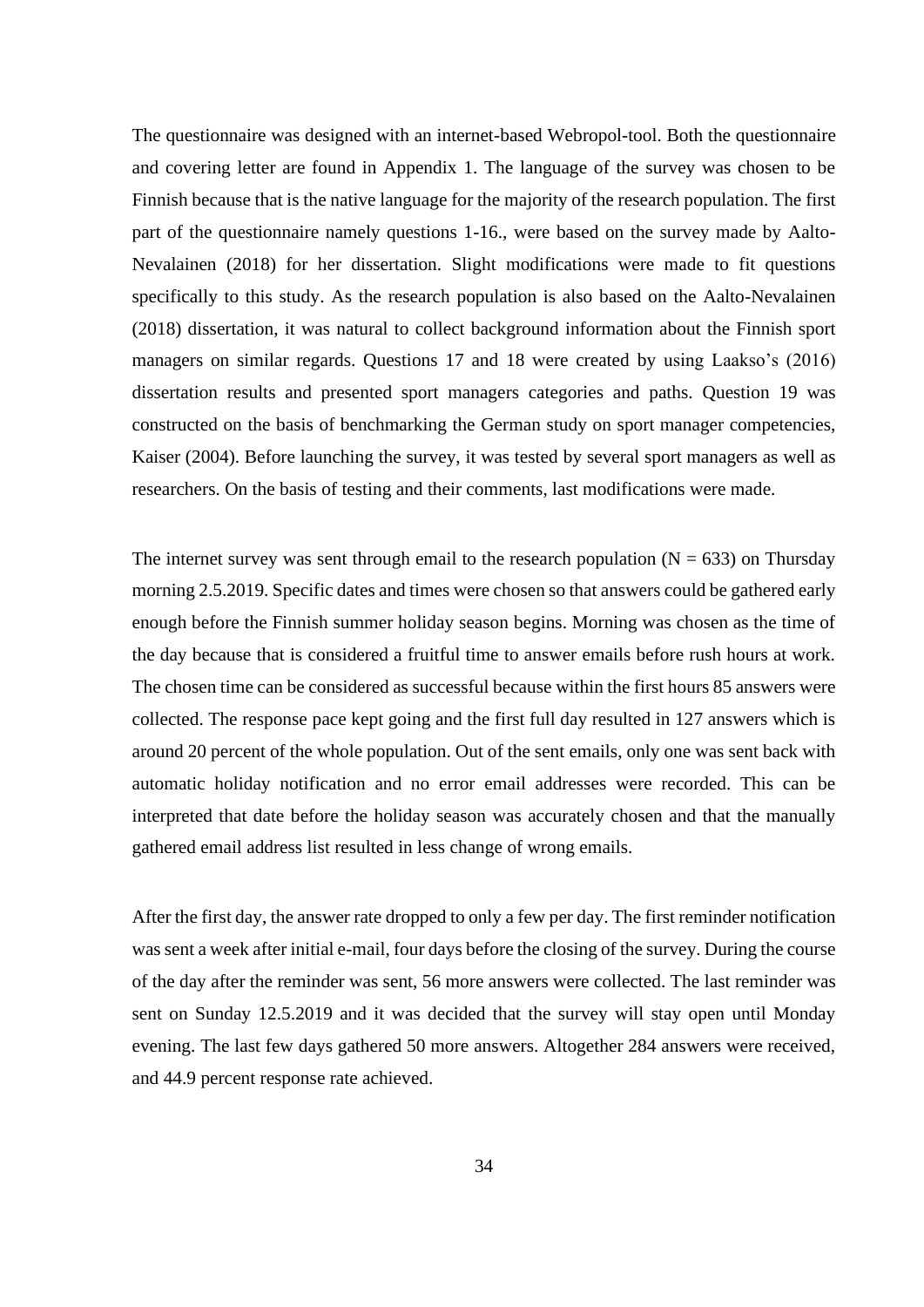The questionnaire was designed with an internet-based Webropol-tool. Both the questionnaire and covering letter are found in Appendix 1. The language of the survey was chosen to be Finnish because that is the native language for the majority of the research population. The first part of the questionnaire namely questions 1-16., were based on the survey made by Aalto-Nevalainen (2018) for her dissertation. Slight modifications were made to fit questions specifically to this study. As the research population is also based on the Aalto-Nevalainen (2018) dissertation, it was natural to collect background information about the Finnish sport managers on similar regards. Questions 17 and 18 were created by using Laakso's (2016) dissertation results and presented sport managers categories and paths. Question 19 was constructed on the basis of benchmarking the German study on sport manager competencies, Kaiser (2004). Before launching the survey, it was tested by several sport managers as well as researchers. On the basis of testing and their comments, last modifications were made.

The internet survey was sent through email to the research population ( $N = 633$ ) on Thursday morning 2.5.2019. Specific dates and times were chosen so that answers could be gathered early enough before the Finnish summer holiday season begins. Morning was chosen as the time of the day because that is considered a fruitful time to answer emails before rush hours at work. The chosen time can be considered as successful because within the first hours 85 answers were collected. The response pace kept going and the first full day resulted in 127 answers which is around 20 percent of the whole population. Out of the sent emails, only one was sent back with automatic holiday notification and no error email addresses were recorded. This can be interpreted that date before the holiday season was accurately chosen and that the manually gathered email address list resulted in less change of wrong emails.

After the first day, the answer rate dropped to only a few per day. The first reminder notification was sent a week after initial e-mail, four days before the closing of the survey. During the course of the day after the reminder was sent, 56 more answers were collected. The last reminder was sent on Sunday 12.5.2019 and it was decided that the survey will stay open until Monday evening. The last few days gathered 50 more answers. Altogether 284 answers were received, and 44.9 percent response rate achieved.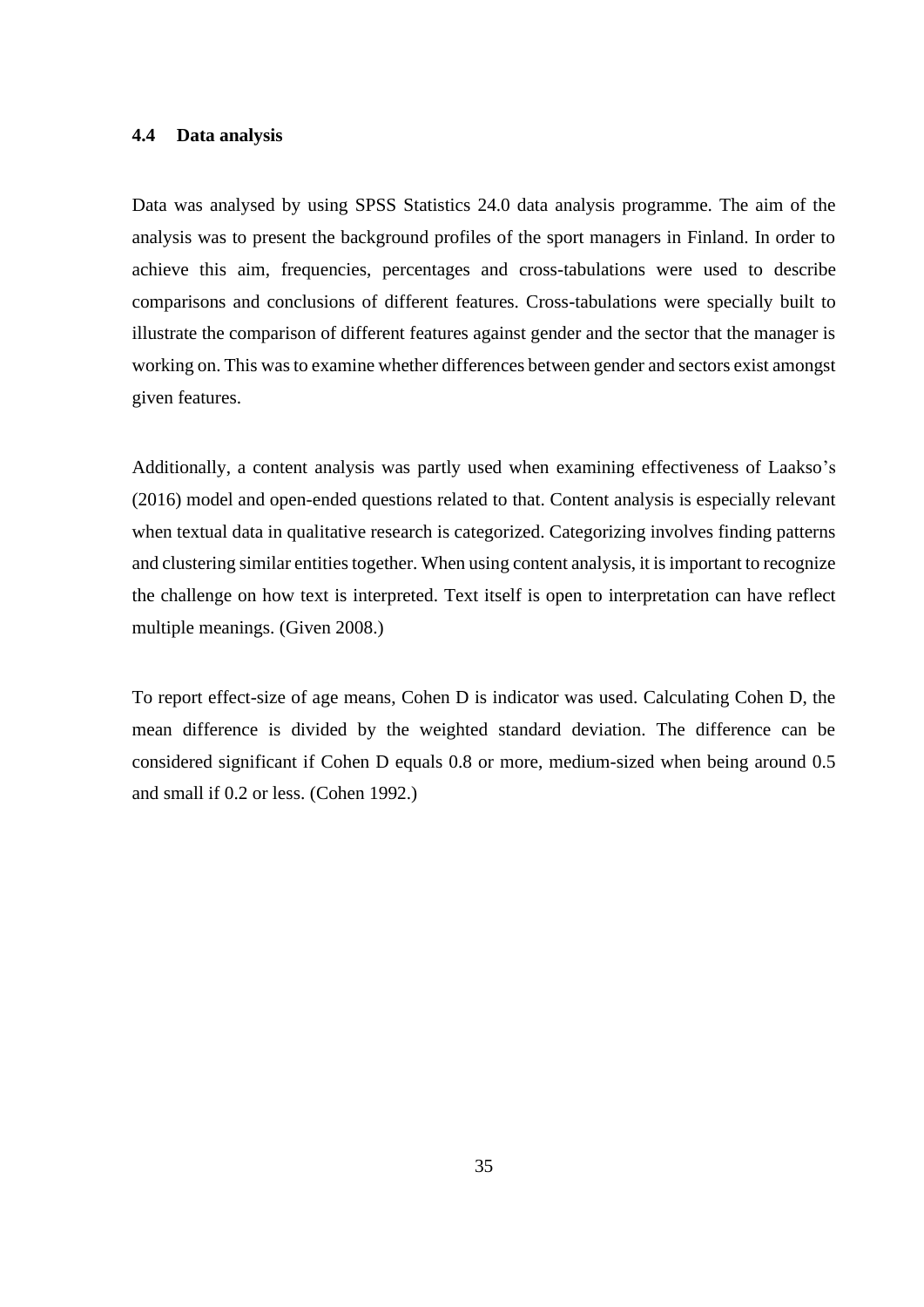## <span id="page-34-0"></span>**4.4 Data analysis**

Data was analysed by using SPSS Statistics 24.0 data analysis programme. The aim of the analysis was to present the background profiles of the sport managers in Finland. In order to achieve this aim, frequencies, percentages and cross-tabulations were used to describe comparisons and conclusions of different features. Cross-tabulations were specially built to illustrate the comparison of different features against gender and the sector that the manager is working on. This was to examine whether differences between gender and sectors exist amongst given features.

Additionally, a content analysis was partly used when examining effectiveness of Laakso's (2016) model and open-ended questions related to that. Content analysis is especially relevant when textual data in qualitative research is categorized. Categorizing involves finding patterns and clustering similar entities together. When using content analysis, it is important to recognize the challenge on how text is interpreted. Text itself is open to interpretation can have reflect multiple meanings. (Given 2008.)

To report effect-size of age means, Cohen D is indicator was used. Calculating Cohen D, the mean difference is divided by the weighted standard deviation. The difference can be considered significant if Cohen D equals 0.8 or more, medium-sized when being around 0.5 and small if 0.2 or less. (Cohen 1992.)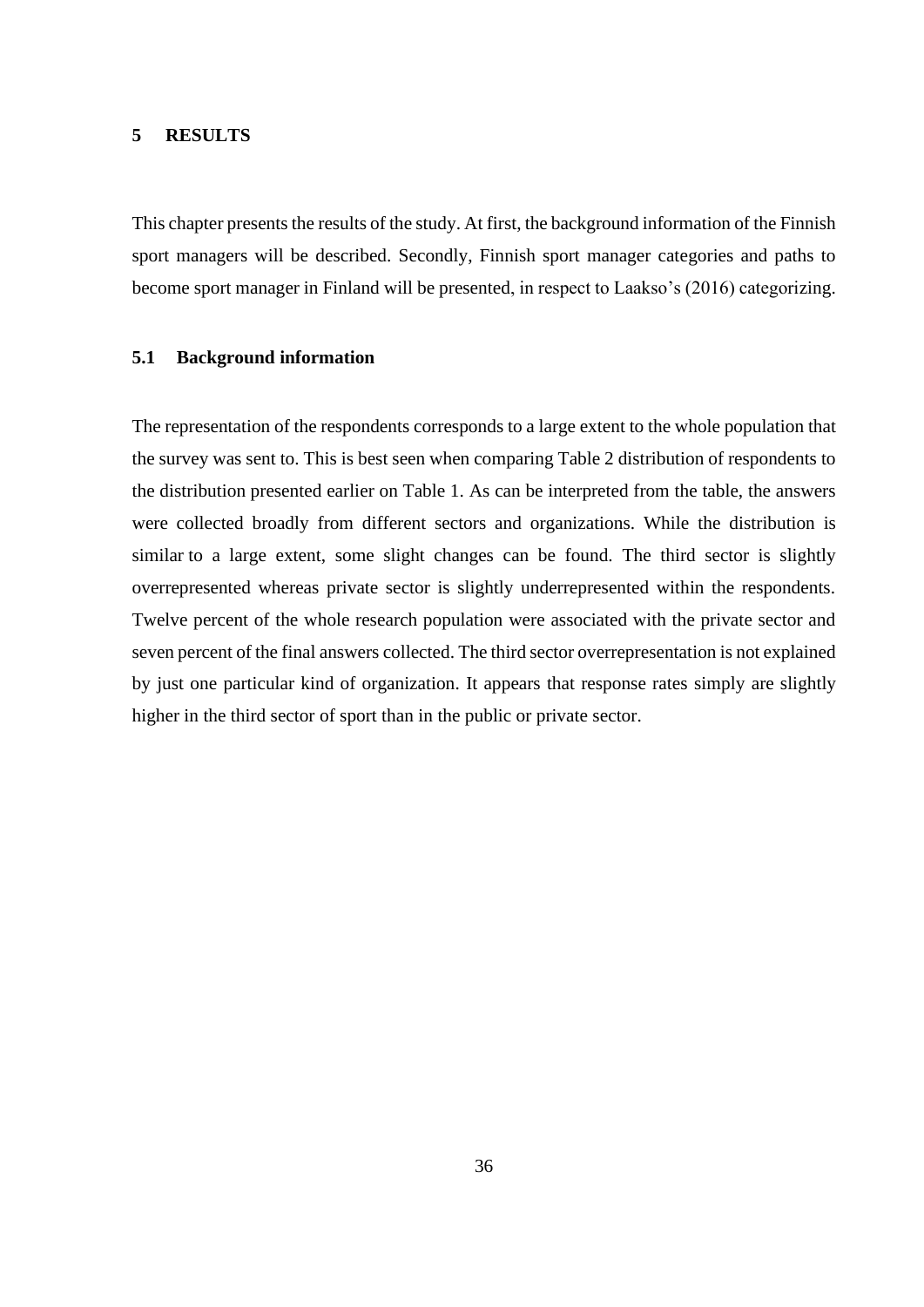### <span id="page-35-0"></span>**5 RESULTS**

This chapter presents the results of the study. At first, the background information of the Finnish sport managers will be described. Secondly, Finnish sport manager categories and paths to become sport manager in Finland will be presented, in respect to Laakso's (2016) categorizing.

## <span id="page-35-1"></span>**5.1 Background information**

The representation of the respondents corresponds to a large extent to the whole population that the survey was sent to. This is best seen when comparing Table 2 distribution of respondents to the distribution presented earlier on Table 1. As can be interpreted from the table, the answers were collected broadly from different sectors and organizations. While the distribution is similar to a large extent, some slight changes can be found. The third sector is slightly overrepresented whereas private sector is slightly underrepresented within the respondents. Twelve percent of the whole research population were associated with the private sector and seven percent of the final answers collected. The third sector overrepresentation is not explained by just one particular kind of organization. It appears that response rates simply are slightly higher in the third sector of sport than in the public or private sector.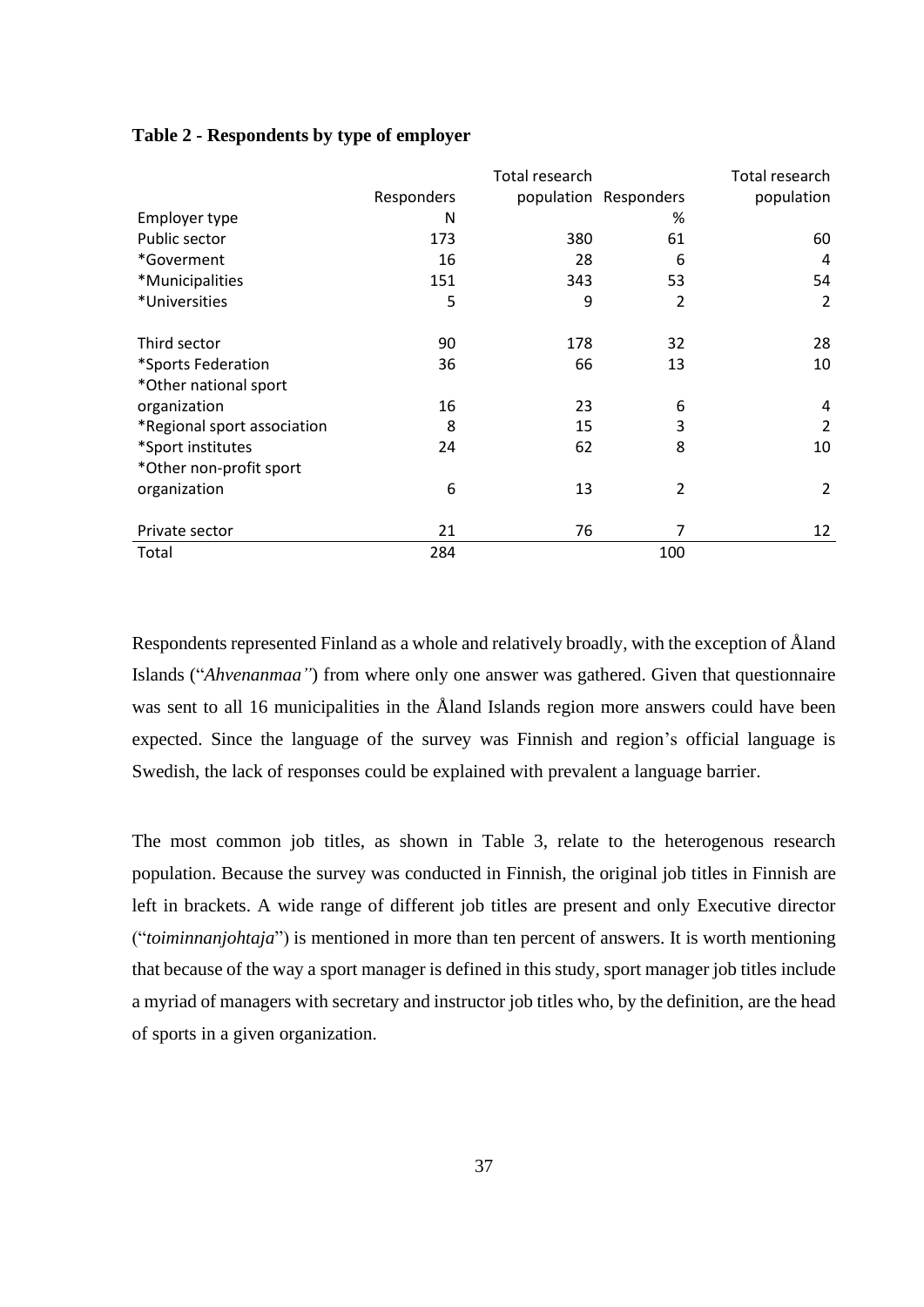|                             |            | Total research |                       | Total research |
|-----------------------------|------------|----------------|-----------------------|----------------|
|                             | Responders |                | population Responders | population     |
| Employer type               | N          |                | %                     |                |
| Public sector               | 173        | 380            | 61                    | 60             |
| *Goverment                  | 16         | 28             | 6                     | 4              |
| *Municipalities             | 151        | 343            | 53                    | 54             |
| *Universities               | 5          | 9              | $\overline{2}$        | $\overline{2}$ |
| Third sector                | 90         | 178            | 32                    | 28             |
| *Sports Federation          | 36         | 66             | 13                    | 10             |
| *Other national sport       |            |                |                       |                |
| organization                | 16         | 23             | 6                     | 4              |
| *Regional sport association | 8          | 15             | 3                     | 2              |
| *Sport institutes           | 24         | 62             | 8                     | 10             |
| *Other non-profit sport     |            |                |                       |                |
| organization                | 6          | 13             | $\overline{2}$        | 2              |
| Private sector              | 21         | 76             | 7                     | 12             |
| Total                       | 284        |                | 100                   |                |

## **Table 2 - Respondents by type of employer**

Respondents represented Finland as a whole and relatively broadly, with the exception of Åland Islands ("*Ahvenanmaa"*) from where only one answer was gathered. Given that questionnaire was sent to all 16 municipalities in the Åland Islands region more answers could have been expected. Since the language of the survey was Finnish and region's official language is Swedish, the lack of responses could be explained with prevalent a language barrier.

The most common job titles, as shown in Table 3, relate to the heterogenous research population. Because the survey was conducted in Finnish, the original job titles in Finnish are left in brackets. A wide range of different job titles are present and only Executive director ("*toiminnanjohtaja*") is mentioned in more than ten percent of answers. It is worth mentioning that because of the way a sport manager is defined in this study, sport manager job titles include a myriad of managers with secretary and instructor job titles who, by the definition, are the head of sports in a given organization.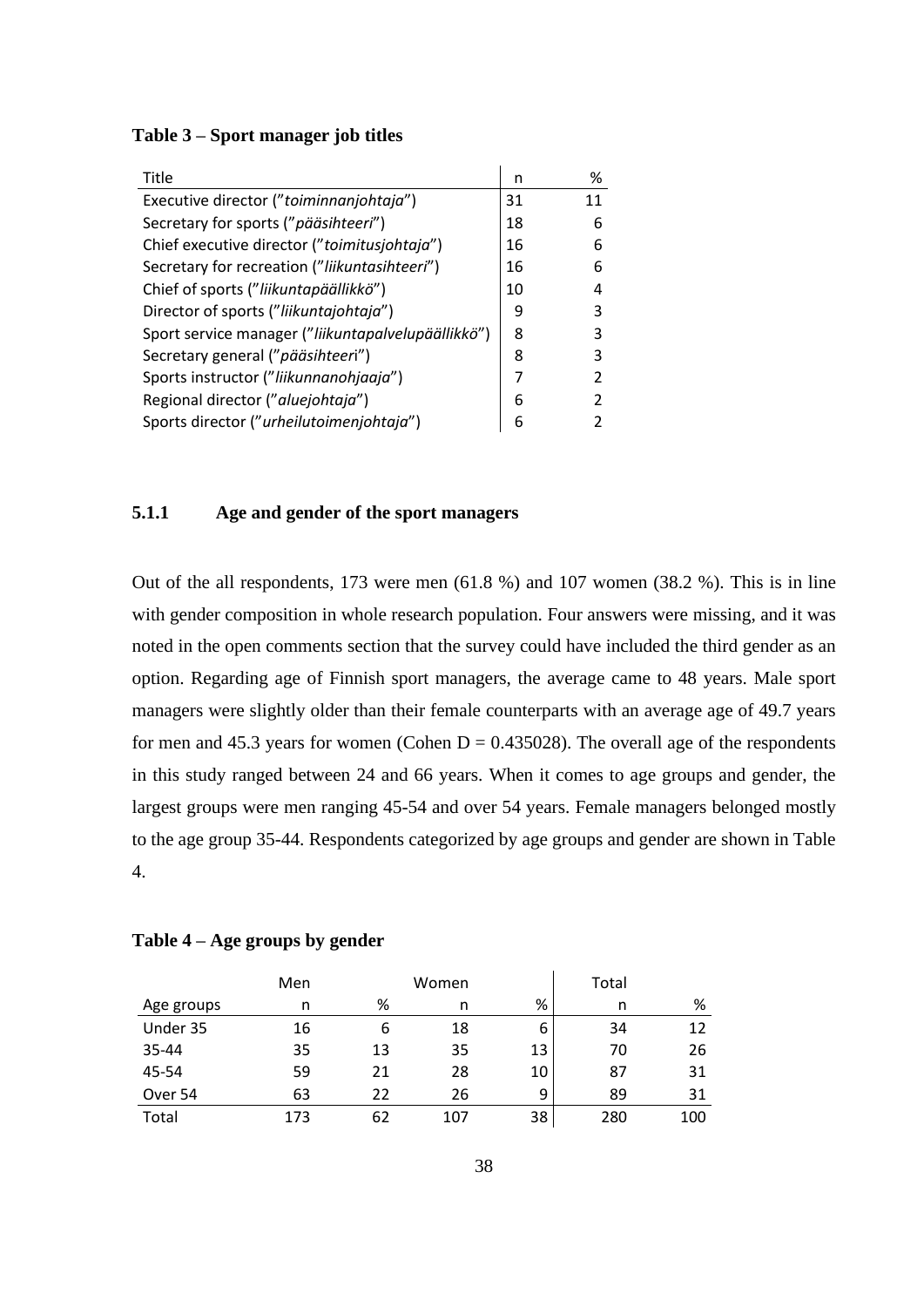| Title                                              | n  | ℅  |
|----------------------------------------------------|----|----|
| Executive director ("toiminnanjohtaja")            | 31 | 11 |
| Secretary for sports ("pääsihteeri")               | 18 | 6  |
| Chief executive director ("toimitusjohtaja")       | 16 | 6  |
| Secretary for recreation ("liikuntasihteeri")      | 16 | 6  |
| Chief of sports ("liikuntapäällikkö")              | 10 |    |
| Director of sports ("liikuntajohtaja")             | 9  |    |
| Sport service manager ("liikuntapalvelupäällikkö") | 8  |    |
| Secretary general ("pääsihteeri")                  | 8  |    |
| Sports instructor ("liikunnanohjaaja")             | 7  |    |
| Regional director ("aluejohtaja")                  | 6  |    |
| Sports director ("urheilutoimenjohtaja")           | 6  |    |

# **5.1.1 Age and gender of the sport managers**

Out of the all respondents, 173 were men (61.8 %) and 107 women (38.2 %). This is in line with gender composition in whole research population. Four answers were missing, and it was noted in the open comments section that the survey could have included the third gender as an option. Regarding age of Finnish sport managers, the average came to 48 years. Male sport managers were slightly older than their female counterparts with an average age of 49.7 years for men and 45.3 years for women (Cohen  $D = 0.435028$ ). The overall age of the respondents in this study ranged between 24 and 66 years. When it comes to age groups and gender, the largest groups were men ranging 45-54 and over 54 years. Female managers belonged mostly to the age group 35-44. Respondents categorized by age groups and gender are shown in Table 4.

|  |  |  |  | Table 4 – Age groups by gender |  |  |
|--|--|--|--|--------------------------------|--|--|
|--|--|--|--|--------------------------------|--|--|

|            | Men |    | Women |    | Total |     |
|------------|-----|----|-------|----|-------|-----|
| Age groups | n   | %  | n     | %  | n     | %   |
| Under 35   | 16  | 6  | 18    | 6  | 34    | 12  |
| 35-44      | 35  | 13 | 35    | 13 | 70    | 26  |
| 45-54      | 59  | 21 | 28    | 10 | 87    | 31  |
| Over 54    | 63  | 22 | 26    | 9  | 89    | 31  |
| Total      | 173 | 62 | 107   | 38 | 280   | 100 |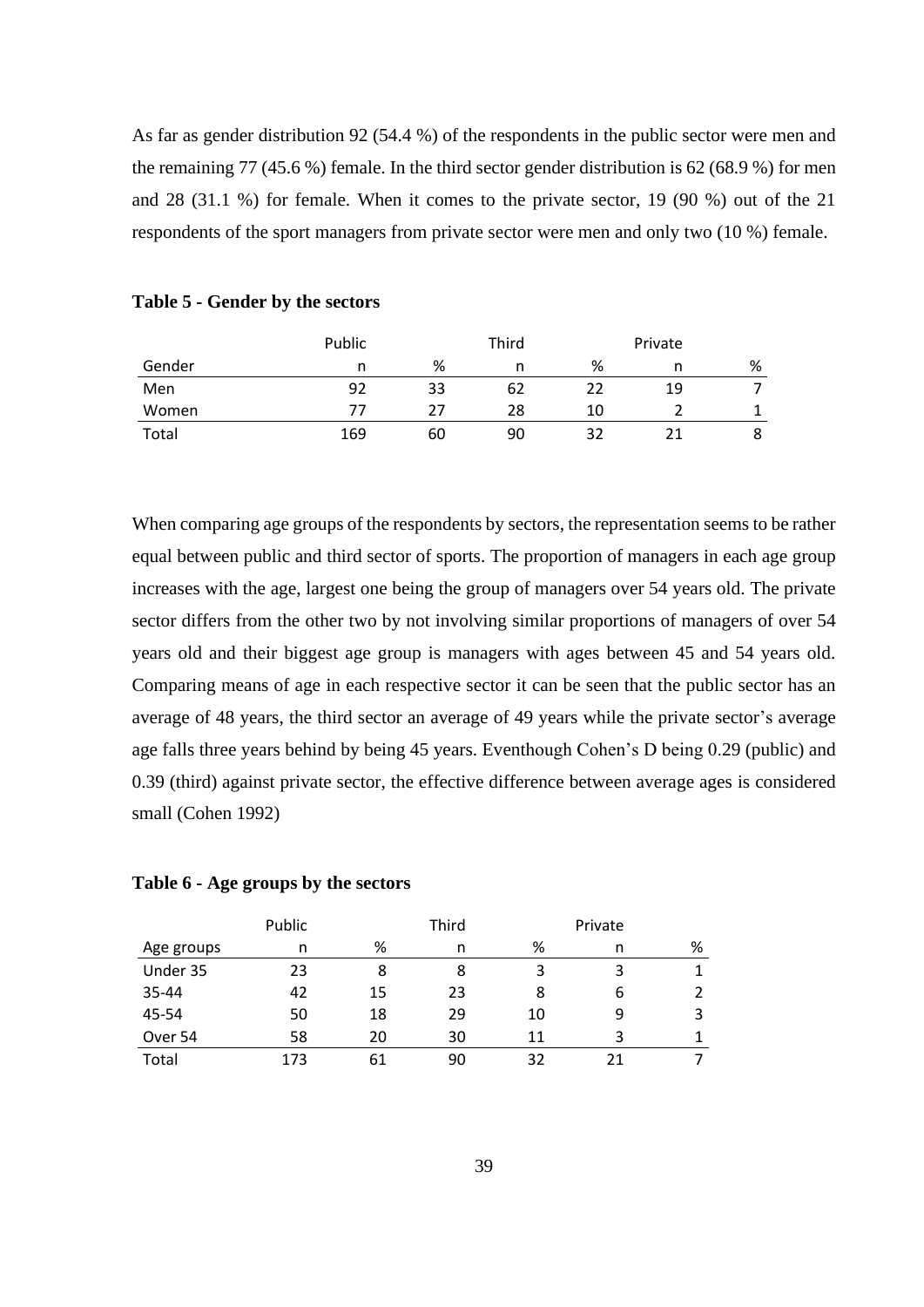As far as gender distribution 92 (54.4 %) of the respondents in the public sector were men and the remaining 77 (45.6 %) female. In the third sector gender distribution is 62 (68.9 %) for men and 28 (31.1 %) for female. When it comes to the private sector, 19 (90 %) out of the 21 respondents of the sport managers from private sector were men and only two (10 %) female.

|        | Public |    | Third |    | Private |   |
|--------|--------|----|-------|----|---------|---|
| Gender | n      | %  |       | %  | n       | % |
| Men    | 92     | 33 | 62    | 22 | 19      |   |
| Women  | 77     | 77 | 28    | 10 |         |   |
| Total  | 169    | 60 | 90    | 32 | 21      | 8 |

# **Table 5 - Gender by the sectors**

When comparing age groups of the respondents by sectors, the representation seems to be rather equal between public and third sector of sports. The proportion of managers in each age group increases with the age, largest one being the group of managers over 54 years old. The private sector differs from the other two by not involving similar proportions of managers of over 54 years old and their biggest age group is managers with ages between 45 and 54 years old. Comparing means of age in each respective sector it can be seen that the public sector has an average of 48 years, the third sector an average of 49 years while the private sector's average age falls three years behind by being 45 years. Eventhough Cohen's D being 0.29 (public) and 0.39 (third) against private sector, the effective difference between average ages is considered small (Cohen 1992)

# **Table 6 - Age groups by the sectors**

|            | Public |    | Third |    | Private |   |
|------------|--------|----|-------|----|---------|---|
| Age groups | n      | %  | n     | %  |         | % |
| Under 35   | 23     | 8  | 8     |    | 3       |   |
| 35-44      | 42     | 15 | 23    | 8  | 6       | 2 |
| 45-54      | 50     | 18 | 29    | 10 |         | 3 |
| Over 54    | 58     | 20 | 30    | 11 | ੨       |   |
| Total      | 173    | 61 | 90    | 32 | 21      |   |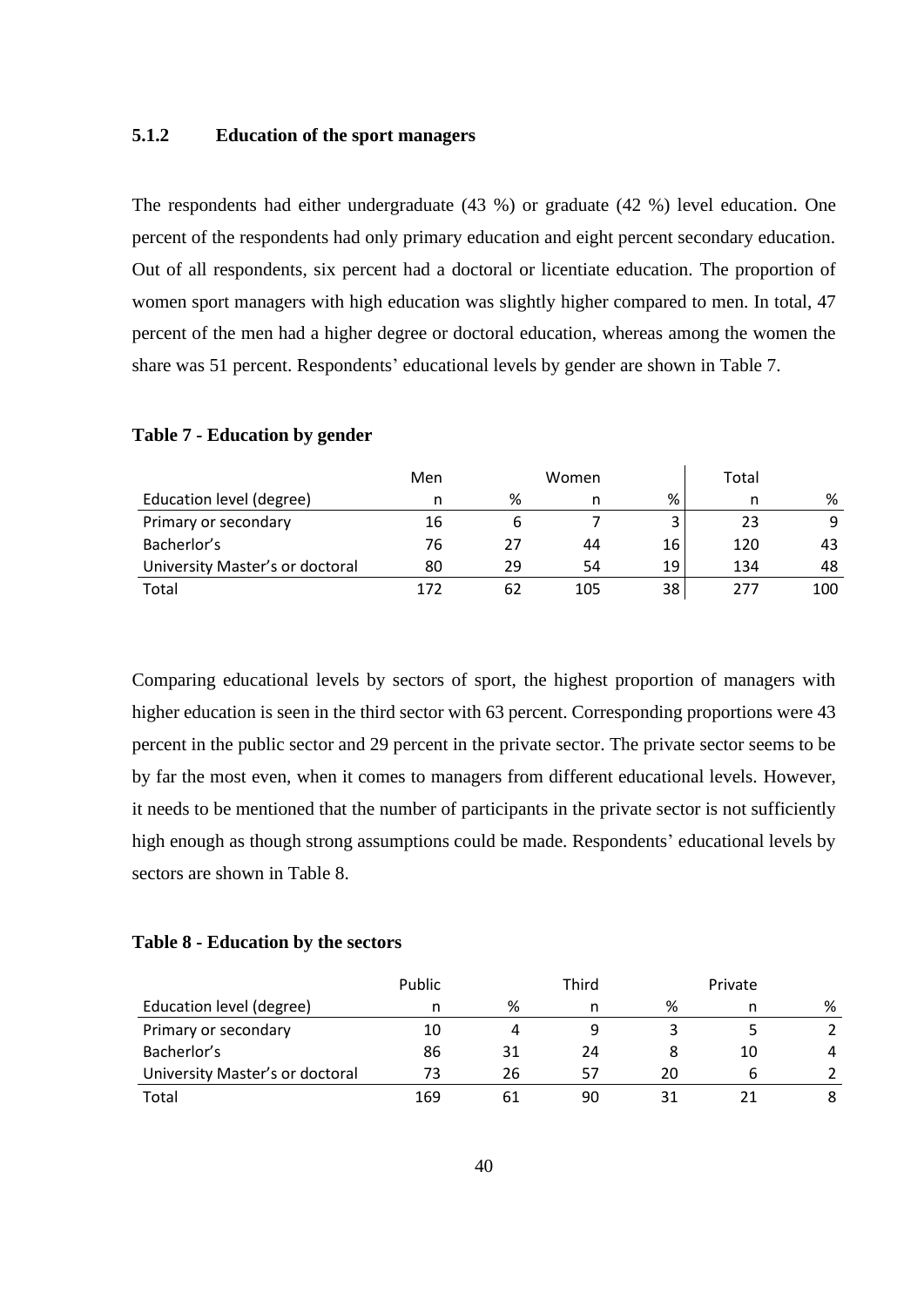# **5.1.2 Education of the sport managers**

The respondents had either undergraduate (43 %) or graduate (42 %) level education. One percent of the respondents had only primary education and eight percent secondary education. Out of all respondents, six percent had a doctoral or licentiate education. The proportion of women sport managers with high education was slightly higher compared to men. In total, 47 percent of the men had a higher degree or doctoral education, whereas among the women the share was 51 percent. Respondents' educational levels by gender are shown in Table 7.

|                                 | Men |    | Women |    | Total |     |
|---------------------------------|-----|----|-------|----|-------|-----|
| Education level (degree)        | n   | %  |       | %  |       | %   |
| Primary or secondary            | 16  |    |       |    | 23    | 9   |
| Bacherlor's                     | 76  | 27 | 44    | 16 | 120   | 43  |
| University Master's or doctoral | 80  | 29 | 54    | 19 | 134   | 48  |
| Total                           | 172 | 62 | 105   | 38 | 277   | 100 |

# **Table 7 - Education by gender**

Comparing educational levels by sectors of sport, the highest proportion of managers with higher education is seen in the third sector with 63 percent. Corresponding proportions were 43 percent in the public sector and 29 percent in the private sector. The private sector seems to be by far the most even, when it comes to managers from different educational levels. However, it needs to be mentioned that the number of participants in the private sector is not sufficiently high enough as though strong assumptions could be made. Respondents' educational levels by sectors are shown in Table 8.

# **Table 8 - Education by the sectors**

|                                 | Public |    | Third |    | Private |   |
|---------------------------------|--------|----|-------|----|---------|---|
| Education level (degree)        |        | %  |       | %  |         | % |
| Primary or secondary            | 10     | 4  |       |    |         |   |
| Bacherlor's                     | 86     | 31 | 24    |    | 10      | 4 |
| University Master's or doctoral | 73     | 26 | 57    | 20 |         |   |
| Total                           | 169    | 61 | 90    |    |         |   |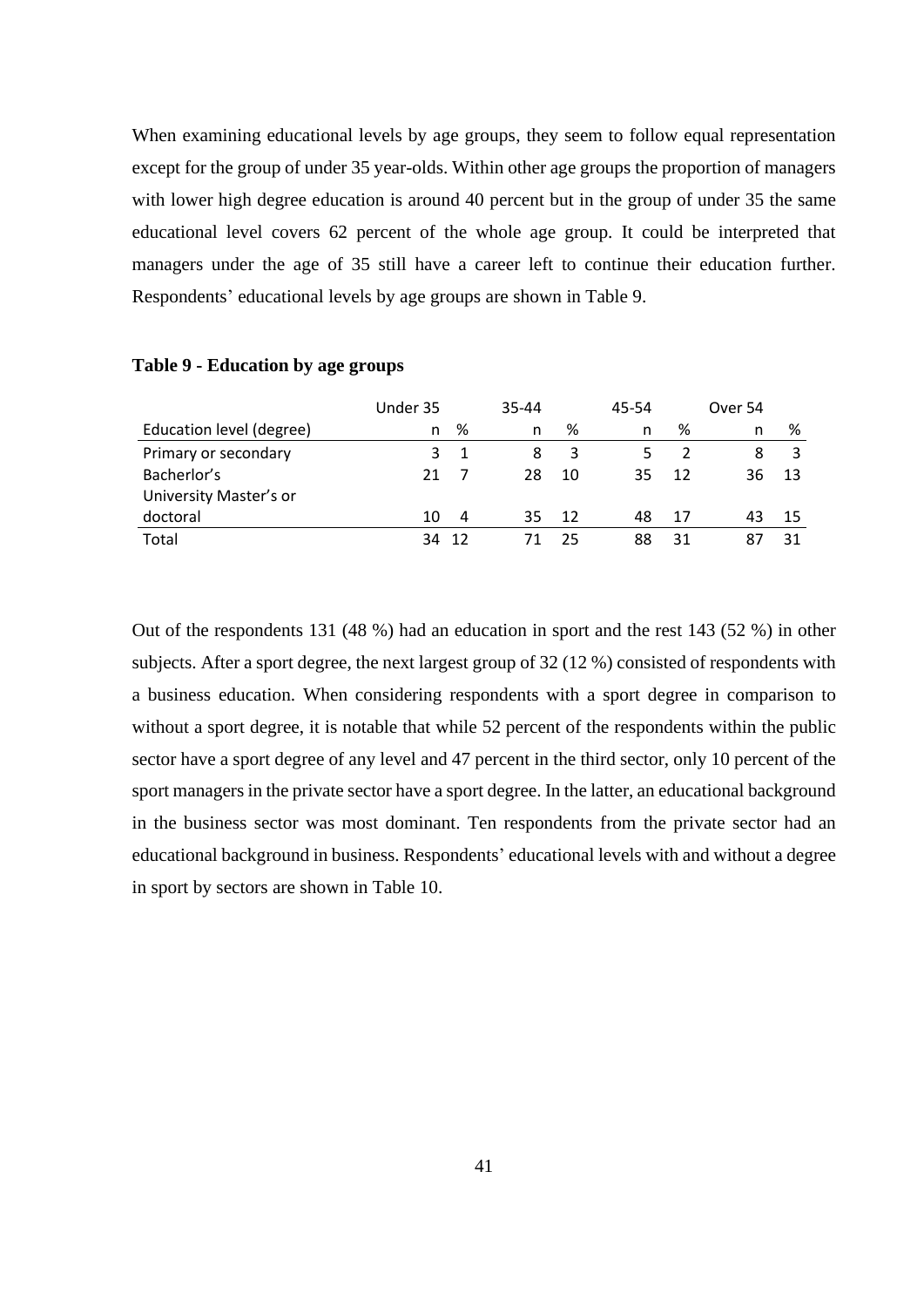When examining educational levels by age groups, they seem to follow equal representation except for the group of under 35 year-olds. Within other age groups the proportion of managers with lower high degree education is around 40 percent but in the group of under 35 the same educational level covers 62 percent of the whole age group. It could be interpreted that managers under the age of 35 still have a career left to continue their education further. Respondents' educational levels by age groups are shown in Table 9.

|                          | Under 35 |    | 35-44 |      | 45-54 |    | Over 54 |    |
|--------------------------|----------|----|-------|------|-------|----|---------|----|
| Education level (degree) | n.       | %  | n     | %    | n     | %  | n       | %  |
| Primary or secondary     | 3        |    | 8     | 3    |       |    | 8       | 3  |
| Bacherlor's              | 21       |    | 28    | 10   | 35    | 12 | 36      | 13 |
| University Master's or   |          |    |       |      |       |    |         |    |
| doctoral                 | 10       | 4  | 35    | - 12 | 48    | 17 | 43      | 15 |
| Total                    | २∆       | 12 |       | 25   | 88    | 31 |         |    |

# **Table 9 - Education by age groups**

Out of the respondents 131 (48 %) had an education in sport and the rest 143 (52 %) in other subjects. After a sport degree, the next largest group of 32 (12 %) consisted of respondents with a business education. When considering respondents with a sport degree in comparison to without a sport degree, it is notable that while 52 percent of the respondents within the public sector have a sport degree of any level and 47 percent in the third sector, only 10 percent of the sport managers in the private sector have a sport degree. In the latter, an educational background in the business sector was most dominant. Ten respondents from the private sector had an educational background in business. Respondents' educational levels with and without a degree in sport by sectors are shown in Table 10.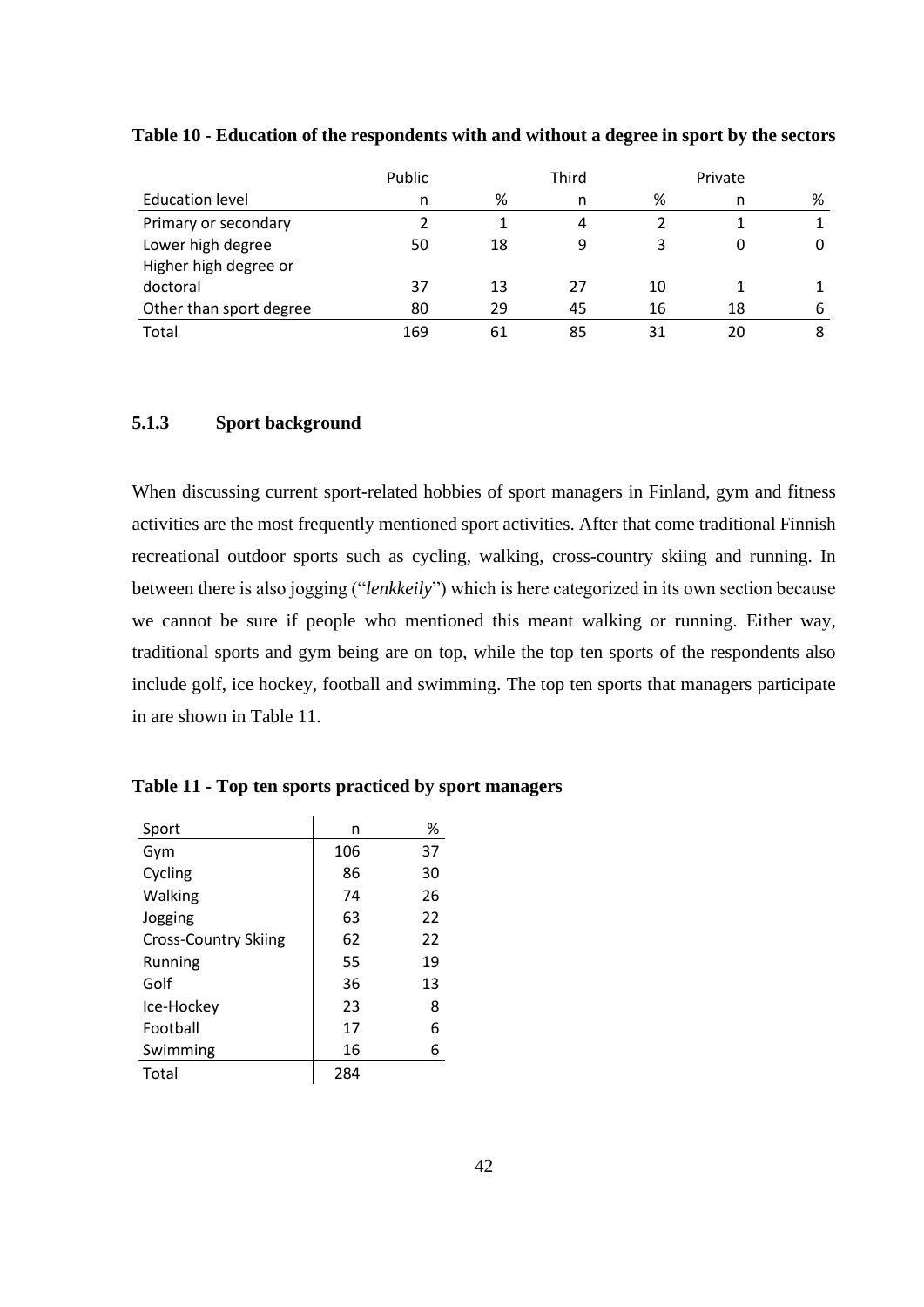|                         | Public |    | Third |    | Private |   |
|-------------------------|--------|----|-------|----|---------|---|
| <b>Education level</b>  | n      | %  | n     | %  | n       | % |
| Primary or secondary    |        |    | 4     |    |         |   |
| Lower high degree       | 50     | 18 | 9     |    |         | 0 |
| Higher high degree or   |        |    |       |    |         |   |
| doctoral                | 37     | 13 | 27    | 10 |         |   |
| Other than sport degree | 80     | 29 | 45    | 16 | 18      | 6 |
| Total                   | 169    | 61 | 85    | 31 | 20      | 8 |

**Table 10 - Education of the respondents with and without a degree in sport by the sectors**

# **5.1.3 Sport background**

When discussing current sport-related hobbies of sport managers in Finland, gym and fitness activities are the most frequently mentioned sport activities. After that come traditional Finnish recreational outdoor sports such as cycling, walking, cross-country skiing and running. In between there is also jogging ("*lenkkeily*") which is here categorized in its own section because we cannot be sure if people who mentioned this meant walking or running. Either way, traditional sports and gym being are on top, while the top ten sports of the respondents also include golf, ice hockey, football and swimming. The top ten sports that managers participate in are shown in Table 11.

| Sport                       | n   | %  |
|-----------------------------|-----|----|
| Gym                         | 106 | 37 |
| Cycling                     | 86  | 30 |
| Walking                     | 74  | 26 |
| Jogging                     | 63  | 22 |
| <b>Cross-Country Skiing</b> | 62  | 22 |
| Running                     | 55  | 19 |
| Golf                        | 36  | 13 |
| Ice-Hockey                  | 23  | 8  |
| Football                    | 17  | 6  |
| Swimming                    | 16  | 6  |
| Total                       | 284 |    |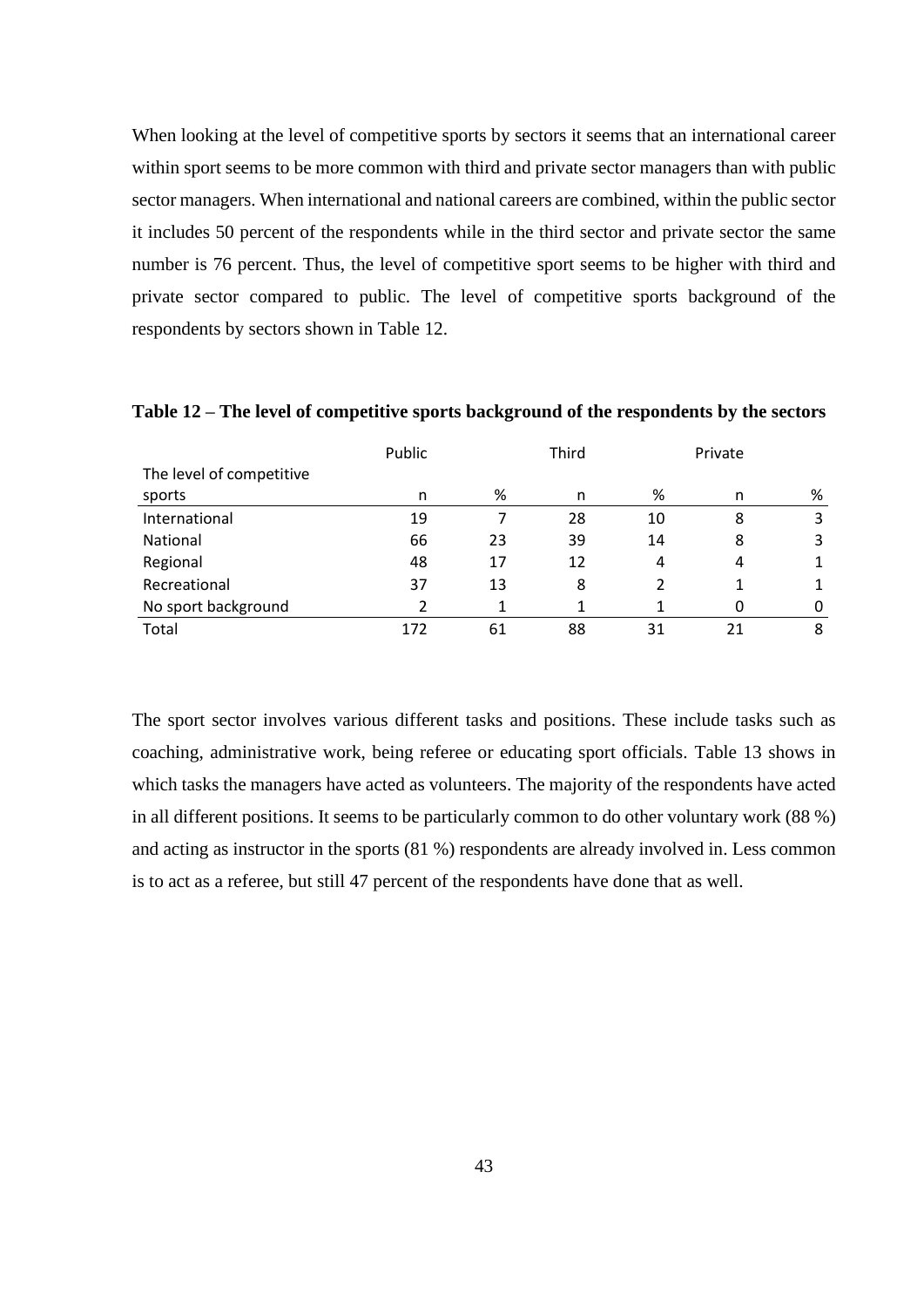When looking at the level of competitive sports by sectors it seems that an international career within sport seems to be more common with third and private sector managers than with public sector managers. When international and national careers are combined, within the public sector it includes 50 percent of the respondents while in the third sector and private sector the same number is 76 percent. Thus, the level of competitive sport seems to be higher with third and private sector compared to public. The level of competitive sports background of the respondents by sectors shown in Table 12.

|                          | Public | Third |    | Private |    |   |  |
|--------------------------|--------|-------|----|---------|----|---|--|
| The level of competitive |        |       |    |         |    |   |  |
| sports                   | n      | %     | n  | %       | n  | % |  |
| International            | 19     |       | 28 | 10      | 8  | 3 |  |
| <b>National</b>          | 66     | 23    | 39 | 14      | 8  | 3 |  |
| Regional                 | 48     | 17    | 12 | 4       | 4  | 1 |  |
| Recreational             | 37     | 13    | 8  |         |    |   |  |
| No sport background      |        |       |    |         |    | 0 |  |
| Total                    | 172    | 61    | 88 | 31      | 21 | 8 |  |

**Table 12 – The level of competitive sports background of the respondents by the sectors**

The sport sector involves various different tasks and positions. These include tasks such as coaching, administrative work, being referee or educating sport officials. Table 13 shows in which tasks the managers have acted as volunteers. The majority of the respondents have acted in all different positions. It seems to be particularly common to do other voluntary work (88 %) and acting as instructor in the sports (81 %) respondents are already involved in. Less common is to act as a referee, but still 47 percent of the respondents have done that as well.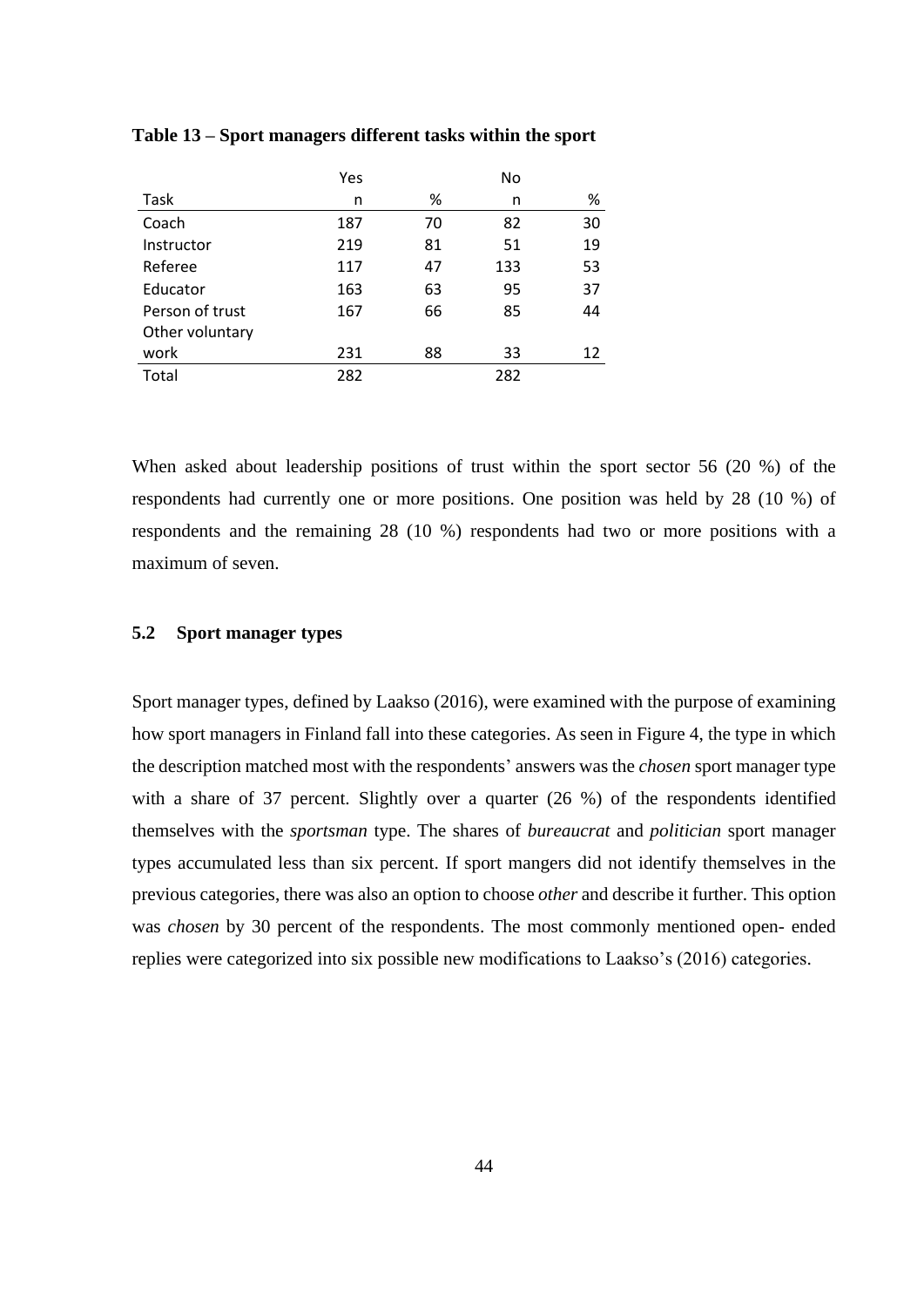|                 | Yes |    | No  |    |
|-----------------|-----|----|-----|----|
| Task            | n   | %  | n   | %  |
| Coach           | 187 | 70 | 82  | 30 |
| Instructor      | 219 | 81 | 51  | 19 |
| Referee         | 117 | 47 | 133 | 53 |
| Educator        | 163 | 63 | 95  | 37 |
| Person of trust | 167 | 66 | 85  | 44 |
| Other voluntary |     |    |     |    |
| work            | 231 | 88 | 33  | 12 |
| Total           | 282 |    | 282 |    |

### **Table 13 – Sport managers different tasks within the sport**

When asked about leadership positions of trust within the sport sector 56 (20 %) of the respondents had currently one or more positions. One position was held by 28 (10 %) of respondents and the remaining 28 (10 %) respondents had two or more positions with a maximum of seven.

# **5.2 Sport manager types**

Sport manager types, defined by Laakso (2016), were examined with the purpose of examining how sport managers in Finland fall into these categories. As seen in Figure 4, the type in which the description matched most with the respondents' answers was the *chosen* sport manager type with a share of 37 percent. Slightly over a quarter (26 %) of the respondents identified themselves with the *sportsman* type. The shares of *bureaucrat* and *politician* sport manager types accumulated less than six percent. If sport mangers did not identify themselves in the previous categories, there was also an option to choose *other* and describe it further. This option was *chosen* by 30 percent of the respondents. The most commonly mentioned open- ended replies were categorized into six possible new modifications to Laakso's (2016) categories.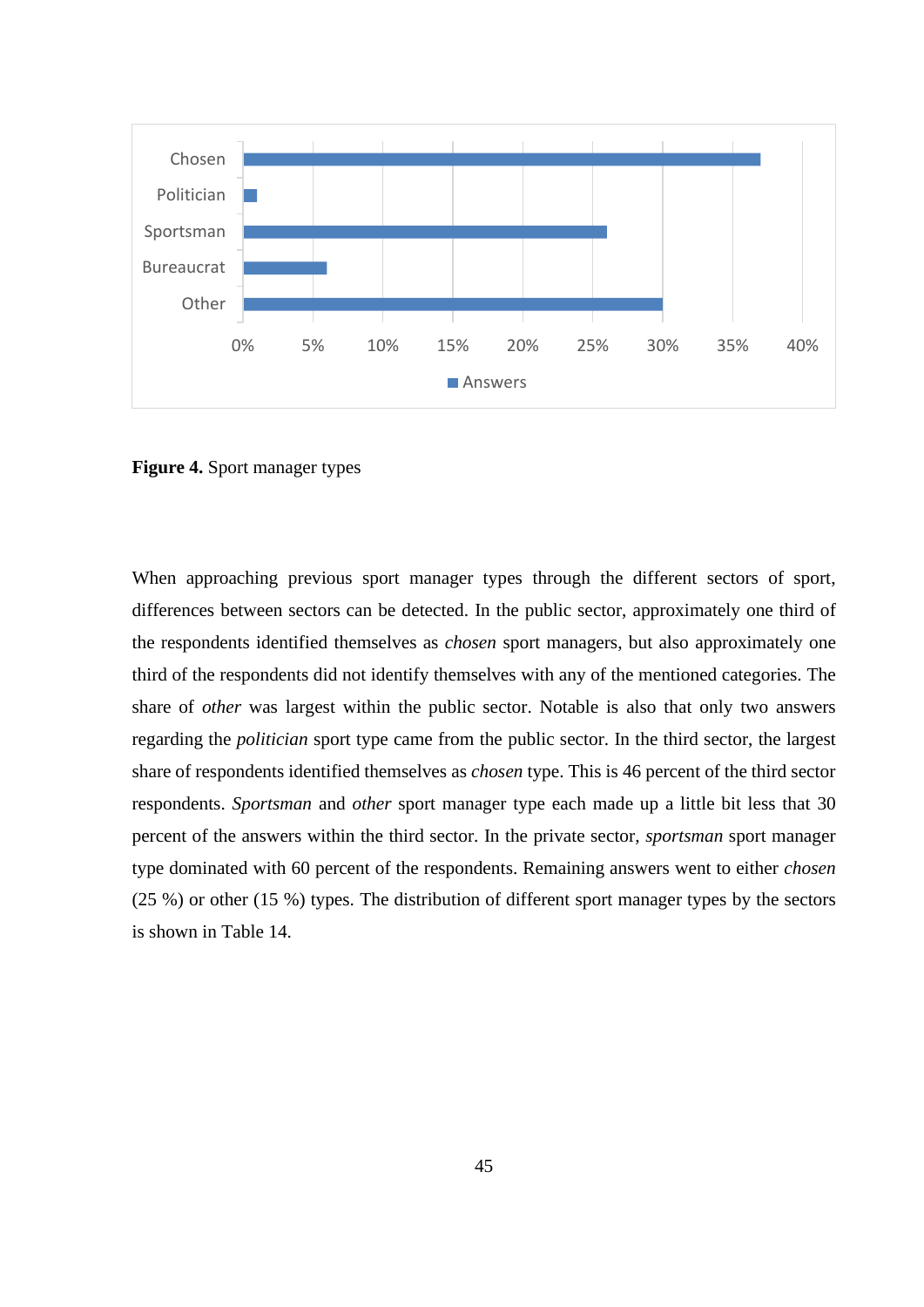

**Figure 4.** Sport manager types

When approaching previous sport manager types through the different sectors of sport, differences between sectors can be detected. In the public sector, approximately one third of the respondents identified themselves as *chosen* sport managers, but also approximately one third of the respondents did not identify themselves with any of the mentioned categories. The share of *other* was largest within the public sector. Notable is also that only two answers regarding the *politician* sport type came from the public sector. In the third sector, the largest share of respondents identified themselves as *chosen* type. This is 46 percent of the third sector respondents. *Sportsman* and *other* sport manager type each made up a little bit less that 30 percent of the answers within the third sector. In the private sector, *sportsman* sport manager type dominated with 60 percent of the respondents. Remaining answers went to either *chosen* (25 %) or other (15 %) types. The distribution of different sport manager types by the sectors is shown in Table 14.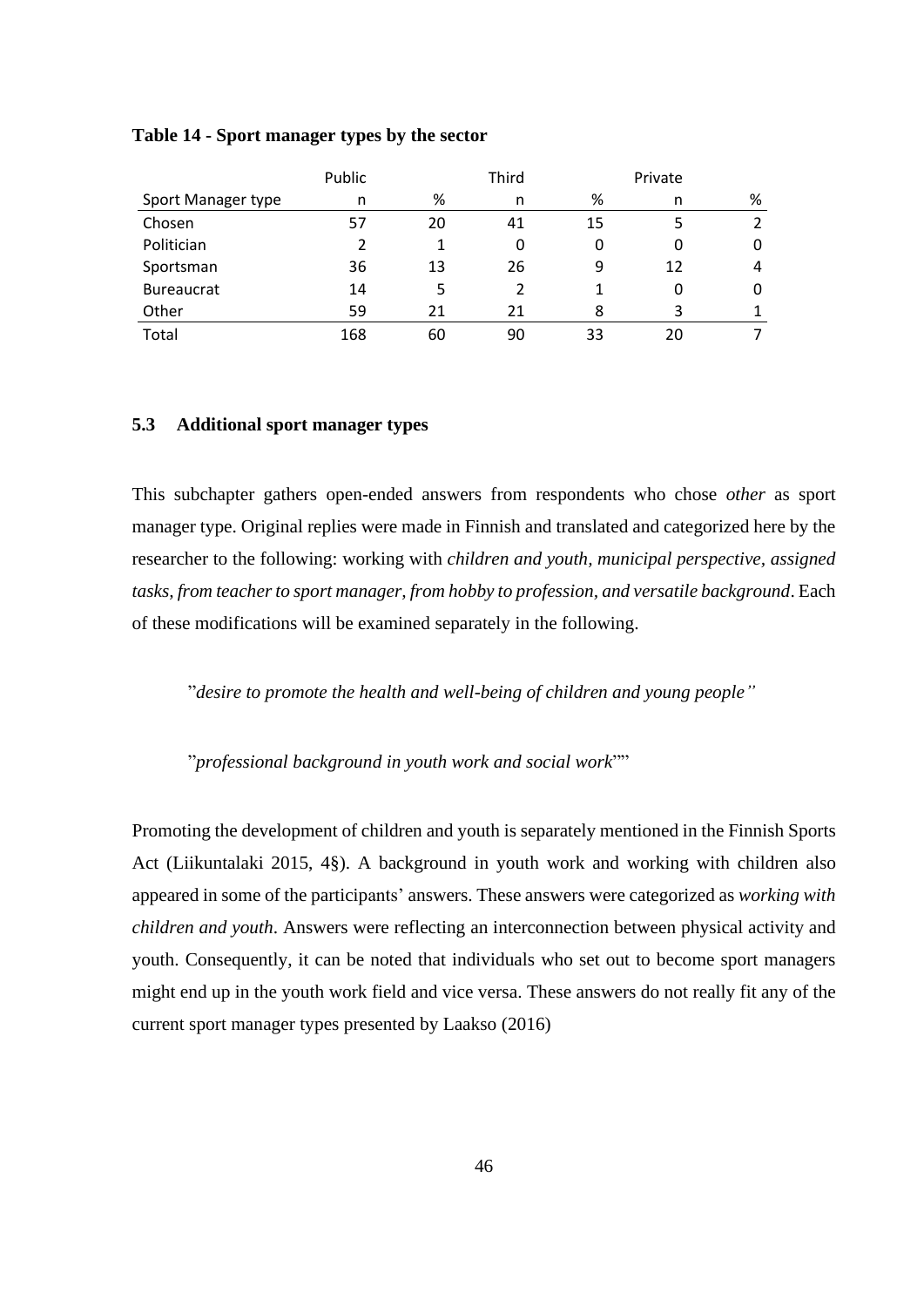|                    | Public |    | Third |    | Private |   |
|--------------------|--------|----|-------|----|---------|---|
| Sport Manager type | n      | %  | n     | %  | n       | % |
| Chosen             | 57     | 20 | 41    | 15 |         |   |
| Politician         | 2      |    |       | 0  | 0       | 0 |
| Sportsman          | 36     | 13 | 26    | 9  | 12      | 4 |
| <b>Bureaucrat</b>  | 14     | 5  |       |    | 0       | 0 |
| Other              | 59     | 21 | 21    | 8  | 3       |   |
| Total              | 168    | 60 | 90    | 33 | 20      |   |

### **Table 14 - Sport manager types by the sector**

# **5.3 Additional sport manager types**

This subchapter gathers open-ended answers from respondents who chose *other* as sport manager type. Original replies were made in Finnish and translated and categorized here by the researcher to the following: working with *children and youth, municipal perspective, assigned tasks, from teacher to sport manager, from hobby to profession, and versatile background*. Each of these modifications will be examined separately in the following.

"*desire to promote the health and well-being of children and young people"*

"*professional background in youth work and social work*""

Promoting the development of children and youth is separately mentioned in the Finnish Sports Act (Liikuntalaki 2015, 4§). A background in youth work and working with children also appeared in some of the participants' answers. These answers were categorized as *working with children and youth*. Answers were reflecting an interconnection between physical activity and youth. Consequently, it can be noted that individuals who set out to become sport managers might end up in the youth work field and vice versa. These answers do not really fit any of the current sport manager types presented by Laakso (2016)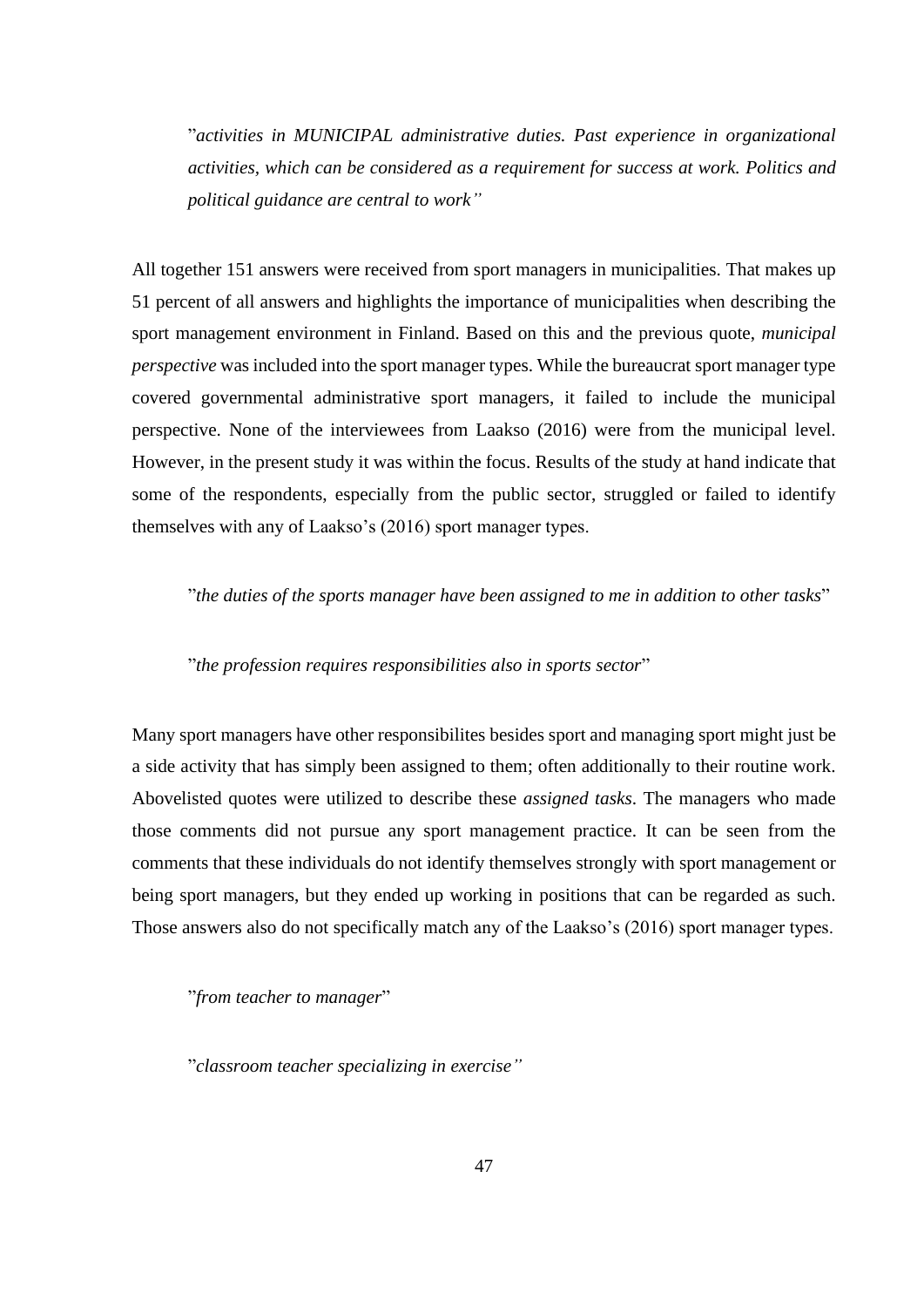"*activities in MUNICIPAL administrative duties. Past experience in organizational activities, which can be considered as a requirement for success at work. Politics and political guidance are central to work"*

All together 151 answers were received from sport managers in municipalities. That makes up 51 percent of all answers and highlights the importance of municipalities when describing the sport management environment in Finland. Based on this and the previous quote, *municipal perspective* was included into the sport manager types. While the bureaucrat sport manager type covered governmental administrative sport managers, it failed to include the municipal perspective. None of the interviewees from Laakso (2016) were from the municipal level. However, in the present study it was within the focus. Results of the study at hand indicate that some of the respondents, especially from the public sector, struggled or failed to identify themselves with any of Laakso's (2016) sport manager types.

"*the duties of the sports manager have been assigned to me in addition to other tasks*"

"*the profession requires responsibilities also in sports sector*"

Many sport managers have other responsibilites besides sport and managing sport might just be a side activity that has simply been assigned to them; often additionally to their routine work. Abovelisted quotes were utilized to describe these *assigned tasks*. The managers who made those comments did not pursue any sport management practice. It can be seen from the comments that these individuals do not identify themselves strongly with sport management or being sport managers, but they ended up working in positions that can be regarded as such. Those answers also do not specifically match any of the Laakso's (2016) sport manager types.

"*from teacher to manager*"

"*classroom teacher specializing in exercise"*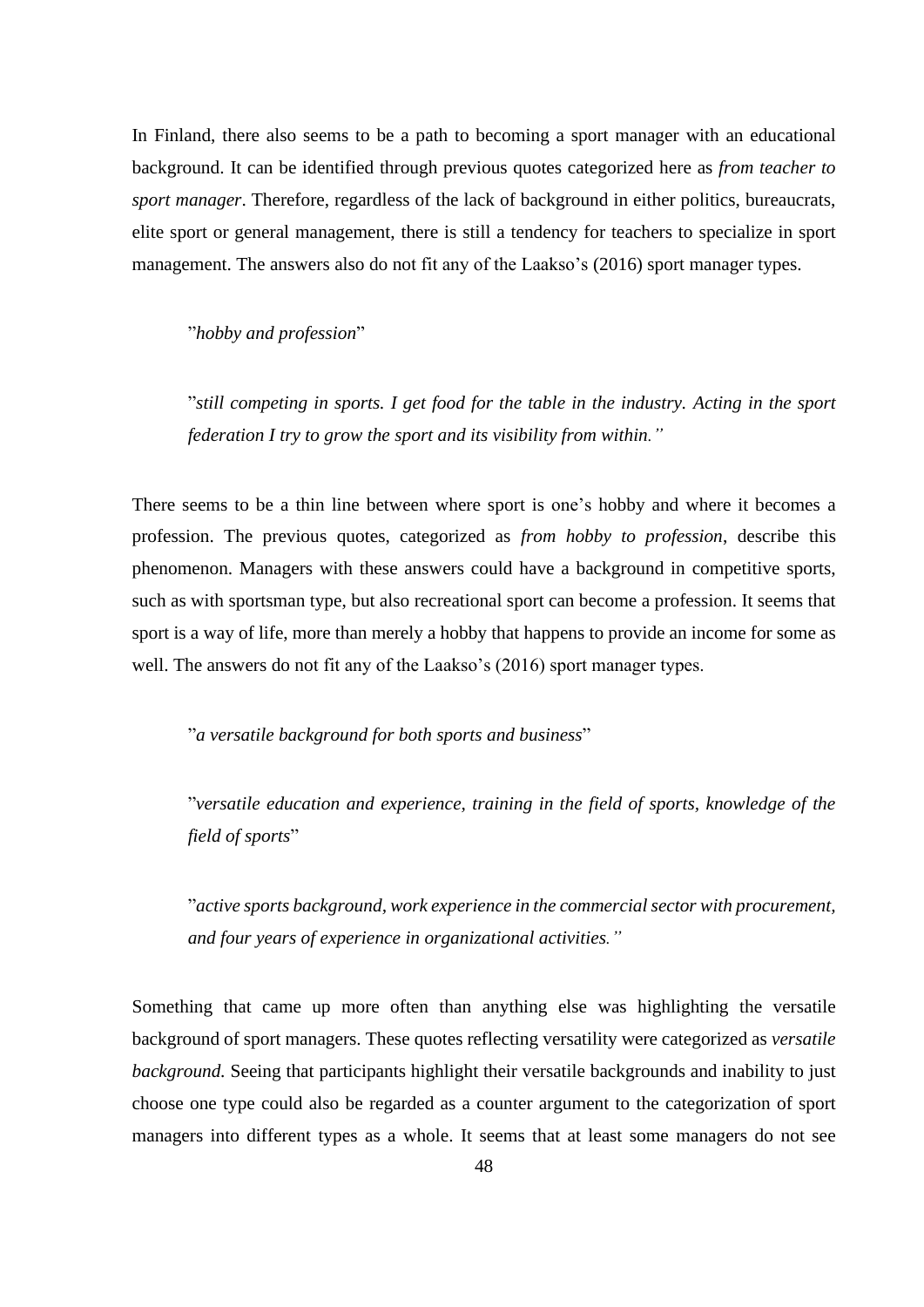In Finland, there also seems to be a path to becoming a sport manager with an educational background. It can be identified through previous quotes categorized here as *from teacher to sport manager*. Therefore, regardless of the lack of background in either politics, bureaucrats, elite sport or general management, there is still a tendency for teachers to specialize in sport management. The answers also do not fit any of the Laakso's (2016) sport manager types.

"*hobby and profession*"

"*still competing in sports. I get food for the table in the industry. Acting in the sport federation I try to grow the sport and its visibility from within."*

There seems to be a thin line between where sport is one's hobby and where it becomes a profession. The previous quotes, categorized as *from hobby to profession*, describe this phenomenon. Managers with these answers could have a background in competitive sports, such as with sportsman type, but also recreational sport can become a profession. It seems that sport is a way of life, more than merely a hobby that happens to provide an income for some as well. The answers do not fit any of the Laakso's (2016) sport manager types.

"*a versatile background for both sports and business*"

"*versatile education and experience, training in the field of sports, knowledge of the field of sports*"

"*active sports background, work experience in the commercial sector with procurement, and four years of experience in organizational activities."*

Something that came up more often than anything else was highlighting the versatile background of sport managers. These quotes reflecting versatility were categorized as *versatile background.* Seeing that participants highlight their versatile backgrounds and inability to just choose one type could also be regarded as a counter argument to the categorization of sport managers into different types as a whole. It seems that at least some managers do not see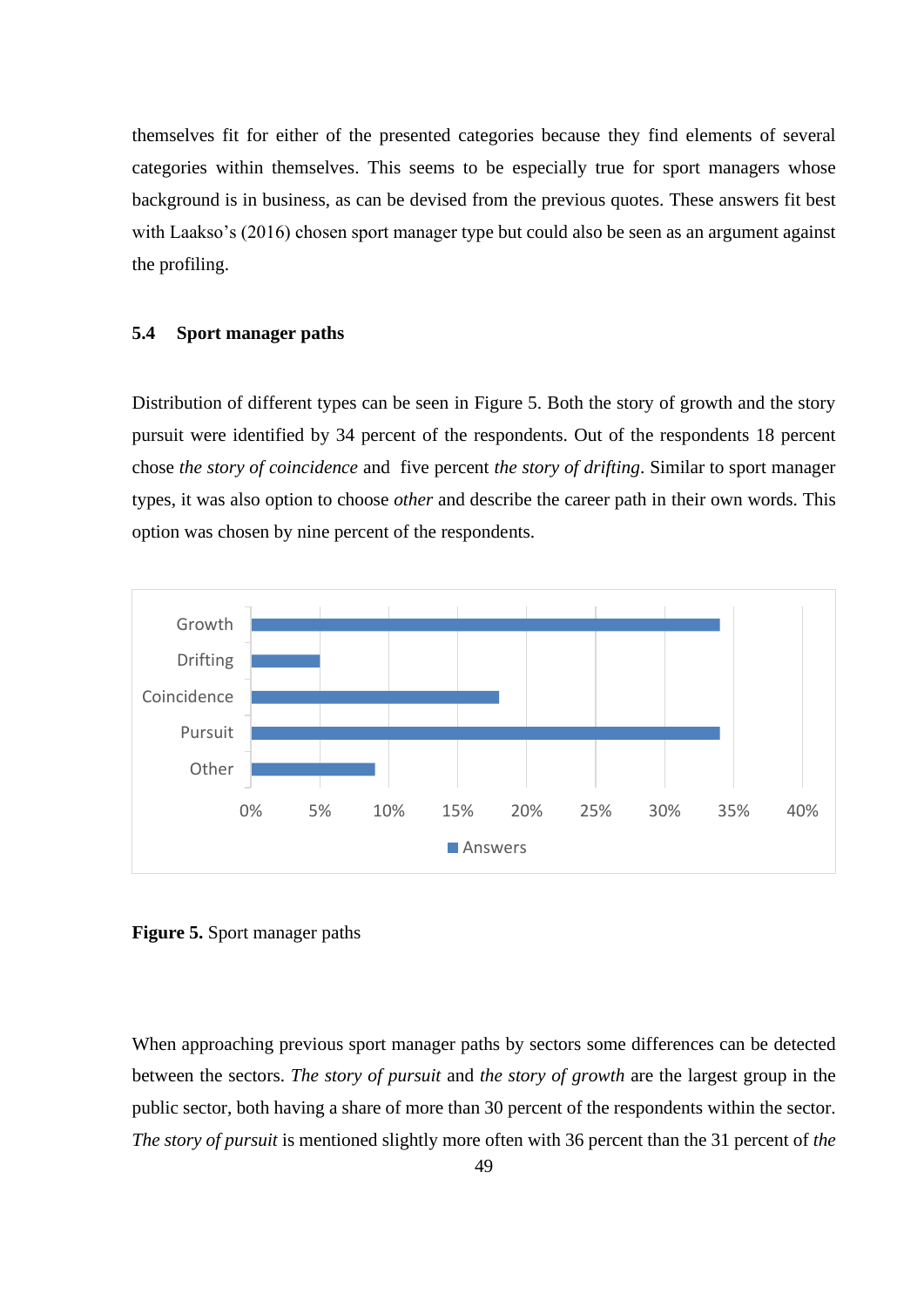themselves fit for either of the presented categories because they find elements of several categories within themselves. This seems to be especially true for sport managers whose background is in business, as can be devised from the previous quotes. These answers fit best with Laakso's (2016) chosen sport manager type but could also be seen as an argument against the profiling.

# **5.4 Sport manager paths**

Distribution of different types can be seen in Figure 5. Both the story of growth and the story pursuit were identified by 34 percent of the respondents. Out of the respondents 18 percent chose *the story of coincidence* and five percent *the story of drifting*. Similar to sport manager types, it was also option to choose *other* and describe the career path in their own words. This option was chosen by nine percent of the respondents.



**Figure 5.** Sport manager paths

When approaching previous sport manager paths by sectors some differences can be detected between the sectors. *The story of pursuit* and *the story of growth* are the largest group in the public sector, both having a share of more than 30 percent of the respondents within the sector. *The story of pursuit* is mentioned slightly more often with 36 percent than the 31 percent of *the*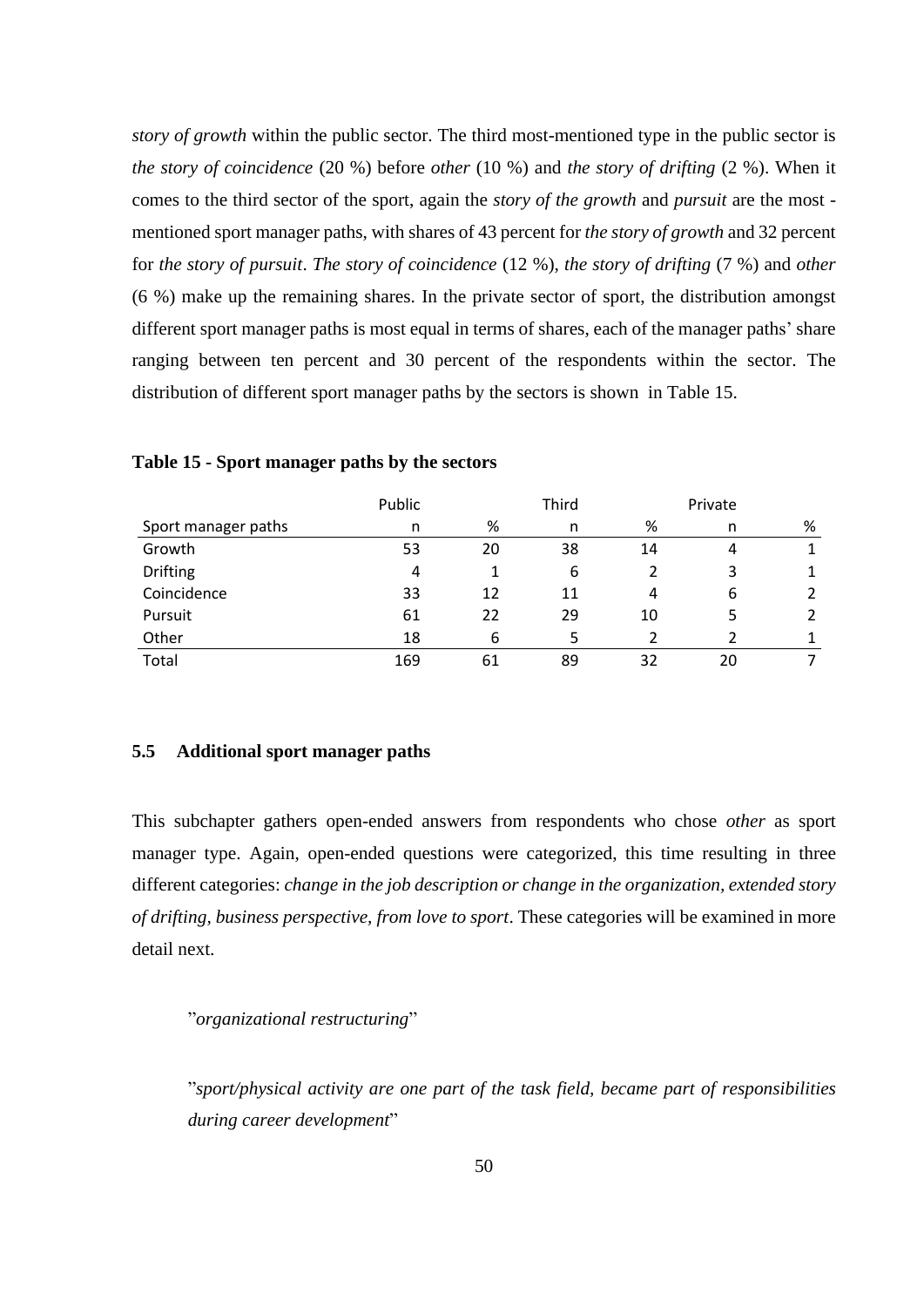*story of growth* within the public sector. The third most-mentioned type in the public sector is *the story of coincidence* (20 %) before *other* (10 %) and *the story of drifting* (2 %). When it comes to the third sector of the sport, again the *story of the growth* and *pursuit* are the most mentioned sport manager paths, with shares of 43 percent for *the story of growth* and 32 percent for *the story of pursuit*. *The story of coincidence* (12 %), *the story of drifting* (7 %) and *other* (6 %) make up the remaining shares. In the private sector of sport, the distribution amongst different sport manager paths is most equal in terms of shares, each of the manager paths' share ranging between ten percent and 30 percent of the respondents within the sector. The distribution of different sport manager paths by the sectors is shown in Table 15.

|                     | Public |    | Third | Private |    |                |
|---------------------|--------|----|-------|---------|----|----------------|
| Sport manager paths | n      | %  | n     | %       | n  | %              |
| Growth              | 53     | 20 | 38    | 14      | 4  |                |
| <b>Drifting</b>     | 4      |    | 6     |         |    |                |
| Coincidence         | 33     | 12 | 11    | 4       | 6  | 2              |
| Pursuit             | 61     | 22 | 29    | 10      |    | $\overline{2}$ |
| Other               | 18     | 6  |       |         |    |                |
| Total               | 169    | 61 | 89    | 32      | 20 |                |

#### **Table 15 - Sport manager paths by the sectors**

### **5.5 Additional sport manager paths**

This subchapter gathers open-ended answers from respondents who chose *other* as sport manager type. Again, open-ended questions were categorized, this time resulting in three different categories: *change in the job description or change in the organization, extended story of drifting, business perspective, from love to sport*. These categories will be examined in more detail next.

"*organizational restructuring*"

"*sport/physical activity are one part of the task field, became part of responsibilities during career development*"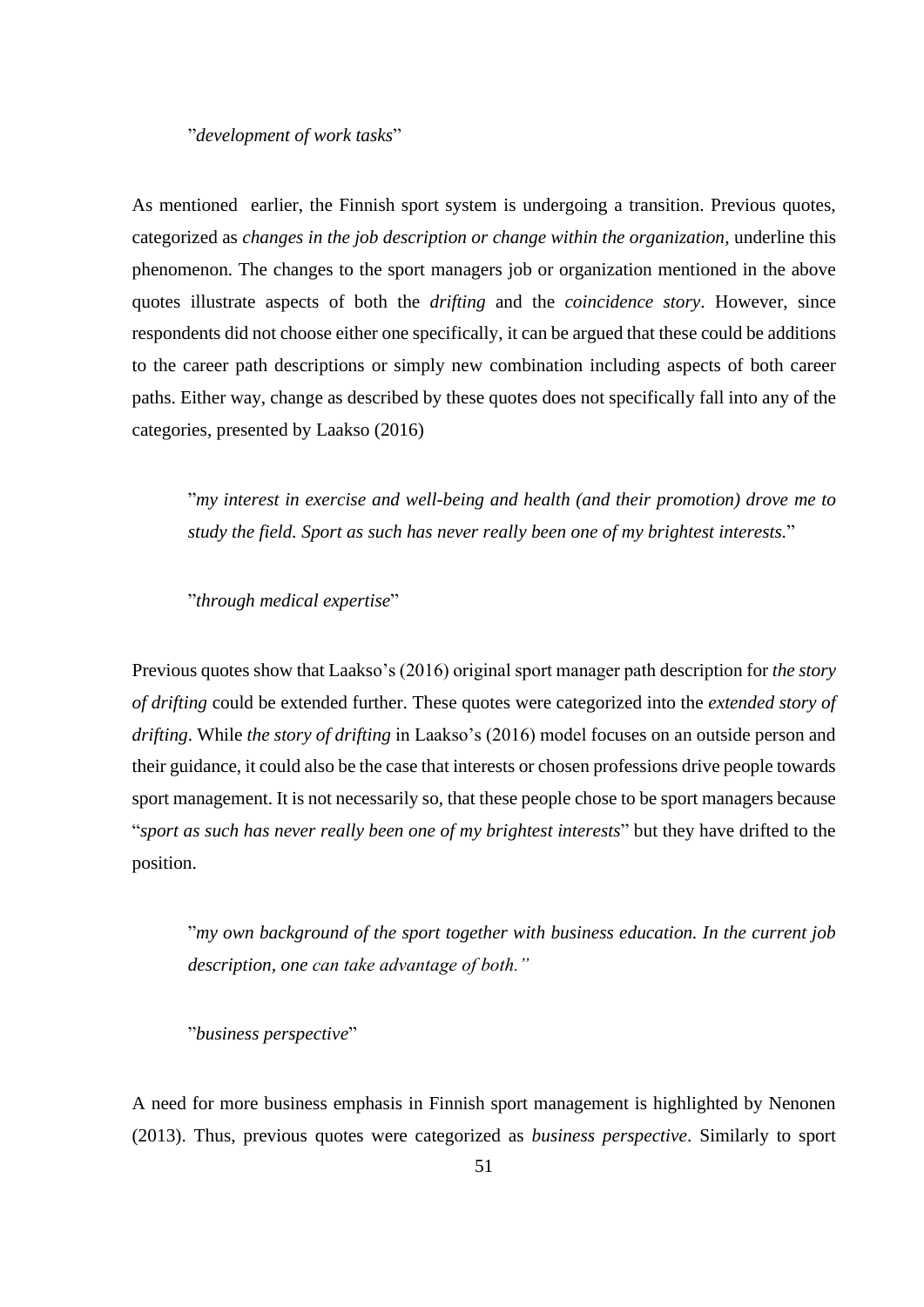#### "*development of work tasks*"

As mentioned earlier, the Finnish sport system is undergoing a transition. Previous quotes, categorized as *changes in the job description or change within the organization,* underline this phenomenon. The changes to the sport managers job or organization mentioned in the above quotes illustrate aspects of both the *drifting* and the *coincidence story*. However, since respondents did not choose either one specifically, it can be argued that these could be additions to the career path descriptions or simply new combination including aspects of both career paths. Either way, change as described by these quotes does not specifically fall into any of the categories, presented by Laakso (2016)

"*my interest in exercise and well-being and health (and their promotion) drove me to study the field. Sport as such has never really been one of my brightest interests.*"

"*through medical expertise*"

Previous quotes show that Laakso's (2016) original sport manager path description for *the story of drifting* could be extended further. These quotes were categorized into the *extended story of drifting*. While *the story of drifting* in Laakso's (2016) model focuses on an outside person and their guidance, it could also be the case that interests or chosen professions drive people towards sport management. It is not necessarily so, that these people chose to be sport managers because "*sport as such has never really been one of my brightest interests*" but they have drifted to the position.

"*my own background of the sport together with business education. In the current job description, one can take advantage of both."*

"*business perspective*"

A need for more business emphasis in Finnish sport management is highlighted by Nenonen (2013). Thus, previous quotes were categorized as *business perspective*. Similarly to sport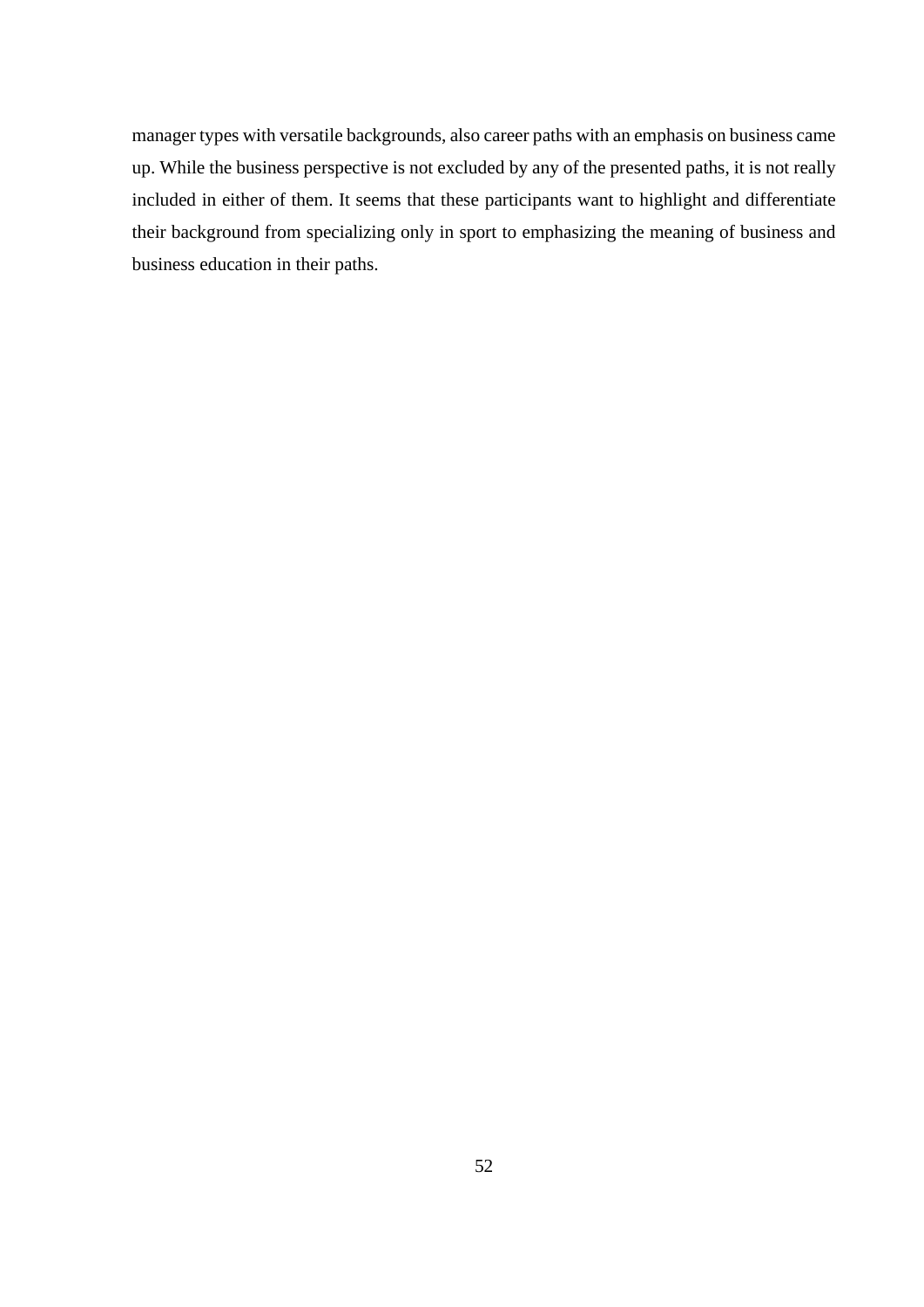manager types with versatile backgrounds, also career paths with an emphasis on business came up. While the business perspective is not excluded by any of the presented paths, it is not really included in either of them. It seems that these participants want to highlight and differentiate their background from specializing only in sport to emphasizing the meaning of business and business education in their paths.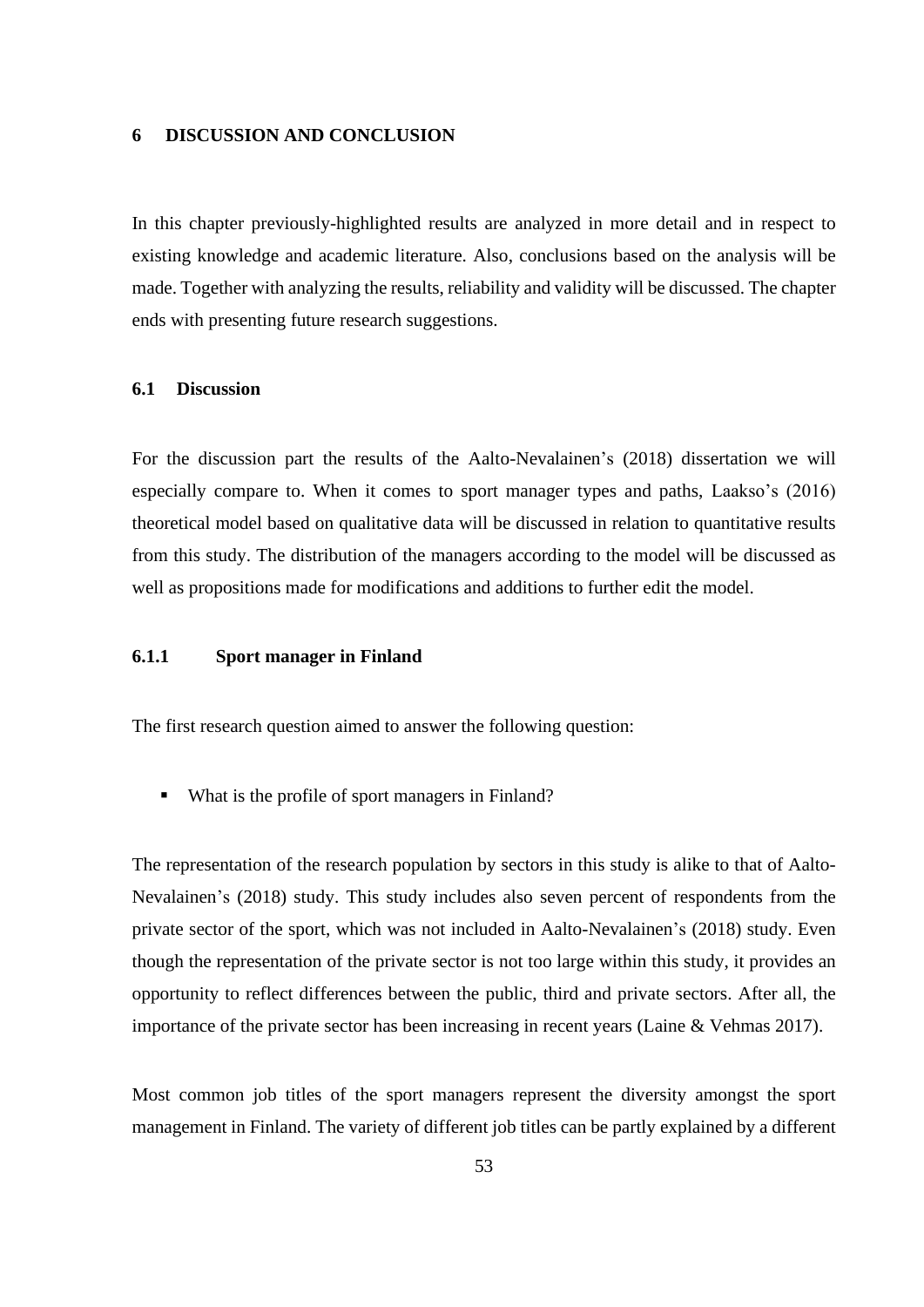### **6 DISCUSSION AND CONCLUSION**

In this chapter previously-highlighted results are analyzed in more detail and in respect to existing knowledge and academic literature. Also, conclusions based on the analysis will be made. Together with analyzing the results, reliability and validity will be discussed. The chapter ends with presenting future research suggestions.

### **6.1 Discussion**

For the discussion part the results of the Aalto-Nevalainen's (2018) dissertation we will especially compare to. When it comes to sport manager types and paths, Laakso's (2016) theoretical model based on qualitative data will be discussed in relation to quantitative results from this study. The distribution of the managers according to the model will be discussed as well as propositions made for modifications and additions to further edit the model.

# **6.1.1 Sport manager in Finland**

The first research question aimed to answer the following question:

■ What is the profile of sport managers in Finland?

The representation of the research population by sectors in this study is alike to that of Aalto-Nevalainen's (2018) study. This study includes also seven percent of respondents from the private sector of the sport, which was not included in Aalto-Nevalainen's (2018) study. Even though the representation of the private sector is not too large within this study, it provides an opportunity to reflect differences between the public, third and private sectors. After all, the importance of the private sector has been increasing in recent years (Laine & Vehmas 2017).

Most common job titles of the sport managers represent the diversity amongst the sport management in Finland. The variety of different job titles can be partly explained by a different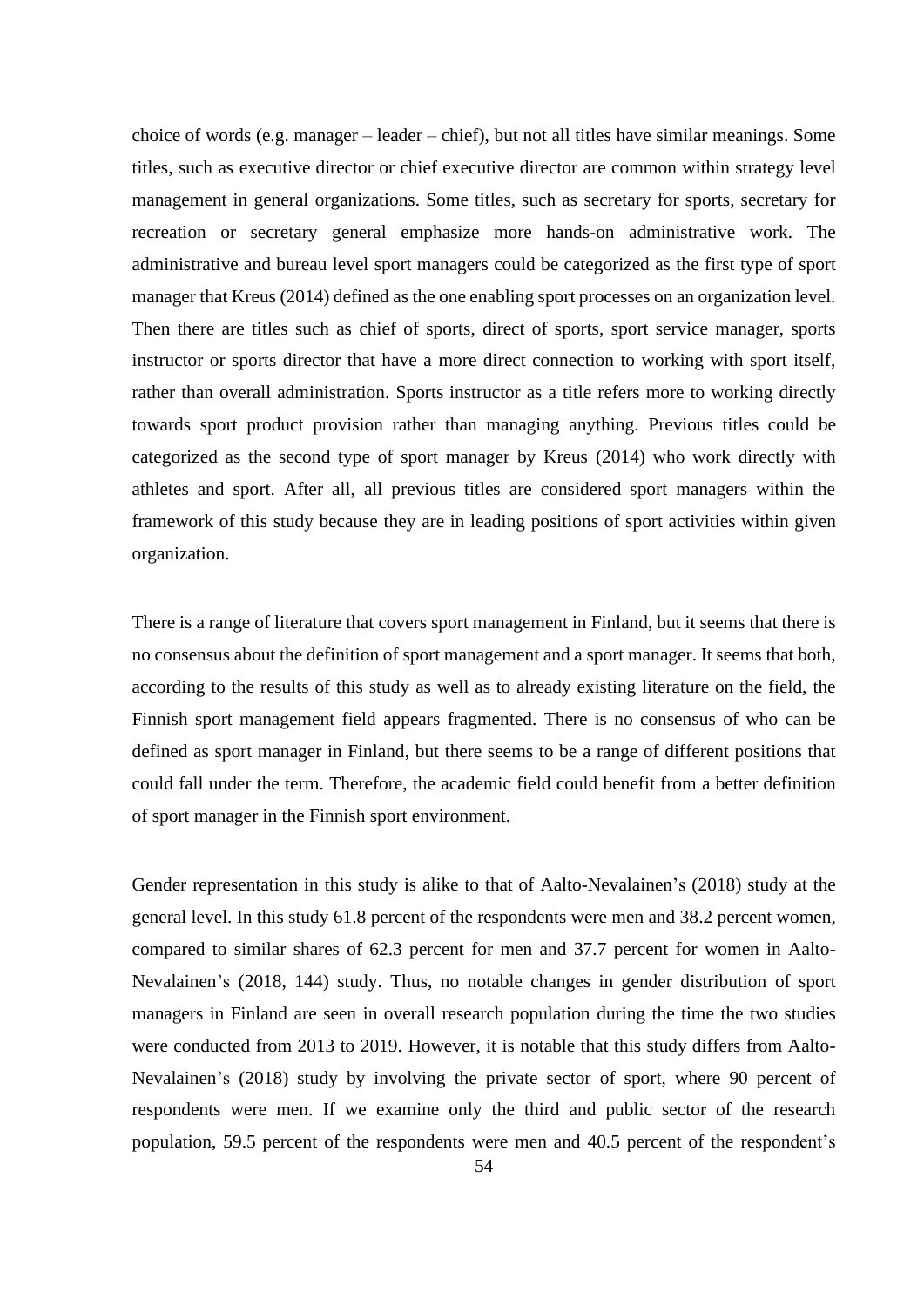choice of words (e.g. manager – leader – chief), but not all titles have similar meanings. Some titles, such as executive director or chief executive director are common within strategy level management in general organizations. Some titles, such as secretary for sports, secretary for recreation or secretary general emphasize more hands-on administrative work. The administrative and bureau level sport managers could be categorized as the first type of sport manager that Kreus (2014) defined as the one enabling sport processes on an organization level. Then there are titles such as chief of sports, direct of sports, sport service manager, sports instructor or sports director that have a more direct connection to working with sport itself, rather than overall administration. Sports instructor as a title refers more to working directly towards sport product provision rather than managing anything. Previous titles could be categorized as the second type of sport manager by Kreus (2014) who work directly with athletes and sport. After all, all previous titles are considered sport managers within the framework of this study because they are in leading positions of sport activities within given organization.

There is a range of literature that covers sport management in Finland, but it seems that there is no consensus about the definition of sport management and a sport manager. It seems that both, according to the results of this study as well as to already existing literature on the field, the Finnish sport management field appears fragmented. There is no consensus of who can be defined as sport manager in Finland, but there seems to be a range of different positions that could fall under the term. Therefore, the academic field could benefit from a better definition of sport manager in the Finnish sport environment.

Gender representation in this study is alike to that of Aalto-Nevalainen's (2018) study at the general level. In this study 61.8 percent of the respondents were men and 38.2 percent women, compared to similar shares of 62.3 percent for men and 37.7 percent for women in Aalto-Nevalainen's (2018, 144) study. Thus, no notable changes in gender distribution of sport managers in Finland are seen in overall research population during the time the two studies were conducted from 2013 to 2019. However, it is notable that this study differs from Aalto-Nevalainen's (2018) study by involving the private sector of sport, where 90 percent of respondents were men. If we examine only the third and public sector of the research population, 59.5 percent of the respondents were men and 40.5 percent of the respondent's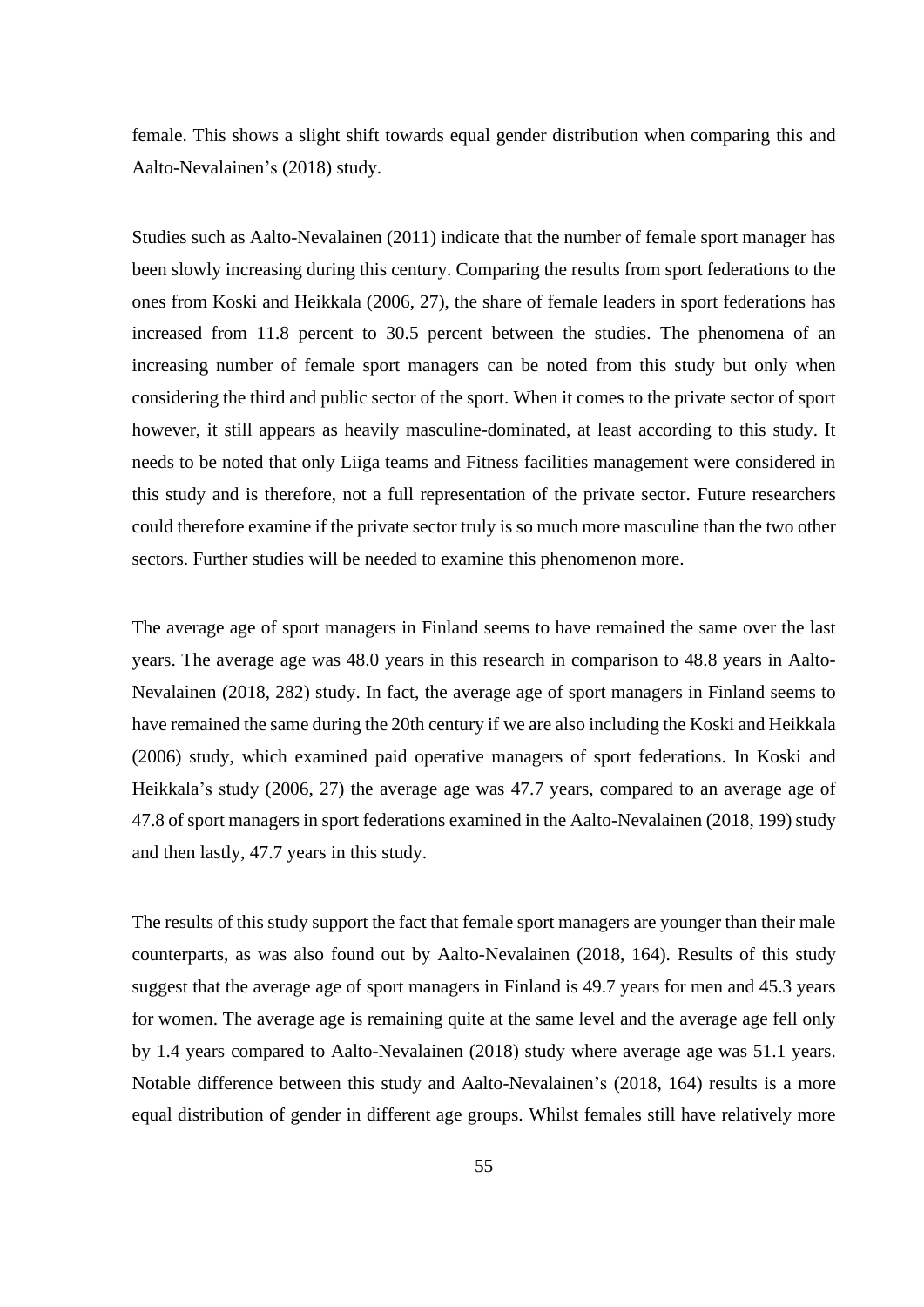female. This shows a slight shift towards equal gender distribution when comparing this and Aalto-Nevalainen's (2018) study.

Studies such as Aalto-Nevalainen (2011) indicate that the number of female sport manager has been slowly increasing during this century. Comparing the results from sport federations to the ones from Koski and Heikkala (2006, 27), the share of female leaders in sport federations has increased from 11.8 percent to 30.5 percent between the studies. The phenomena of an increasing number of female sport managers can be noted from this study but only when considering the third and public sector of the sport. When it comes to the private sector of sport however, it still appears as heavily masculine-dominated, at least according to this study. It needs to be noted that only Liiga teams and Fitness facilities management were considered in this study and is therefore, not a full representation of the private sector. Future researchers could therefore examine if the private sector truly is so much more masculine than the two other sectors. Further studies will be needed to examine this phenomenon more.

The average age of sport managers in Finland seems to have remained the same over the last years. The average age was 48.0 years in this research in comparison to 48.8 years in Aalto-Nevalainen (2018, 282) study. In fact, the average age of sport managers in Finland seems to have remained the same during the 20th century if we are also including the Koski and Heikkala (2006) study, which examined paid operative managers of sport federations. In Koski and Heikkala's study (2006, 27) the average age was 47.7 years, compared to an average age of 47.8 of sport managers in sport federations examined in the Aalto-Nevalainen (2018, 199) study and then lastly, 47.7 years in this study.

The results of this study support the fact that female sport managers are younger than their male counterparts, as was also found out by Aalto-Nevalainen (2018, 164). Results of this study suggest that the average age of sport managers in Finland is 49.7 years for men and 45.3 years for women. The average age is remaining quite at the same level and the average age fell only by 1.4 years compared to Aalto-Nevalainen (2018) study where average age was 51.1 years. Notable difference between this study and Aalto-Nevalainen's (2018, 164) results is a more equal distribution of gender in different age groups. Whilst females still have relatively more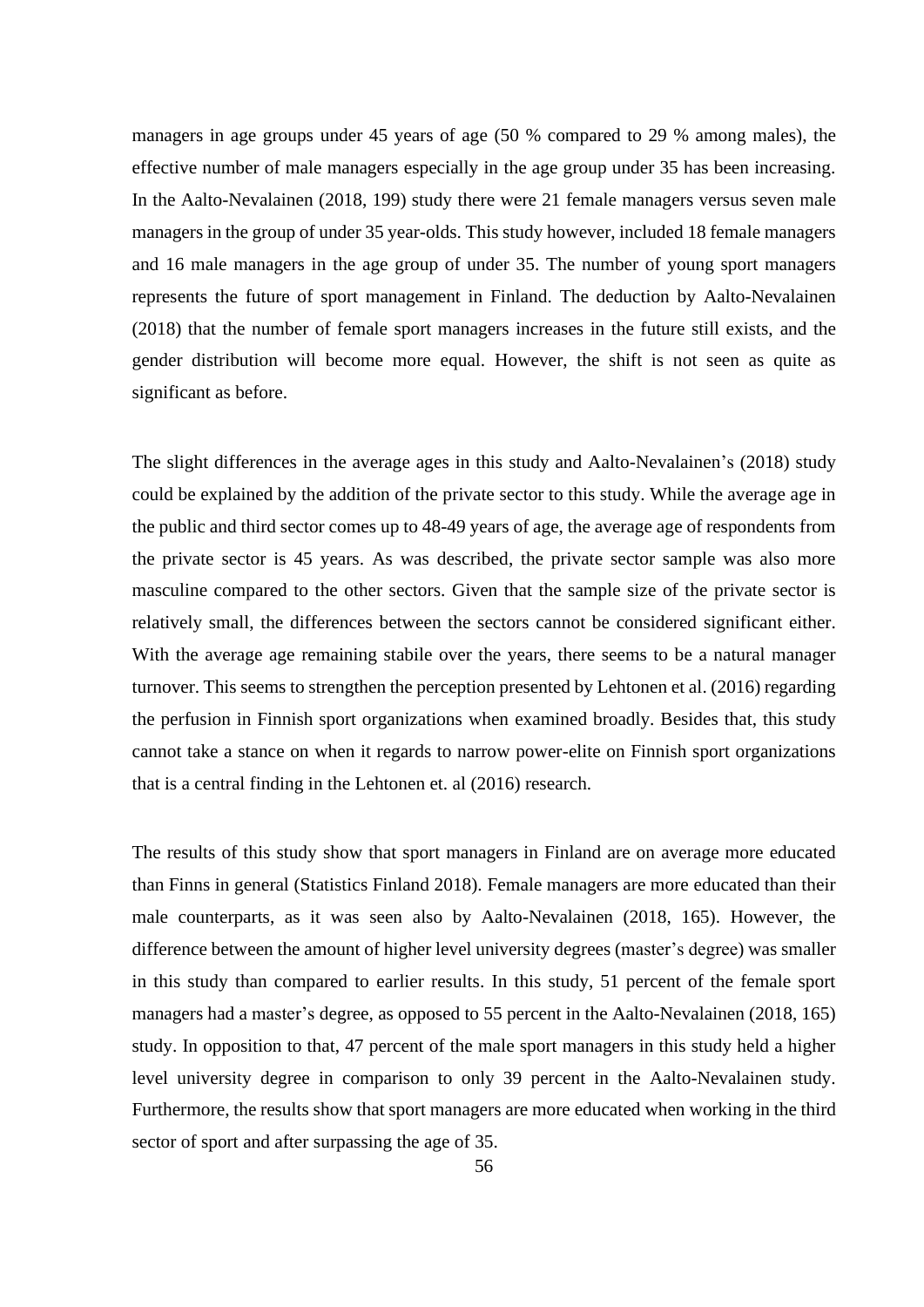managers in age groups under 45 years of age (50 % compared to 29 % among males), the effective number of male managers especially in the age group under 35 has been increasing. In the Aalto-Nevalainen (2018, 199) study there were 21 female managers versus seven male managers in the group of under 35 year-olds. This study however, included 18 female managers and 16 male managers in the age group of under 35. The number of young sport managers represents the future of sport management in Finland. The deduction by Aalto-Nevalainen (2018) that the number of female sport managers increases in the future still exists, and the gender distribution will become more equal. However, the shift is not seen as quite as significant as before.

The slight differences in the average ages in this study and Aalto-Nevalainen's (2018) study could be explained by the addition of the private sector to this study. While the average age in the public and third sector comes up to 48-49 years of age, the average age of respondents from the private sector is 45 years. As was described, the private sector sample was also more masculine compared to the other sectors. Given that the sample size of the private sector is relatively small, the differences between the sectors cannot be considered significant either. With the average age remaining stabile over the years, there seems to be a natural manager turnover. This seems to strengthen the perception presented by Lehtonen et al. (2016) regarding the perfusion in Finnish sport organizations when examined broadly. Besides that, this study cannot take a stance on when it regards to narrow power-elite on Finnish sport organizations that is a central finding in the Lehtonen et. al (2016) research.

The results of this study show that sport managers in Finland are on average more educated than Finns in general (Statistics Finland 2018). Female managers are more educated than their male counterparts, as it was seen also by Aalto-Nevalainen (2018, 165). However, the difference between the amount of higher level university degrees (master's degree) was smaller in this study than compared to earlier results. In this study, 51 percent of the female sport managers had a master's degree, as opposed to 55 percent in the Aalto-Nevalainen (2018, 165) study. In opposition to that, 47 percent of the male sport managers in this study held a higher level university degree in comparison to only 39 percent in the Aalto-Nevalainen study. Furthermore, the results show that sport managers are more educated when working in the third sector of sport and after surpassing the age of 35.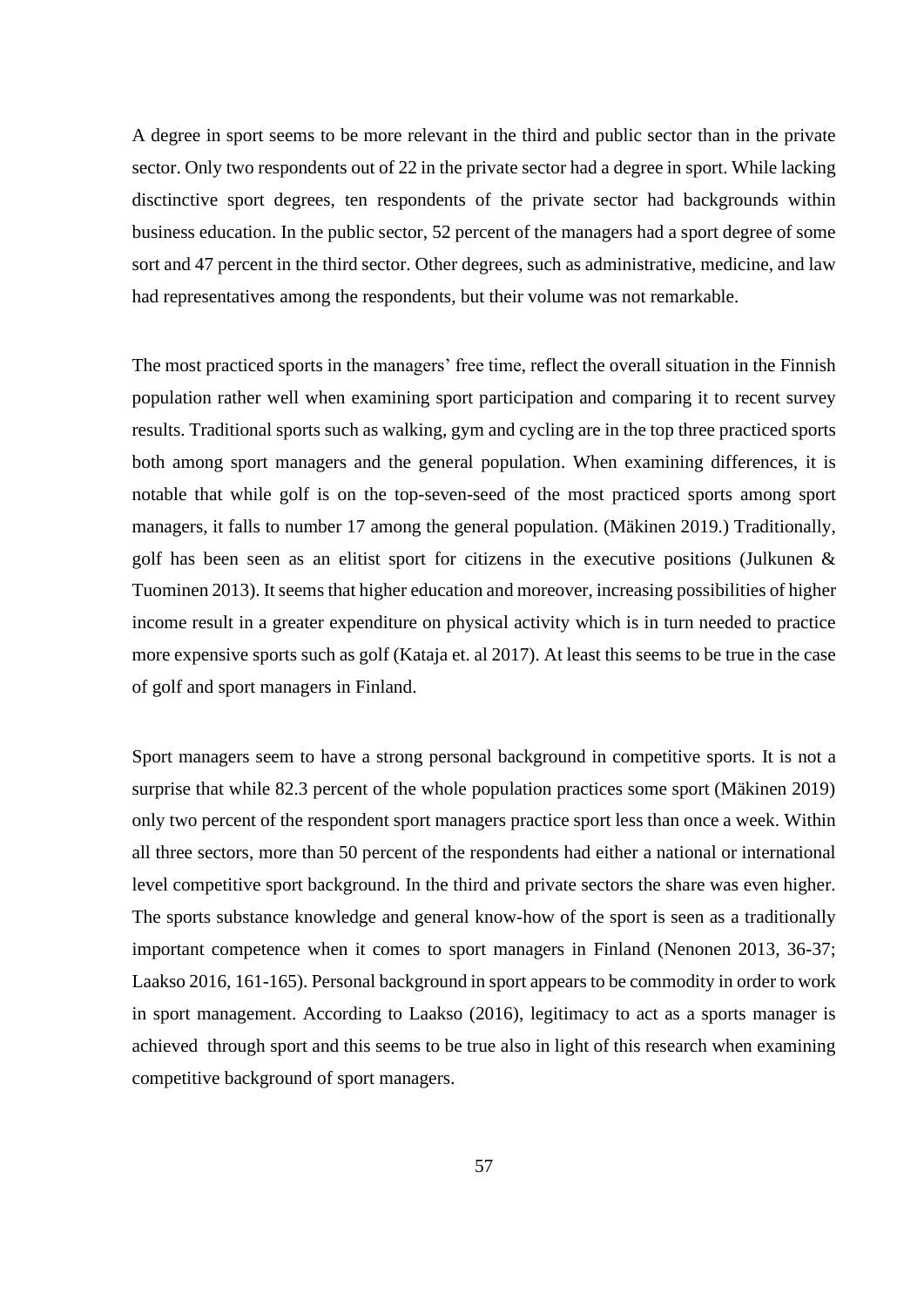A degree in sport seems to be more relevant in the third and public sector than in the private sector. Only two respondents out of 22 in the private sector had a degree in sport. While lacking disctinctive sport degrees, ten respondents of the private sector had backgrounds within business education. In the public sector, 52 percent of the managers had a sport degree of some sort and 47 percent in the third sector. Other degrees, such as administrative, medicine, and law had representatives among the respondents, but their volume was not remarkable.

The most practiced sports in the managers' free time, reflect the overall situation in the Finnish population rather well when examining sport participation and comparing it to recent survey results. Traditional sports such as walking, gym and cycling are in the top three practiced sports both among sport managers and the general population. When examining differences, it is notable that while golf is on the top-seven-seed of the most practiced sports among sport managers, it falls to number 17 among the general population. (Mäkinen 2019.) Traditionally, golf has been seen as an elitist sport for citizens in the executive positions (Julkunen & Tuominen 2013). It seems that higher education and moreover, increasing possibilities of higher income result in a greater expenditure on physical activity which is in turn needed to practice more expensive sports such as golf (Kataja et. al 2017). At least this seems to be true in the case of golf and sport managers in Finland.

Sport managers seem to have a strong personal background in competitive sports. It is not a surprise that while 82.3 percent of the whole population practices some sport (Mäkinen 2019) only two percent of the respondent sport managers practice sport less than once a week. Within all three sectors, more than 50 percent of the respondents had either a national or international level competitive sport background. In the third and private sectors the share was even higher. The sports substance knowledge and general know-how of the sport is seen as a traditionally important competence when it comes to sport managers in Finland (Nenonen 2013, 36-37; Laakso 2016, 161-165). Personal background in sport appears to be commodity in order to work in sport management. According to Laakso (2016), legitimacy to act as a sports manager is achieved through sport and this seems to be true also in light of this research when examining competitive background of sport managers.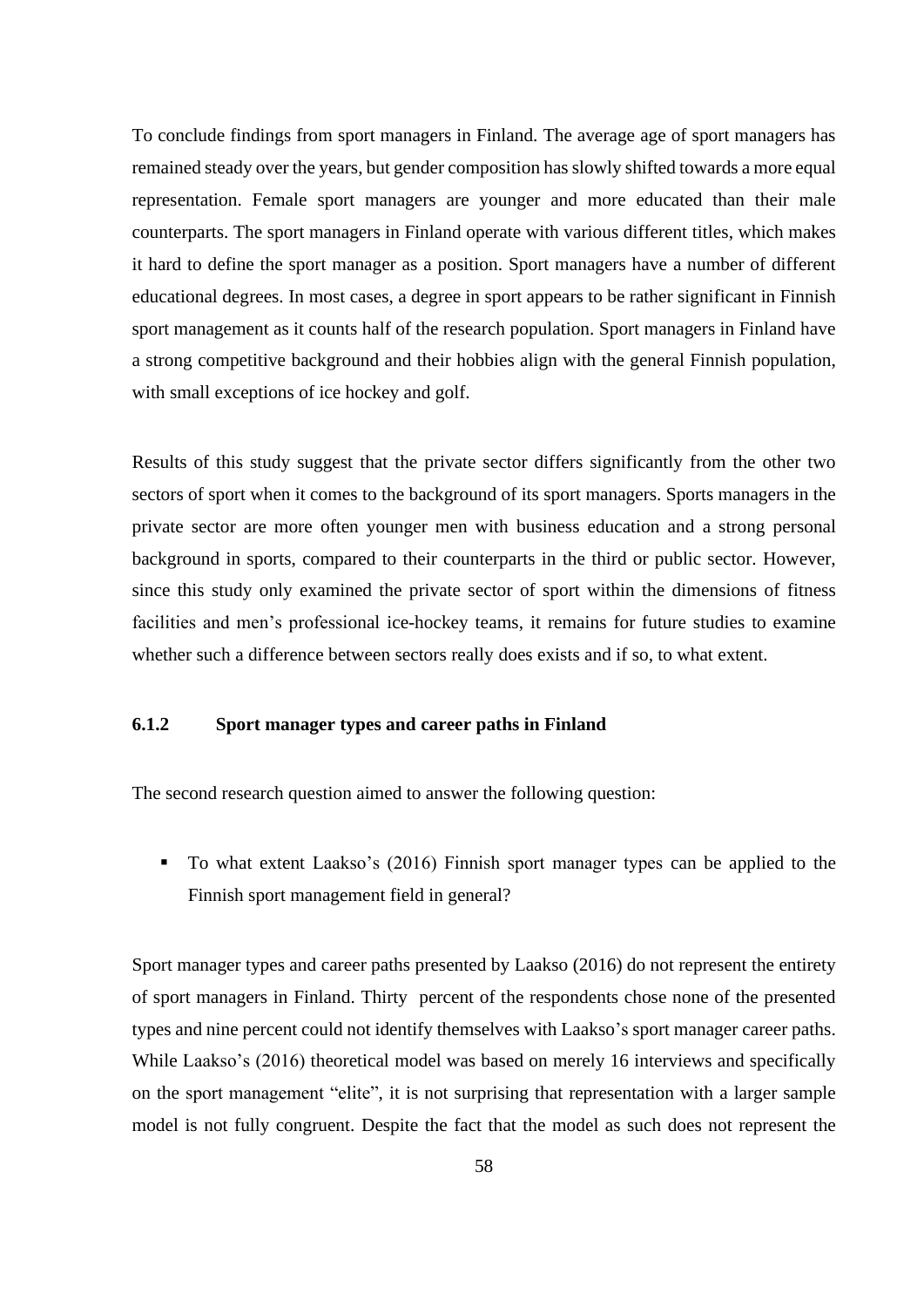To conclude findings from sport managers in Finland. The average age of sport managers has remained steady over the years, but gender composition has slowly shifted towards a more equal representation. Female sport managers are younger and more educated than their male counterparts. The sport managers in Finland operate with various different titles, which makes it hard to define the sport manager as a position. Sport managers have a number of different educational degrees. In most cases, a degree in sport appears to be rather significant in Finnish sport management as it counts half of the research population. Sport managers in Finland have a strong competitive background and their hobbies align with the general Finnish population, with small exceptions of ice hockey and golf.

Results of this study suggest that the private sector differs significantly from the other two sectors of sport when it comes to the background of its sport managers. Sports managers in the private sector are more often younger men with business education and a strong personal background in sports, compared to their counterparts in the third or public sector. However, since this study only examined the private sector of sport within the dimensions of fitness facilities and men's professional ice-hockey teams, it remains for future studies to examine whether such a difference between sectors really does exists and if so, to what extent.

# **6.1.2 Sport manager types and career paths in Finland**

The second research question aimed to answer the following question:

■ To what extent Laakso's (2016) Finnish sport manager types can be applied to the Finnish sport management field in general?

Sport manager types and career paths presented by Laakso (2016) do not represent the entirety of sport managers in Finland. Thirty percent of the respondents chose none of the presented types and nine percent could not identify themselves with Laakso's sport manager career paths. While Laakso's (2016) theoretical model was based on merely 16 interviews and specifically on the sport management "elite", it is not surprising that representation with a larger sample model is not fully congruent. Despite the fact that the model as such does not represent the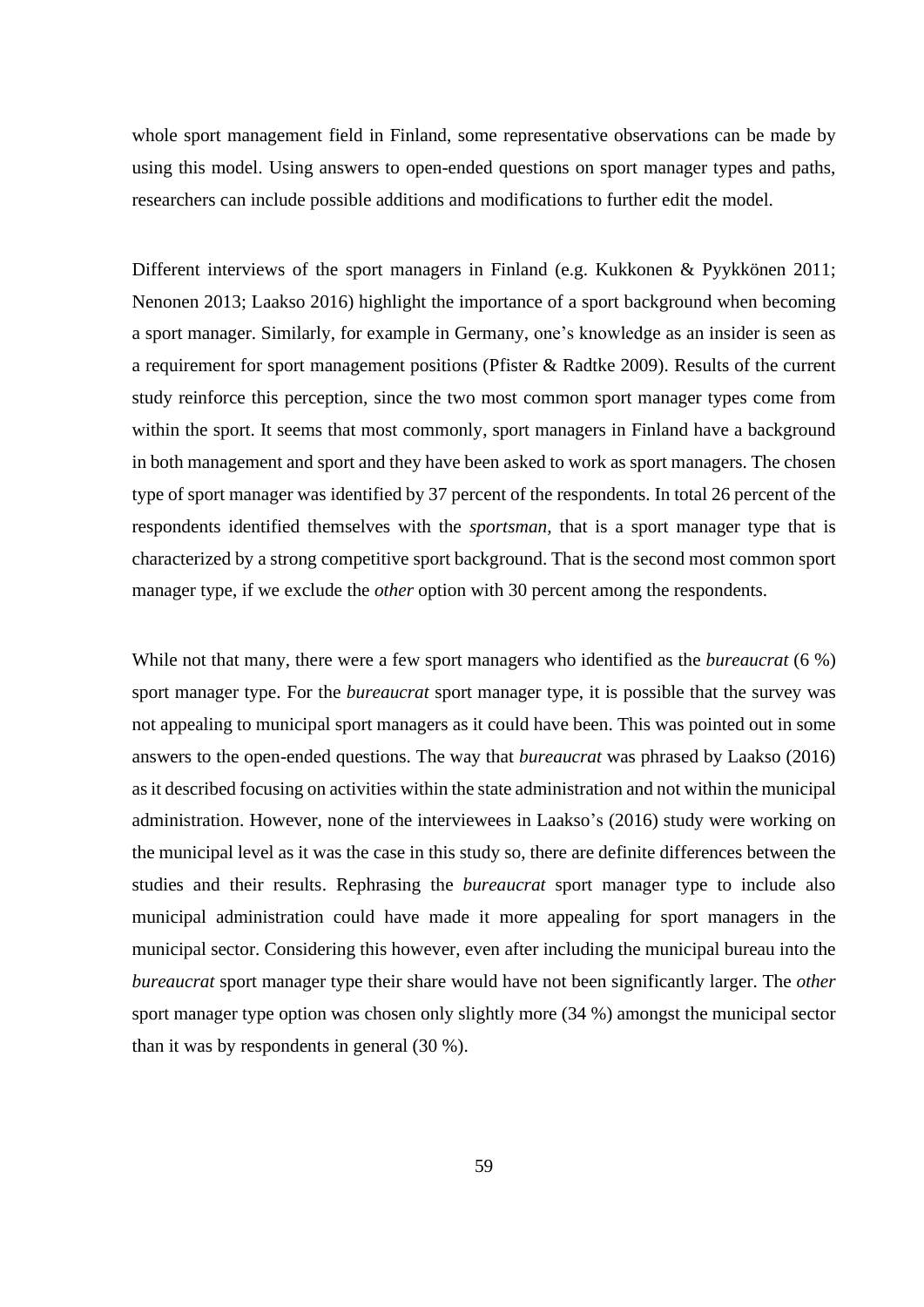whole sport management field in Finland, some representative observations can be made by using this model. Using answers to open-ended questions on sport manager types and paths, researchers can include possible additions and modifications to further edit the model.

Different interviews of the sport managers in Finland (e.g. Kukkonen & Pyykkönen 2011; Nenonen 2013; Laakso 2016) highlight the importance of a sport background when becoming a sport manager. Similarly, for example in Germany, one's knowledge as an insider is seen as a requirement for sport management positions (Pfister & Radtke 2009). Results of the current study reinforce this perception, since the two most common sport manager types come from within the sport. It seems that most commonly, sport managers in Finland have a background in both management and sport and they have been asked to work as sport managers. The chosen type of sport manager was identified by 37 percent of the respondents. In total 26 percent of the respondents identified themselves with the *sportsman,* that is a sport manager type that is characterized by a strong competitive sport background. That is the second most common sport manager type, if we exclude the *other* option with 30 percent among the respondents.

While not that many, there were a few sport managers who identified as the *bureaucrat* (6 %) sport manager type. For the *bureaucrat* sport manager type, it is possible that the survey was not appealing to municipal sport managers as it could have been. This was pointed out in some answers to the open-ended questions. The way that *bureaucrat* was phrased by Laakso (2016) as it described focusing on activities within the state administration and not within the municipal administration. However, none of the interviewees in Laakso's (2016) study were working on the municipal level as it was the case in this study so, there are definite differences between the studies and their results. Rephrasing the *bureaucrat* sport manager type to include also municipal administration could have made it more appealing for sport managers in the municipal sector. Considering this however, even after including the municipal bureau into the *bureaucrat* sport manager type their share would have not been significantly larger. The *other* sport manager type option was chosen only slightly more (34 %) amongst the municipal sector than it was by respondents in general (30 %).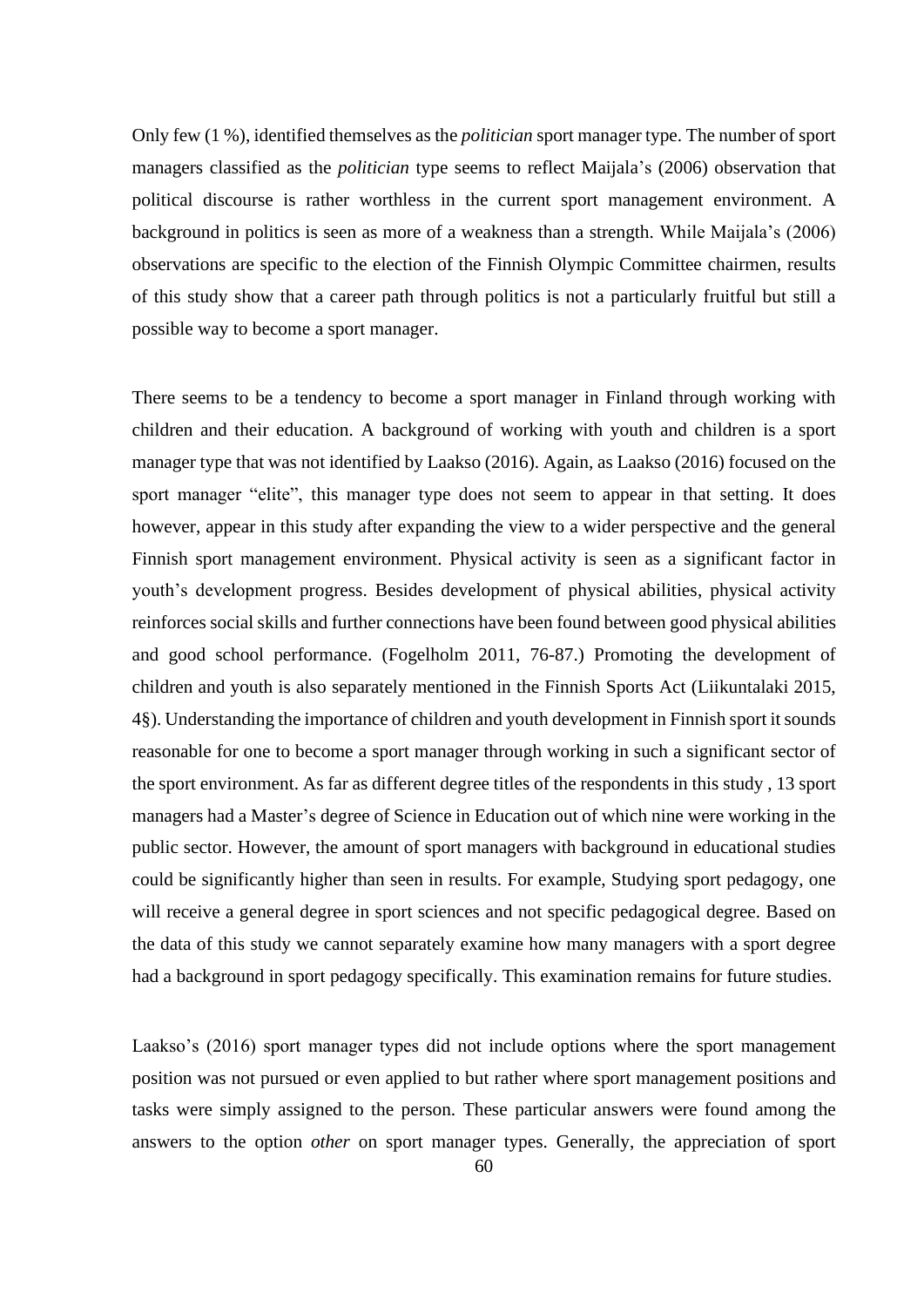Only few (1 %), identified themselves as the *politician* sport manager type. The number of sport managers classified as the *politician* type seems to reflect Maijala's (2006) observation that political discourse is rather worthless in the current sport management environment. A background in politics is seen as more of a weakness than a strength. While Maijala's (2006) observations are specific to the election of the Finnish Olympic Committee chairmen, results of this study show that a career path through politics is not a particularly fruitful but still a possible way to become a sport manager.

There seems to be a tendency to become a sport manager in Finland through working with children and their education. A background of working with youth and children is a sport manager type that was not identified by Laakso (2016). Again, as Laakso (2016) focused on the sport manager "elite", this manager type does not seem to appear in that setting. It does however, appear in this study after expanding the view to a wider perspective and the general Finnish sport management environment. Physical activity is seen as a significant factor in youth's development progress. Besides development of physical abilities, physical activity reinforces social skills and further connections have been found between good physical abilities and good school performance. (Fogelholm 2011, 76-87.) Promoting the development of children and youth is also separately mentioned in the Finnish Sports Act (Liikuntalaki 2015, 4§). Understanding the importance of children and youth development in Finnish sport it sounds reasonable for one to become a sport manager through working in such a significant sector of the sport environment. As far as different degree titles of the respondents in this study , 13 sport managers had a Master's degree of Science in Education out of which nine were working in the public sector. However, the amount of sport managers with background in educational studies could be significantly higher than seen in results. For example, Studying sport pedagogy, one will receive a general degree in sport sciences and not specific pedagogical degree. Based on the data of this study we cannot separately examine how many managers with a sport degree had a background in sport pedagogy specifically. This examination remains for future studies.

Laakso's (2016) sport manager types did not include options where the sport management position was not pursued or even applied to but rather where sport management positions and tasks were simply assigned to the person. These particular answers were found among the answers to the option *other* on sport manager types. Generally, the appreciation of sport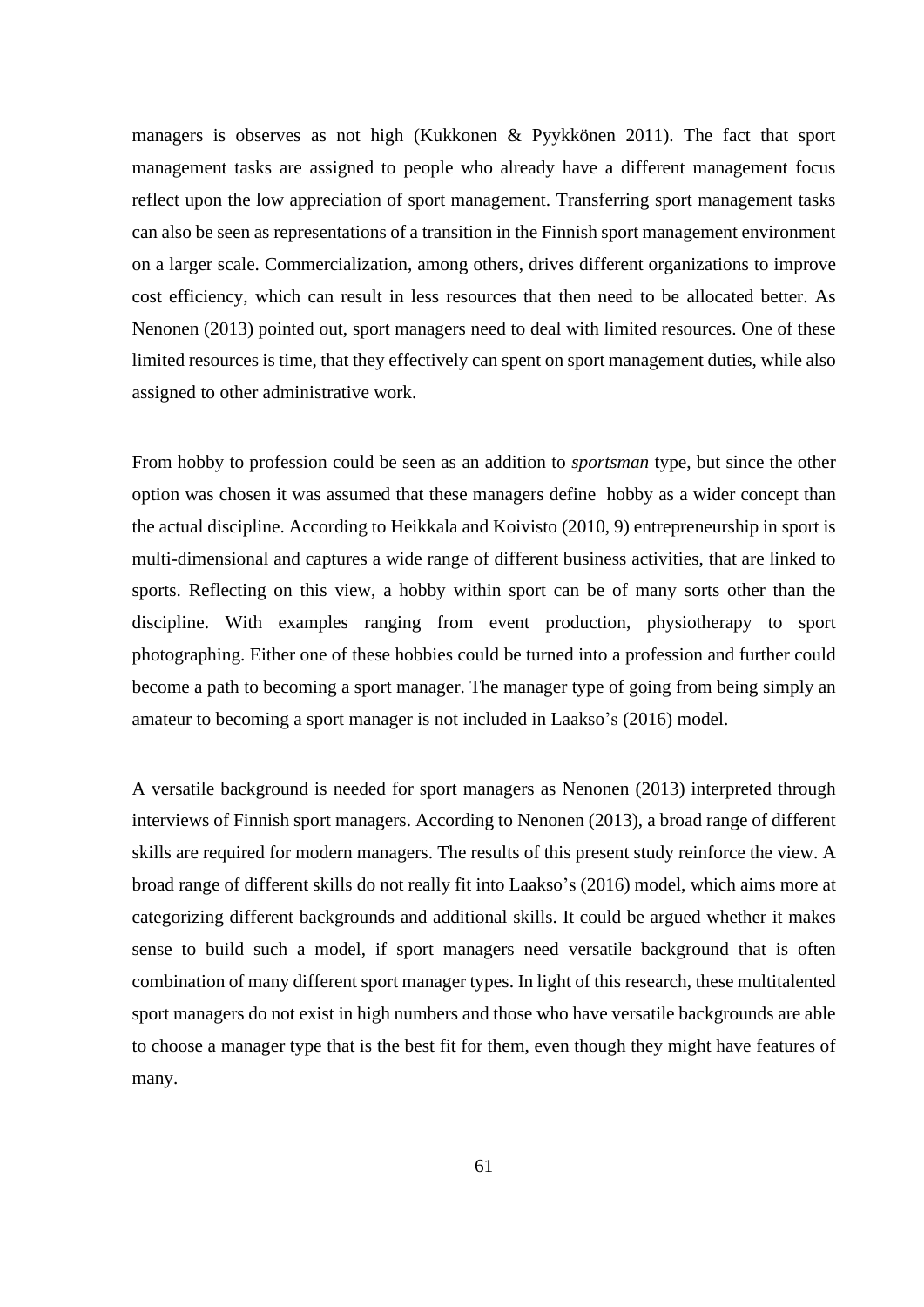managers is observes as not high (Kukkonen & Pyykkönen 2011). The fact that sport management tasks are assigned to people who already have a different management focus reflect upon the low appreciation of sport management. Transferring sport management tasks can also be seen as representations of a transition in the Finnish sport management environment on a larger scale. Commercialization, among others, drives different organizations to improve cost efficiency, which can result in less resources that then need to be allocated better. As Nenonen (2013) pointed out, sport managers need to deal with limited resources. One of these limited resources is time, that they effectively can spent on sport management duties, while also assigned to other administrative work.

From hobby to profession could be seen as an addition to *sportsman* type, but since the other option was chosen it was assumed that these managers define hobby as a wider concept than the actual discipline. According to Heikkala and Koivisto (2010, 9) entrepreneurship in sport is multi-dimensional and captures a wide range of different business activities, that are linked to sports. Reflecting on this view, a hobby within sport can be of many sorts other than the discipline. With examples ranging from event production, physiotherapy to sport photographing. Either one of these hobbies could be turned into a profession and further could become a path to becoming a sport manager. The manager type of going from being simply an amateur to becoming a sport manager is not included in Laakso's (2016) model.

A versatile background is needed for sport managers as Nenonen (2013) interpreted through interviews of Finnish sport managers. According to Nenonen (2013), a broad range of different skills are required for modern managers. The results of this present study reinforce the view. A broad range of different skills do not really fit into Laakso's (2016) model, which aims more at categorizing different backgrounds and additional skills. It could be argued whether it makes sense to build such a model, if sport managers need versatile background that is often combination of many different sport manager types. In light of this research, these multitalented sport managers do not exist in high numbers and those who have versatile backgrounds are able to choose a manager type that is the best fit for them, even though they might have features of many.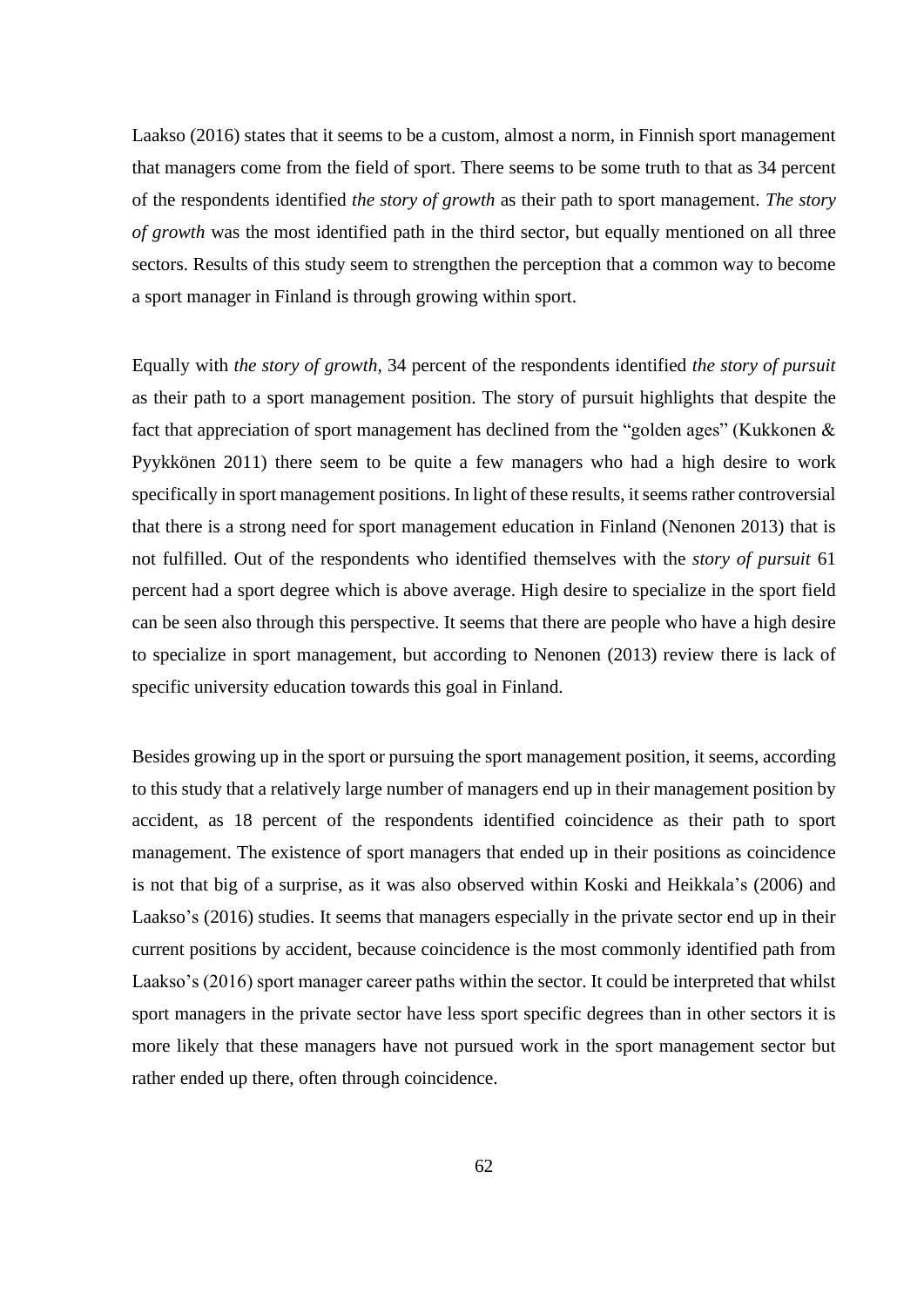Laakso (2016) states that it seems to be a custom, almost a norm, in Finnish sport management that managers come from the field of sport. There seems to be some truth to that as 34 percent of the respondents identified *the story of growth* as their path to sport management. *The story of growth* was the most identified path in the third sector, but equally mentioned on all three sectors. Results of this study seem to strengthen the perception that a common way to become a sport manager in Finland is through growing within sport.

Equally with *the story of growth*, 34 percent of the respondents identified *the story of pursuit*  as their path to a sport management position. The story of pursuit highlights that despite the fact that appreciation of sport management has declined from the "golden ages" (Kukkonen & Pyykkönen 2011) there seem to be quite a few managers who had a high desire to work specifically in sport management positions. In light of these results, it seems rather controversial that there is a strong need for sport management education in Finland (Nenonen 2013) that is not fulfilled. Out of the respondents who identified themselves with the *story of pursuit* 61 percent had a sport degree which is above average. High desire to specialize in the sport field can be seen also through this perspective. It seems that there are people who have a high desire to specialize in sport management, but according to Nenonen (2013) review there is lack of specific university education towards this goal in Finland.

Besides growing up in the sport or pursuing the sport management position, it seems, according to this study that a relatively large number of managers end up in their management position by accident, as 18 percent of the respondents identified coincidence as their path to sport management. The existence of sport managers that ended up in their positions as coincidence is not that big of a surprise, as it was also observed within Koski and Heikkala's (2006) and Laakso's (2016) studies. It seems that managers especially in the private sector end up in their current positions by accident, because coincidence is the most commonly identified path from Laakso's (2016) sport manager career paths within the sector. It could be interpreted that whilst sport managers in the private sector have less sport specific degrees than in other sectors it is more likely that these managers have not pursued work in the sport management sector but rather ended up there, often through coincidence.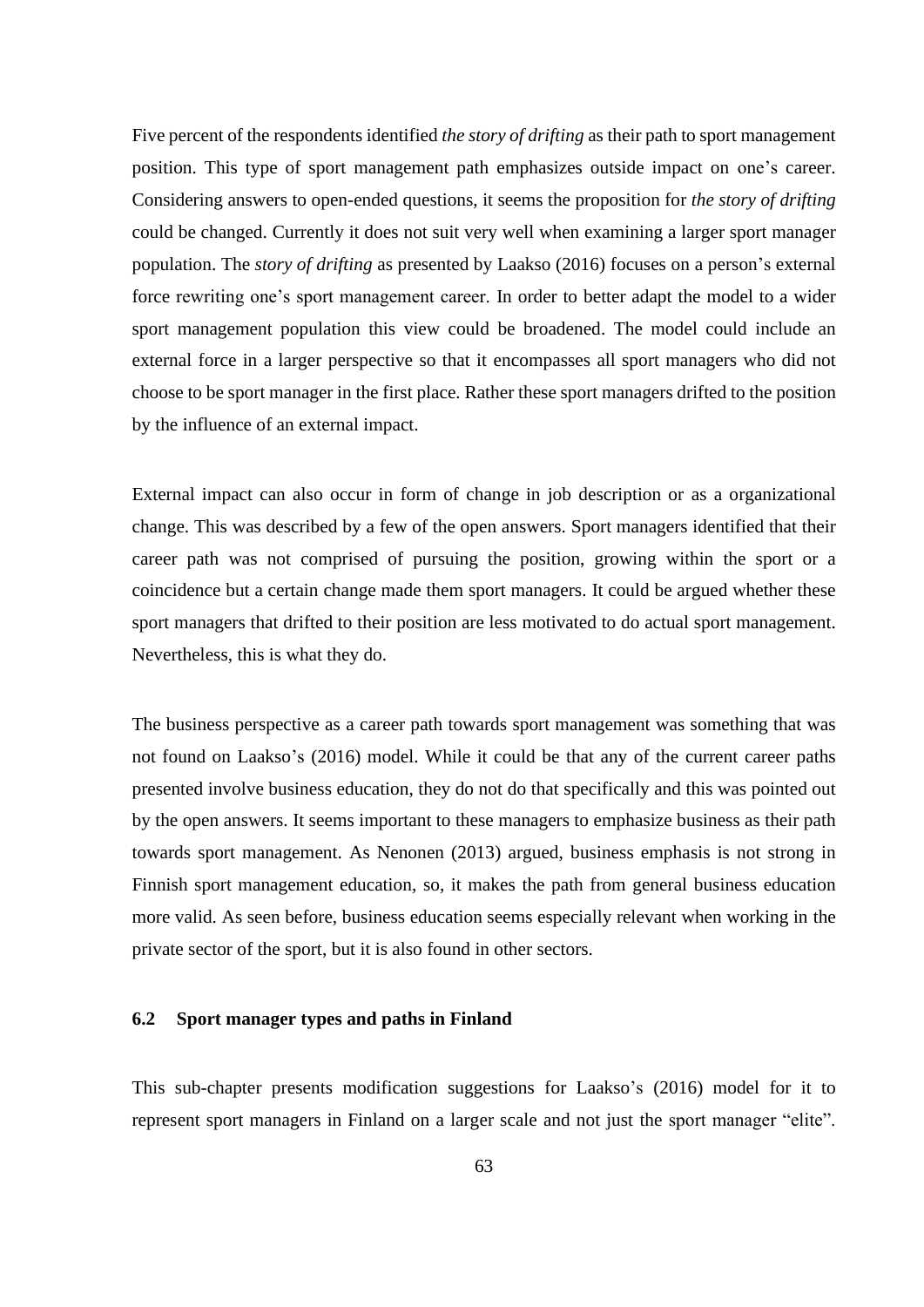Five percent of the respondents identified *the story of drifting* as their path to sport management position. This type of sport management path emphasizes outside impact on one's career. Considering answers to open-ended questions, it seems the proposition for *the story of drifting* could be changed. Currently it does not suit very well when examining a larger sport manager population. The *story of drifting* as presented by Laakso (2016) focuses on a person's external force rewriting one's sport management career. In order to better adapt the model to a wider sport management population this view could be broadened. The model could include an external force in a larger perspective so that it encompasses all sport managers who did not choose to be sport manager in the first place. Rather these sport managers drifted to the position by the influence of an external impact.

External impact can also occur in form of change in job description or as a organizational change. This was described by a few of the open answers. Sport managers identified that their career path was not comprised of pursuing the position, growing within the sport or a coincidence but a certain change made them sport managers. It could be argued whether these sport managers that drifted to their position are less motivated to do actual sport management. Nevertheless, this is what they do.

The business perspective as a career path towards sport management was something that was not found on Laakso's (2016) model. While it could be that any of the current career paths presented involve business education, they do not do that specifically and this was pointed out by the open answers. It seems important to these managers to emphasize business as their path towards sport management. As Nenonen (2013) argued, business emphasis is not strong in Finnish sport management education, so, it makes the path from general business education more valid. As seen before, business education seems especially relevant when working in the private sector of the sport, but it is also found in other sectors.

# **6.2 Sport manager types and paths in Finland**

This sub-chapter presents modification suggestions for Laakso's (2016) model for it to represent sport managers in Finland on a larger scale and not just the sport manager "elite".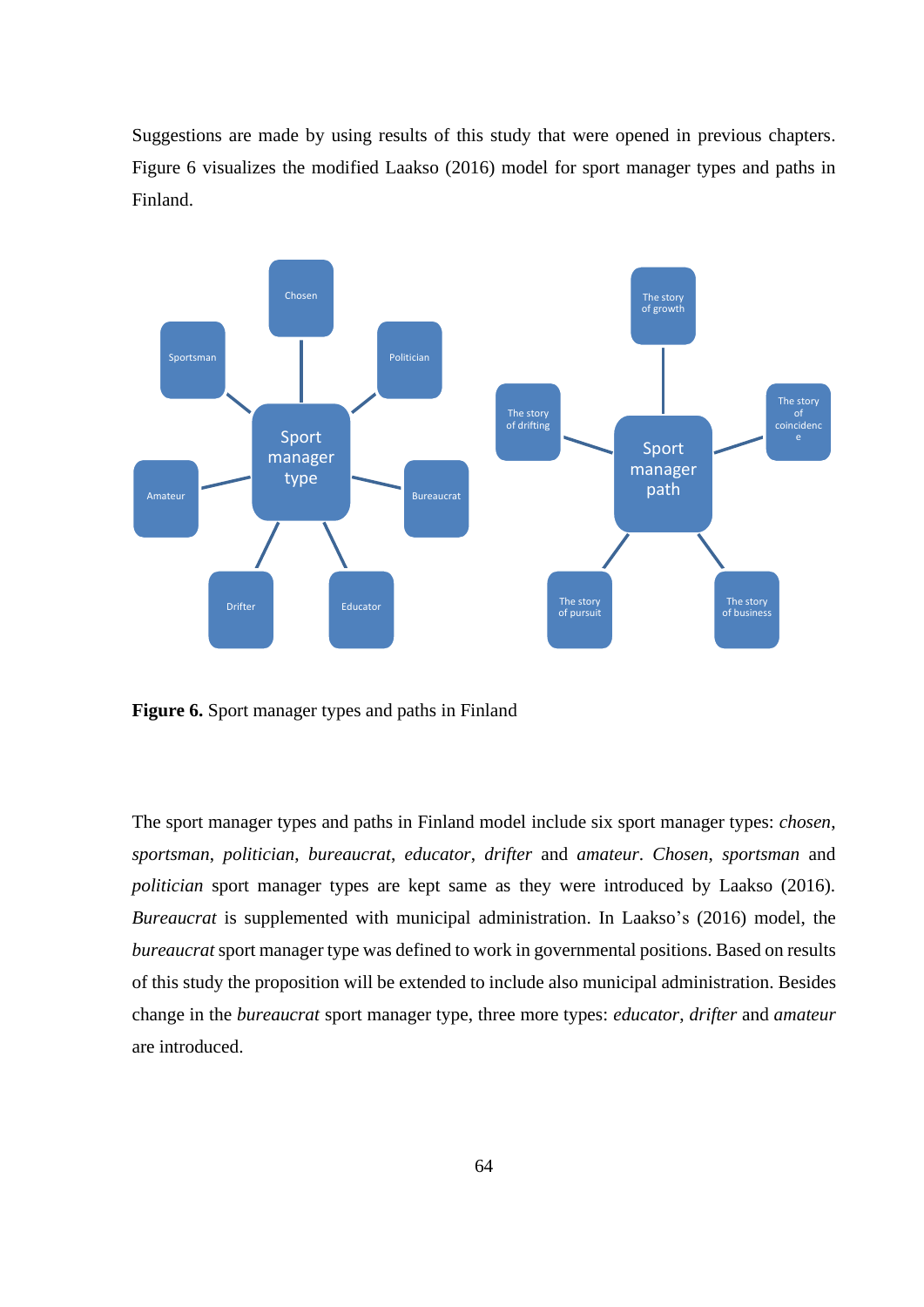Suggestions are made by using results of this study that were opened in previous chapters. Figure 6 visualizes the modified Laakso (2016) model for sport manager types and paths in Finland.



**Figure 6.** Sport manager types and paths in Finland

The sport manager types and paths in Finland model include six sport manager types: *chosen*, *sportsman*, *politician*, *bureaucrat*, *educator*, *drifter* and *amateur*. *Chosen*, *sportsman* and *politician* sport manager types are kept same as they were introduced by Laakso (2016). *Bureaucrat* is supplemented with municipal administration. In Laakso's (2016) model, the *bureaucrat* sport manager type was defined to work in governmental positions. Based on results of this study the proposition will be extended to include also municipal administration. Besides change in the *bureaucrat* sport manager type, three more types: *educator*, *drifter* and *amateur* are introduced.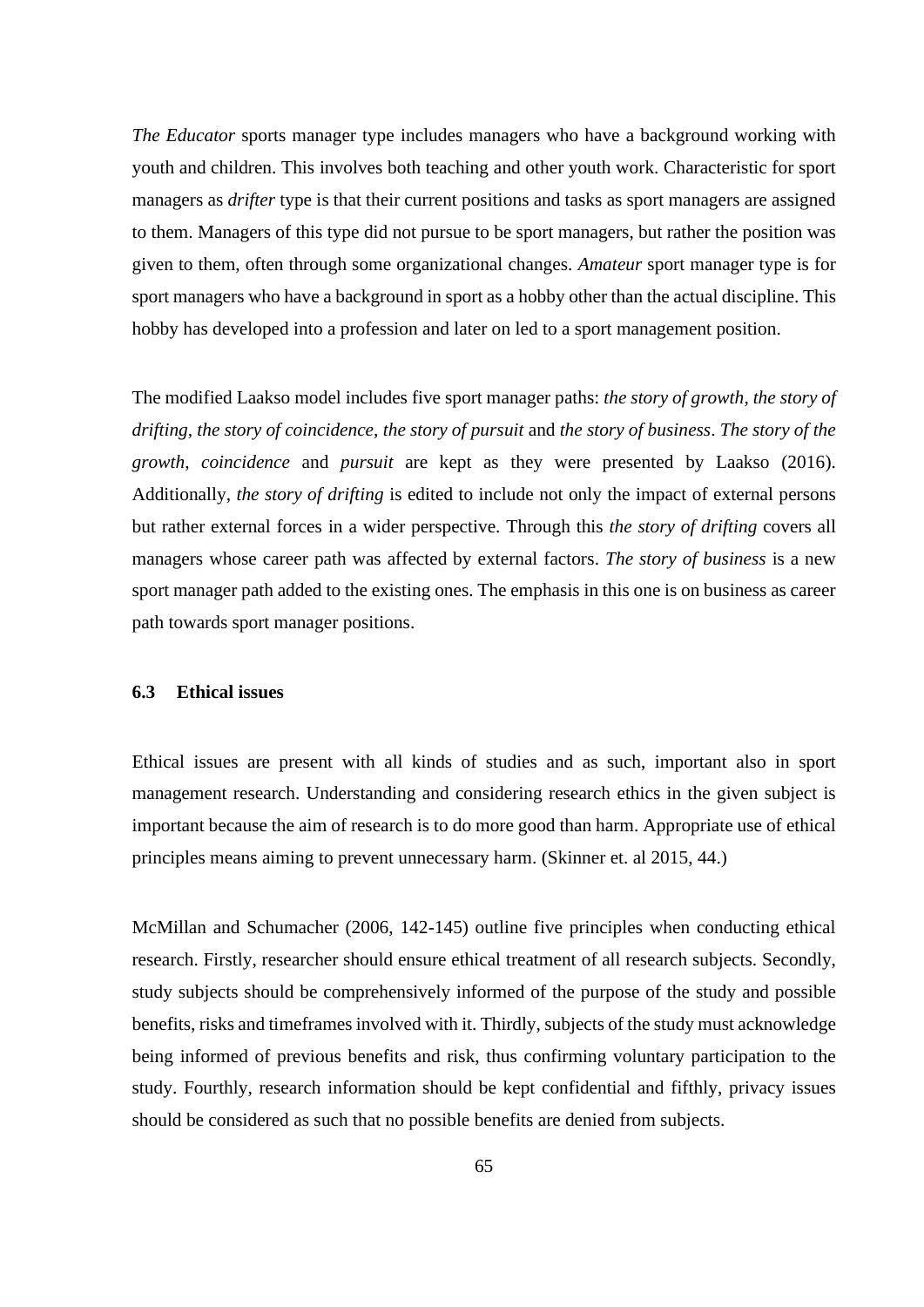*The Educator* sports manager type includes managers who have a background working with youth and children. This involves both teaching and other youth work. Characteristic for sport managers as *drifter* type is that their current positions and tasks as sport managers are assigned to them. Managers of this type did not pursue to be sport managers, but rather the position was given to them, often through some organizational changes. *Amateur* sport manager type is for sport managers who have a background in sport as a hobby other than the actual discipline. This hobby has developed into a profession and later on led to a sport management position.

The modified Laakso model includes five sport manager paths: *the story of growth*, *the story of drifting*, *the story of coincidence*, *the story of pursuit* and *the story of business*. *The story of the growth*, *coincidence* and *pursuit* are kept as they were presented by Laakso (2016). Additionally, *the story of drifting* is edited to include not only the impact of external persons but rather external forces in a wider perspective. Through this *the story of drifting* covers all managers whose career path was affected by external factors. *The story of business* is a new sport manager path added to the existing ones. The emphasis in this one is on business as career path towards sport manager positions.

### **6.3 Ethical issues**

Ethical issues are present with all kinds of studies and as such, important also in sport management research. Understanding and considering research ethics in the given subject is important because the aim of research is to do more good than harm. Appropriate use of ethical principles means aiming to prevent unnecessary harm. (Skinner et. al 2015, 44.)

McMillan and Schumacher (2006, 142-145) outline five principles when conducting ethical research. Firstly, researcher should ensure ethical treatment of all research subjects. Secondly, study subjects should be comprehensively informed of the purpose of the study and possible benefits, risks and timeframes involved with it. Thirdly, subjects of the study must acknowledge being informed of previous benefits and risk, thus confirming voluntary participation to the study. Fourthly, research information should be kept confidential and fifthly, privacy issues should be considered as such that no possible benefits are denied from subjects.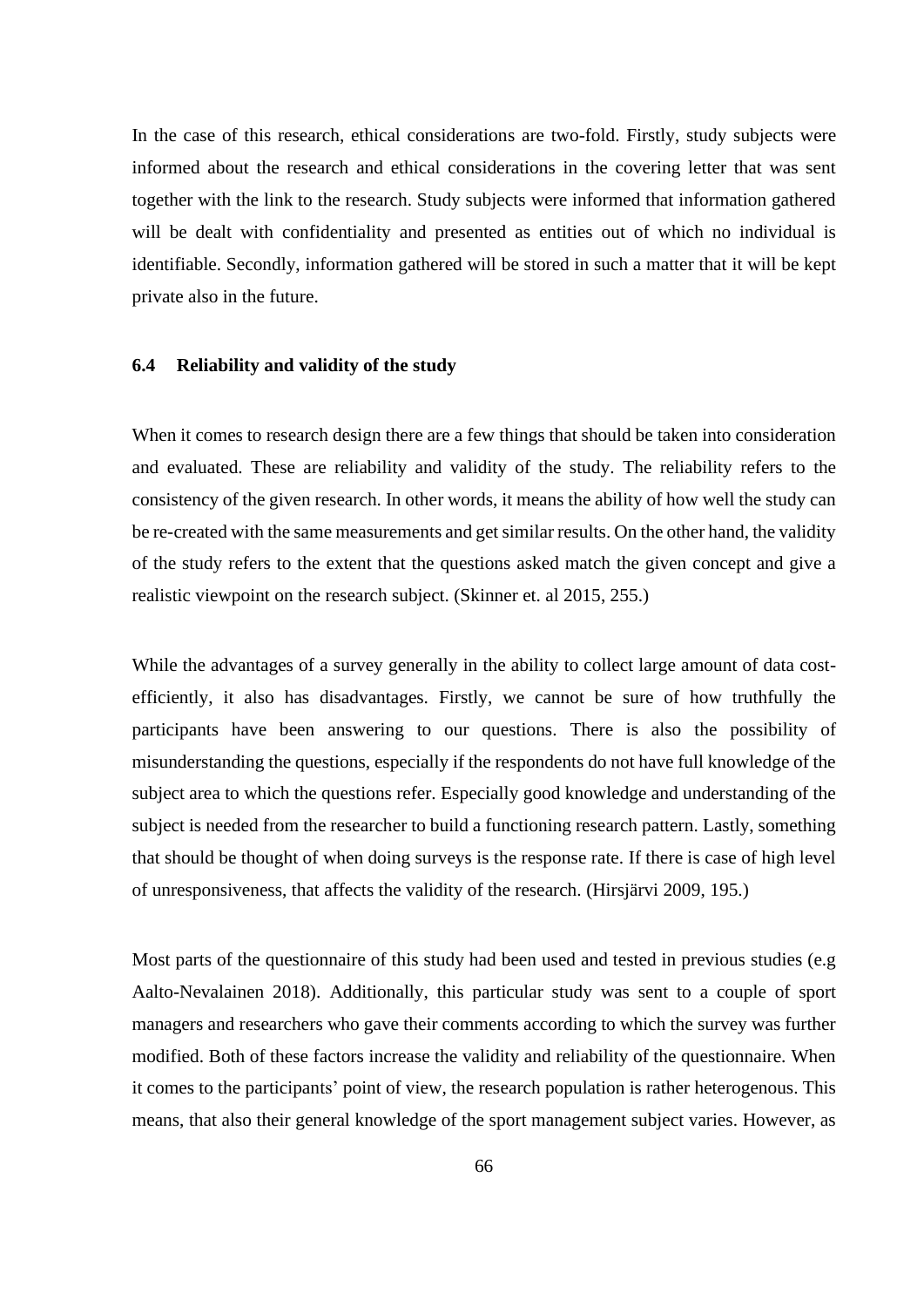In the case of this research, ethical considerations are two-fold. Firstly, study subjects were informed about the research and ethical considerations in the covering letter that was sent together with the link to the research. Study subjects were informed that information gathered will be dealt with confidentiality and presented as entities out of which no individual is identifiable. Secondly, information gathered will be stored in such a matter that it will be kept private also in the future.

### **6.4 Reliability and validity of the study**

When it comes to research design there are a few things that should be taken into consideration and evaluated. These are reliability and validity of the study. The reliability refers to the consistency of the given research. In other words, it means the ability of how well the study can be re-created with the same measurements and get similar results. On the other hand, the validity of the study refers to the extent that the questions asked match the given concept and give a realistic viewpoint on the research subject. (Skinner et. al 2015, 255.)

While the advantages of a survey generally in the ability to collect large amount of data costefficiently, it also has disadvantages. Firstly, we cannot be sure of how truthfully the participants have been answering to our questions. There is also the possibility of misunderstanding the questions, especially if the respondents do not have full knowledge of the subject area to which the questions refer. Especially good knowledge and understanding of the subject is needed from the researcher to build a functioning research pattern. Lastly, something that should be thought of when doing surveys is the response rate. If there is case of high level of unresponsiveness, that affects the validity of the research. (Hirsjärvi 2009, 195.)

Most parts of the questionnaire of this study had been used and tested in previous studies (e.g Aalto-Nevalainen 2018). Additionally, this particular study was sent to a couple of sport managers and researchers who gave their comments according to which the survey was further modified. Both of these factors increase the validity and reliability of the questionnaire. When it comes to the participants' point of view, the research population is rather heterogenous. This means, that also their general knowledge of the sport management subject varies. However, as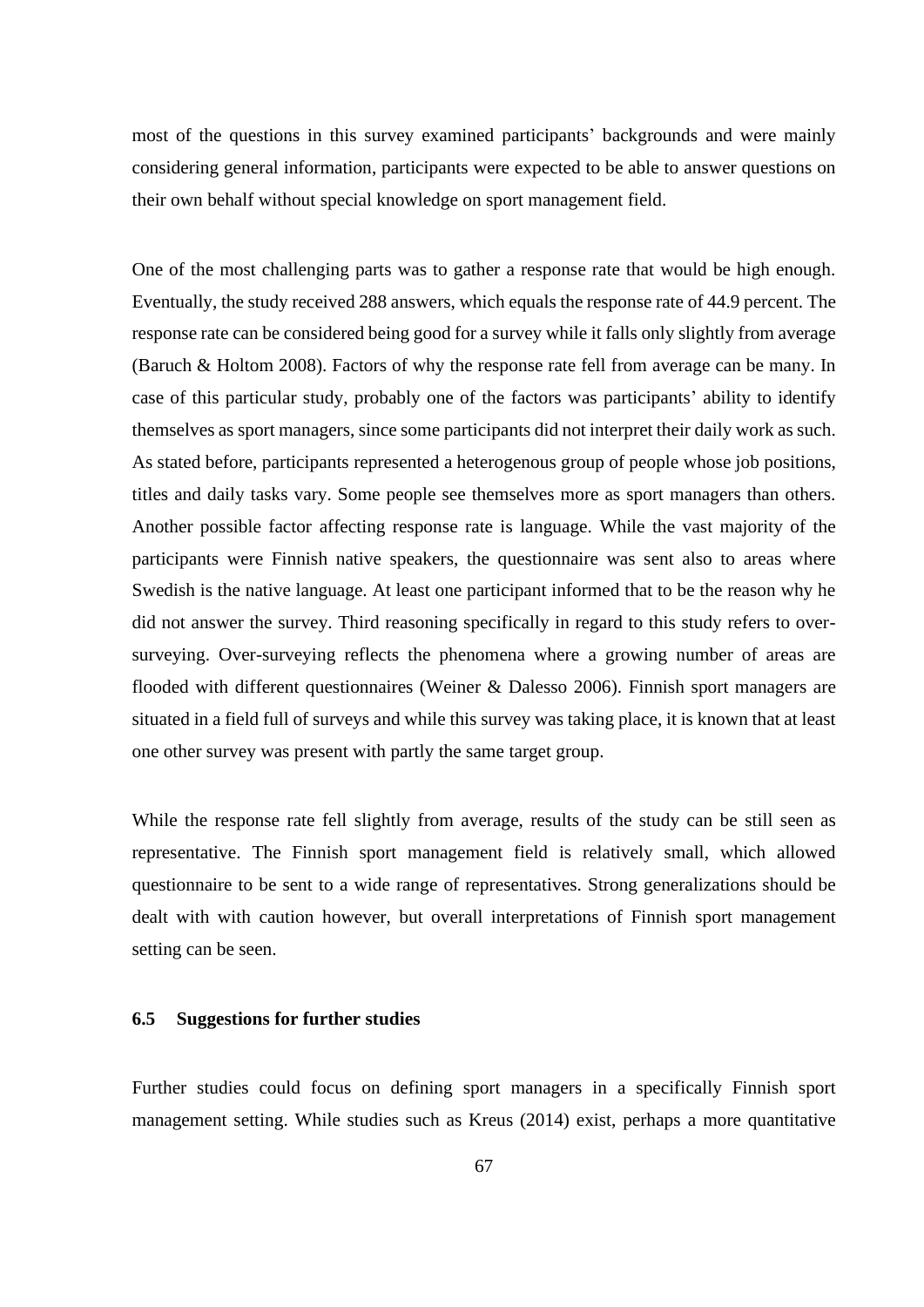most of the questions in this survey examined participants' backgrounds and were mainly considering general information, participants were expected to be able to answer questions on their own behalf without special knowledge on sport management field.

One of the most challenging parts was to gather a response rate that would be high enough. Eventually, the study received 288 answers, which equals the response rate of 44.9 percent. The response rate can be considered being good for a survey while it falls only slightly from average (Baruch & Holtom 2008). Factors of why the response rate fell from average can be many. In case of this particular study, probably one of the factors was participants' ability to identify themselves as sport managers, since some participants did not interpret their daily work as such. As stated before, participants represented a heterogenous group of people whose job positions, titles and daily tasks vary. Some people see themselves more as sport managers than others. Another possible factor affecting response rate is language. While the vast majority of the participants were Finnish native speakers, the questionnaire was sent also to areas where Swedish is the native language. At least one participant informed that to be the reason why he did not answer the survey. Third reasoning specifically in regard to this study refers to oversurveying. Over-surveying reflects the phenomena where a growing number of areas are flooded with different questionnaires (Weiner & Dalesso 2006). Finnish sport managers are situated in a field full of surveys and while this survey was taking place, it is known that at least one other survey was present with partly the same target group.

While the response rate fell slightly from average, results of the study can be still seen as representative. The Finnish sport management field is relatively small, which allowed questionnaire to be sent to a wide range of representatives. Strong generalizations should be dealt with with caution however, but overall interpretations of Finnish sport management setting can be seen.

## **6.5 Suggestions for further studies**

Further studies could focus on defining sport managers in a specifically Finnish sport management setting. While studies such as Kreus (2014) exist, perhaps a more quantitative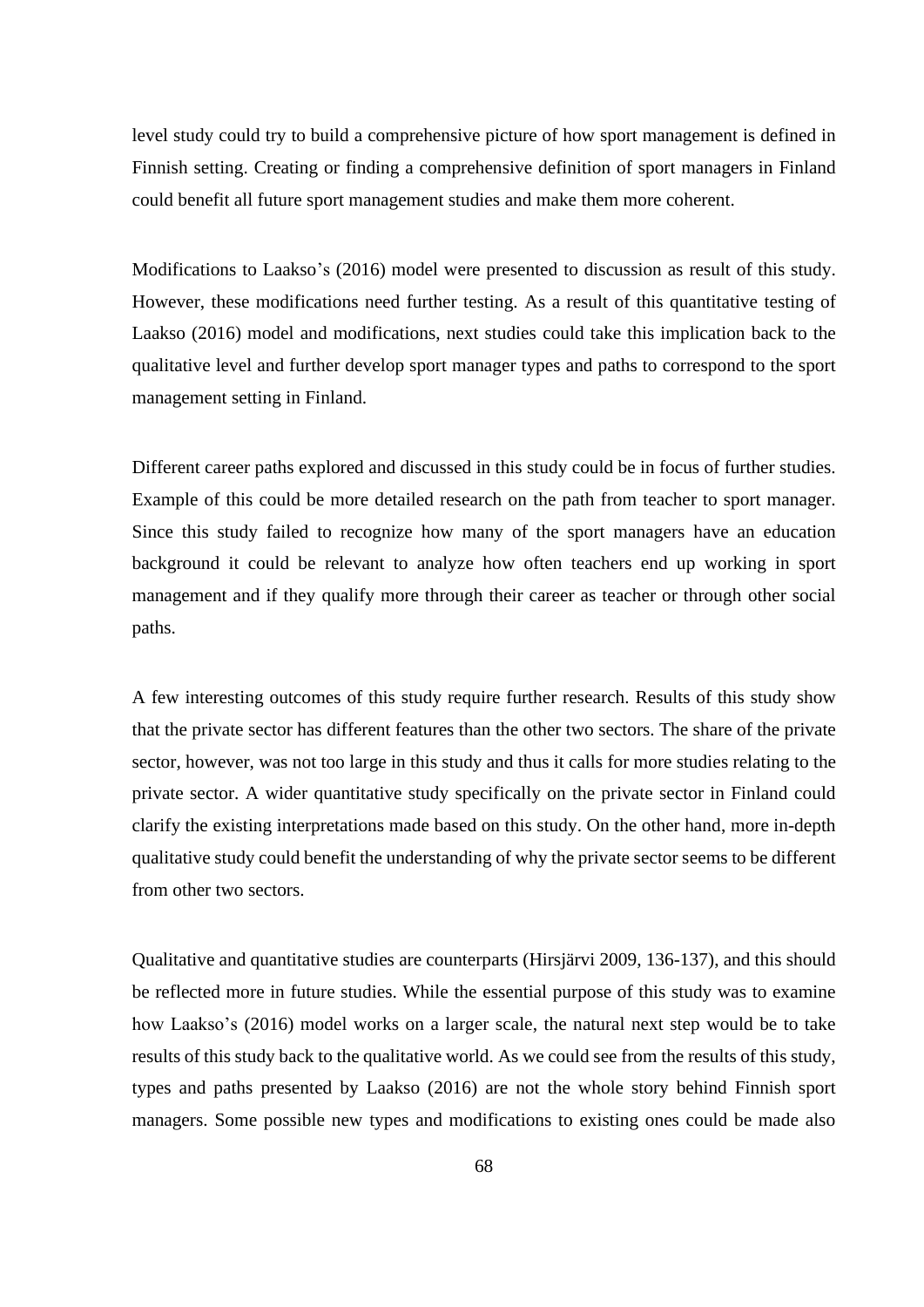level study could try to build a comprehensive picture of how sport management is defined in Finnish setting. Creating or finding a comprehensive definition of sport managers in Finland could benefit all future sport management studies and make them more coherent.

Modifications to Laakso's (2016) model were presented to discussion as result of this study. However, these modifications need further testing. As a result of this quantitative testing of Laakso (2016) model and modifications, next studies could take this implication back to the qualitative level and further develop sport manager types and paths to correspond to the sport management setting in Finland.

Different career paths explored and discussed in this study could be in focus of further studies. Example of this could be more detailed research on the path from teacher to sport manager. Since this study failed to recognize how many of the sport managers have an education background it could be relevant to analyze how often teachers end up working in sport management and if they qualify more through their career as teacher or through other social paths.

A few interesting outcomes of this study require further research. Results of this study show that the private sector has different features than the other two sectors. The share of the private sector, however, was not too large in this study and thus it calls for more studies relating to the private sector. A wider quantitative study specifically on the private sector in Finland could clarify the existing interpretations made based on this study. On the other hand, more in-depth qualitative study could benefit the understanding of why the private sector seems to be different from other two sectors.

Qualitative and quantitative studies are counterparts (Hirsjärvi 2009, 136-137), and this should be reflected more in future studies. While the essential purpose of this study was to examine how Laakso's (2016) model works on a larger scale, the natural next step would be to take results of this study back to the qualitative world. As we could see from the results of this study, types and paths presented by Laakso (2016) are not the whole story behind Finnish sport managers. Some possible new types and modifications to existing ones could be made also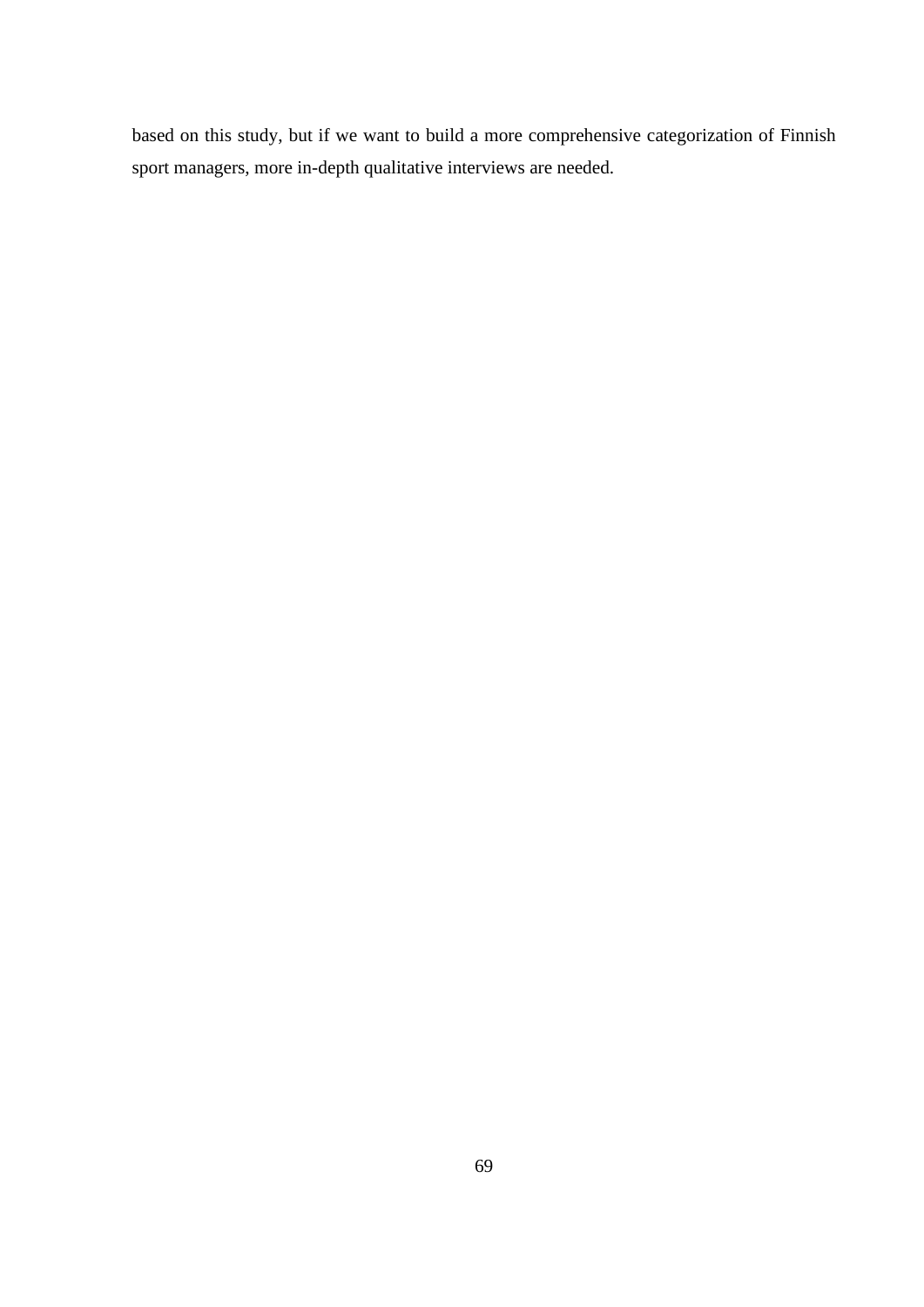based on this study, but if we want to build a more comprehensive categorization of Finnish sport managers, more in-depth qualitative interviews are needed.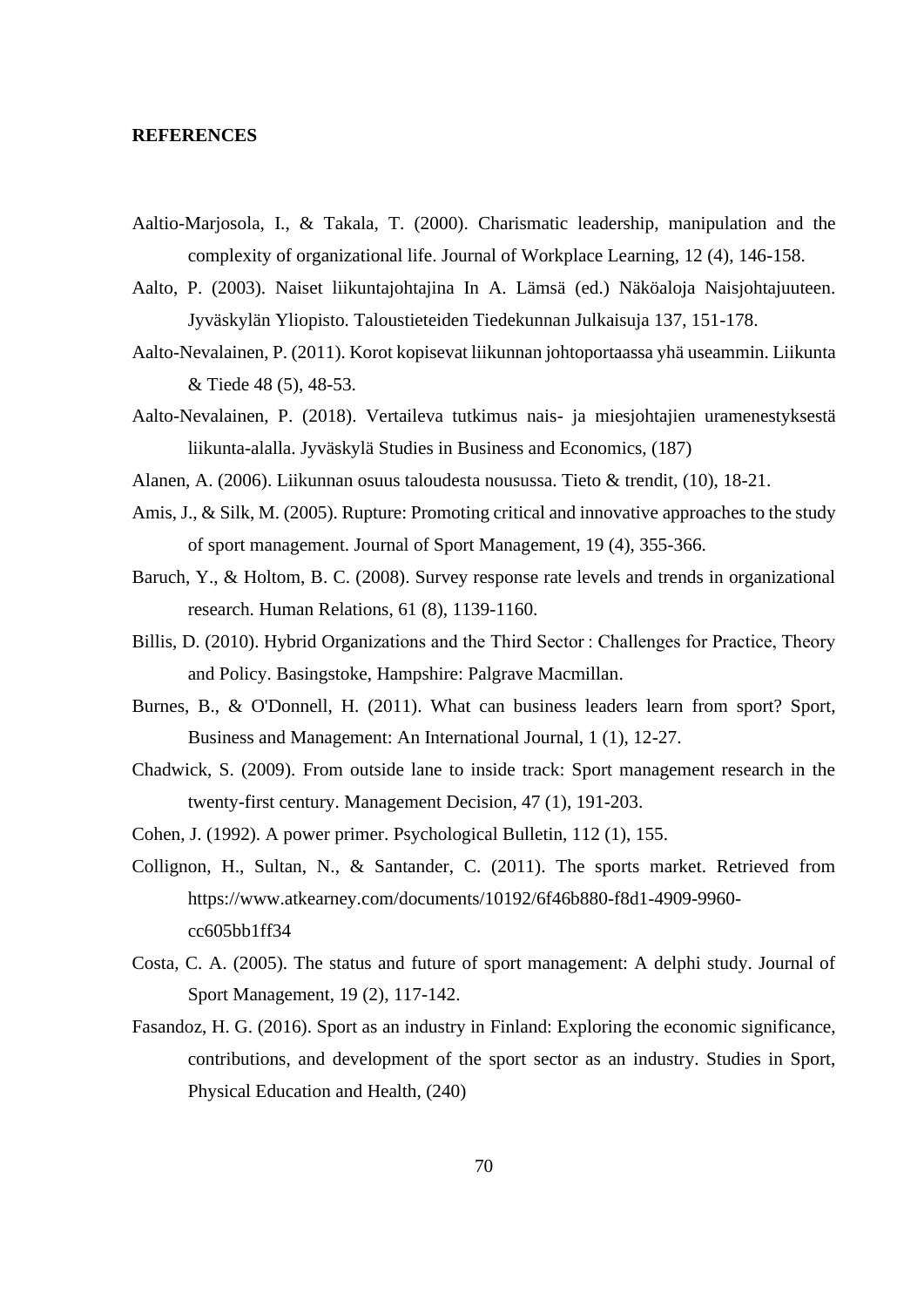### **REFERENCES**

- Aaltio-Marjosola, I., & Takala, T. (2000). Charismatic leadership, manipulation and the complexity of organizational life. Journal of Workplace Learning, 12 (4), 146-158.
- Aalto, P. (2003). Naiset liikuntajohtajina In A. Lämsä (ed.) Näköaloja Naisjohtajuuteen. Jyväskylän Yliopisto. Taloustieteiden Tiedekunnan Julkaisuja 137, 151-178.
- Aalto-Nevalainen, P. (2011). Korot kopisevat liikunnan johtoportaassa yhä useammin. Liikunta & Tiede 48 (5), 48-53.
- Aalto-Nevalainen, P. (2018). Vertaileva tutkimus nais- ja miesjohtajien uramenestyksestä liikunta-alalla. Jyväskylä Studies in Business and Economics, (187)
- Alanen, A. (2006). Liikunnan osuus taloudesta nousussa. Tieto & trendit, (10), 18-21.
- Amis, J., & Silk, M. (2005). Rupture: Promoting critical and innovative approaches to the study of sport management. Journal of Sport Management, 19 (4), 355-366.
- Baruch, Y., & Holtom, B. C. (2008). Survey response rate levels and trends in organizational research. Human Relations, 61 (8), 1139-1160.
- Billis, D. (2010). Hybrid Organizations and the Third Sector : Challenges for Practice, Theory and Policy. Basingstoke, Hampshire: Palgrave Macmillan.
- Burnes, B., & O'Donnell, H. (2011). What can business leaders learn from sport? Sport, Business and Management: An International Journal, 1 (1), 12-27.
- Chadwick, S. (2009). From outside lane to inside track: Sport management research in the twenty-first century. Management Decision, 47 (1), 191-203.
- Cohen, J. (1992). A power primer. Psychological Bulletin, 112 (1), 155.
- Collignon, H., Sultan, N., & Santander, C. (2011). The sports market. Retrieved from https://www.atkearney.com/documents/10192/6f46b880-f8d1-4909-9960 cc605bb1ff34
- Costa, C. A. (2005). The status and future of sport management: A delphi study. Journal of Sport Management, 19 (2), 117-142.
- Fasandoz, H. G. (2016). Sport as an industry in Finland: Exploring the economic significance, contributions, and development of the sport sector as an industry. Studies in Sport, Physical Education and Health, (240)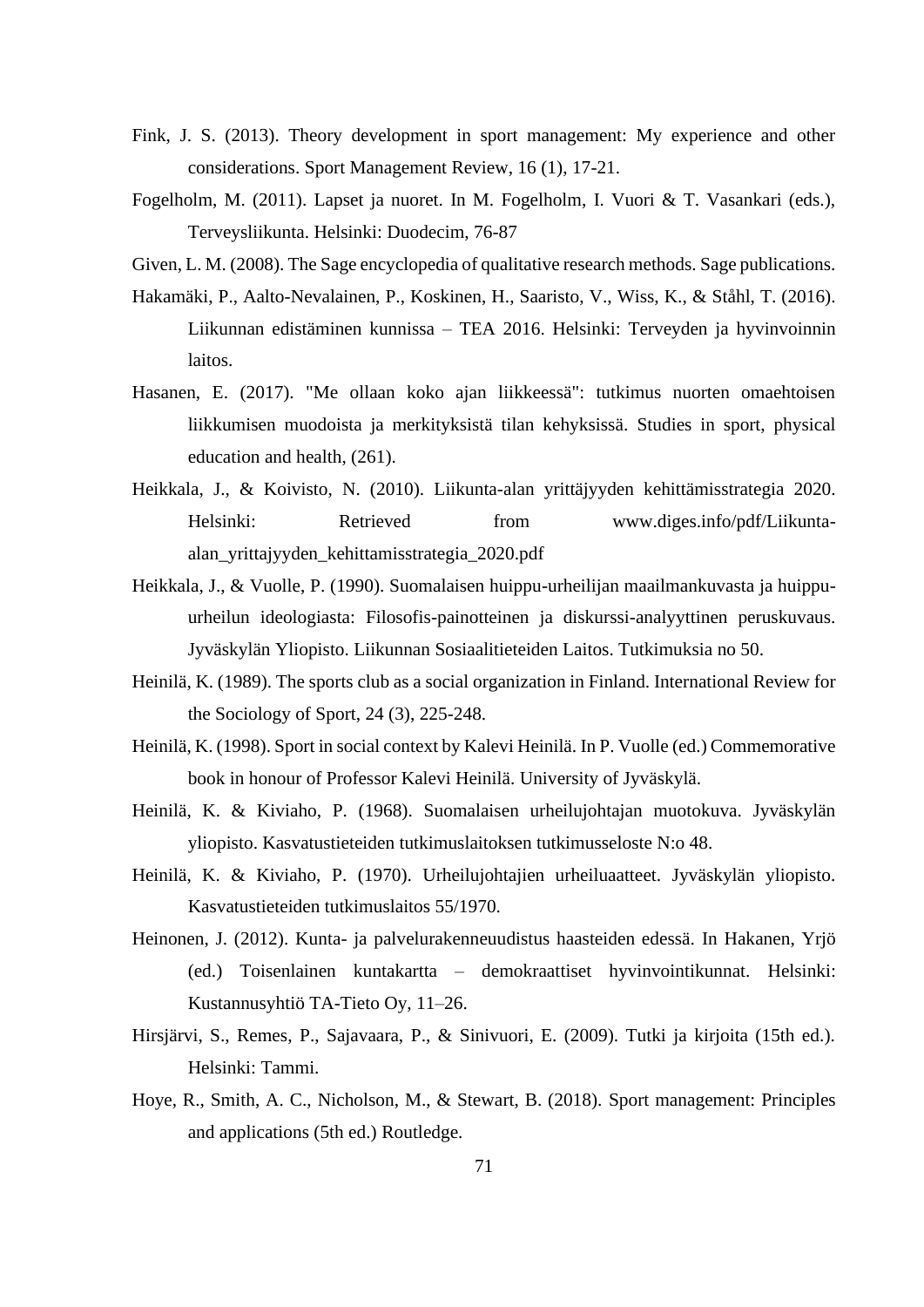- Fink, J. S. (2013). Theory development in sport management: My experience and other considerations. Sport Management Review, 16 (1), 17-21.
- Fogelholm, M. (2011). Lapset ja nuoret. In M. Fogelholm, I. Vuori & T. Vasankari (eds.), Terveysliikunta. Helsinki: Duodecim, 76-87
- Given, L. M. (2008). The Sage encyclopedia of qualitative research methods. Sage publications.
- Hakamäki, P., Aalto-Nevalainen, P., Koskinen, H., Saaristo, V., Wiss, K., & Ståhl, T. (2016). Liikunnan edistäminen kunnissa – TEA 2016. Helsinki: Terveyden ja hyvinvoinnin laitos.
- Hasanen, E. (2017). "Me ollaan koko ajan liikkeessä": tutkimus nuorten omaehtoisen liikkumisen muodoista ja merkityksistä tilan kehyksissä. Studies in sport, physical education and health, (261).
- Heikkala, J., & Koivisto, N. (2010). Liikunta-alan yrittäjyyden kehittämisstrategia 2020. Helsinki: Retrieved from www.diges.info/pdf/Liikuntaalan\_yrittajyyden\_kehittamisstrategia\_2020.pdf
- Heikkala, J., & Vuolle, P. (1990). Suomalaisen huippu-urheilijan maailmankuvasta ja huippuurheilun ideologiasta: Filosofis-painotteinen ja diskurssi-analyyttinen peruskuvaus. Jyväskylän Yliopisto. Liikunnan Sosiaalitieteiden Laitos. Tutkimuksia no 50.
- Heinilä, K. (1989). The sports club as a social organization in Finland. International Review for the Sociology of Sport, 24 (3), 225-248.
- Heinilä, K. (1998). Sport in social context by Kalevi Heinilä. In P. Vuolle (ed.) Commemorative book in honour of Professor Kalevi Heinilä. University of Jyväskylä.
- Heinilä, K. & Kiviaho, P. (1968). Suomalaisen urheilujohtajan muotokuva. Jyväskylän yliopisto. Kasvatustieteiden tutkimuslaitoksen tutkimusseloste N:o 48.
- Heinilä, K. & Kiviaho, P. (1970). Urheilujohtajien urheiluaatteet. Jyväskylän yliopisto. Kasvatustieteiden tutkimuslaitos 55/1970.
- Heinonen, J. (2012). Kunta- ja palvelurakenneuudistus haasteiden edessä. In Hakanen, Yrjö (ed.) Toisenlainen kuntakartta – demokraattiset hyvinvointikunnat. Helsinki: Kustannusyhtiö TA-Tieto Oy, 11–26.
- Hirsjärvi, S., Remes, P., Sajavaara, P., & Sinivuori, E. (2009). Tutki ja kirjoita (15th ed.). Helsinki: Tammi.
- Hoye, R., Smith, A. C., Nicholson, M., & Stewart, B. (2018). Sport management: Principles and applications (5th ed.) Routledge.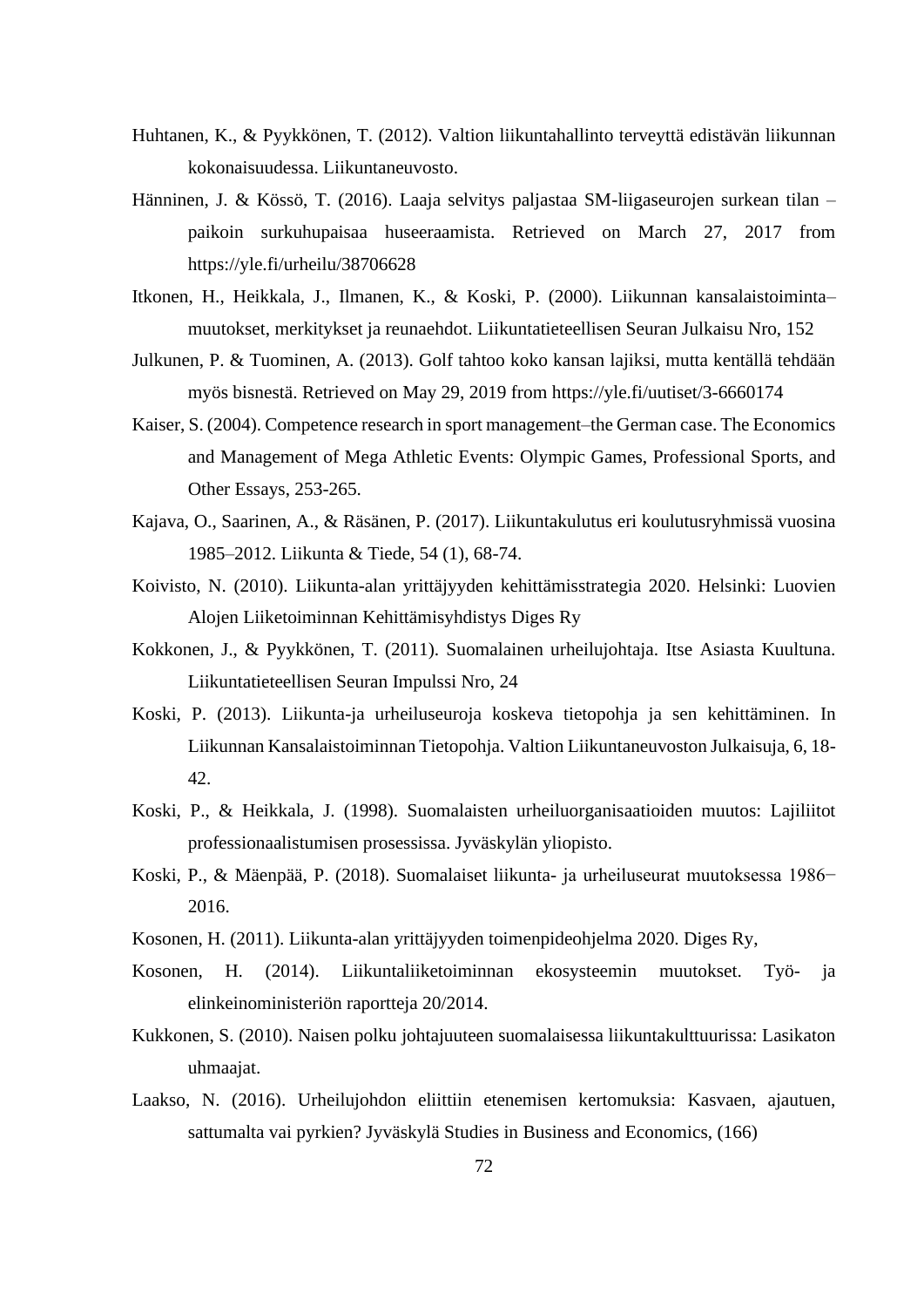- Huhtanen, K., & Pyykkönen, T. (2012). Valtion liikuntahallinto terveyttä edistävän liikunnan kokonaisuudessa. Liikuntaneuvosto.
- Hänninen, J. & Kössö, T. (2016). Laaja selvitys paljastaa SM-liigaseurojen surkean tilan paikoin surkuhupaisaa huseeraamista. Retrieved on March 27, 2017 from https://yle.fi/urheilu/38706628
- Itkonen, H., Heikkala, J., Ilmanen, K., & Koski, P. (2000). Liikunnan kansalaistoiminta– muutokset, merkitykset ja reunaehdot. Liikuntatieteellisen Seuran Julkaisu Nro, 152
- Julkunen, P. & Tuominen, A. (2013). Golf tahtoo koko kansan lajiksi, mutta kentällä tehdään myös bisnestä. Retrieved on May 29, 2019 from https://yle.fi/uutiset/3-6660174
- Kaiser, S. (2004). Competence research in sport management–the German case. The Economics and Management of Mega Athletic Events: Olympic Games, Professional Sports, and Other Essays, 253-265.
- Kajava, O., Saarinen, A., & Räsänen, P. (2017). Liikuntakulutus eri koulutusryhmissä vuosina 1985–2012. Liikunta & Tiede, 54 (1), 68-74.
- Koivisto, N. (2010). Liikunta-alan yrittäjyyden kehittämisstrategia 2020. Helsinki: Luovien Alojen Liiketoiminnan Kehittämisyhdistys Diges Ry
- Kokkonen, J., & Pyykkönen, T. (2011). Suomalainen urheilujohtaja. Itse Asiasta Kuultuna. Liikuntatieteellisen Seuran Impulssi Nro, 24
- Koski, P. (2013). Liikunta-ja urheiluseuroja koskeva tietopohja ja sen kehittäminen. In Liikunnan Kansalaistoiminnan Tietopohja. Valtion Liikuntaneuvoston Julkaisuja, 6, 18- 42.
- Koski, P., & Heikkala, J. (1998). Suomalaisten urheiluorganisaatioiden muutos: Lajiliitot professionaalistumisen prosessissa. Jyväskylän yliopisto.
- Koski, P., & Mäenpää, P. (2018). Suomalaiset liikunta- ja urheiluseurat muutoksessa 1986− 2016.
- Kosonen, H. (2011). Liikunta-alan yrittäjyyden toimenpideohjelma 2020. Diges Ry,
- Kosonen, H. (2014). Liikuntaliiketoiminnan ekosysteemin muutokset. Työ- ja elinkeinoministeriön raportteja 20/2014.
- Kukkonen, S. (2010). Naisen polku johtajuuteen suomalaisessa liikuntakulttuurissa: Lasikaton uhmaajat.
- Laakso, N. (2016). Urheilujohdon eliittiin etenemisen kertomuksia: Kasvaen, ajautuen, sattumalta vai pyrkien? Jyväskylä Studies in Business and Economics, (166)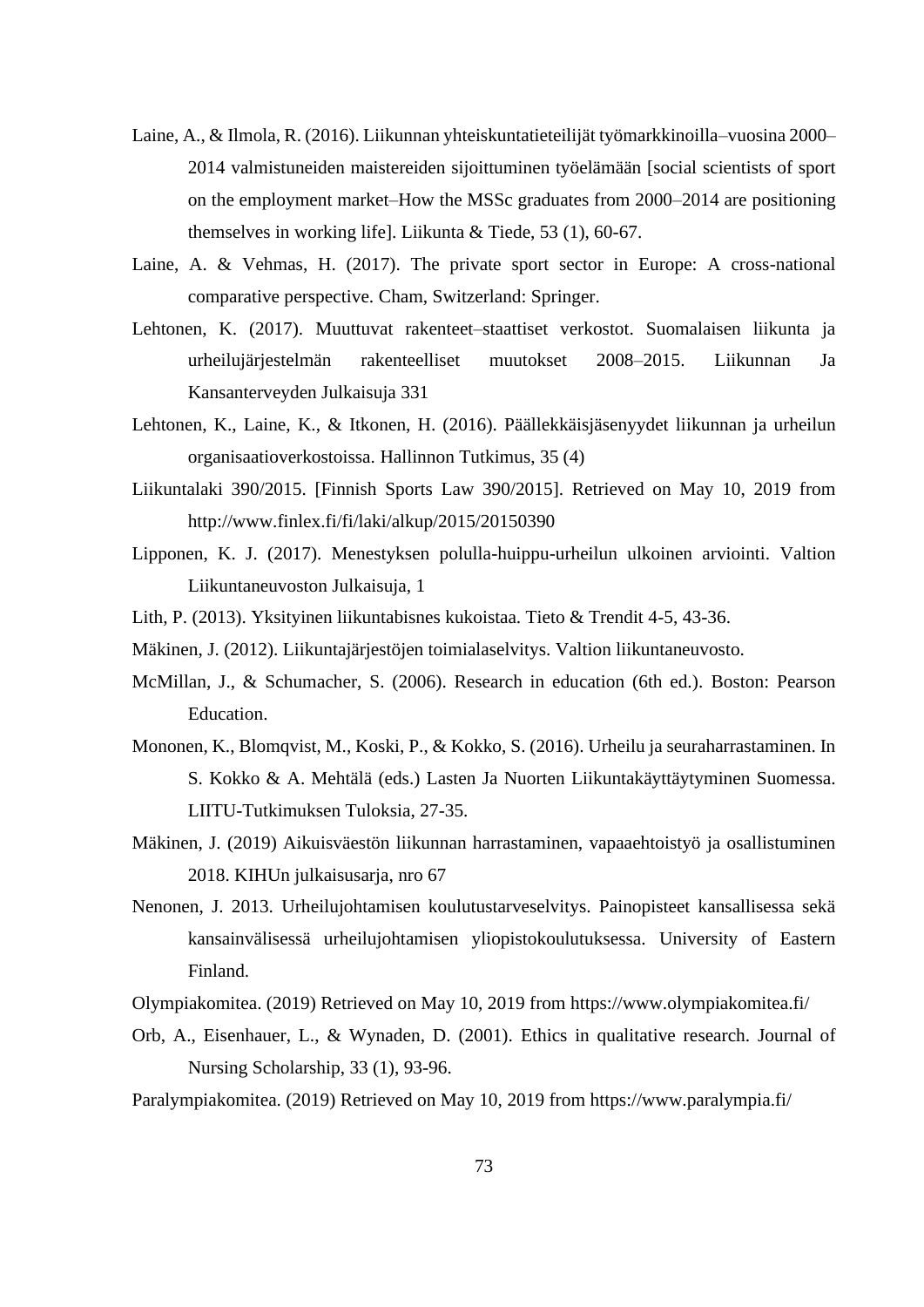- Laine, A., & Ilmola, R. (2016). Liikunnan yhteiskuntatieteilijät työmarkkinoilla–vuosina 2000– 2014 valmistuneiden maistereiden sijoittuminen työelämään [social scientists of sport on the employment market–How the MSSc graduates from 2000–2014 are positioning themselves in working life]. Liikunta & Tiede, 53 (1), 60-67.
- Laine, A. & Vehmas, H. (2017). The private sport sector in Europe: A cross-national comparative perspective. Cham, Switzerland: Springer.
- Lehtonen, K. (2017). Muuttuvat rakenteet–staattiset verkostot. Suomalaisen liikunta ja urheilujärjestelmän rakenteelliset muutokset 2008–2015. Liikunnan Ja Kansanterveyden Julkaisuja 331
- Lehtonen, K., Laine, K., & Itkonen, H. (2016). Päällekkäisjäsenyydet liikunnan ja urheilun organisaatioverkostoissa. Hallinnon Tutkimus, 35 (4)
- Liikuntalaki 390/2015. [Finnish Sports Law 390/2015]. Retrieved on May 10, 2019 from http://www.finlex.fi/fi/laki/alkup/2015/20150390
- Lipponen, K. J. (2017). Menestyksen polulla-huippu-urheilun ulkoinen arviointi. Valtion Liikuntaneuvoston Julkaisuja, 1
- Lith, P. (2013). Yksityinen liikuntabisnes kukoistaa. Tieto & Trendit 4-5, 43-36.
- Mäkinen, J. (2012). Liikuntajärjestöjen toimialaselvitys. Valtion liikuntaneuvosto.
- McMillan, J., & Schumacher, S. (2006). Research in education (6th ed.). Boston: Pearson Education.
- Mononen, K., Blomqvist, M., Koski, P., & Kokko, S. (2016). Urheilu ja seuraharrastaminen. In S. Kokko & A. Mehtälä (eds.) Lasten Ja Nuorten Liikuntakäyttäytyminen Suomessa. LIITU-Tutkimuksen Tuloksia, 27-35.
- Mäkinen, J. (2019) Aikuisväestön liikunnan harrastaminen, vapaaehtoistyö ja osallistuminen 2018. KIHUn julkaisusarja, nro 67
- Nenonen, J. 2013. Urheilujohtamisen koulutustarveselvitys. Painopisteet kansallisessa sekä kansainvälisessä urheilujohtamisen yliopistokoulutuksessa. University of Eastern Finland.
- Olympiakomitea. (2019) Retrieved on May 10, 2019 from https://www.olympiakomitea.fi/
- Orb, A., Eisenhauer, L., & Wynaden, D. (2001). Ethics in qualitative research. Journal of Nursing Scholarship, 33 (1), 93-96.
- Paralympiakomitea. (2019) Retrieved on May 10, 2019 from https://www.paralympia.fi/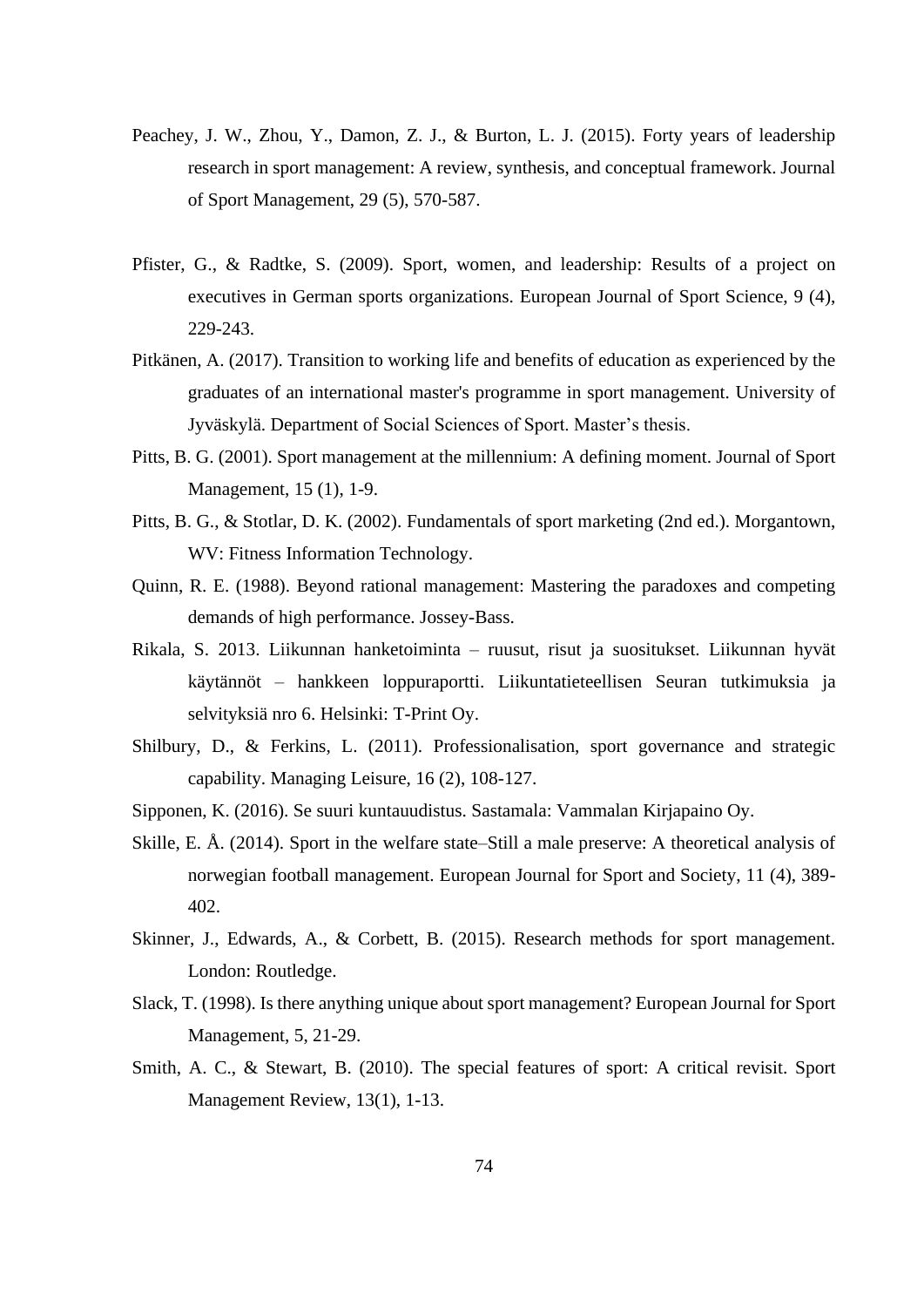- Peachey, J. W., Zhou, Y., Damon, Z. J., & Burton, L. J. (2015). Forty years of leadership research in sport management: A review, synthesis, and conceptual framework. Journal of Sport Management, 29 (5), 570-587.
- Pfister, G., & Radtke, S. (2009). Sport, women, and leadership: Results of a project on executives in German sports organizations. European Journal of Sport Science, 9 (4), 229-243.
- Pitkänen, A. (2017). Transition to working life and benefits of education as experienced by the graduates of an international master's programme in sport management. University of Jyväskylä. Department of Social Sciences of Sport. Master's thesis.
- Pitts, B. G. (2001). Sport management at the millennium: A defining moment. Journal of Sport Management, 15 (1), 1-9.
- Pitts, B. G., & Stotlar, D. K. (2002). Fundamentals of sport marketing (2nd ed.). Morgantown, WV: Fitness Information Technology.
- Quinn, R. E. (1988). Beyond rational management: Mastering the paradoxes and competing demands of high performance. Jossey-Bass.
- Rikala, S. 2013. Liikunnan hanketoiminta ruusut, risut ja suositukset. Liikunnan hyvät käytännöt – hankkeen loppuraportti. Liikuntatieteellisen Seuran tutkimuksia ja selvityksiä nro 6. Helsinki: T-Print Oy.
- Shilbury, D., & Ferkins, L. (2011). Professionalisation, sport governance and strategic capability. Managing Leisure, 16 (2), 108-127.
- Sipponen, K. (2016). Se suuri kuntauudistus. Sastamala: Vammalan Kirjapaino Oy.
- Skille, E. Å. (2014). Sport in the welfare state–Still a male preserve: A theoretical analysis of norwegian football management. European Journal for Sport and Society, 11 (4), 389- 402.
- Skinner, J., Edwards, A., & Corbett, B. (2015). Research methods for sport management. London: Routledge.
- Slack, T. (1998). Is there anything unique about sport management? European Journal for Sport Management, 5, 21-29.
- Smith, A. C., & Stewart, B. (2010). The special features of sport: A critical revisit. Sport Management Review, 13(1), 1-13.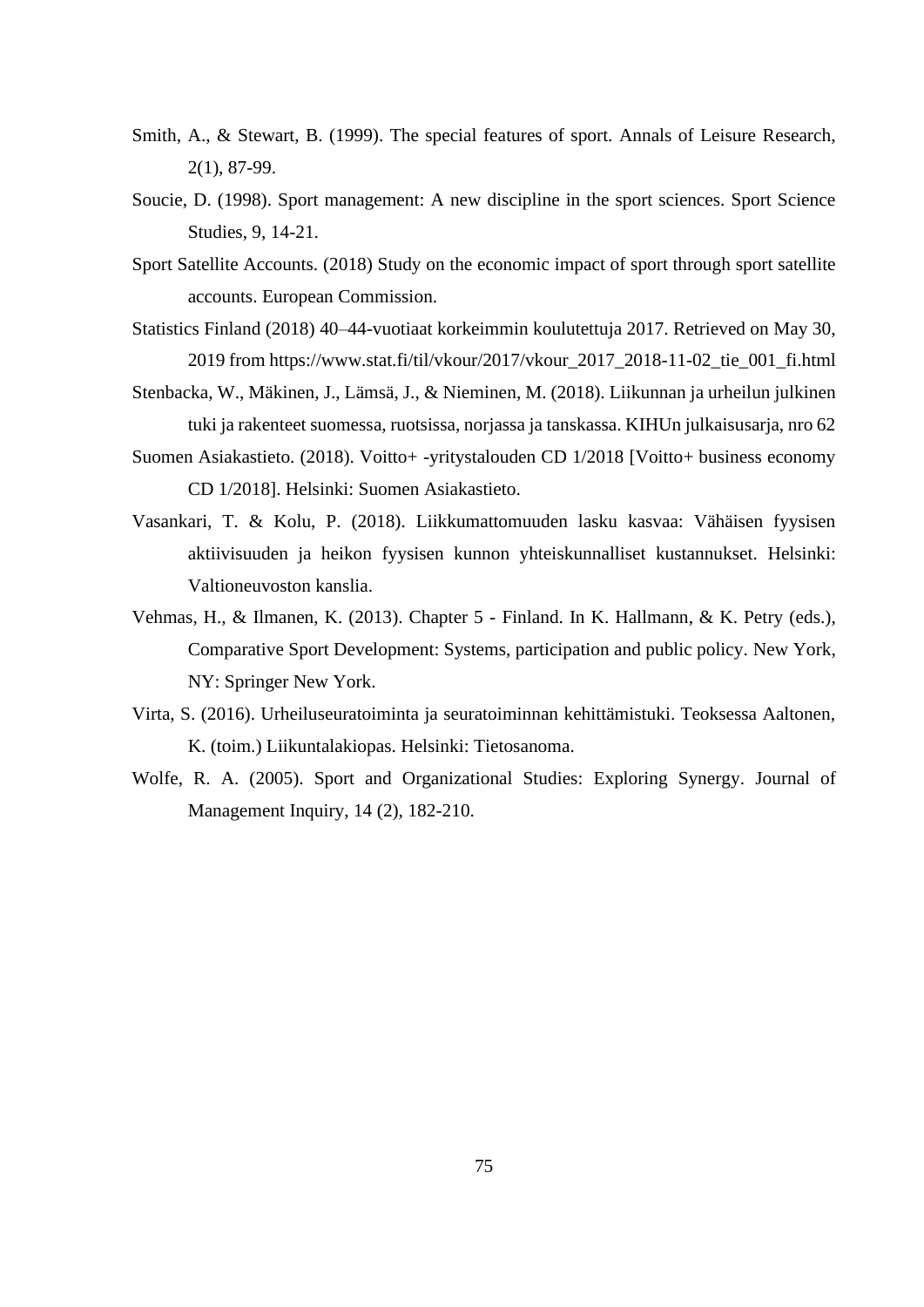- Smith, A., & Stewart, B. (1999). The special features of sport. Annals of Leisure Research, 2(1), 87-99.
- Soucie, D. (1998). Sport management: A new discipline in the sport sciences. Sport Science Studies, 9, 14-21.
- Sport Satellite Accounts. (2018) Study on the economic impact of sport through sport satellite accounts. European Commission.
- Statistics Finland (2018) 40–44-vuotiaat korkeimmin koulutettuja 2017. Retrieved on May 30, 2019 from https://www.stat.fi/til/vkour/2017/vkour\_2017\_2018-11-02\_tie\_001\_fi.html
- Stenbacka, W., Mäkinen, J., Lämsä, J., & Nieminen, M. (2018). Liikunnan ja urheilun julkinen tuki ja rakenteet suomessa, ruotsissa, norjassa ja tanskassa. KIHUn julkaisusarja, nro 62
- Suomen Asiakastieto. (2018). Voitto+ -yritystalouden CD 1/2018 [Voitto+ business economy CD 1/2018]. Helsinki: Suomen Asiakastieto.
- Vasankari, T. & Kolu, P. (2018). Liikkumattomuuden lasku kasvaa: Vähäisen fyysisen aktiivisuuden ja heikon fyysisen kunnon yhteiskunnalliset kustannukset. Helsinki: Valtioneuvoston kanslia.
- Vehmas, H., & Ilmanen, K. (2013). Chapter 5 Finland. In K. Hallmann, & K. Petry (eds.), Comparative Sport Development: Systems, participation and public policy. New York, NY: Springer New York.
- Virta, S. (2016). Urheiluseuratoiminta ja seuratoiminnan kehittämistuki. Teoksessa Aaltonen, K. (toim.) Liikuntalakiopas. Helsinki: Tietosanoma.
- Wolfe, R. A. (2005). Sport and Organizational Studies: Exploring Synergy. Journal of Management Inquiry, 14 (2), 182-210.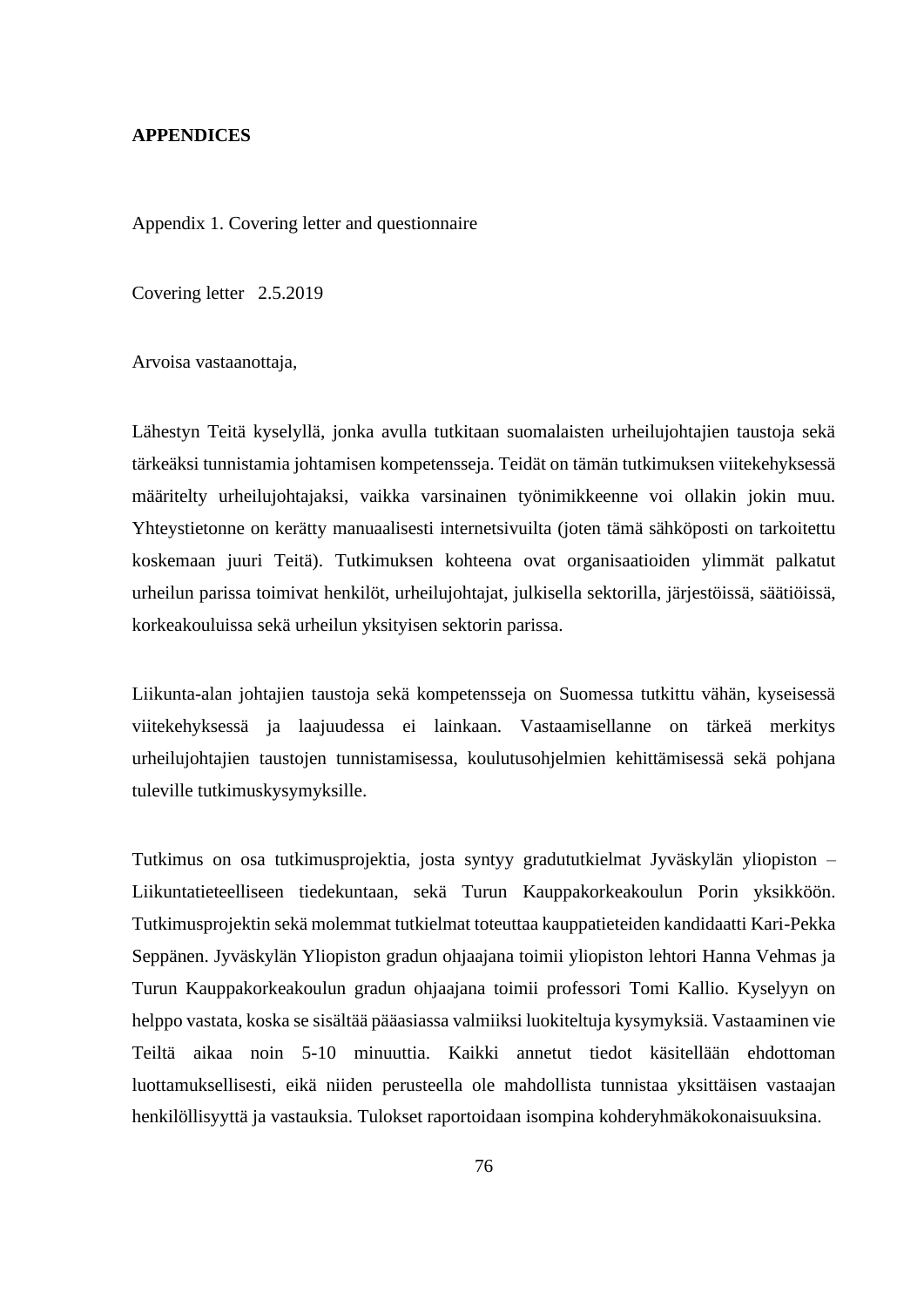### **APPENDICES**

Appendix 1. Covering letter and questionnaire

Covering letter 2.5.2019

Arvoisa vastaanottaja,

Lähestyn Teitä kyselyllä, jonka avulla tutkitaan suomalaisten urheilujohtajien taustoja sekä tärkeäksi tunnistamia johtamisen kompetensseja. Teidät on tämän tutkimuksen viitekehyksessä määritelty urheilujohtajaksi, vaikka varsinainen työnimikkeenne voi ollakin jokin muu. Yhteystietonne on kerätty manuaalisesti internetsivuilta (joten tämä sähköposti on tarkoitettu koskemaan juuri Teitä). Tutkimuksen kohteena ovat organisaatioiden ylimmät palkatut urheilun parissa toimivat henkilöt, urheilujohtajat, julkisella sektorilla, järjestöissä, säätiöissä, korkeakouluissa sekä urheilun yksityisen sektorin parissa.

Liikunta-alan johtajien taustoja sekä kompetensseja on Suomessa tutkittu vähän, kyseisessä viitekehyksessä ja laajuudessa ei lainkaan. Vastaamisellanne on tärkeä merkitys urheilujohtajien taustojen tunnistamisessa, koulutusohjelmien kehittämisessä sekä pohjana tuleville tutkimuskysymyksille.

Tutkimus on osa tutkimusprojektia, josta syntyy gradututkielmat Jyväskylän yliopiston – Liikuntatieteelliseen tiedekuntaan, sekä Turun Kauppakorkeakoulun Porin yksikköön. Tutkimusprojektin sekä molemmat tutkielmat toteuttaa kauppatieteiden kandidaatti Kari-Pekka Seppänen. Jyväskylän Yliopiston gradun ohjaajana toimii yliopiston lehtori Hanna Vehmas ja Turun Kauppakorkeakoulun gradun ohjaajana toimii professori Tomi Kallio. Kyselyyn on helppo vastata, koska se sisältää pääasiassa valmiiksi luokiteltuja kysymyksiä. Vastaaminen vie Teiltä aikaa noin 5-10 minuuttia. Kaikki annetut tiedot käsitellään ehdottoman luottamuksellisesti, eikä niiden perusteella ole mahdollista tunnistaa yksittäisen vastaajan henkilöllisyyttä ja vastauksia. Tulokset raportoidaan isompina kohderyhmäkokonaisuuksina.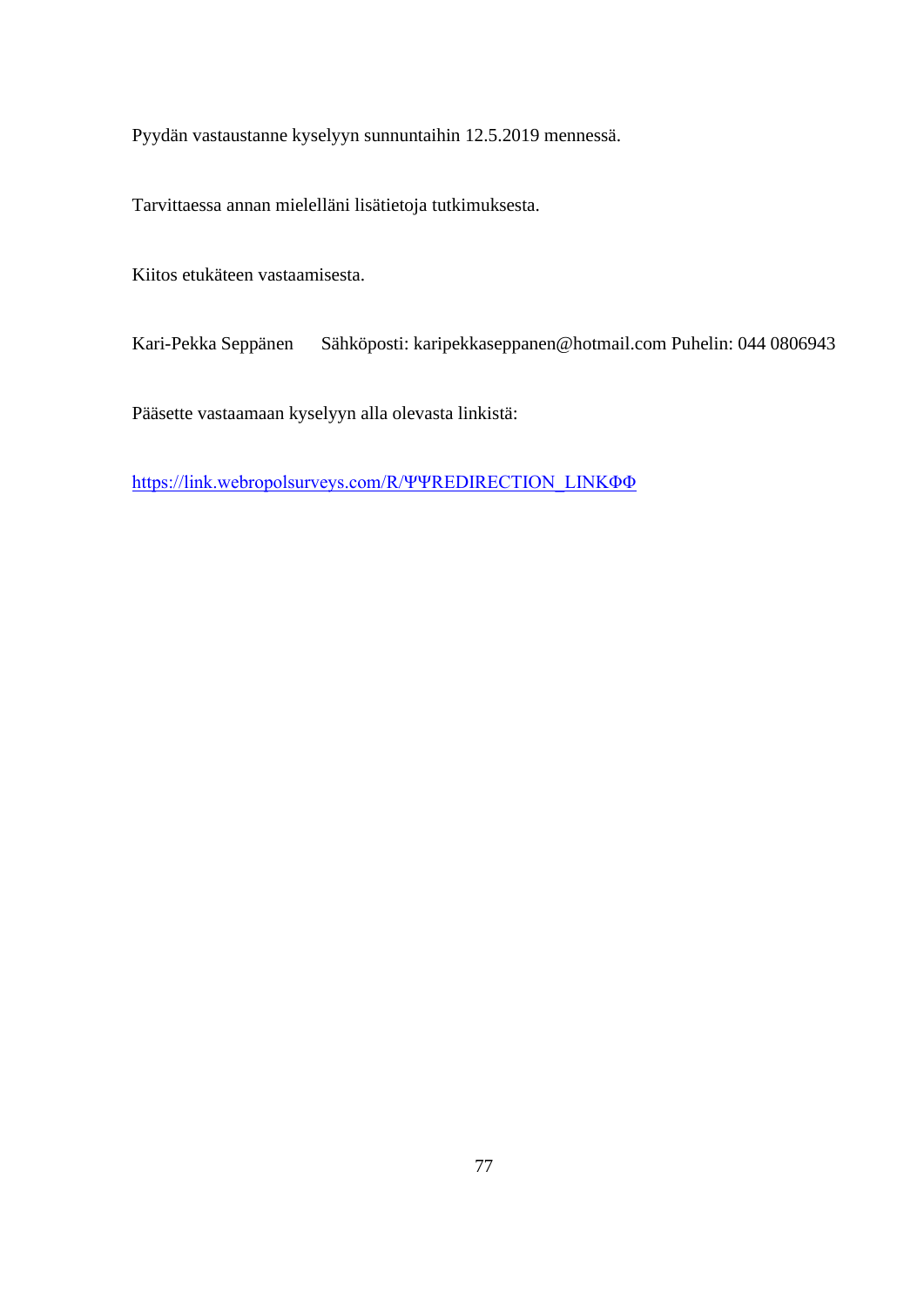Pyydän vastaustanne kyselyyn sunnuntaihin 12.5.2019 mennessä.

Tarvittaessa annan mielelläni lisätietoja tutkimuksesta.

Kiitos etukäteen vastaamisesta.

Kari-Pekka Seppänen Sähköposti: karipekkaseppanen@hotmail.com Puhelin: 044 0806943

Pääsette vastaamaan kyselyyn alla olevasta linkistä:

[https://link.webropolsurveys.com/R/ΨΨREDIRECTION\\_LINKΦΦ](https://link.webropolsurveys.com/R/ΨΨREDIRECTION_LINKΦΦ)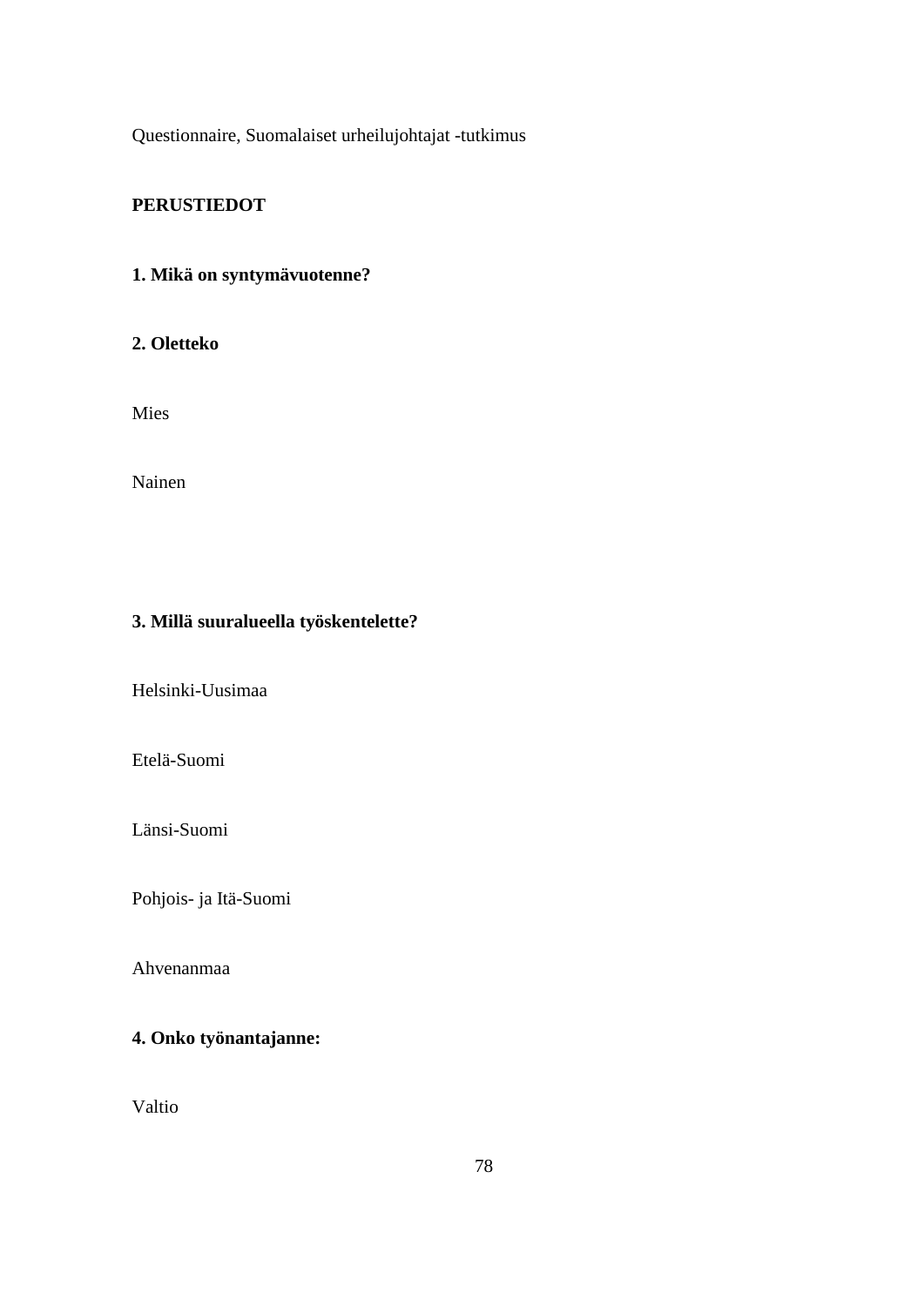Questionnaire, Suomalaiset urheilujohtajat -tutkimus

# **PERUSTIEDOT**

# **1. Mikä on syntymävuotenne?**

## **2. Oletteko**

Mies

Nainen

# **3. Millä suuralueella työskentelette?**

Helsinki-Uusimaa

Etelä-Suomi

Länsi-Suomi

Pohjois- ja Itä-Suomi

Ahvenanmaa

# **4. Onko työnantajanne:**

Valtio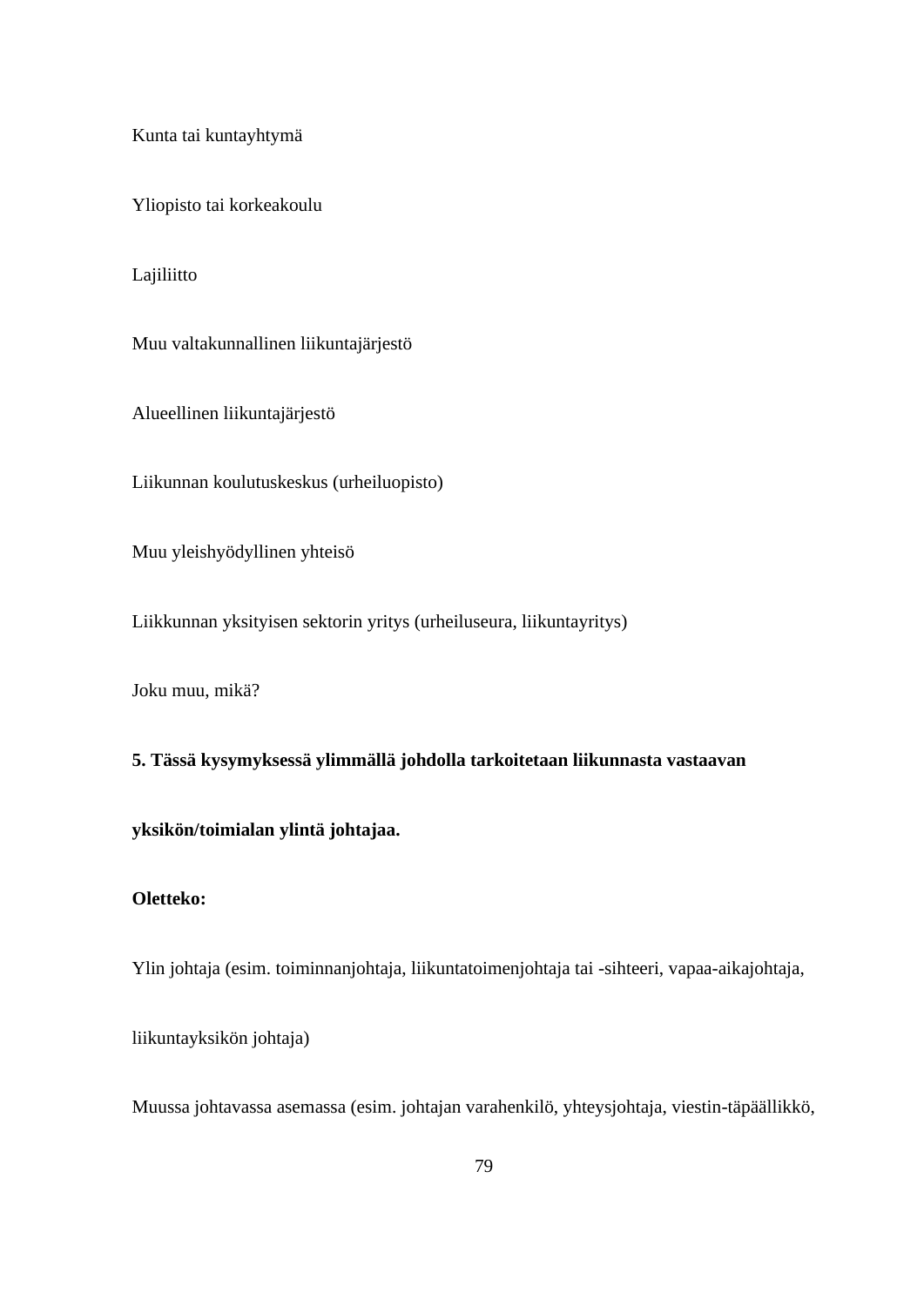Kunta tai kuntayhtymä

Yliopisto tai korkeakoulu

Lajiliitto

Muu valtakunnallinen liikuntajärjestö

Alueellinen liikuntajärjestö

Liikunnan koulutuskeskus (urheiluopisto)

Muu yleishyödyllinen yhteisö

Liikkunnan yksityisen sektorin yritys (urheiluseura, liikuntayritys)

Joku muu, mikä?

**5. Tässä kysymyksessä ylimmällä johdolla tarkoitetaan liikunnasta vastaavan**

### **yksikön/toimialan ylintä johtajaa.**

### **Oletteko:**

Ylin johtaja (esim. toiminnanjohtaja, liikuntatoimenjohtaja tai -sihteeri, vapaa-aikajohtaja,

liikuntayksikön johtaja)

Muussa johtavassa asemassa (esim. johtajan varahenkilö, yhteysjohtaja, viestin-täpäällikkö,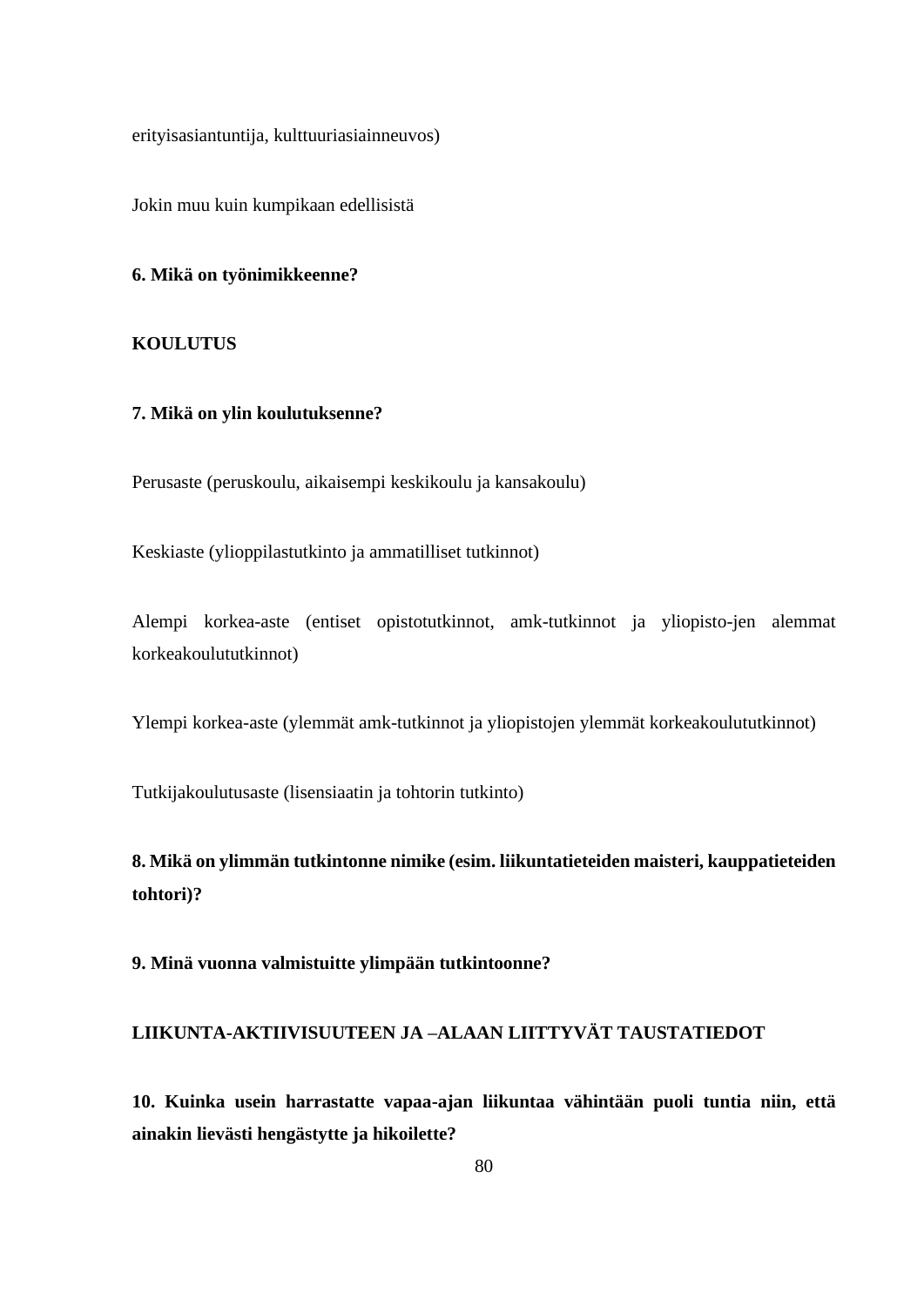erityisasiantuntija, kulttuuriasiainneuvos)

Jokin muu kuin kumpikaan edellisistä

### **6. Mikä on työnimikkeenne?**

### **KOULUTUS**

### **7. Mikä on ylin koulutuksenne?**

Perusaste (peruskoulu, aikaisempi keskikoulu ja kansakoulu)

Keskiaste (ylioppilastutkinto ja ammatilliset tutkinnot)

Alempi korkea-aste (entiset opistotutkinnot, amk-tutkinnot ja yliopisto-jen alemmat korkeakoulututkinnot)

Ylempi korkea-aste (ylemmät amk-tutkinnot ja yliopistojen ylemmät korkeakoulututkinnot)

Tutkijakoulutusaste (lisensiaatin ja tohtorin tutkinto)

**8. Mikä on ylimmän tutkintonne nimike (esim. liikuntatieteiden maisteri, kauppatieteiden tohtori)?**

**9. Minä vuonna valmistuitte ylimpään tutkintoonne?**

## **LIIKUNTA-AKTIIVISUUTEEN JA –ALAAN LIITTYVÄT TAUSTATIEDOT**

**10. Kuinka usein harrastatte vapaa-ajan liikuntaa vähintään puoli tuntia niin, että ainakin lievästi hengästytte ja hikoilette?**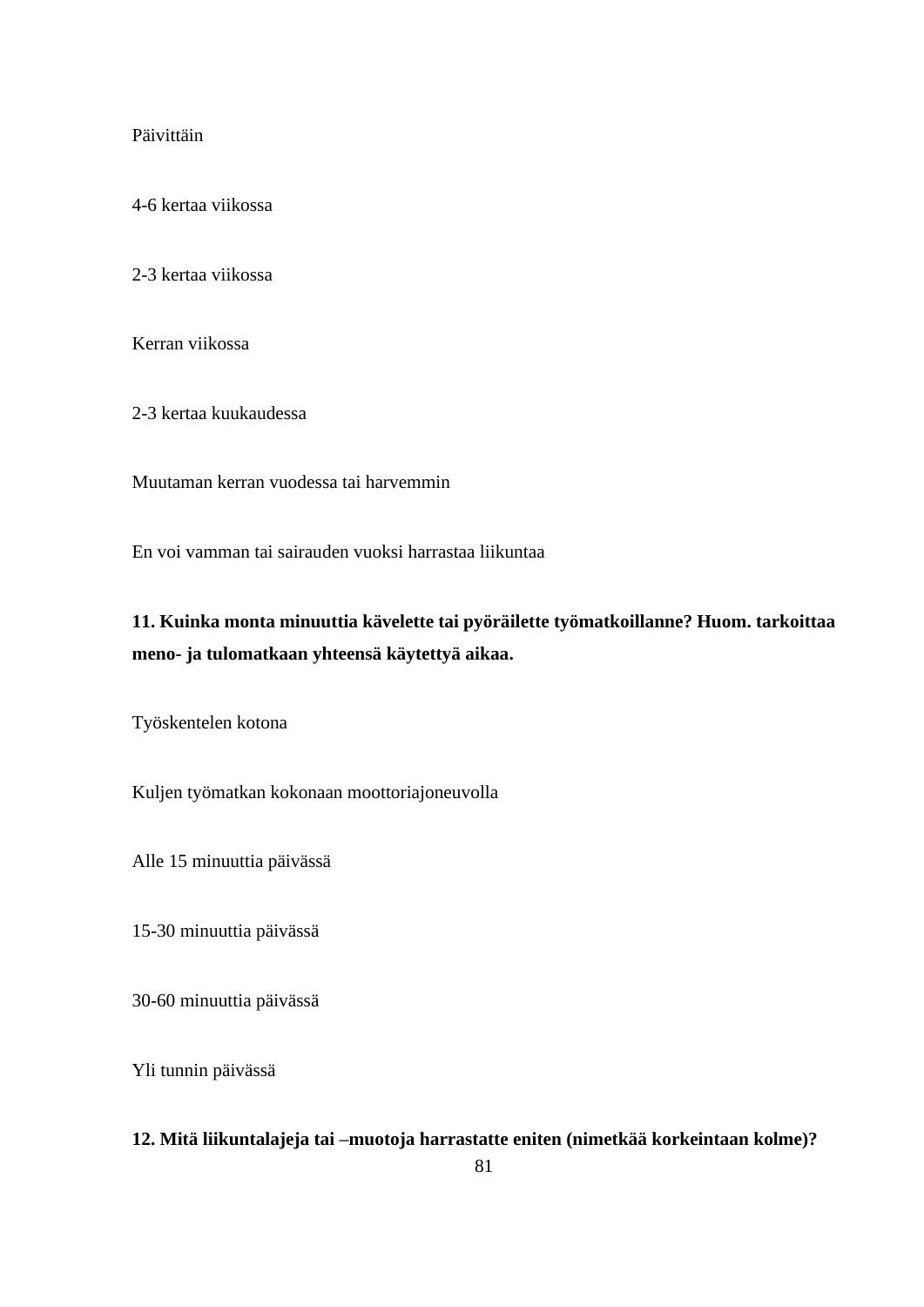### Päivittäin

4-6 kertaa viikossa

2-3 kertaa viikossa

Kerran viikossa

2-3 kertaa kuukaudessa

Muutaman kerran vuodessa tai harvemmin

En voi vamman tai sairauden vuoksi harrastaa liikuntaa

# **11. Kuinka monta minuuttia kävelette tai pyöräilette työmatkoillanne? Huom. tarkoittaa meno- ja tulomatkaan yhteensä käytettyä aikaa.**

Työskentelen kotona

Kuljen työmatkan kokonaan moottoriajoneuvolla

Alle 15 minuuttia päivässä

15-30 minuuttia päivässä

30-60 minuuttia päivässä

Yli tunnin päivässä

### **12. Mitä liikuntalajeja tai –muotoja harrastatte eniten (nimetkää korkeintaan kolme)?**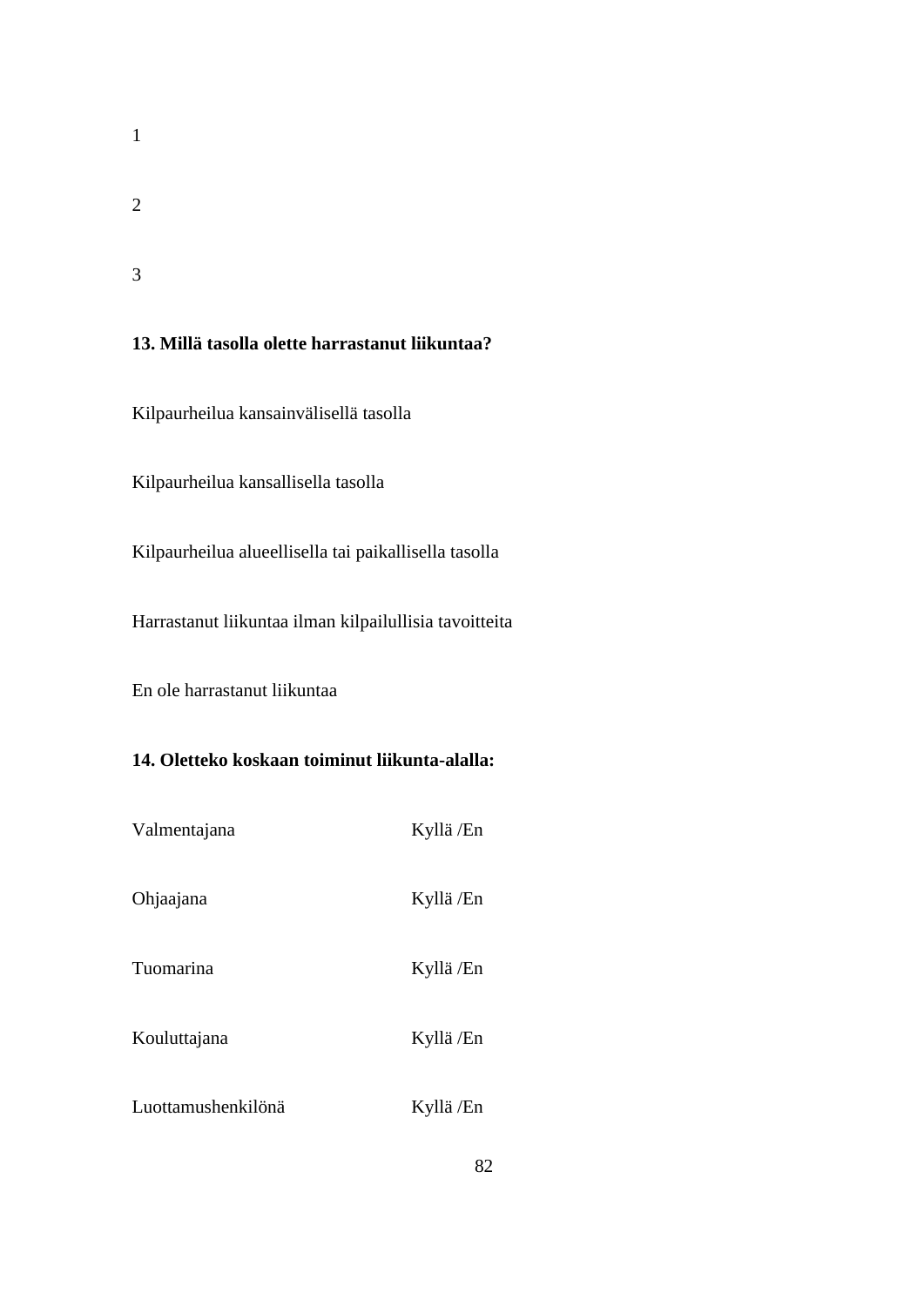2

1

3

## **13. Millä tasolla olette harrastanut liikuntaa?**

Kilpaurheilua kansainvälisellä tasolla

Kilpaurheilua kansallisella tasolla

Kilpaurheilua alueellisella tai paikallisella tasolla

Harrastanut liikuntaa ilman kilpailullisia tavoitteita

En ole harrastanut liikuntaa

# **14. Oletteko koskaan toiminut liikunta-alalla:**

| Valmentajana       | Kyllä /En |
|--------------------|-----------|
| Ohjaajana          | Kyllä /En |
| Tuomarina          | Kyllä /En |
| Kouluttajana       | Kyllä /En |
| Luottamushenkilönä | Kyllä /En |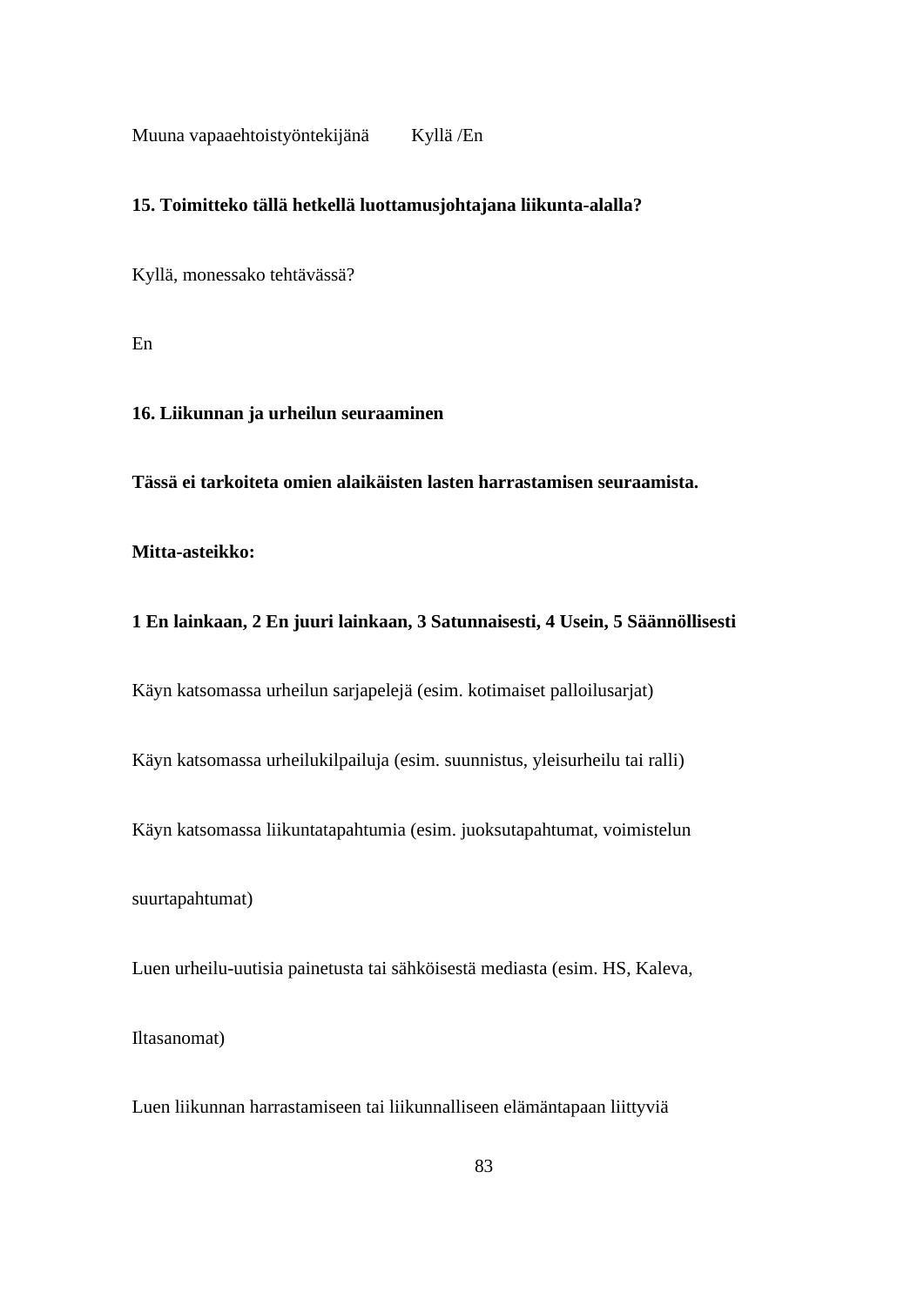Muuna vapaaehtoistyöntekijänä Kyllä /En

### **15. Toimitteko tällä hetkellä luottamusjohtajana liikunta-alalla?**

Kyllä, monessako tehtävässä?

En

## **16. Liikunnan ja urheilun seuraaminen**

**Tässä ei tarkoiteta omien alaikäisten lasten harrastamisen seuraamista.**

**Mitta-asteikko:** 

## **1 En lainkaan, 2 En juuri lainkaan, 3 Satunnaisesti, 4 Usein, 5 Säännöllisesti**

Käyn katsomassa urheilun sarjapelejä (esim. kotimaiset palloilusarjat)

Käyn katsomassa urheilukilpailuja (esim. suunnistus, yleisurheilu tai ralli)

Käyn katsomassa liikuntatapahtumia (esim. juoksutapahtumat, voimistelun

suurtapahtumat)

Luen urheilu-uutisia painetusta tai sähköisestä mediasta (esim. HS, Kaleva,

Iltasanomat)

Luen liikunnan harrastamiseen tai liikunnalliseen elämäntapaan liittyviä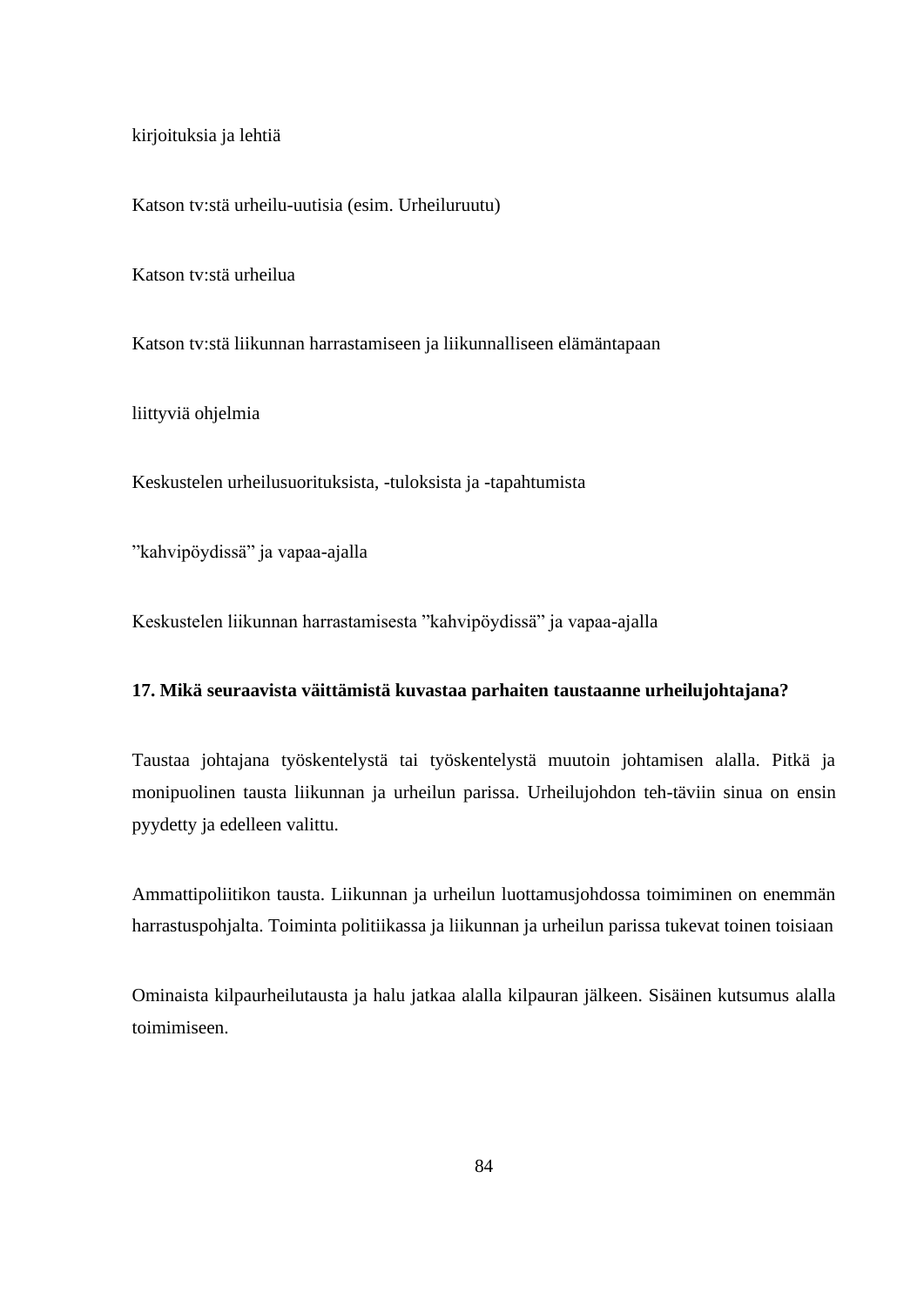kirjoituksia ja lehtiä

Katson tv:stä urheilu-uutisia (esim. Urheiluruutu)

Katson tv:stä urheilua

Katson tv:stä liikunnan harrastamiseen ja liikunnalliseen elämäntapaan

liittyviä ohjelmia

Keskustelen urheilusuorituksista, -tuloksista ja -tapahtumista

"kahvipöydissä" ja vapaa-ajalla

Keskustelen liikunnan harrastamisesta "kahvipöydissä" ja vapaa-ajalla

### **17. Mikä seuraavista väittämistä kuvastaa parhaiten taustaanne urheilujohtajana?**

Taustaa johtajana työskentelystä tai työskentelystä muutoin johtamisen alalla. Pitkä ja monipuolinen tausta liikunnan ja urheilun parissa. Urheilujohdon teh-täviin sinua on ensin pyydetty ja edelleen valittu.

Ammattipoliitikon tausta. Liikunnan ja urheilun luottamusjohdossa toimiminen on enemmän harrastuspohjalta. Toiminta politiikassa ja liikunnan ja urheilun parissa tukevat toinen toisiaan

Ominaista kilpaurheilutausta ja halu jatkaa alalla kilpauran jälkeen. Sisäinen kutsumus alalla toimimiseen.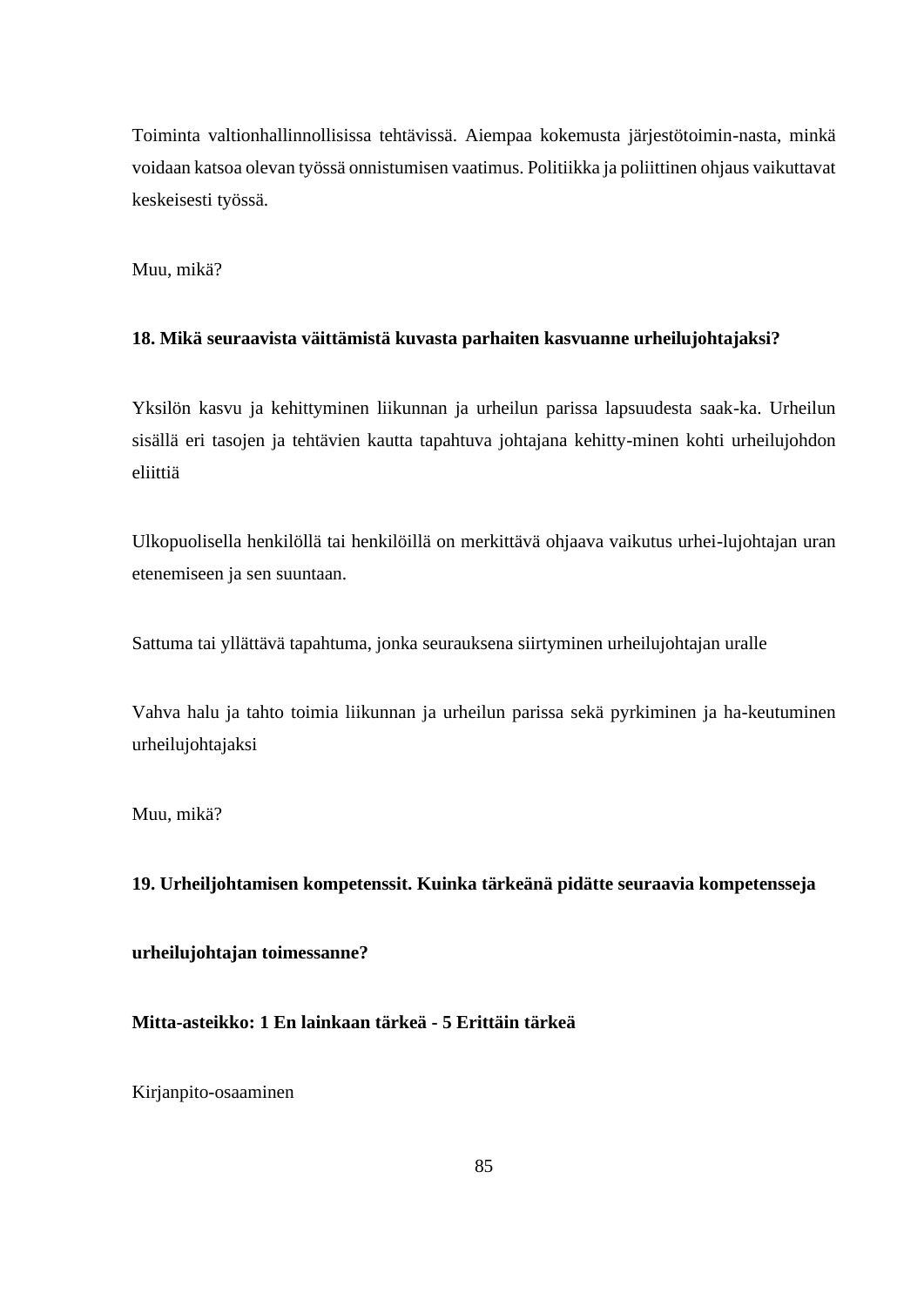Toiminta valtionhallinnollisissa tehtävissä. Aiempaa kokemusta järjestötoimin-nasta, minkä voidaan katsoa olevan työssä onnistumisen vaatimus. Politiikka ja poliittinen ohjaus vaikuttavat keskeisesti työssä.

Muu, mikä?

### **18. Mikä seuraavista väittämistä kuvasta parhaiten kasvuanne urheilujohtajaksi?**

Yksilön kasvu ja kehittyminen liikunnan ja urheilun parissa lapsuudesta saak-ka. Urheilun sisällä eri tasojen ja tehtävien kautta tapahtuva johtajana kehitty-minen kohti urheilujohdon eliittiä

Ulkopuolisella henkilöllä tai henkilöillä on merkittävä ohjaava vaikutus urhei-lujohtajan uran etenemiseen ja sen suuntaan.

Sattuma tai yllättävä tapahtuma, jonka seurauksena siirtyminen urheilujohtajan uralle

Vahva halu ja tahto toimia liikunnan ja urheilun parissa sekä pyrkiminen ja ha-keutuminen urheilujohtajaksi

Muu, mikä?

**19. Urheiljohtamisen kompetenssit. Kuinka tärkeänä pidätte seuraavia kompetensseja**

**urheilujohtajan toimessanne?**

## **Mitta-asteikko: 1 En lainkaan tärkeä - 5 Erittäin tärkeä**

Kirjanpito-osaaminen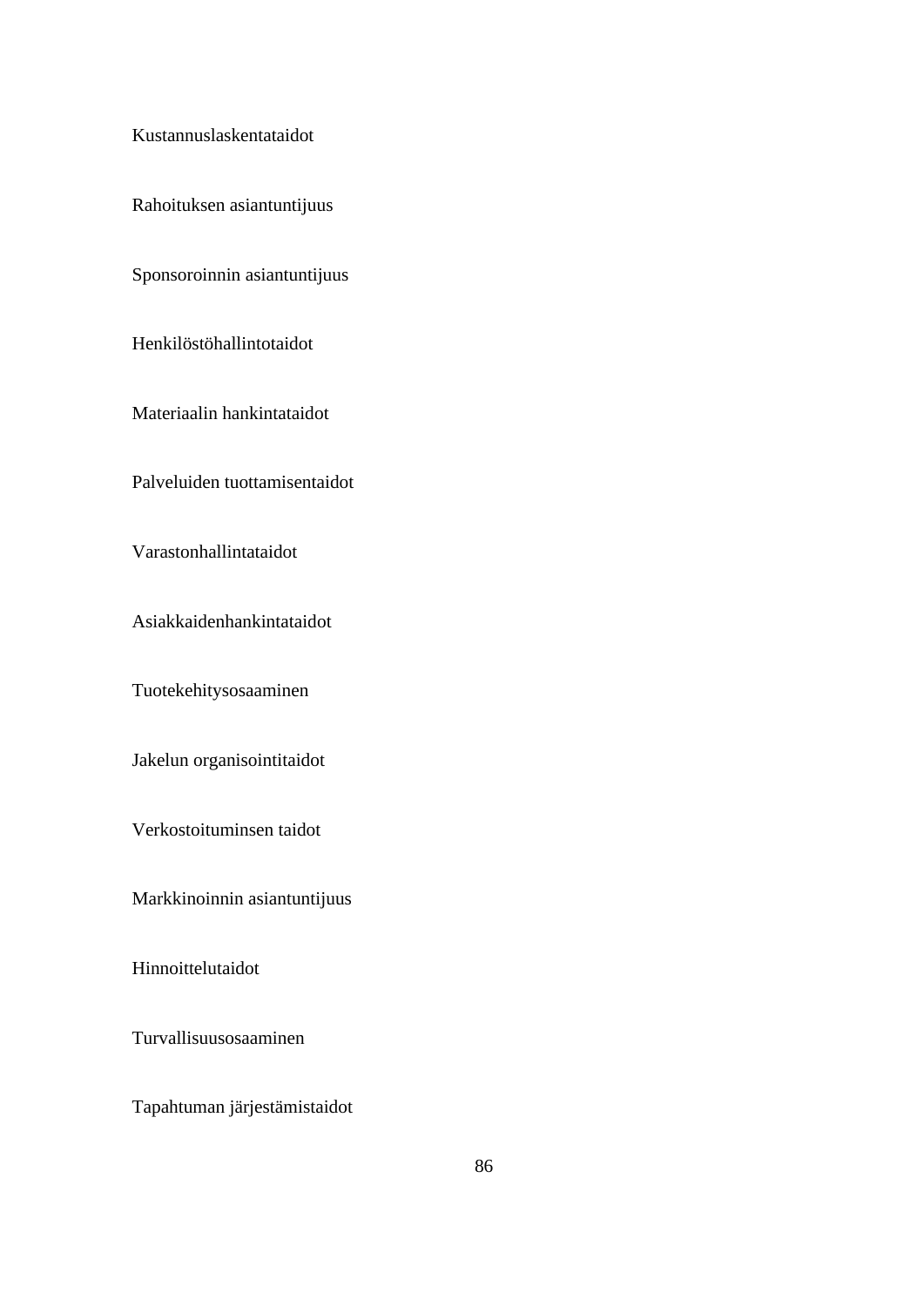Kustannuslaskentataidot

Rahoituksen asiantuntijuus

Sponsoroinnin asiantuntijuus

Henkilöstöhallintotaidot

Materiaalin hankintataidot

Palveluiden tuottamisentaidot

Varastonhallintataidot

Asiakkaidenhankintataidot

Tuotekehitysosaaminen

Jakelun organisointitaidot

Verkostoituminsen taidot

Markkinoinnin asiantuntijuus

Hinnoittelutaidot

Turvallisuusosaaminen

Tapahtuman järjestämistaidot